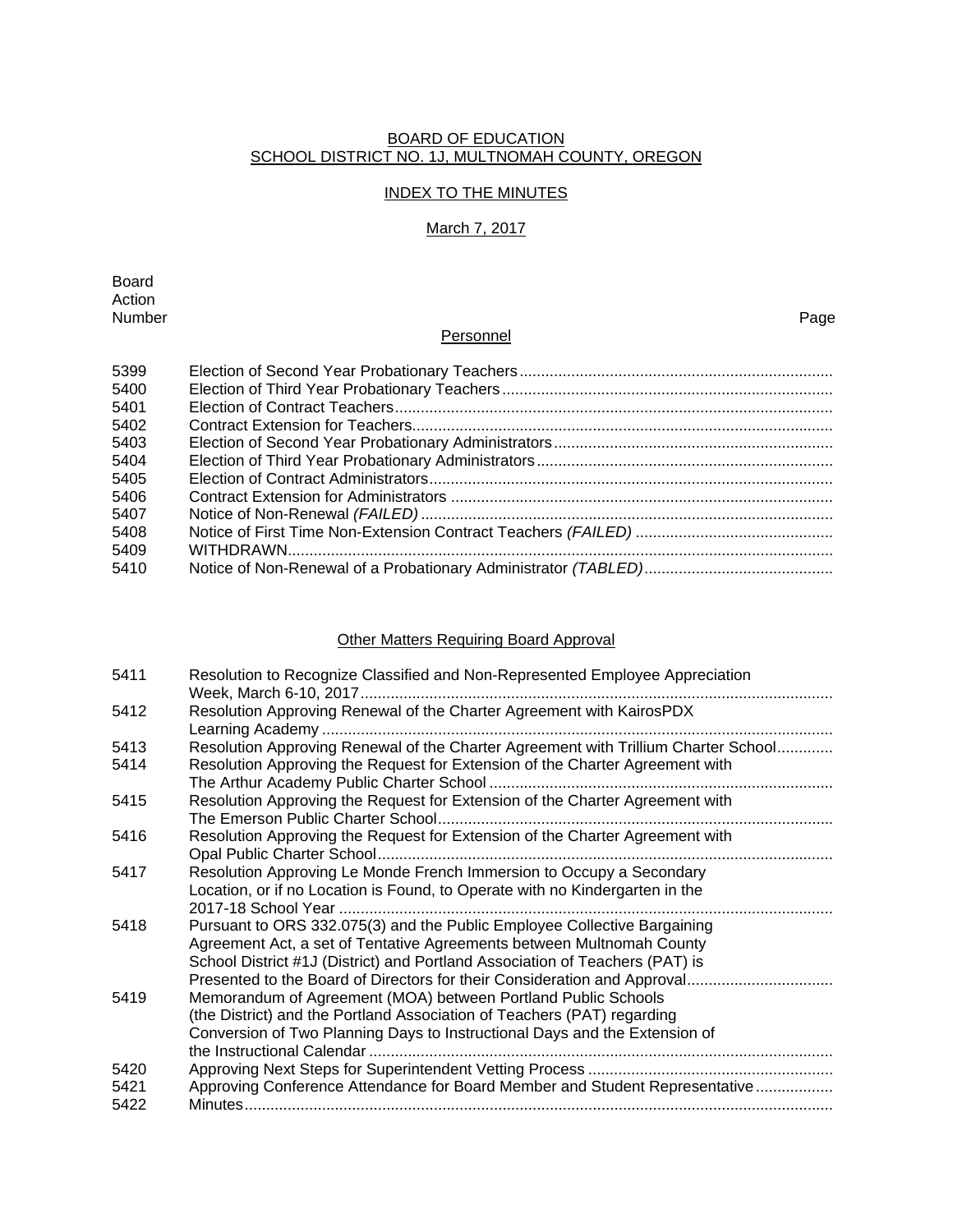#### BOARD OF EDUCATION SCHOOL DISTRICT NO. 1J, MULTNOMAH COUNTY, OREGON

### INDEX TO THE MINUTES

## March 7, 2017

Board Action<br>Number Number Page

### **Personnel**

| 5399 |  |
|------|--|
| 5400 |  |
| 5401 |  |
| 5402 |  |
| 5403 |  |
| 5404 |  |
| 5405 |  |
| 5406 |  |
| 5407 |  |
| 5408 |  |
| 5409 |  |
| 5410 |  |

# Other Matters Requiring Board Approval

| 5411 | Resolution to Recognize Classified and Non-Represented Employee Appreciation                                                                                                                                                      |
|------|-----------------------------------------------------------------------------------------------------------------------------------------------------------------------------------------------------------------------------------|
| 5412 | Resolution Approving Renewal of the Charter Agreement with KairosPDX                                                                                                                                                              |
| 5413 | Resolution Approving Renewal of the Charter Agreement with Trillium Charter School                                                                                                                                                |
| 5414 | Resolution Approving the Request for Extension of the Charter Agreement with                                                                                                                                                      |
| 5415 | Resolution Approving the Request for Extension of the Charter Agreement with                                                                                                                                                      |
| 5416 | Resolution Approving the Request for Extension of the Charter Agreement with                                                                                                                                                      |
| 5417 | Resolution Approving Le Monde French Immersion to Occupy a Secondary<br>Location, or if no Location is Found, to Operate with no Kindergarten in the                                                                              |
| 5418 | Pursuant to ORS 332.075(3) and the Public Employee Collective Bargaining<br>Agreement Act, a set of Tentative Agreements between Multnomah County<br>School District #1J (District) and Portland Association of Teachers (PAT) is |
| 5419 | Memorandum of Agreement (MOA) between Portland Public Schools<br>(the District) and the Portland Association of Teachers (PAT) regarding<br>Conversion of Two Planning Days to Instructional Days and the Extension of            |
| 5420 |                                                                                                                                                                                                                                   |
| 5421 | Approving Conference Attendance for Board Member and Student Representative                                                                                                                                                       |
| 5422 |                                                                                                                                                                                                                                   |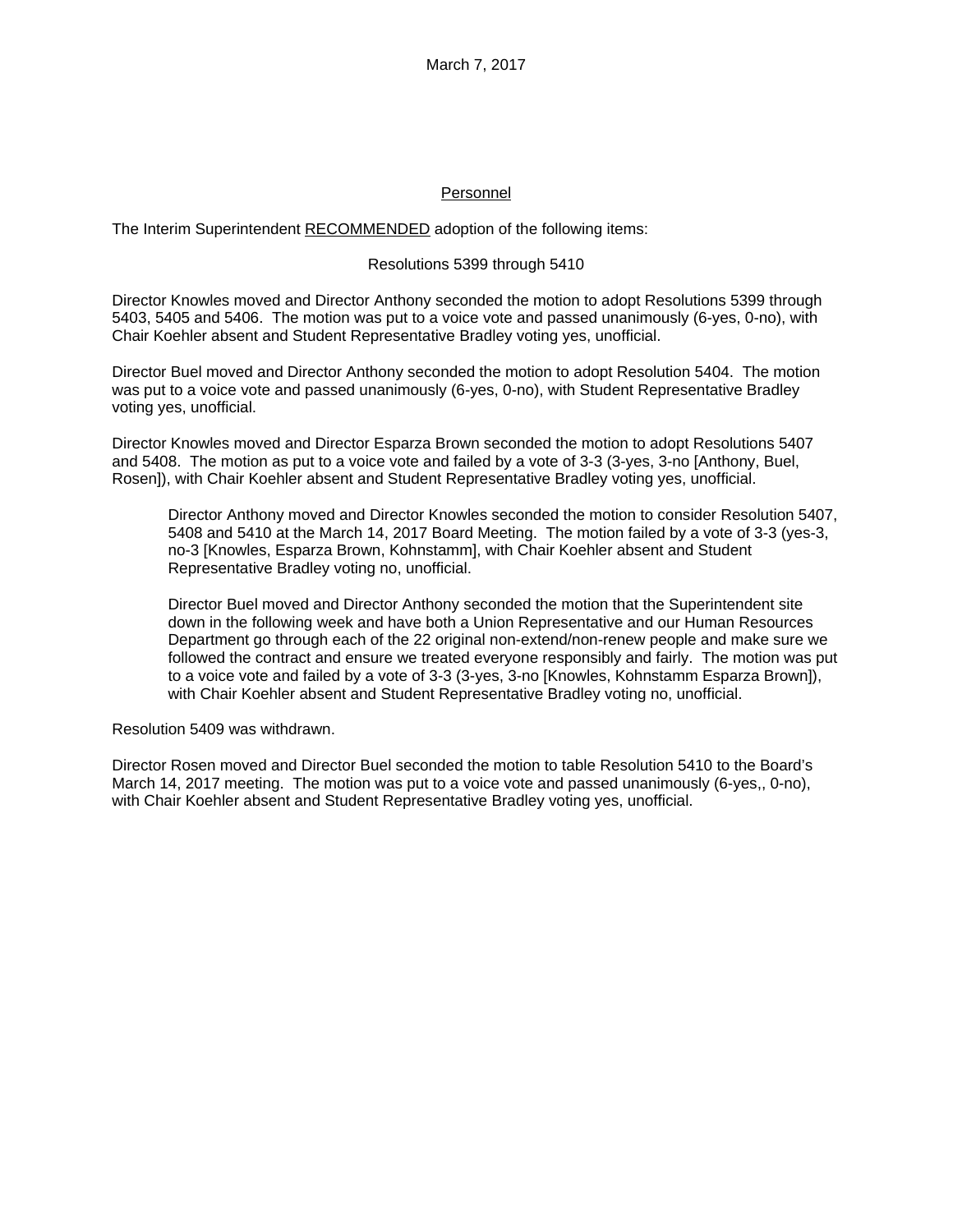### Personnel

The Interim Superintendent RECOMMENDED adoption of the following items:

### Resolutions 5399 through 5410

Director Knowles moved and Director Anthony seconded the motion to adopt Resolutions 5399 through 5403, 5405 and 5406. The motion was put to a voice vote and passed unanimously (6-yes, 0-no), with Chair Koehler absent and Student Representative Bradley voting yes, unofficial.

Director Buel moved and Director Anthony seconded the motion to adopt Resolution 5404. The motion was put to a voice vote and passed unanimously (6-yes, 0-no), with Student Representative Bradley voting yes, unofficial.

Director Knowles moved and Director Esparza Brown seconded the motion to adopt Resolutions 5407 and 5408. The motion as put to a voice vote and failed by a vote of 3-3 (3-yes, 3-no [Anthony, Buel, Rosen]), with Chair Koehler absent and Student Representative Bradley voting yes, unofficial.

Director Anthony moved and Director Knowles seconded the motion to consider Resolution 5407, 5408 and 5410 at the March 14, 2017 Board Meeting. The motion failed by a vote of 3-3 (yes-3, no-3 [Knowles, Esparza Brown, Kohnstamm], with Chair Koehler absent and Student Representative Bradley voting no, unofficial.

Director Buel moved and Director Anthony seconded the motion that the Superintendent site down in the following week and have both a Union Representative and our Human Resources Department go through each of the 22 original non-extend/non-renew people and make sure we followed the contract and ensure we treated everyone responsibly and fairly. The motion was put to a voice vote and failed by a vote of 3-3 (3-yes, 3-no [Knowles, Kohnstamm Esparza Brown]), with Chair Koehler absent and Student Representative Bradley voting no, unofficial.

Resolution 5409 was withdrawn.

Director Rosen moved and Director Buel seconded the motion to table Resolution 5410 to the Board's March 14, 2017 meeting. The motion was put to a voice vote and passed unanimously (6-yes,, 0-no), with Chair Koehler absent and Student Representative Bradley voting yes, unofficial.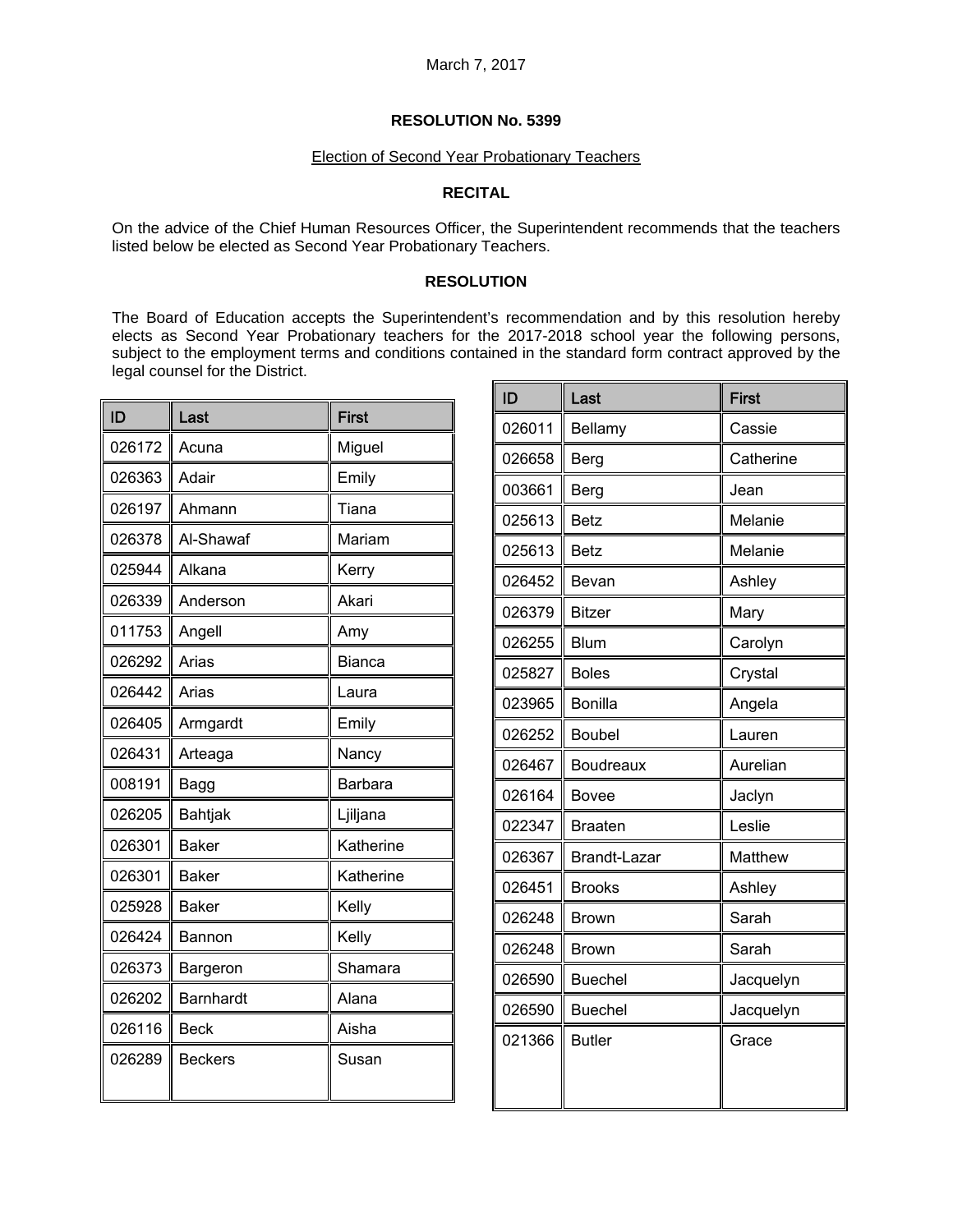#### Election of Second Year Probationary Teachers

### **RECITAL**

On the advice of the Chief Human Resources Officer, the Superintendent recommends that the teachers listed below be elected as Second Year Probationary Teachers.

### **RESOLUTION**

The Board of Education accepts the Superintendent's recommendation and by this resolution hereby elects as Second Year Probationary teachers for the 2017-2018 school year the following persons, subject to the employment terms and conditions contained in the standard form contract approved by the legal counsel for the District.

| ID     | Last             | <b>First</b>  |
|--------|------------------|---------------|
| 026172 | Acuna            | Miguel        |
| 026363 | Adair            | Emily         |
| 026197 | Ahmann           | Tiana         |
| 026378 | Al-Shawaf        | Mariam        |
| 025944 | Alkana           | Kerry         |
| 026339 | Anderson         | Akari         |
| 011753 | Angell           | Amy           |
| 026292 | Arias            | <b>Bianca</b> |
| 026442 | Arias            | Laura         |
| 026405 | Armgardt         | Emily         |
| 026431 | Arteaga          | Nancy         |
| 008191 | Bagg             | Barbara       |
| 026205 | Bahtjak          | Ljiljana      |
| 026301 | <b>Baker</b>     | Katherine     |
| 026301 | <b>Baker</b>     | Katherine     |
| 025928 | <b>Baker</b>     | Kelly         |
| 026424 | Bannon           | Kelly         |
| 026373 | Bargeron         | Shamara       |
| 026202 | <b>Barnhardt</b> | Alana         |
| 026116 | <b>Beck</b>      | Aisha         |
| 026289 | <b>Beckers</b>   | Susan         |

| ID     | Last             | <b>First</b> |
|--------|------------------|--------------|
| 026011 | Bellamy          | Cassie       |
| 026658 | <b>Berg</b>      | Catherine    |
| 003661 | Berg             | Jean         |
| 025613 | <b>Betz</b>      | Melanie      |
| 025613 | <b>Betz</b>      | Melanie      |
| 026452 | Bevan            | Ashley       |
| 026379 | <b>Bitzer</b>    | Mary         |
| 026255 | <b>Blum</b>      | Carolyn      |
| 025827 | <b>Boles</b>     | Crystal      |
| 023965 | <b>Bonilla</b>   | Angela       |
| 026252 | <b>Boubel</b>    | Lauren       |
| 026467 | <b>Boudreaux</b> | Aurelian     |
| 026164 | <b>Bovee</b>     | Jaclyn       |
| 022347 | <b>Braaten</b>   | Leslie       |
| 026367 | Brandt-Lazar     | Matthew      |
| 026451 | <b>Brooks</b>    | Ashley       |
| 026248 | <b>Brown</b>     | Sarah        |
| 026248 | <b>Brown</b>     | Sarah        |
| 026590 | <b>Buechel</b>   | Jacquelyn    |
| 026590 | <b>Buechel</b>   | Jacquelyn    |
| 021366 | <b>Butler</b>    | Grace        |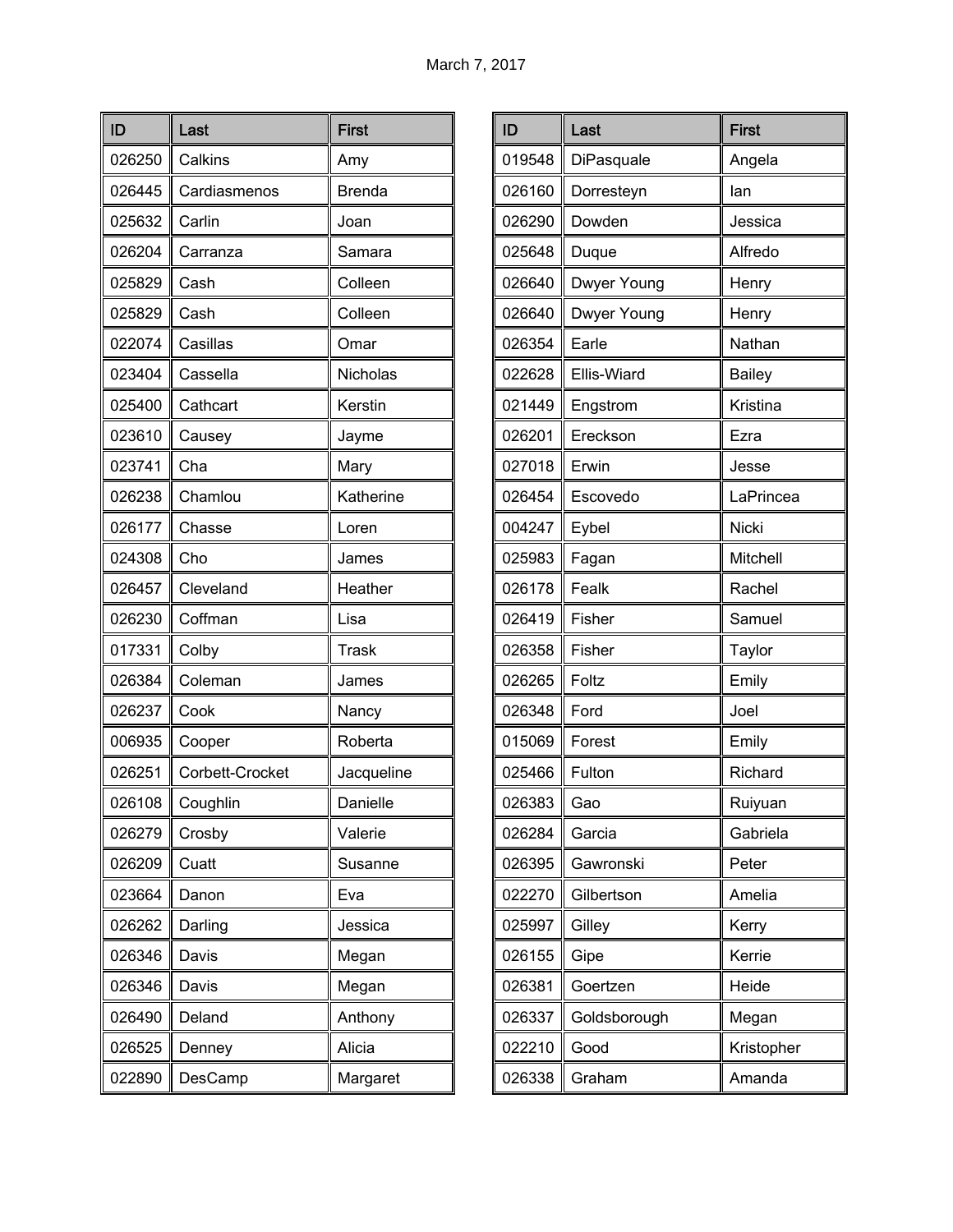| ID     | Last            | <b>First</b>  |
|--------|-----------------|---------------|
| 026250 | Calkins         | Amy           |
| 026445 | Cardiasmenos    | <b>Brenda</b> |
| 025632 | Carlin          | Joan          |
| 026204 | Carranza        | Samara        |
| 025829 | Cash            | Colleen       |
| 025829 | Cash            | Colleen       |
| 022074 | Casillas        | Omar          |
| 023404 | Cassella        | Nicholas      |
| 025400 | Cathcart        | Kerstin       |
| 023610 | Causey          | Jayme         |
| 023741 | Cha             | Mary          |
| 026238 | Chamlou         | Katherine     |
| 026177 | Chasse          | Loren         |
| 024308 | Cho             | James         |
| 026457 | Cleveland       | Heather       |
| 026230 | Coffman         | Lisa          |
| 017331 | Colby           | Trask         |
| 026384 | Coleman         | James         |
| 026237 | Cook            | Nancy         |
| 006935 | Cooper          | Roberta       |
| 026251 | Corbett-Crocket | Jacqueline    |
| 026108 | Coughlin        | Danielle      |
| 026279 | Crosby          | Valerie       |
| 026209 | Cuatt           | Susanne       |
| 023664 | Danon           | Eva           |
| 026262 | Darling         | Jessica       |
| 026346 | Davis           | Megan         |
| 026346 | Davis           | Megan         |
| 026490 | Deland          | Anthony       |
| 026525 | Denney          | Alicia        |
| 022890 | DesCamp         | Margaret      |

| ID     | Last         | <b>First</b>  |
|--------|--------------|---------------|
| 019548 | DiPasquale   | Angela        |
| 026160 | Dorresteyn   | lan           |
| 026290 | Dowden       | Jessica       |
| 025648 | Duque        | Alfredo       |
| 026640 | Dwyer Young  | Henry         |
| 026640 | Dwyer Young  | Henry         |
| 026354 | Earle        | Nathan        |
| 022628 | Ellis-Wiard  | <b>Bailey</b> |
| 021449 | Engstrom     | Kristina      |
| 026201 | Ereckson     | Ezra          |
| 027018 | Erwin        | Jesse         |
| 026454 | Escovedo     | LaPrincea     |
| 004247 | Eybel        | <b>Nicki</b>  |
| 025983 | Fagan        | Mitchell      |
| 026178 | Fealk        | Rachel        |
| 026419 | Fisher       | Samuel        |
| 026358 | Fisher       | Taylor        |
| 026265 | Foltz        | Emily         |
| 026348 | Ford         | Joel          |
| 015069 | Forest       | Emily         |
| 025466 | Fulton       | Richard       |
| 026383 | Gao          | Ruiyuan       |
| 026284 | Garcia       | Gabriela      |
| 026395 | Gawronski    | Peter         |
| 022270 | Gilbertson   | Amelia        |
| 025997 | Gilley       | Kerry         |
| 026155 | Gipe         | Kerrie        |
| 026381 | Goertzen     | Heide         |
| 026337 | Goldsborough | Megan         |
| 022210 | Good         | Kristopher    |
| 026338 | Graham       | Amanda        |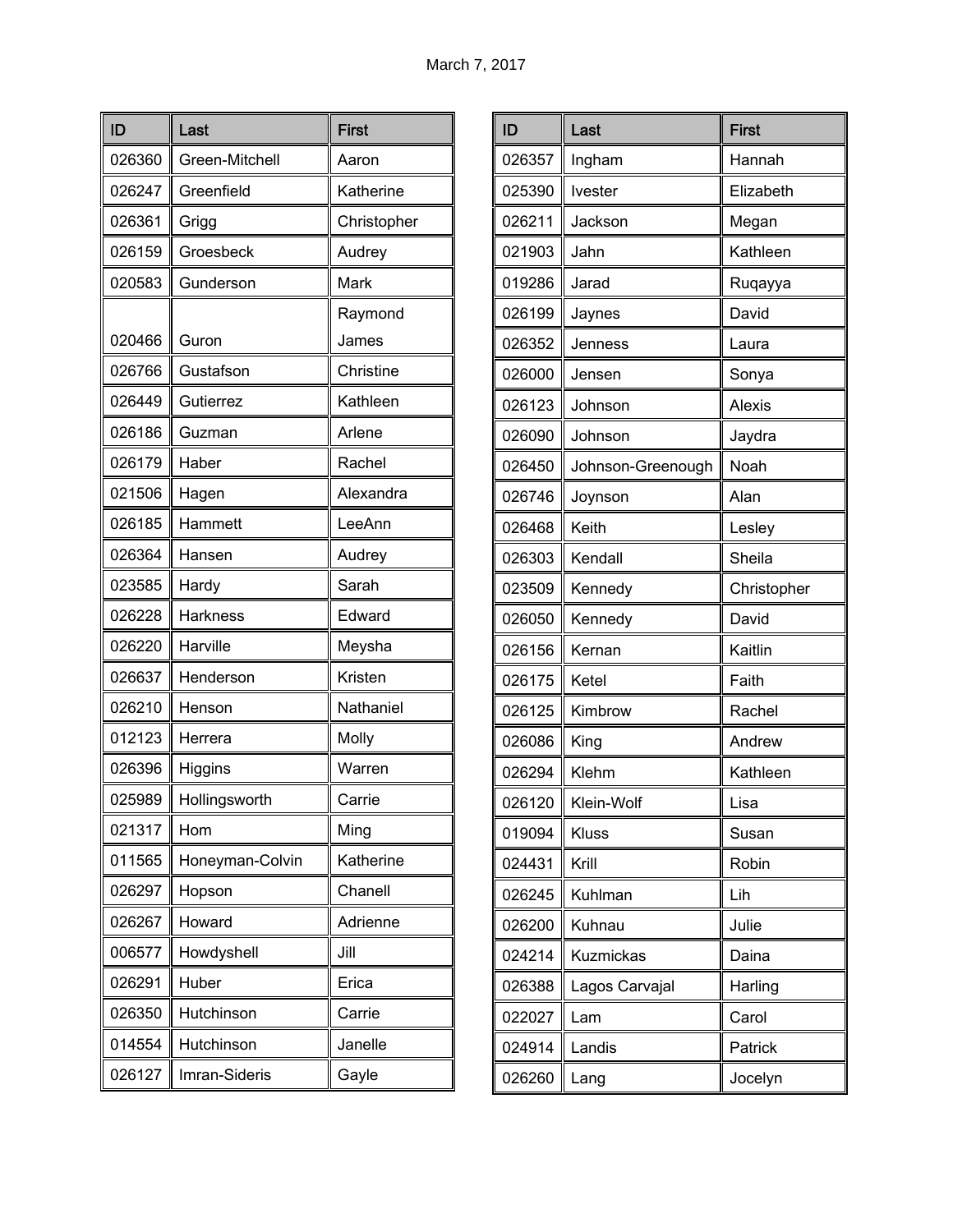| ID     | Last            | <b>First</b>     |
|--------|-----------------|------------------|
| 026360 | Green-Mitchell  | Aaron            |
| 026247 | Greenfield      | Katherine        |
| 026361 | Grigg           | Christopher      |
| 026159 | Groesbeck       | Audrey           |
| 020583 | Gunderson       | Mark             |
| 020466 | Guron           | Raymond<br>James |
| 026766 | Gustafson       | Christine        |
| 026449 | Gutierrez       | Kathleen         |
| 026186 | Guzman          | Arlene           |
| 026179 | Haber           | Rachel           |
| 021506 | Hagen           | Alexandra        |
| 026185 | Hammett         | LeeAnn           |
| 026364 | Hansen          | Audrey           |
| 023585 | Hardy           | Sarah            |
| 026228 | Harkness        | Edward           |
| 026220 | Harville        | Meysha           |
| 026637 | Henderson       | Kristen          |
| 026210 | Henson          | Nathaniel        |
| 012123 | Herrera         | Molly            |
| 026396 | Higgins         | Warren           |
| 025989 | Hollingsworth   | Carrie           |
| 021317 | Hom             | Ming             |
| 011565 | Honeyman-Colvin | Katherine        |
| 026297 | Hopson          | Chanell          |
| 026267 | Howard          | Adrienne         |
| 006577 | Howdyshell      | Jill             |
| 026291 | Huber           | Erica            |
| 026350 | Hutchinson      | Carrie           |
| 014554 | Hutchinson      | Janelle          |
| 026127 | Imran-Sideris   | Gayle            |

| ID     | Last              | <b>First</b>  |
|--------|-------------------|---------------|
| 026357 | Ingham            | Hannah        |
| 025390 | Ivester           | Elizabeth     |
| 026211 | Jackson           | Megan         |
| 021903 | Jahn              | Kathleen      |
| 019286 | Jarad             | Ruqayya       |
| 026199 | Jaynes            | David         |
| 026352 | Jenness           | Laura         |
| 026000 | Jensen            | Sonya         |
| 026123 | Johnson           | <b>Alexis</b> |
| 026090 | Johnson           | Jaydra        |
| 026450 | Johnson-Greenough | Noah          |
| 026746 | Joynson           | Alan          |
| 026468 | Keith             | Lesley        |
| 026303 | Kendall           | Sheila        |
| 023509 | Kennedy           | Christopher   |
| 026050 | Kennedy           | David         |
| 026156 | Kernan            | Kaitlin       |
| 026175 | Ketel             | Faith         |
| 026125 | Kimbrow           | Rachel        |
| 026086 | King              | Andrew        |
| 026294 | Klehm             | Kathleen      |
| 026120 | Klein-Wolf        | Lisa          |
| 019094 | Kluss             | Susan         |
| 024431 | Krill             | Robin         |
| 026245 | Kuhlman           | Lih           |
| 026200 | Kuhnau            | Julie         |
| 024214 | <b>Kuzmickas</b>  | Daina         |
| 026388 | Lagos Carvajal    | Harling       |
| 022027 | Lam               | Carol         |
| 024914 | Landis            | Patrick       |
| 026260 | Lang              | Jocelyn       |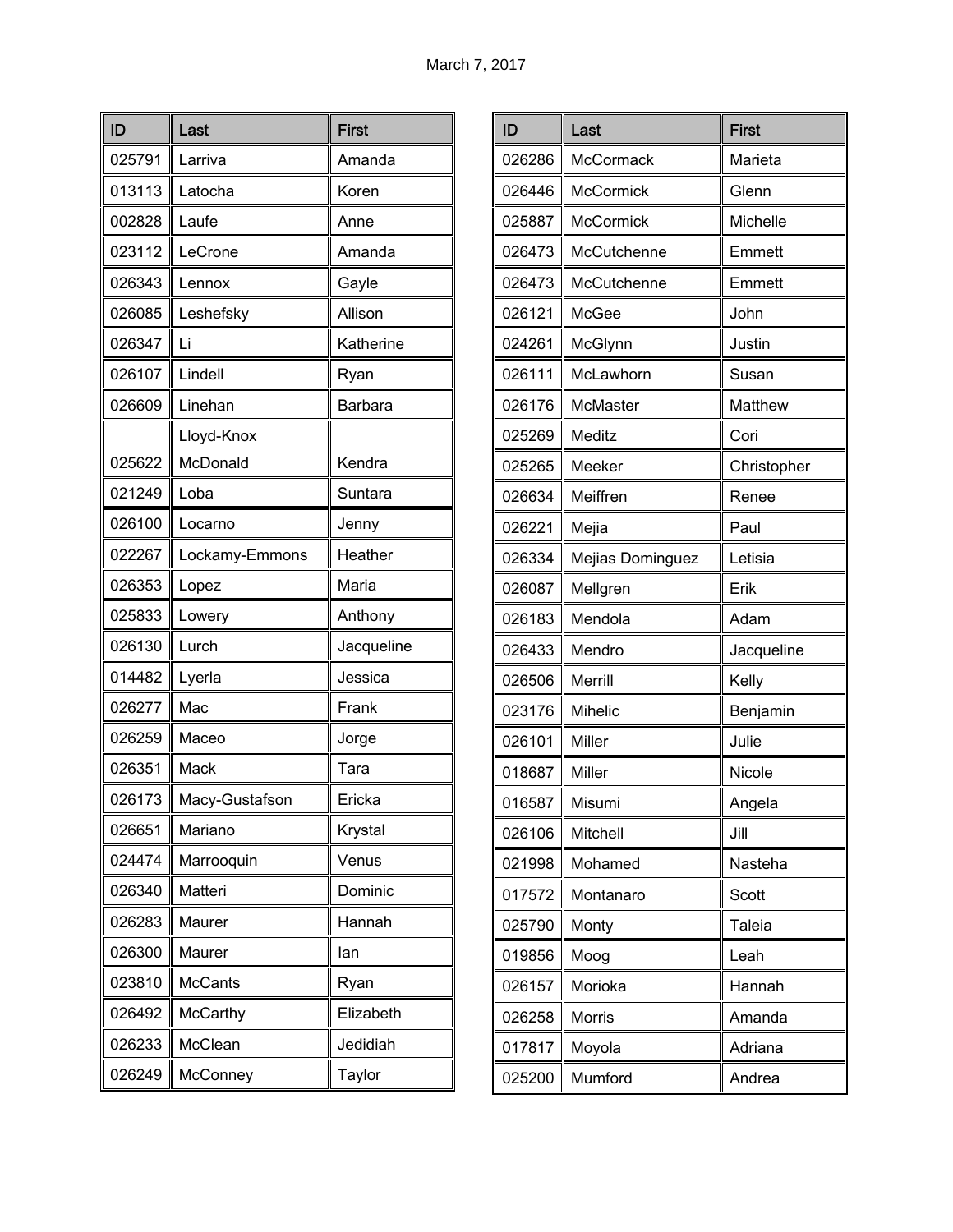| ID     | Last            | <b>First</b> |
|--------|-----------------|--------------|
| 025791 | Larriva         | Amanda       |
| 013113 | Latocha         | Koren        |
| 002828 | Laufe           | Anne         |
| 023112 | LeCrone         | Amanda       |
| 026343 | Lennox          | Gayle        |
| 026085 | Leshefsky       | Allison      |
| 026347 | Li              | Katherine    |
| 026107 | Lindell         | Ryan         |
| 026609 | Linehan         | Barbara      |
|        | Lloyd-Knox      |              |
| 025622 | McDonald        | Kendra       |
| 021249 | Loba            | Suntara      |
| 026100 | Locarno         | Jenny        |
| 022267 | Lockamy-Emmons  | Heather      |
| 026353 | Lopez           | Maria        |
| 025833 | Lowery          | Anthony      |
| 026130 | Lurch           | Jacqueline   |
| 014482 | Lyerla          | Jessica      |
| 026277 | Mac             | Frank        |
| 026259 | Maceo           | Jorge        |
| 026351 | Mack            | Tara         |
| 026173 | Macy-Gustafson  | Ericka       |
| 026651 | Mariano         | Krystal      |
| 024474 | Marrooquin      | Venus        |
| 026340 | Matteri         | Dominic      |
| 026283 | Maurer          | Hannah       |
| 026300 | Maurer          | lan          |
| 023810 | <b>McCants</b>  | Ryan         |
| 026492 | <b>McCarthy</b> | Elizabeth    |
| 026233 | McClean         | Jedidiah     |
| 026249 | McConney        | Taylor       |

| ID     | Last             | <b>First</b> |
|--------|------------------|--------------|
| 026286 | McCormack        | Marieta      |
| 026446 | <b>McCormick</b> | Glenn        |
| 025887 | <b>McCormick</b> | Michelle     |
| 026473 | McCutchenne      | Emmett       |
| 026473 | McCutchenne      | Emmett       |
| 026121 | McGee            | John         |
| 024261 | McGlynn          | Justin       |
| 026111 | McLawhorn        | Susan        |
| 026176 | McMaster         | Matthew      |
| 025269 | Meditz           | Cori         |
| 025265 | Meeker           | Christopher  |
| 026634 | Meiffren         | Renee        |
| 026221 | Mejia            | Paul         |
| 026334 | Mejias Dominguez | Letisia      |
| 026087 | Mellgren         | Erik         |
| 026183 | Mendola          | Adam         |
| 026433 | Mendro           | Jacqueline   |
| 026506 | Merrill          | Kelly        |
| 023176 | Mihelic          | Benjamin     |
| 026101 | Miller           | Julie        |
| 018687 | Miller           | Nicole       |
| 016587 | Misumi           | Angela       |
| 026106 | Mitchell         | Jill         |
| 021998 | Mohamed          | Nasteha      |
| 017572 | Montanaro        | Scott        |
| 025790 | Monty            | Taleia       |
| 019856 | Moog             | Leah         |
| 026157 | Morioka          | Hannah       |
| 026258 | Morris           | Amanda       |
| 017817 | Moyola           | Adriana      |
| 025200 | Mumford          | Andrea       |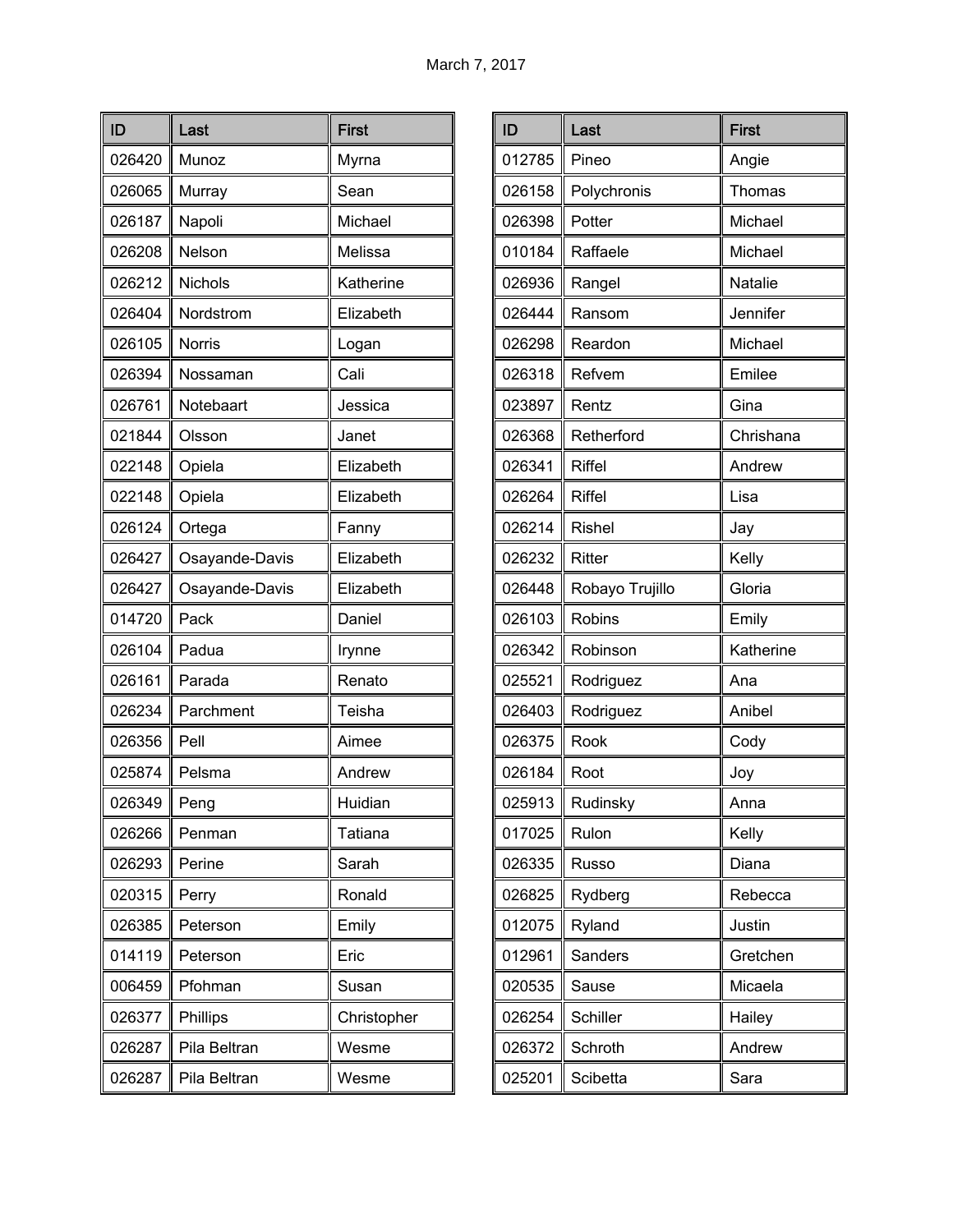| ID     | Last           | <b>First</b> |
|--------|----------------|--------------|
| 026420 | Munoz          | Myrna        |
| 026065 | Murray         | Sean         |
| 026187 | Napoli         | Michael      |
| 026208 | Nelson         | Melissa      |
| 026212 | Nichols        | Katherine    |
| 026404 | Nordstrom      | Elizabeth    |
| 026105 | <b>Norris</b>  | Logan        |
| 026394 | Nossaman       | Cali         |
| 026761 | Notebaart      | Jessica      |
| 021844 | Olsson         | Janet        |
| 022148 | Opiela         | Elizabeth    |
| 022148 | Opiela         | Elizabeth    |
| 026124 | Ortega         | Fanny        |
| 026427 | Osayande-Davis | Elizabeth    |
| 026427 | Osayande-Davis | Elizabeth    |
| 014720 | Pack           | Daniel       |
| 026104 | Padua          | Irynne       |
| 026161 | Parada         | Renato       |
| 026234 | Parchment      | Teisha       |
| 026356 | Pell           | Aimee        |
| 025874 | Pelsma         | Andrew       |
| 026349 | Peng           | Huidian      |
| 026266 | Penman         | Tatiana      |
| 026293 | Perine         | Sarah        |
| 020315 | Perry          | Ronald       |
| 026385 | Peterson       | Emily        |
| 014119 | Peterson       | Eric         |
| 006459 | Pfohman        | Susan        |
| 026377 | Phillips       | Christopher  |
| 026287 | Pila Beltran   | Wesme        |
| 026287 | Pila Beltran   | Wesme        |

| ID     | Last            | <b>First</b> |
|--------|-----------------|--------------|
| 012785 | Pineo           | Angie        |
| 026158 | Polychronis     | Thomas       |
| 026398 | Potter          | Michael      |
| 010184 | Raffaele        | Michael      |
| 026936 | Rangel          | Natalie      |
| 026444 | Ransom          | Jennifer     |
| 026298 | Reardon         | Michael      |
| 026318 | Refvem          | Emilee       |
| 023897 | Rentz           | Gina         |
| 026368 | Retherford      | Chrishana    |
| 026341 | <b>Riffel</b>   | Andrew       |
| 026264 | Riffel          | Lisa         |
| 026214 | <b>Rishel</b>   | Jay          |
| 026232 | Ritter          | Kelly        |
| 026448 | Robayo Trujillo | Gloria       |
| 026103 | Robins          | Emily        |
| 026342 | Robinson        | Katherine    |
| 025521 | Rodriguez       | Ana          |
| 026403 | Rodriguez       | Anibel       |
| 026375 | Rook            | Cody         |
| 026184 | Root            | Joy          |
| 025913 | Rudinsky        | Anna         |
| 017025 | Rulon           | Kelly        |
| 026335 | Russo           | Diana        |
| 026825 | Rydberg         | Rebecca      |
| 012075 | Ryland          | Justin       |
| 012961 | Sanders         | Gretchen     |
| 020535 | Sause           | Micaela      |
| 026254 | Schiller        | Hailey       |
| 026372 | Schroth         | Andrew       |
| 025201 | Scibetta        | Sara         |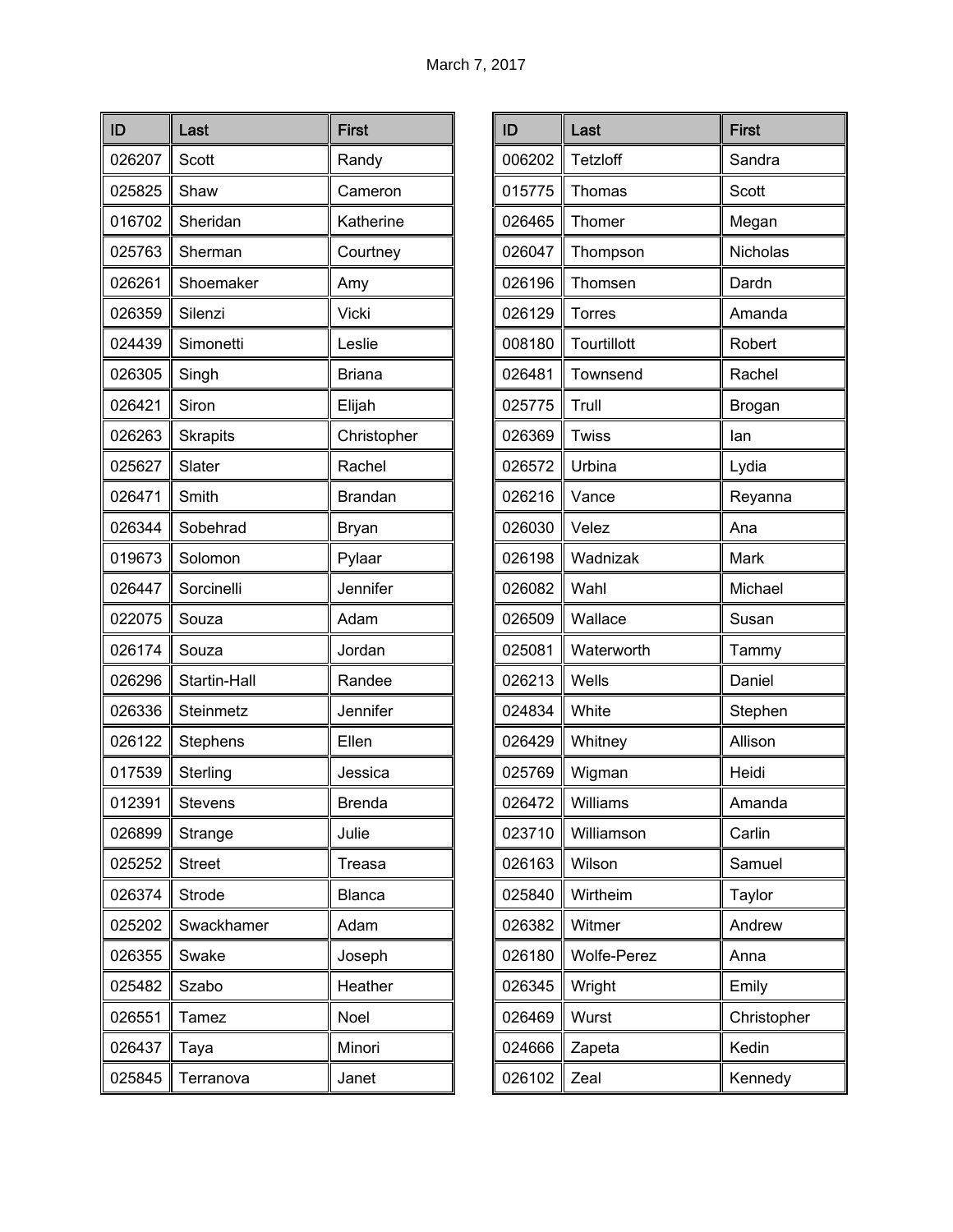| ID     | Last            | <b>First</b>   |
|--------|-----------------|----------------|
| 026207 | <b>Scott</b>    | Randy          |
| 025825 | Shaw            | Cameron        |
| 016702 | Sheridan        | Katherine      |
| 025763 | Sherman         | Courtney       |
| 026261 | Shoemaker       | Amy            |
| 026359 | Silenzi         | Vicki          |
| 024439 | Simonetti       | Leslie         |
| 026305 | Singh           | <b>Briana</b>  |
| 026421 | Siron           | Elijah         |
| 026263 | <b>Skrapits</b> | Christopher    |
| 025627 | Slater          | Rachel         |
| 026471 | Smith           | <b>Brandan</b> |
| 026344 | Sobehrad        | <b>Bryan</b>   |
| 019673 | Solomon         | Pylaar         |
| 026447 | Sorcinelli      | Jennifer       |
| 022075 | Souza           | Adam           |
| 026174 | Souza           | Jordan         |
| 026296 | Startin-Hall    | Randee         |
| 026336 | Steinmetz       | Jennifer       |
| 026122 | Stephens        | Ellen          |
| 017539 | Sterling        | Jessica        |
| 012391 | Stevens         | Brenda         |
| 026899 | Strange         | Julie          |
| 025252 | <b>Street</b>   | <b>Treasa</b>  |
| 026374 | Strode          | Blanca         |
| 025202 | Swackhamer      | Adam           |
| 026355 | Swake           | Joseph         |
| 025482 | Szabo           | Heather        |
| 026551 | Tamez           | Noel           |
| 026437 | Taya            | Minori         |
| 025845 | Terranova       | Janet          |

| ID     | Last               | <b>First</b> |
|--------|--------------------|--------------|
| 006202 | Tetzloff           | Sandra       |
| 015775 | Thomas             | Scott        |
| 026465 | Thomer             | Megan        |
| 026047 | Thompson           | Nicholas     |
| 026196 | Thomsen            | Dardn        |
| 026129 | <b>Torres</b>      | Amanda       |
| 008180 | Tourtillott        | Robert       |
| 026481 | Townsend           | Rachel       |
| 025775 | Trull              | Brogan       |
| 026369 | Twiss              | lan          |
| 026572 | Urbina             | Lydia        |
| 026216 | Vance              | Reyanna      |
| 026030 | Velez              | Ana          |
| 026198 | Wadnizak           | Mark         |
| 026082 | Wahl               | Michael      |
| 026509 | Wallace            | Susan        |
| 025081 | Waterworth         | Tammy        |
| 026213 | Wells              | Daniel       |
| 024834 | White              | Stephen      |
| 026429 | Whitney            | Allison      |
| 025769 | Wigman             | Heidi        |
| 026472 | Williams           | Amanda       |
| 023710 | Williamson         | Carlin       |
| 026163 | Wilson             | Samuel       |
| 025840 | Wirtheim           | Taylor       |
| 026382 | Witmer             | Andrew       |
| 026180 | <b>Wolfe-Perez</b> | Anna         |
| 026345 | Wright             | Emily        |
| 026469 | Wurst              | Christopher  |
| 024666 | Zapeta             | Kedin        |
| 026102 | Zeal               | Kennedy      |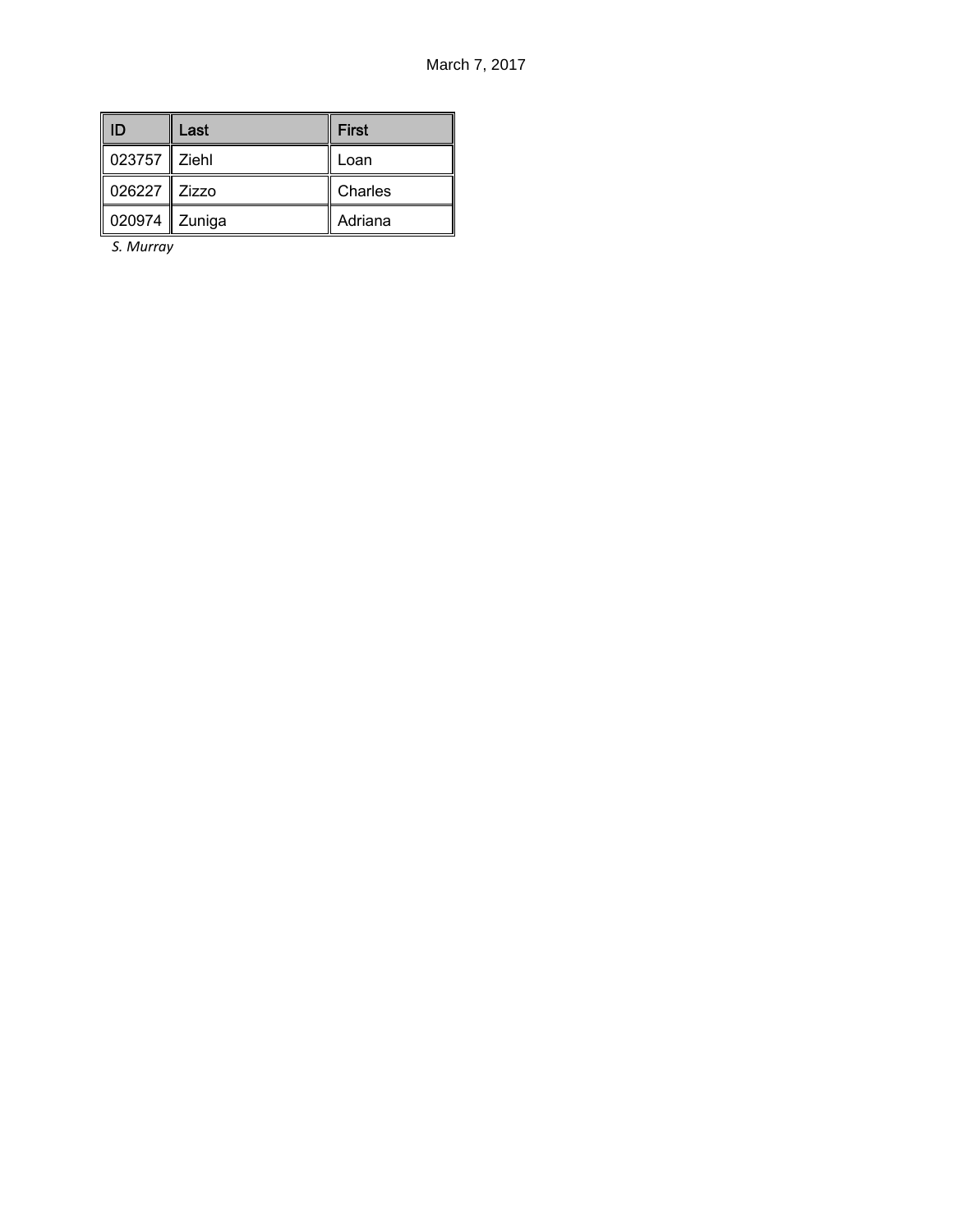| -ID            | Last | <b>First</b> |
|----------------|------|--------------|
| 023757 Ziehl   |      | Loan         |
| 026227   Zizzo |      | Charles      |
| 020974 Zuniga  |      | Adriana      |

*S. Murray*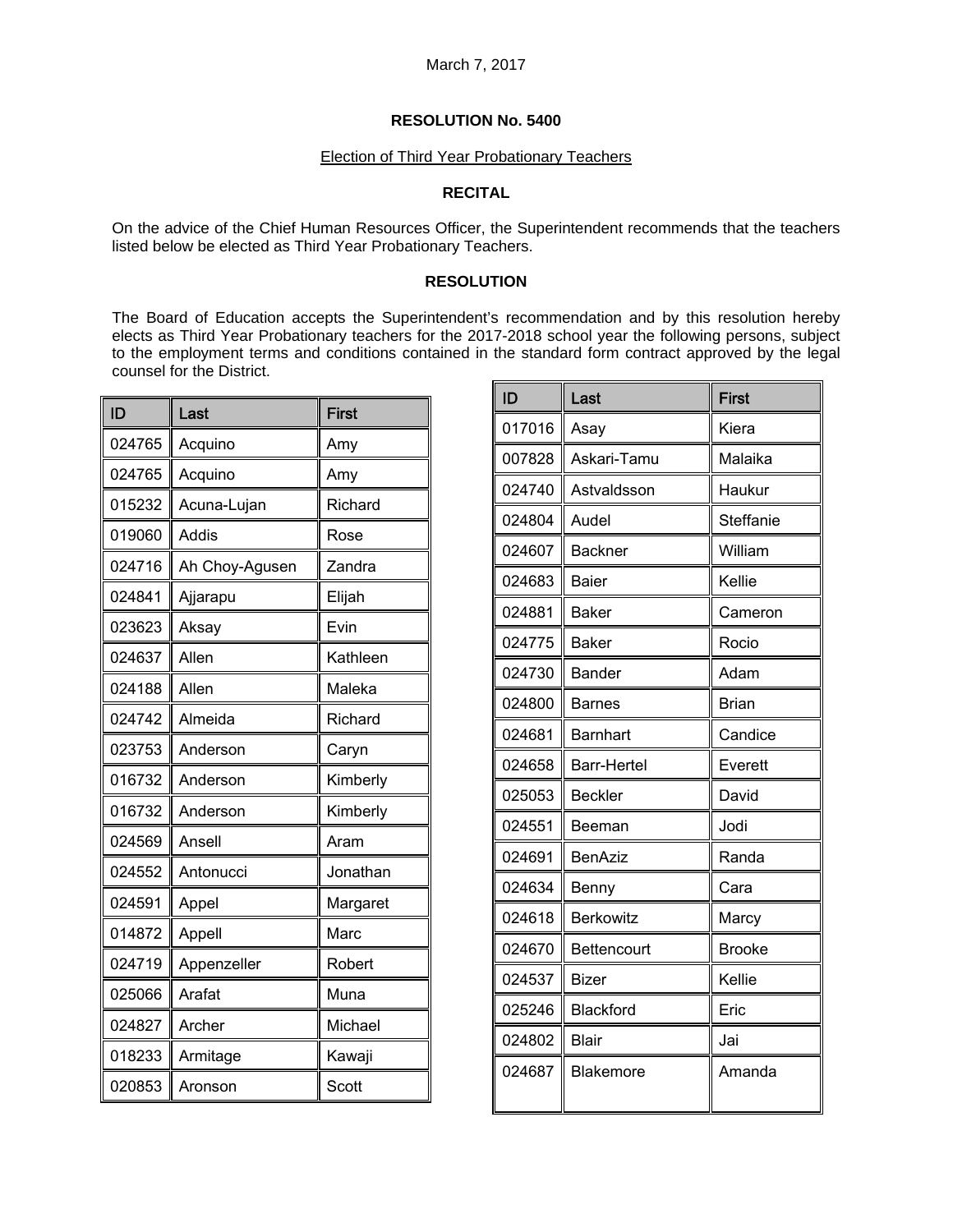#### Election of Third Year Probationary Teachers

### **RECITAL**

On the advice of the Chief Human Resources Officer, the Superintendent recommends that the teachers listed below be elected as Third Year Probationary Teachers.

### **RESOLUTION**

The Board of Education accepts the Superintendent's recommendation and by this resolution hereby elects as Third Year Probationary teachers for the 2017-2018 school year the following persons, subject to the employment terms and conditions contained in the standard form contract approved by the legal counsel for the District.

| ID     | Last           | <b>First</b> |
|--------|----------------|--------------|
| 024765 | Acquino        | Amy          |
| 024765 | Acquino        | Amy          |
| 015232 | Acuna-Lujan    | Richard      |
| 019060 | Addis          | Rose         |
| 024716 | Ah Choy-Agusen | Zandra       |
| 024841 | Ajjarapu       | Elijah       |
| 023623 | Aksay          | Evin         |
| 024637 | Allen          | Kathleen     |
| 024188 | Allen          | Maleka       |
| 024742 | Almeida        | Richard      |
| 023753 | Anderson       | Caryn        |
| 016732 | Anderson       | Kimberly     |
| 016732 | Anderson       | Kimberly     |
| 024569 | Ansell         | Aram         |
| 024552 | Antonucci      | Jonathan     |
| 024591 | Appel          | Margaret     |
| 014872 | Appell         | Marc         |
| 024719 | Appenzeller    | Robert       |
| 025066 | Arafat         | Muna         |
| 024827 | Archer         | Michael      |
| 018233 | Armitage       | Kawaji       |
| 020853 | Aronson        | Scott        |

| ID     | Last               | <b>First</b>  |
|--------|--------------------|---------------|
| 017016 | Asay               | Kiera         |
| 007828 | Askari-Tamu        | Malaika       |
| 024740 | Astvaldsson        | Haukur        |
| 024804 | Audel              | Steffanie     |
| 024607 | <b>Backner</b>     | William       |
| 024683 | <b>Baier</b>       | Kellie        |
| 024881 | <b>Baker</b>       | Cameron       |
| 024775 | <b>Baker</b>       | Rocio         |
| 024730 | <b>Bander</b>      | Adam          |
| 024800 | Barnes             | Brian         |
| 024681 | <b>Barnhart</b>    | Candice       |
| 024658 | <b>Barr-Hertel</b> | Everett       |
| 025053 | <b>Beckler</b>     | David         |
| 024551 | Beeman             | Jodi          |
| 024691 | <b>BenAziz</b>     | Randa         |
| 024634 | Benny              | Cara          |
| 024618 | <b>Berkowitz</b>   | Marcy         |
| 024670 | <b>Bettencourt</b> | <b>Brooke</b> |
| 024537 | Bizer              | Kellie        |
| 025246 | Blackford          | Eric          |
| 024802 | <b>Blair</b>       | Jai           |
| 024687 | Blakemore          | Amanda        |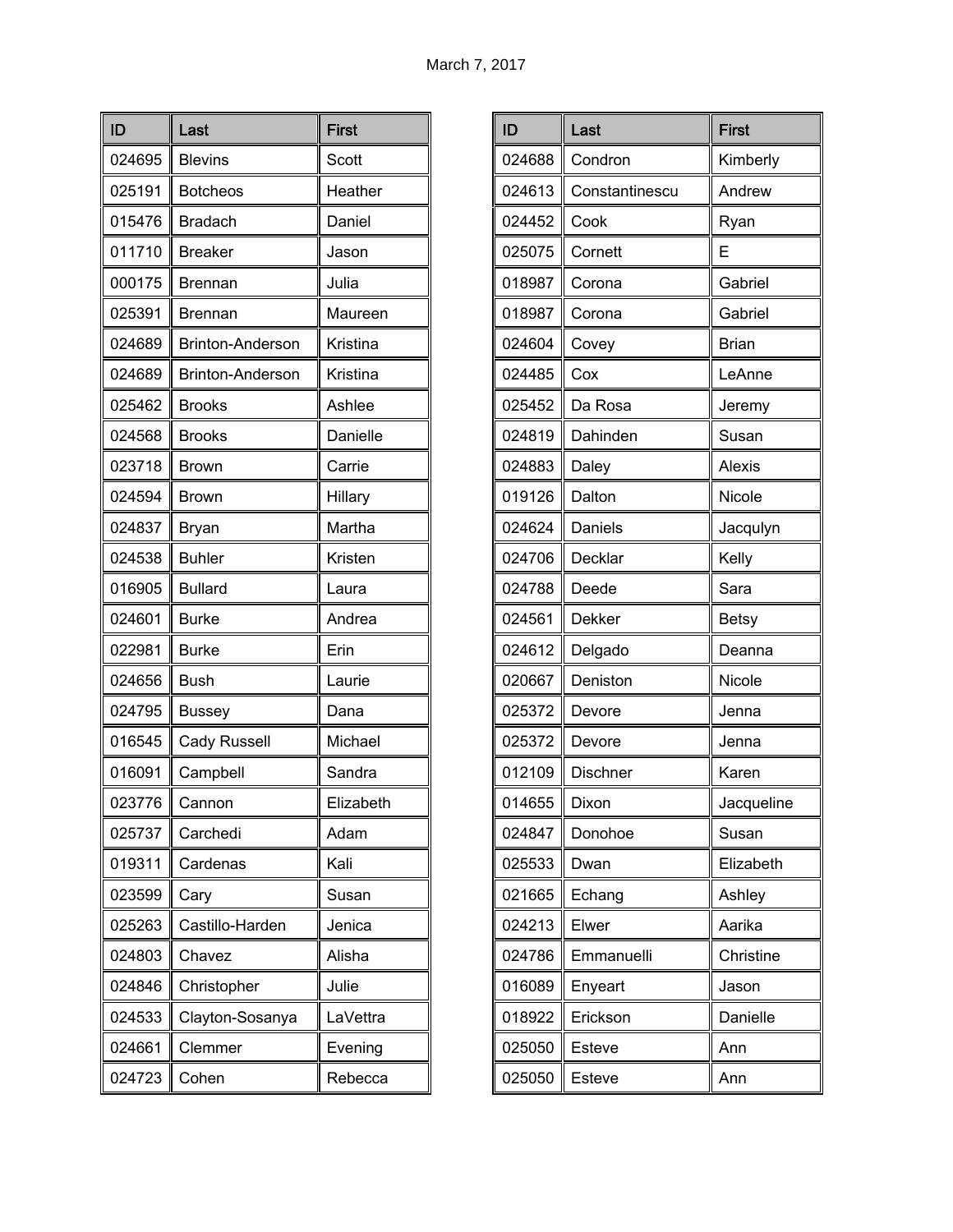| ID     | Last                    | <b>First</b> |
|--------|-------------------------|--------------|
| 024695 | <b>Blevins</b>          | Scott        |
| 025191 | <b>Botcheos</b>         | Heather      |
| 015476 | <b>Bradach</b>          | Daniel       |
| 011710 | <b>Breaker</b>          | Jason        |
| 000175 | <b>Brennan</b>          | Julia        |
| 025391 | <b>Brennan</b>          | Maureen      |
| 024689 | Brinton-Anderson        | Kristina     |
| 024689 | <b>Brinton-Anderson</b> | Kristina     |
| 025462 | <b>Brooks</b>           | Ashlee       |
| 024568 | <b>Brooks</b>           | Danielle     |
| 023718 | <b>Brown</b>            | Carrie       |
| 024594 | <b>Brown</b>            | Hillary      |
| 024837 | Bryan                   | Martha       |
| 024538 | <b>Buhler</b>           | Kristen      |
| 016905 | <b>Bullard</b>          | Laura        |
| 024601 | <b>Burke</b>            | Andrea       |
| 022981 | <b>Burke</b>            | Erin         |
| 024656 | <b>Bush</b>             | Laurie       |
| 024795 | <b>Bussey</b>           | Dana         |
| 016545 | <b>Cady Russell</b>     | Michael      |
| 016091 | Campbell                | Sandra       |
| 023776 | Cannon                  | Elizabeth    |
| 025737 | Carchedi                | Adam         |
| 019311 | Cardenas                | Kali         |
| 023599 | Cary                    | Susan        |
| 025263 | Castillo-Harden         | Jenica       |
| 024803 | Chavez                  | Alisha       |
| 024846 | Christopher             | Julie        |
| 024533 | Clayton-Sosanya         | LaVettra     |
| 024661 | Clemmer                 | Evening      |
| 024723 | Cohen                   | Rebecca      |

| ID     | Last           | <b>First</b>  |
|--------|----------------|---------------|
| 024688 | Condron        | Kimberly      |
| 024613 | Constantinescu | Andrew        |
| 024452 | Cook           | Ryan          |
| 025075 | Cornett        | E             |
| 018987 | Corona         | Gabriel       |
| 018987 | Corona         | Gabriel       |
| 024604 | Covey          | <b>Brian</b>  |
| 024485 | Cox            | LeAnne        |
| 025452 | Da Rosa        | Jeremy        |
| 024819 | Dahinden       | Susan         |
| 024883 | Daley          | <b>Alexis</b> |
| 019126 | Dalton         | Nicole        |
| 024624 | Daniels        | Jacqulyn      |
| 024706 | Decklar        | Kelly         |
| 024788 | Deede          | Sara          |
| 024561 | Dekker         | <b>Betsy</b>  |
| 024612 | Delgado        | Deanna        |
| 020667 | Deniston       | Nicole        |
| 025372 | Devore         | Jenna         |
| 025372 | Devore         | Jenna         |
| 012109 | Dischner       | Karen         |
| 014655 | Dixon          | Jacqueline    |
| 024847 | Donohoe        | Susan         |
| 025533 | Dwan           | Elizabeth     |
| 021665 | Echang         | Ashley        |
| 024213 | Elwer          | Aarika        |
| 024786 | Emmanuelli     | Christine     |
| 016089 | Enyeart        | Jason         |
| 018922 | Erickson       | Danielle      |
| 025050 | Esteve         | Ann           |
| 025050 | Esteve         | Ann           |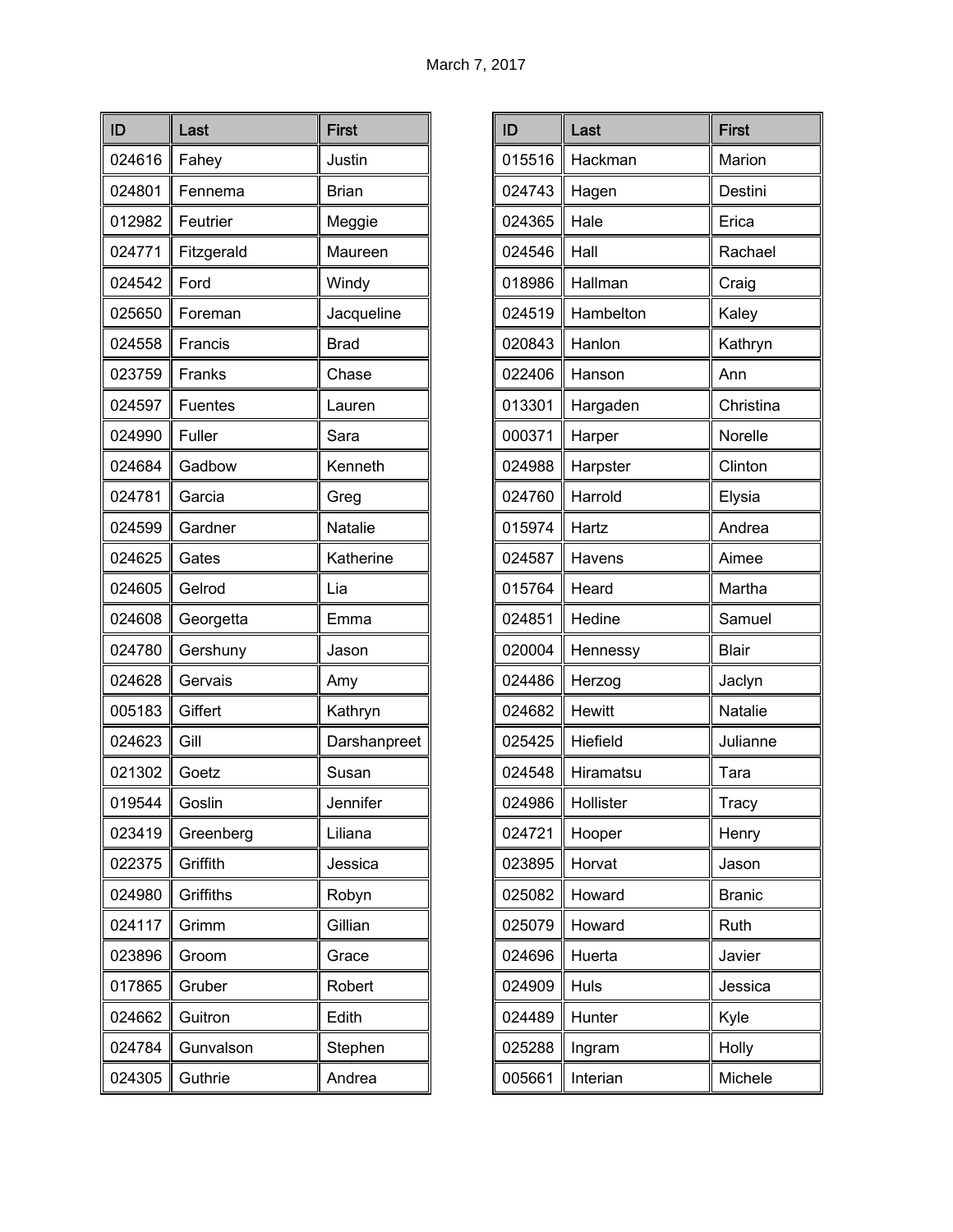| ID     | Last           | <b>First</b> |
|--------|----------------|--------------|
| 024616 | Fahey          | Justin       |
| 024801 | Fennema        | <b>Brian</b> |
| 012982 | Feutrier       | Meggie       |
| 024771 | Fitzgerald     | Maureen      |
| 024542 | Ford           | Windy        |
| 025650 | Foreman        | Jacqueline   |
| 024558 | Francis        | <b>Brad</b>  |
| 023759 | Franks         | Chase        |
| 024597 | <b>Fuentes</b> | Lauren       |
| 024990 | Fuller         | Sara         |
| 024684 | Gadbow         | Kenneth      |
| 024781 | Garcia         | Greg         |
| 024599 | Gardner        | Natalie      |
| 024625 | Gates          | Katherine    |
| 024605 | Gelrod         | Lia          |
| 024608 | Georgetta      | Emma         |
| 024780 | Gershuny       | Jason        |
| 024628 | Gervais        | Amy          |
| 005183 | Giffert        | Kathryn      |
| 024623 | Gill           | Darshanpreet |
| 021302 | Goetz          | Susan        |
| 019544 | Goslin         | Jennifer     |
| 023419 | Greenberg      | Liliana      |
| 022375 | Griffith       | Jessica      |
| 024980 | Griffiths      | Robyn        |
| 024117 | Grimm          | Gillian      |
| 023896 | Groom          | Grace        |
| 017865 | Gruber         | Robert       |
| 024662 | Guitron        | Edith        |
| 024784 | Gunvalson      | Stephen      |
| 024305 | Guthrie        | Andrea       |

| ID     | Last      | <b>First</b>  |
|--------|-----------|---------------|
| 015516 | Hackman   | Marion        |
| 024743 | Hagen     | Destini       |
| 024365 | Hale      | Erica         |
| 024546 | Hall      | Rachael       |
| 018986 | Hallman   | Craig         |
| 024519 | Hambelton | Kaley         |
| 020843 | Hanlon    | Kathryn       |
| 022406 | Hanson    | Ann           |
| 013301 | Hargaden  | Christina     |
| 000371 | Harper    | Norelle       |
| 024988 | Harpster  | Clinton       |
| 024760 | Harrold   | Elysia        |
| 015974 | Hartz     | Andrea        |
| 024587 | Havens    | Aimee         |
| 015764 | Heard     | Martha        |
| 024851 | Hedine    | Samuel        |
| 020004 | Hennessy  | <b>Blair</b>  |
| 024486 | Herzog    | Jaclyn        |
| 024682 | Hewitt    | Natalie       |
| 025425 | Hiefield  | Julianne      |
| 024548 | Hiramatsu | Tara          |
| 024986 | Hollister | <b>Tracy</b>  |
| 024721 | Hooper    | Henry         |
| 023895 | Horvat    | Jason         |
| 025082 | Howard    | <b>Branic</b> |
| 025079 | Howard    | Ruth          |
| 024696 | Huerta    | Javier        |
| 024909 | Huls      | Jessica       |
| 024489 | Hunter    | Kyle          |
| 025288 | Ingram    | Holly         |
| 005661 | Interian  | Michele       |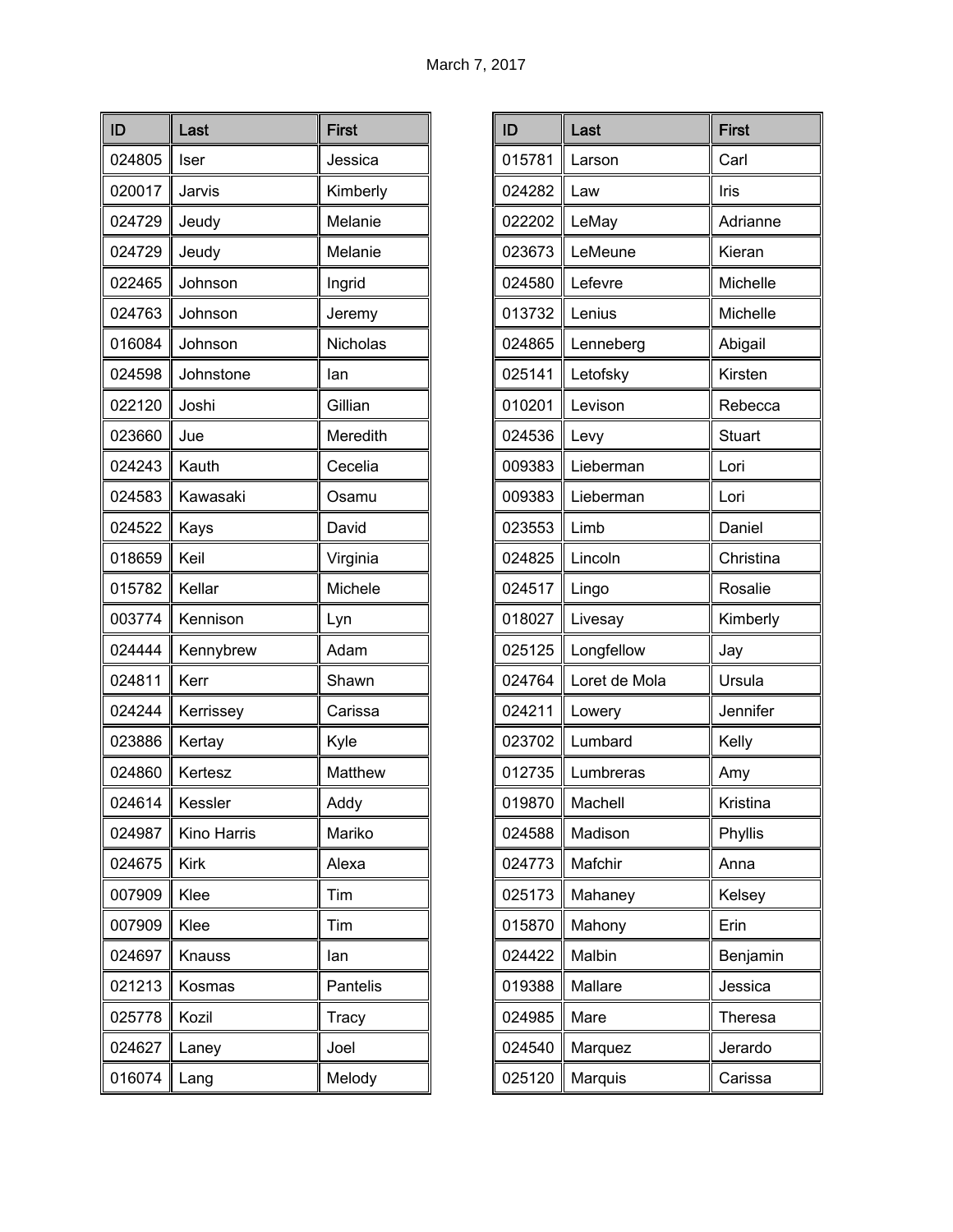| ID     | Last          | <b>First</b> |
|--------|---------------|--------------|
| 024805 | Iser          | Jessica      |
| 020017 | Jarvis        | Kimberly     |
| 024729 | Jeudy         | Melanie      |
| 024729 | Jeudy         | Melanie      |
| 022465 | Johnson       | Ingrid       |
| 024763 | Johnson       | Jeremy       |
| 016084 | Johnson       | Nicholas     |
| 024598 | Johnstone     | lan          |
| 022120 | Joshi         | Gillian      |
| 023660 | Jue           | Meredith     |
| 024243 | Kauth         | Cecelia      |
| 024583 | Kawasaki      | Osamu        |
| 024522 | Kays          | David        |
| 018659 | Keil          | Virginia     |
| 015782 | Kellar        | Michele      |
| 003774 | Kennison      | Lyn          |
| 024444 | Kennybrew     | Adam         |
| 024811 | Kerr          | Shawn        |
| 024244 | Kerrissey     | Carissa      |
| 023886 | Kertay        | Kyle         |
| 024860 | Kertesz       | Matthew      |
| 024614 | Kessler       | Addy         |
| 024987 | Kino Harris   | Mariko       |
| 024675 | <b>Kirk</b>   | Alexa        |
| 007909 | Klee          | Tim          |
| 007909 | Klee          | Tim          |
| 024697 | <b>Knauss</b> | lan          |
| 021213 | Kosmas        | Pantelis     |
| 025778 | Kozil         | Tracy        |
| 024627 | Laney         | Joel         |
| 016074 | Lang          | Melody       |

| ID     | Last          | <b>First</b> |
|--------|---------------|--------------|
| 015781 | Larson        | Carl         |
| 024282 | Law           | Iris         |
| 022202 | LeMay         | Adrianne     |
| 023673 | LeMeune       | Kieran       |
| 024580 | Lefevre       | Michelle     |
| 013732 | Lenius        | Michelle     |
| 024865 | Lenneberg     | Abigail      |
| 025141 | Letofsky      | Kirsten      |
| 010201 | Levison       | Rebecca      |
| 024536 | Levy          | Stuart       |
| 009383 | Lieberman     | Lori         |
| 009383 | Lieberman     | Lori         |
| 023553 | Limb          | Daniel       |
| 024825 | Lincoln       | Christina    |
| 024517 | Lingo         | Rosalie      |
| 018027 | Livesay       | Kimberly     |
| 025125 | Longfellow    | Jay          |
| 024764 | Loret de Mola | Ursula       |
| 024211 | Lowery        | Jennifer     |
| 023702 | Lumbard       | Kelly        |
| 012735 | Lumbreras     | Amy          |
| 019870 | Machell       | Kristina     |
| 024588 | Madison       | Phyllis      |
| 024773 | Mafchir       | Anna         |
| 025173 | Mahaney       | Kelsey       |
| 015870 | Mahony        | Erin         |
| 024422 | Malbin        | Benjamin     |
| 019388 | Mallare       | Jessica      |
| 024985 | Mare          | Theresa      |
| 024540 | Marquez       | Jerardo      |
| 025120 | Marquis       | Carissa      |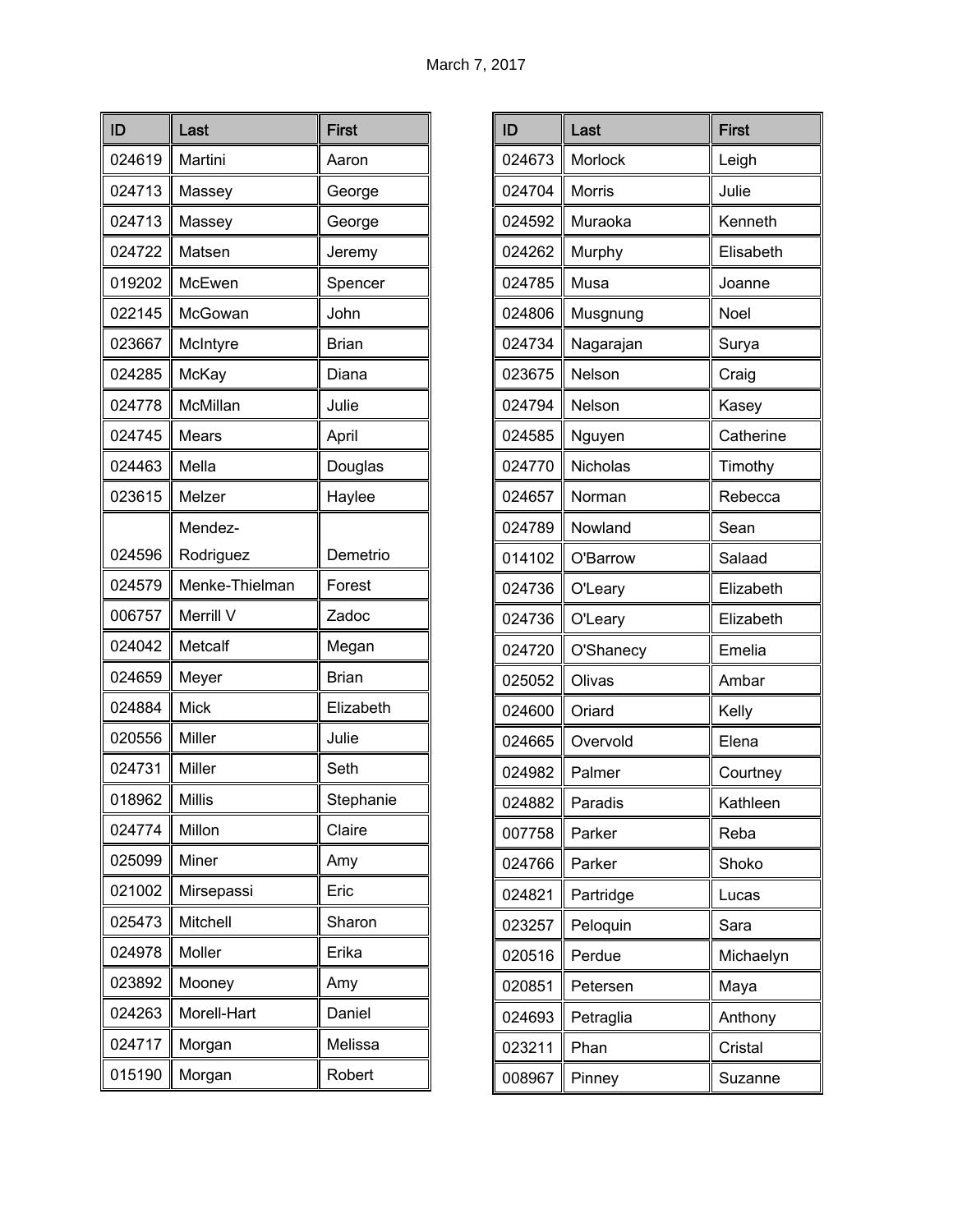| ID     | Last           | <b>First</b> |
|--------|----------------|--------------|
| 024619 | Martini        | Aaron        |
| 024713 | Massey         | George       |
| 024713 | Massey         | George       |
| 024722 | Matsen         | Jeremy       |
| 019202 | McEwen         | Spencer      |
| 022145 | McGowan        | John         |
| 023667 | McIntyre       | <b>Brian</b> |
| 024285 | McKay          | Diana        |
| 024778 | McMillan       | Julie        |
| 024745 | Mears          | April        |
| 024463 | Mella          | Douglas      |
| 023615 | Melzer         | Haylee       |
|        | Mendez-        |              |
| 024596 | Rodriguez      | Demetrio     |
| 024579 | Menke-Thielman | Forest       |
| 006757 | Merrill V      | Zadoc        |
| 024042 | Metcalf        | Megan        |
| 024659 | Meyer          | <b>Brian</b> |
| 024884 | <b>Mick</b>    | Elizabeth    |
| 020556 | Miller         | Julie        |
| 024731 | Miller         | Seth         |
| 018962 | <b>Millis</b>  | Stephanie    |
| 024774 | Millon         | Claire       |
| 025099 | Miner          | Amy          |
| 021002 | Mirsepassi     | Eric         |
| 025473 | Mitchell       | Sharon       |
| 024978 | Moller         | Erika        |
| 023892 | Mooney         | Amy          |
| 024263 | Morell-Hart    | Daniel       |
| 024717 | Morgan         | Melissa      |
| 015190 | Morgan         | Robert       |

| ID     | Last            | <b>First</b> |
|--------|-----------------|--------------|
| 024673 | Morlock         | Leigh        |
| 024704 | <b>Morris</b>   | Julie        |
| 024592 | Muraoka         | Kenneth      |
| 024262 | Murphy          | Elisabeth    |
| 024785 | Musa            | Joanne       |
| 024806 | Musgnung        | Noel         |
| 024734 | Nagarajan       | Surya        |
| 023675 | Nelson          | Craig        |
| 024794 | Nelson          | Kasey        |
| 024585 | Nguyen          | Catherine    |
| 024770 | <b>Nicholas</b> | Timothy      |
| 024657 | Norman          | Rebecca      |
| 024789 | Nowland         | Sean         |
| 014102 | O'Barrow        | Salaad       |
| 024736 | O'Leary         | Elizabeth    |
| 024736 | O'Leary         | Elizabeth    |
| 024720 | O'Shanecy       | Emelia       |
| 025052 | Olivas          | Ambar        |
| 024600 | Oriard          | Kelly        |
| 024665 | Overvold        | Elena        |
| 024982 | Palmer          | Courtney     |
| 024882 | Paradis         | Kathleen     |
| 007758 | Parker          | Reba         |
| 024766 | Parker          | Shoko        |
| 024821 | Partridge       | Lucas        |
| 023257 | Peloquin        | Sara         |
| 020516 | Perdue          | Michaelyn    |
| 020851 | Petersen        | Maya         |
| 024693 | Petraglia       | Anthony      |
| 023211 | Phan            | Cristal      |
| 008967 | Pinney          | Suzanne      |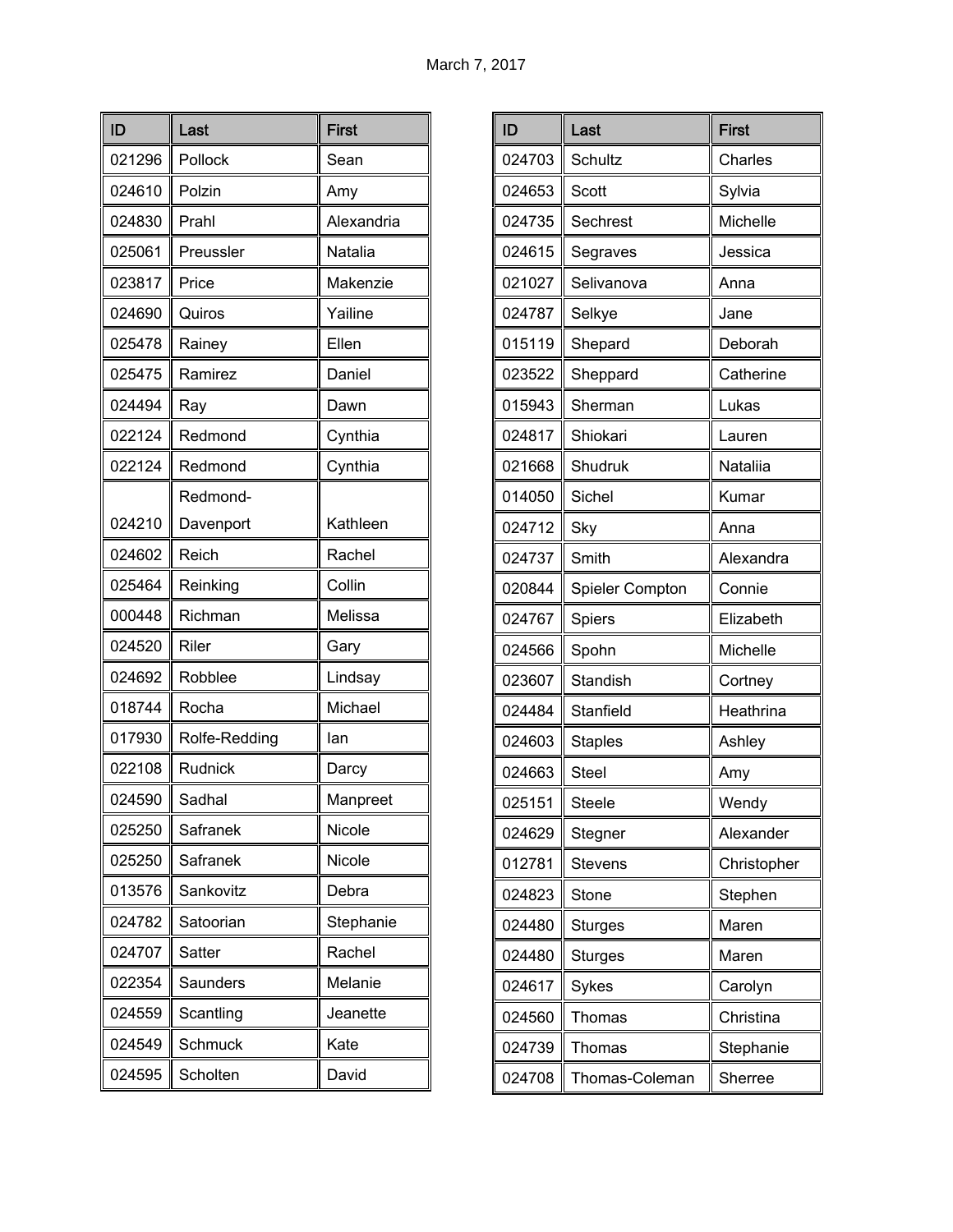| ID     | Last          | <b>First</b> |
|--------|---------------|--------------|
| 021296 | Pollock       | Sean         |
| 024610 | Polzin        | Amy          |
| 024830 | Prahl         | Alexandria   |
| 025061 | Preussler     | Natalia      |
| 023817 | Price         | Makenzie     |
| 024690 | Quiros        | Yailine      |
| 025478 | Rainey        | Ellen        |
| 025475 | Ramirez       | Daniel       |
| 024494 | Ray           | Dawn         |
| 022124 | Redmond       | Cynthia      |
| 022124 | Redmond       | Cynthia      |
|        | Redmond-      |              |
| 024210 | Davenport     | Kathleen     |
| 024602 | Reich         | Rachel       |
| 025464 | Reinking      | Collin       |
| 000448 | Richman       | Melissa      |
| 024520 | Riler         | Gary         |
| 024692 | Robblee       | Lindsay      |
| 018744 | Rocha         | Michael      |
| 017930 | Rolfe-Redding | lan          |
| 022108 | Rudnick       | Darcy        |
| 024590 | Sadhal        | Manpreet     |
| 025250 | Safranek      | Nicole       |
| 025250 | Safranek      | Nicole       |
| 013576 | Sankovitz     | Debra        |
| 024782 | Satoorian     | Stephanie    |
| 024707 | Satter        | Rachel       |
| 022354 | Saunders      | Melanie      |
| 024559 | Scantling     | Jeanette     |
| 024549 | Schmuck       | Kate         |
| 024595 | Scholten      | David        |

| ID     | Last            | <b>First</b> |
|--------|-----------------|--------------|
| 024703 | Schultz         | Charles      |
| 024653 | Scott           | Sylvia       |
| 024735 | Sechrest        | Michelle     |
| 024615 | Segraves        | Jessica      |
| 021027 | Selivanova      | Anna         |
| 024787 | Selkye          | Jane         |
| 015119 | Shepard         | Deborah      |
| 023522 | Sheppard        | Catherine    |
| 015943 | Sherman         | Lukas        |
| 024817 | Shiokari        | Lauren       |
| 021668 | Shudruk         | Nataliia     |
| 014050 | Sichel          | Kumar        |
| 024712 | <b>Sky</b>      | Anna         |
| 024737 | Smith           | Alexandra    |
| 020844 | Spieler Compton | Connie       |
| 024767 | Spiers          | Elizabeth    |
| 024566 | Spohn           | Michelle     |
| 023607 | Standish        | Cortney      |
| 024484 | Stanfield       | Heathrina    |
| 024603 | <b>Staples</b>  | Ashley       |
| 024663 | <b>Steel</b>    | Amy          |
| 025151 | Steele          | Wendy        |
| 024629 | Stegner         | Alexander    |
| 012781 | <b>Stevens</b>  | Christopher  |
| 024823 | Stone           | Stephen      |
| 024480 | <b>Sturges</b>  | Maren        |
| 024480 | <b>Sturges</b>  | Maren        |
| 024617 | Sykes           | Carolyn      |
| 024560 | Thomas          | Christina    |
| 024739 | Thomas          | Stephanie    |
| 024708 | Thomas-Coleman  | Sherree      |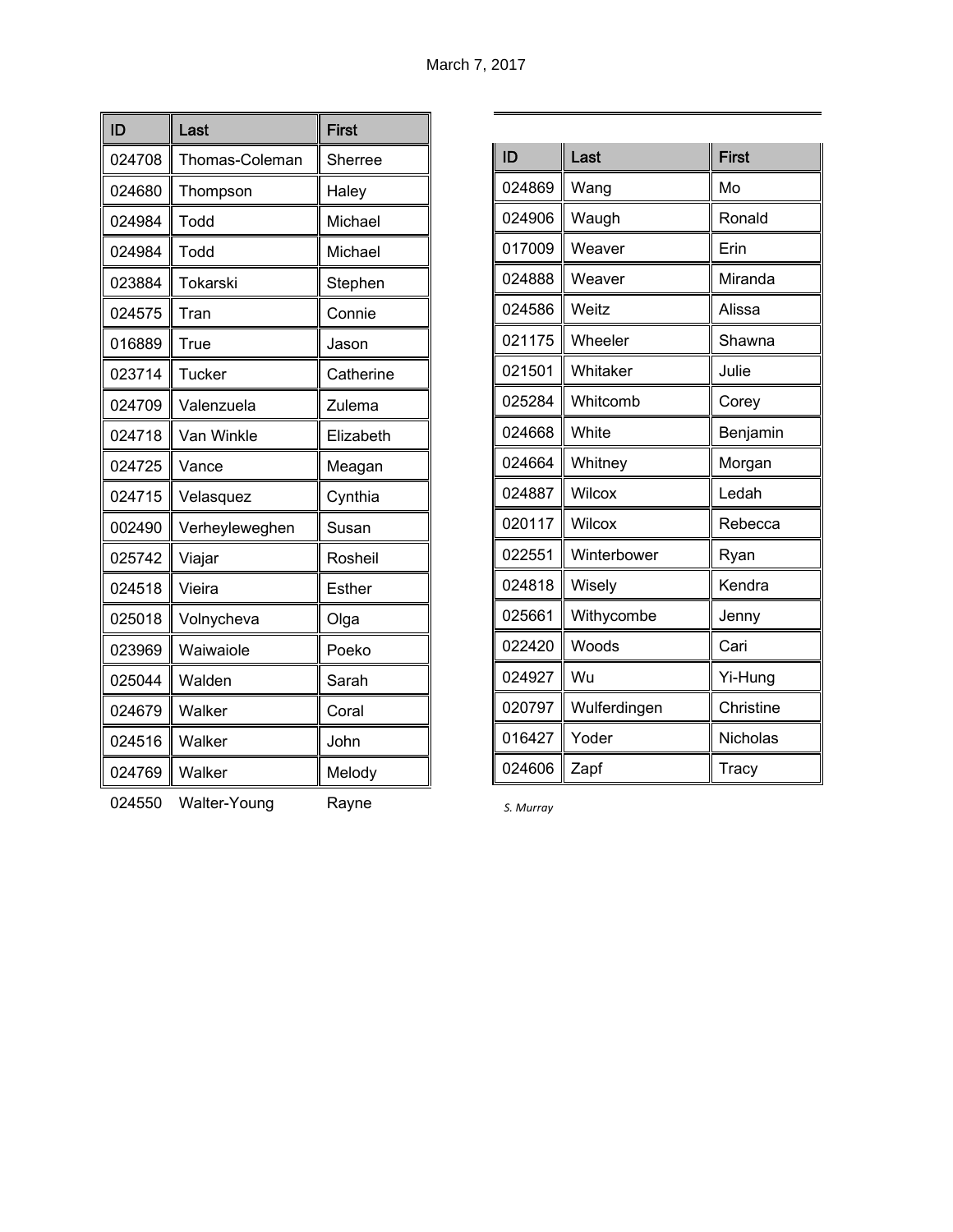| ID     | Last           | <b>First</b>  |
|--------|----------------|---------------|
| 024708 | Thomas-Coleman | Sherree       |
| 024680 | Thompson       | Haley         |
| 024984 | Todd           | Michael       |
| 024984 | Todd           | Michael       |
| 023884 | Tokarski       | Stephen       |
| 024575 | Tran           | Connie        |
| 016889 | True           | Jason         |
| 023714 | Tucker         | Catherine     |
| 024709 | Valenzuela     | Zulema        |
| 024718 | Van Winkle     | Elizabeth     |
| 024725 | Vance          | Meagan        |
| 024715 | Velasquez      | Cynthia       |
| 002490 | Verheyleweghen | Susan         |
| 025742 | Viajar         | Rosheil       |
| 024518 | Vieira         | <b>Esther</b> |
| 025018 | Volnycheva     | Olga          |
| 023969 | Waiwaiole      | Poeko         |
| 025044 | Walden         | Sarah         |
| 024679 | Walker         | Coral         |
| 024516 | Walker         | John          |
| 024769 | Walker         | Melody        |

| ID     | Last         | <b>First</b> |
|--------|--------------|--------------|
| 024869 | Wang         | Mo           |
| 024906 | Waugh        | Ronald       |
| 017009 | Weaver       | Erin         |
| 024888 | Weaver       | Miranda      |
| 024586 | Weitz        | Alissa       |
| 021175 | Wheeler      | Shawna       |
| 021501 | Whitaker     | Julie        |
| 025284 | Whitcomb     | Corey        |
| 024668 | White        | Benjamin     |
| 024664 | Whitney      | Morgan       |
| 024887 | Wilcox       | Ledah        |
| 020117 | Wilcox       | Rebecca      |
| 022551 | Winterbower  | Ryan         |
| 024818 | Wisely       | Kendra       |
| 025661 | Withycombe   | Jenny        |
| 022420 | Woods        | Cari         |
| 024927 | Wu           | Yi-Hung      |
| 020797 | Wulferdingen | Christine    |
| 016427 | Yoder        | Nicholas     |
| 024606 | Zapf         | Tracy        |

024550 Walter-Young Rayne

*S. Murray*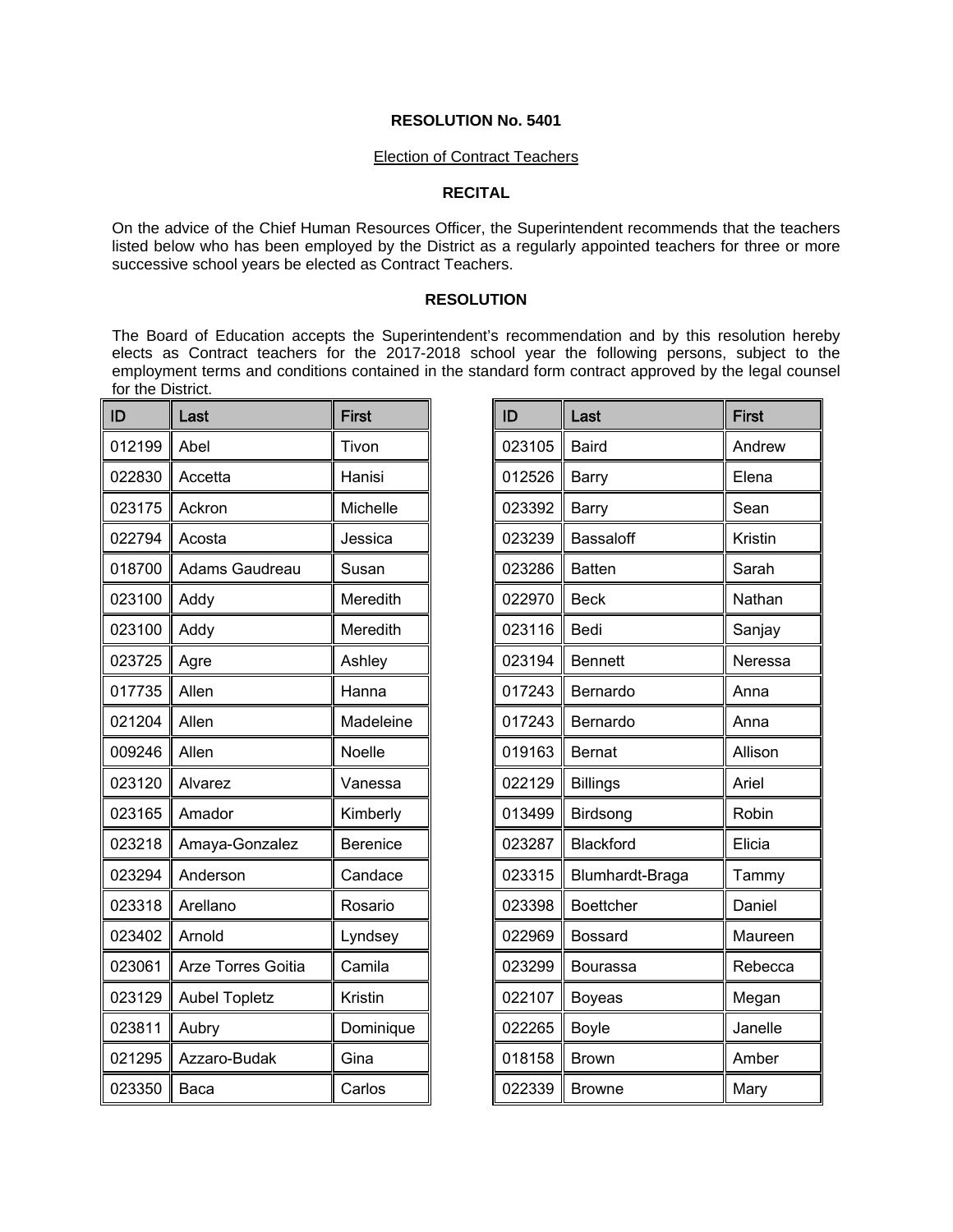#### Election of Contract Teachers

### **RECITAL**

On the advice of the Chief Human Resources Officer, the Superintendent recommends that the teachers listed below who has been employed by the District as a regularly appointed teachers for three or more successive school years be elected as Contract Teachers.

### **RESOLUTION**

The Board of Education accepts the Superintendent's recommendation and by this resolution hereby elects as Contract teachers for the 2017-2018 school year the following persons, subject to the employment terms and conditions contained in the standard form contract approved by the legal counsel for the District.

| ID     | Last                      | <b>First</b>    |
|--------|---------------------------|-----------------|
| 012199 | Abel                      | Tivon           |
| 022830 | Accetta                   | Hanisi          |
| 023175 | Ackron                    | Michelle        |
| 022794 | Acosta                    | Jessica         |
| 018700 | Adams Gaudreau            | Susan           |
| 023100 | Addy                      | Meredith        |
| 023100 | Addy                      | Meredith        |
| 023725 | Agre                      | Ashley          |
| 017735 | Allen                     | Hanna           |
| 021204 | Allen                     | Madeleine       |
| 009246 | Allen                     | Noelle          |
| 023120 | Alvarez                   | Vanessa         |
| 023165 | Amador                    | Kimberly        |
| 023218 | Amaya-Gonzalez            | <b>Berenice</b> |
| 023294 | Anderson                  | Candace         |
| 023318 | Arellano                  | Rosario         |
| 023402 | Arnold                    | Lyndsey         |
| 023061 | <b>Arze Torres Goitia</b> | Camila          |
| 023129 | <b>Aubel Topletz</b>      | Kristin         |
| 023811 | Aubry                     | Dominique       |
| 021295 | Azzaro-Budak              | Gina            |
| 023350 | Baca                      | Carlos          |

| ID     | Last             | <b>First</b> |
|--------|------------------|--------------|
| 023105 | <b>Baird</b>     | Andrew       |
| 012526 | <b>Barry</b>     | Elena        |
| 023392 | Barry            | Sean         |
| 023239 | Bassaloff        | Kristin      |
| 023286 | <b>Batten</b>    | Sarah        |
| 022970 | <b>Beck</b>      | Nathan       |
| 023116 | Bedi             | Sanjay       |
| 023194 | <b>Bennett</b>   | Neressa      |
| 017243 | Bernardo         | Anna         |
| 017243 | Bernardo         | Anna         |
| 019163 | <b>Bernat</b>    | Allison      |
| 022129 | <b>Billings</b>  | Ariel        |
| 013499 | Birdsong         | Robin        |
| 023287 | Blackford        | Elicia       |
| 023315 | Blumhardt-Braga  | Tammy        |
| 023398 | <b>Boettcher</b> | Daniel       |
| 022969 | <b>Bossard</b>   | Maureen      |
| 023299 | Bourassa         | Rebecca      |
| 022107 | <b>Boyeas</b>    | Megan        |
| 022265 | <b>Boyle</b>     | Janelle      |
| 018158 | <b>Brown</b>     | Amber        |
| 022339 | <b>Browne</b>    | Mary         |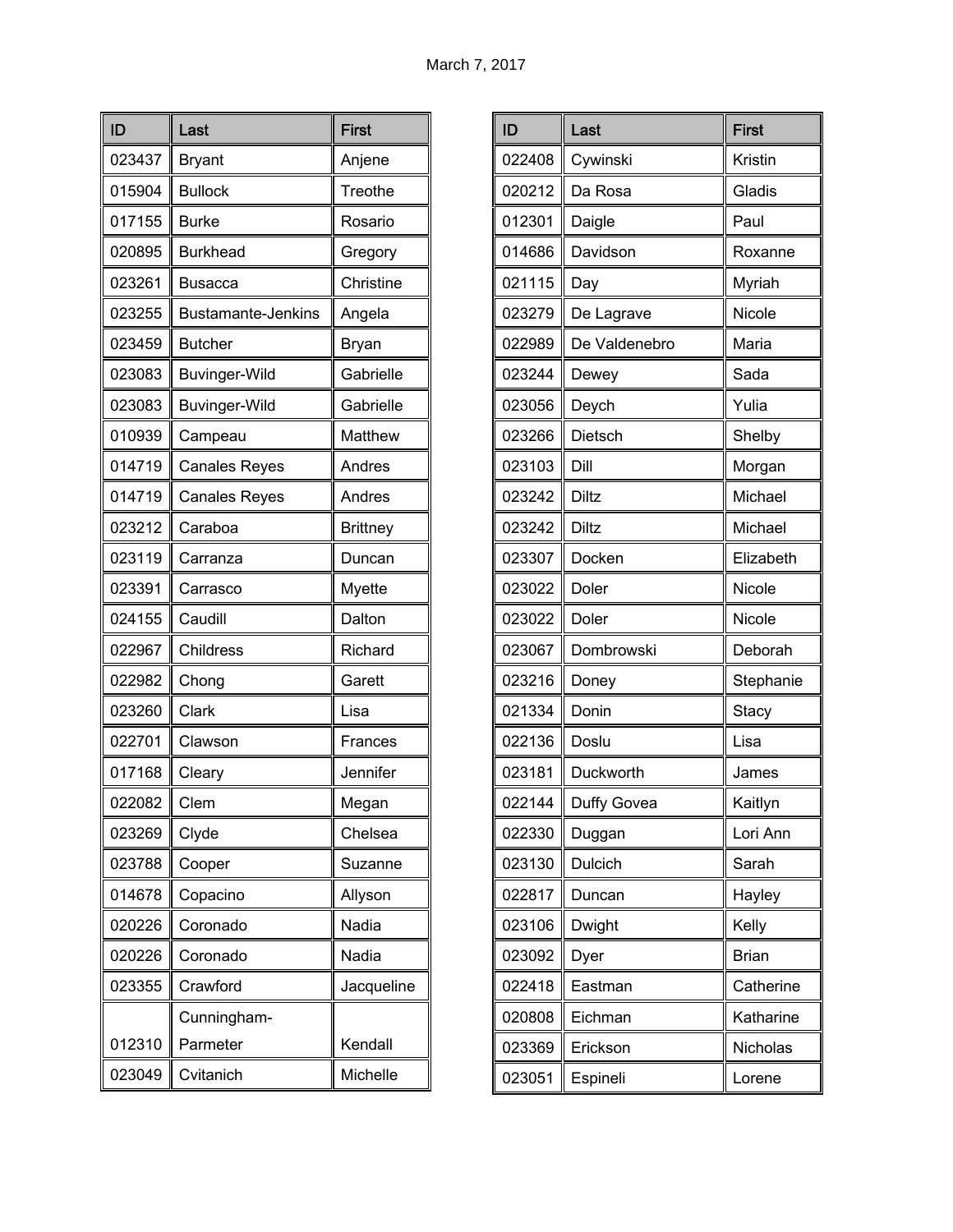| ID     | Last                      | <b>First</b>    |
|--------|---------------------------|-----------------|
| 023437 | <b>Bryant</b>             | Anjene          |
| 015904 | <b>Bullock</b>            | Treothe         |
| 017155 | <b>Burke</b>              | Rosario         |
| 020895 | <b>Burkhead</b>           | Gregory         |
| 023261 | Busacca                   | Christine       |
| 023255 | <b>Bustamante-Jenkins</b> | Angela          |
| 023459 | <b>Butcher</b>            | <b>Bryan</b>    |
| 023083 | <b>Buvinger-Wild</b>      | Gabrielle       |
| 023083 | <b>Buvinger-Wild</b>      | Gabrielle       |
| 010939 | Campeau                   | Matthew         |
| 014719 | <b>Canales Reyes</b>      | Andres          |
| 014719 | <b>Canales Reyes</b>      | Andres          |
| 023212 | Caraboa                   | <b>Brittney</b> |
| 023119 | Carranza                  | Duncan          |
| 023391 | Carrasco                  | Myette          |
| 024155 | Caudill                   | Dalton          |
| 022967 | Childress                 | Richard         |
| 022982 | Chong                     | Garett          |
| 023260 | Clark                     | Lisa            |
| 022701 | Clawson                   | Frances         |
| 017168 | Cleary                    | Jennifer        |
| 022082 | Clem                      | Megan           |
| 023269 | Clyde                     | Chelsea         |
| 023788 | Cooper                    | Suzanne         |
| 014678 | Copacino                  | Allyson         |
| 020226 | Coronado                  | Nadia           |
| 020226 | Coronado                  | Nadia           |
| 023355 | Crawford                  | Jacqueline      |
|        | Cunningham-               |                 |
| 012310 | Parmeter                  | Kendall         |
| 023049 | Cvitanich                 | Michelle        |

| ID     | Last          | <b>First</b> |
|--------|---------------|--------------|
| 022408 | Cywinski      | Kristin      |
| 020212 | Da Rosa       | Gladis       |
| 012301 | Daigle        | Paul         |
| 014686 | Davidson      | Roxanne      |
| 021115 | Day           | Myriah       |
| 023279 | De Lagrave    | Nicole       |
| 022989 | De Valdenebro | Maria        |
| 023244 | Dewey         | Sada         |
| 023056 | Deych         | Yulia        |
| 023266 | Dietsch       | Shelby       |
| 023103 | Dill          | Morgan       |
| 023242 | <b>Diltz</b>  | Michael      |
| 023242 | Diltz         | Michael      |
| 023307 | Docken        | Elizabeth    |
| 023022 | Doler         | Nicole       |
| 023022 | Doler         | Nicole       |
| 023067 | Dombrowski    | Deborah      |
| 023216 | Doney         | Stephanie    |
| 021334 | Donin         | Stacy        |
| 022136 | Doslu         | Lisa         |
| 023181 | Duckworth     | James        |
| 022144 | Duffy Govea   | Kaitlyn      |
| 022330 | Duggan        | Lori Ann     |
| 023130 | Dulcich       | Sarah        |
| 022817 | Duncan        | Hayley       |
| 023106 | Dwight        | Kelly        |
| 023092 | Dyer          | <b>Brian</b> |
| 022418 | Eastman       | Catherine    |
| 020808 | Eichman       | Katharine    |
| 023369 | Erickson      | Nicholas     |
| 023051 | Espineli      | Lorene       |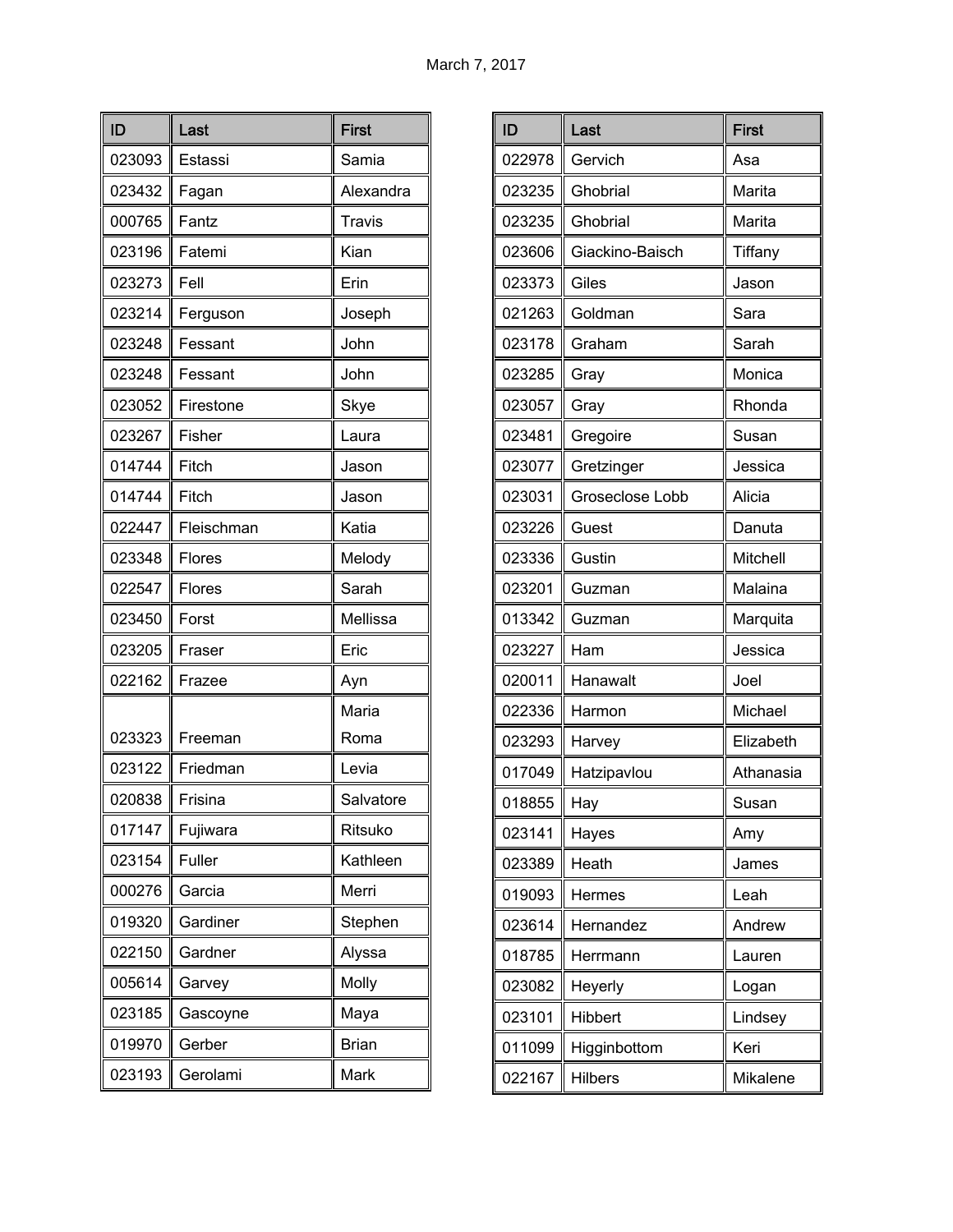| ID     | Last       | <b>First</b>  |
|--------|------------|---------------|
| 023093 | Estassi    | Samia         |
| 023432 | Fagan      | Alexandra     |
| 000765 | Fantz      | <b>Travis</b> |
| 023196 | Fatemi     | Kian          |
| 023273 | Fell       | Erin          |
| 023214 | Ferguson   | Joseph        |
| 023248 | Fessant    | John          |
| 023248 | Fessant    | John          |
| 023052 | Firestone  | Skye          |
| 023267 | Fisher     | Laura         |
| 014744 | Fitch      | Jason         |
| 014744 | Fitch      | Jason         |
| 022447 | Fleischman | Katia         |
| 023348 | Flores     | Melody        |
| 022547 | Flores     | Sarah         |
| 023450 | Forst      | Mellissa      |
| 023205 | Fraser     | Eric          |
| 022162 | Frazee     | Ayn           |
|        |            | Maria         |
| 023323 | Freeman    | Roma          |
| 023122 | Friedman   | Levia         |
| 020838 | Frisina    | Salvatore     |
| 017147 | Fujiwara   | Ritsuko       |
| 023154 | Fuller     | Kathleen      |
| 000276 | Garcia     | Merri         |
| 019320 | Gardiner   | Stephen       |
| 022150 | Gardner    | Alyssa        |
| 005614 | Garvey     | Molly         |
| 023185 | Gascoyne   | Maya          |
| 019970 | Gerber     | <b>Brian</b>  |
| 023193 | Gerolami   | Mark          |

| ID     | Last            | <b>First</b> |
|--------|-----------------|--------------|
| 022978 | Gervich         | Asa          |
| 023235 | Ghobrial        | Marita       |
| 023235 | Ghobrial        | Marita       |
| 023606 | Giackino-Baisch | Tiffany      |
| 023373 | Giles           | Jason        |
| 021263 | Goldman         | Sara         |
| 023178 | Graham          | Sarah        |
| 023285 | Gray            | Monica       |
| 023057 | Gray            | Rhonda       |
| 023481 | Gregoire        | Susan        |
| 023077 | Gretzinger      | Jessica      |
| 023031 | Groseclose Lobb | Alicia       |
| 023226 | Guest           | Danuta       |
| 023336 | Gustin          | Mitchell     |
| 023201 | Guzman          | Malaina      |
| 013342 | Guzman          | Marquita     |
| 023227 | Ham             | Jessica      |
| 020011 | Hanawalt        | Joel         |
| 022336 | Harmon          | Michael      |
| 023293 | Harvey          | Elizabeth    |
| 017049 | Hatzipavlou     | Athanasia    |
| 018855 | Hay             | Susan        |
| 023141 | Hayes           | Amy          |
| 023389 | Heath           | James        |
| 019093 | Hermes          | Leah         |
| 023614 | Hernandez       | Andrew       |
| 018785 | Herrmann        | Lauren       |
| 023082 | Heyerly         | Logan        |
| 023101 | Hibbert         | Lindsey      |
| 011099 | Higginbottom    | Keri         |
| 022167 | <b>Hilbers</b>  | Mikalene     |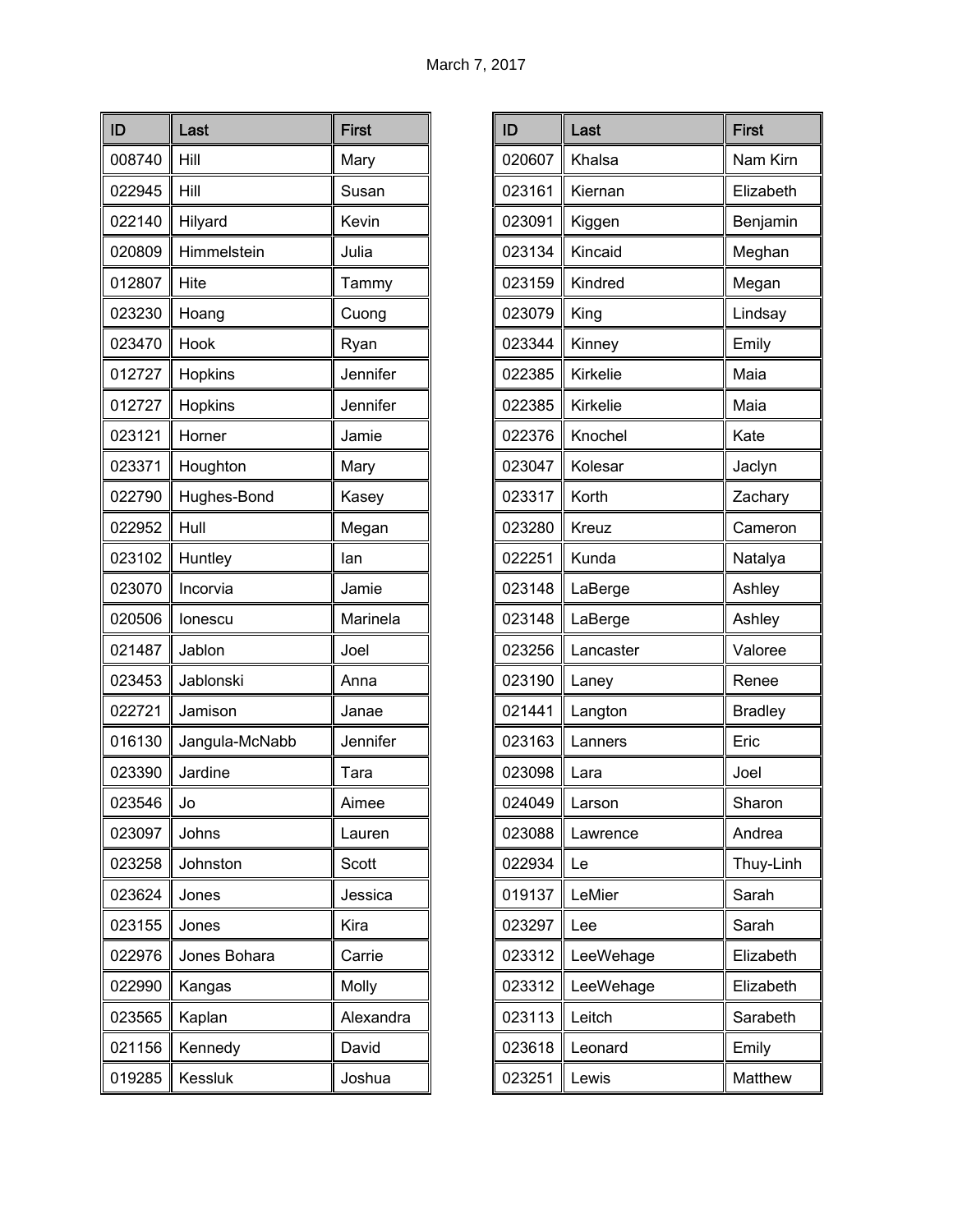| ID     | Last           | <b>First</b> |
|--------|----------------|--------------|
| 008740 | Hill           | Mary         |
| 022945 | Hill           | Susan        |
| 022140 | Hilyard        | Kevin        |
| 020809 | Himmelstein    | Julia        |
| 012807 | Hite           | Tammy        |
| 023230 | Hoang          | Cuong        |
| 023470 | Hook           | Ryan         |
| 012727 | Hopkins        | Jennifer     |
| 012727 | Hopkins        | Jennifer     |
| 023121 | Horner         | Jamie        |
| 023371 | Houghton       | Mary         |
| 022790 | Hughes-Bond    | Kasey        |
| 022952 | Hull           | Megan        |
| 023102 | Huntley        | lan          |
| 023070 | Incorvia       | Jamie        |
| 020506 | lonescu        | Marinela     |
| 021487 | Jablon         | Joel         |
| 023453 | Jablonski      | Anna         |
| 022721 | Jamison        | Janae        |
| 016130 | Jangula-McNabb | Jennifer     |
| 023390 | Jardine        | Tara         |
| 023546 | Jo             | Aimee        |
| 023097 | Johns          | Lauren       |
| 023258 | Johnston       | Scott        |
| 023624 | Jones          | Jessica      |
| 023155 | Jones          | Kira         |
| 022976 | Jones Bohara   | Carrie       |
| 022990 | Kangas         | Molly        |
| 023565 | Kaplan         | Alexandra    |
| 021156 | Kennedy        | David        |
| 019285 | Kessluk        | Joshua       |

| ID     | Last      | <b>First</b>   |
|--------|-----------|----------------|
| 020607 | Khalsa    | Nam Kirn       |
| 023161 | Kiernan   | Elizabeth      |
| 023091 | Kiggen    | Benjamin       |
| 023134 | Kincaid   | Meghan         |
| 023159 | Kindred   | Megan          |
| 023079 | King      | Lindsay        |
| 023344 | Kinney    | Emily          |
| 022385 | Kirkelie  | Maia           |
| 022385 | Kirkelie  | Maia           |
| 022376 | Knochel   | Kate           |
| 023047 | Kolesar   | Jaclyn         |
| 023317 | Korth     | Zachary        |
| 023280 | Kreuz     | Cameron        |
| 022251 | Kunda     | Natalya        |
| 023148 | LaBerge   | Ashley         |
| 023148 | LaBerge   | Ashley         |
| 023256 | Lancaster | Valoree        |
| 023190 | Laney     | Renee          |
| 021441 | Langton   | <b>Bradley</b> |
| 023163 | Lanners   | Eric           |
| 023098 | Lara      | Joel           |
| 024049 | Larson    | Sharon         |
| 023088 | Lawrence  | Andrea         |
| 022934 | Le        | Thuy-Linh      |
| 019137 | LeMier    | Sarah          |
| 023297 | Lee       | Sarah          |
| 023312 | LeeWehage | Elizabeth      |
| 023312 | LeeWehage | Elizabeth      |
| 023113 | Leitch    | Sarabeth       |
| 023618 | Leonard   | Emily          |
| 023251 | Lewis     | Matthew        |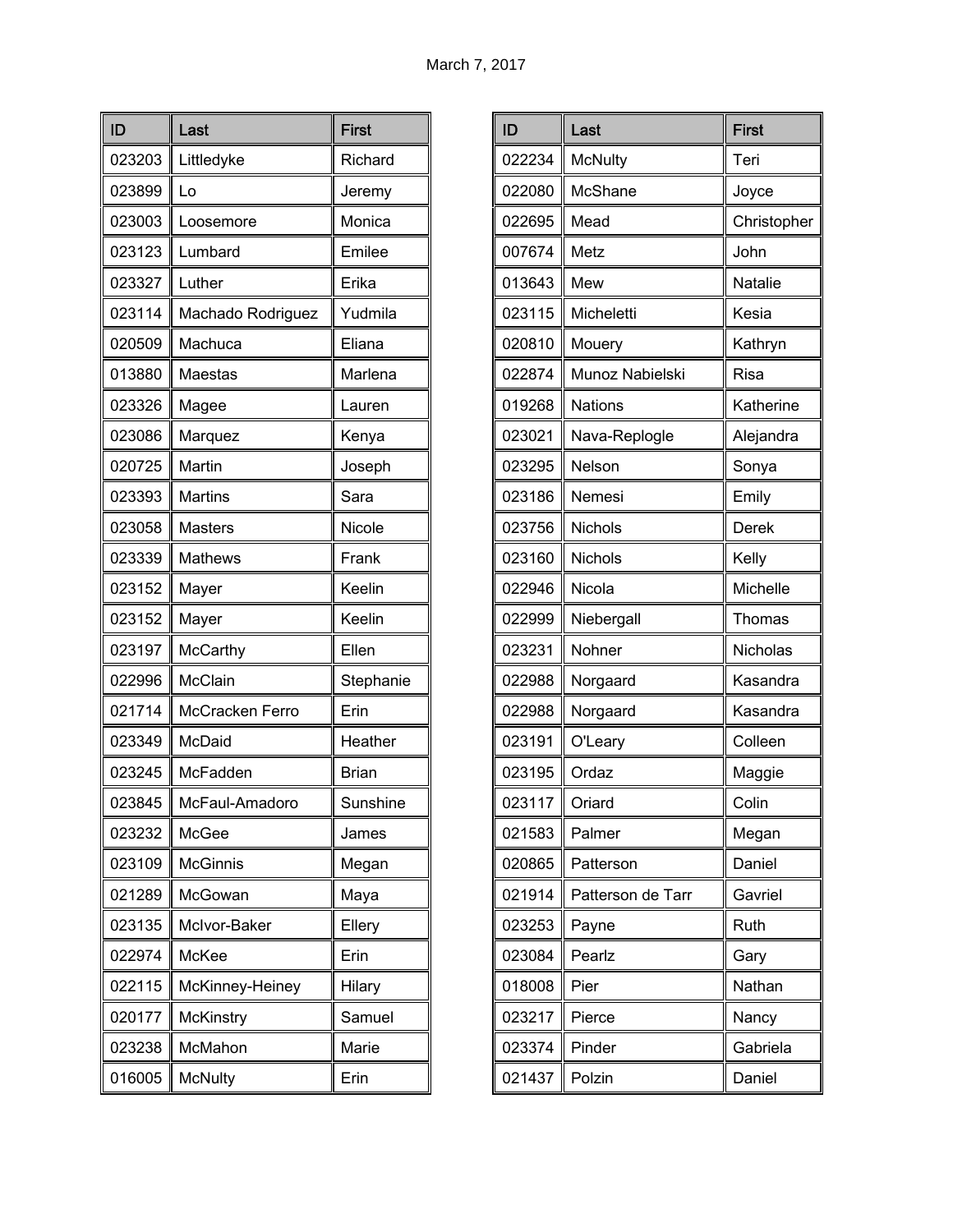| ID     | Last              | <b>First</b> |
|--------|-------------------|--------------|
| 023203 | Littledyke        | Richard      |
| 023899 | Lo                | Jeremy       |
| 023003 | Loosemore         | Monica       |
| 023123 | Lumbard           | Emilee       |
| 023327 | Luther            | Erika        |
| 023114 | Machado Rodriguez | Yudmila      |
| 020509 | Machuca           | Eliana       |
| 013880 | Maestas           | Marlena      |
| 023326 | Magee             | Lauren       |
| 023086 | Marquez           | Kenya        |
| 020725 | Martin            | Joseph       |
| 023393 | <b>Martins</b>    | Sara         |
| 023058 | <b>Masters</b>    | Nicole       |
| 023339 | <b>Mathews</b>    | Frank        |
| 023152 | Mayer             | Keelin       |
| 023152 | Mayer             | Keelin       |
| 023197 | McCarthy          | Ellen        |
| 022996 | McClain           | Stephanie    |
| 021714 | McCracken Ferro   | Erin         |
| 023349 | McDaid            | Heather      |
| 023245 | McFadden          | <b>Brian</b> |
| 023845 | McFaul-Amadoro    | Sunshine     |
| 023232 | McGee             | James        |
| 023109 | <b>McGinnis</b>   | Megan        |
| 021289 | McGowan           | Maya         |
| 023135 | McIvor-Baker      | Ellery       |
| 022974 | McKee             | Erin         |
| 022115 | McKinney-Heiney   | Hilary       |
| 020177 | McKinstry         | Samuel       |
| 023238 | McMahon           | Marie        |
| 016005 | <b>McNulty</b>    | Erin         |

| ID     | Last              | <b>First</b> |
|--------|-------------------|--------------|
| 022234 | <b>McNulty</b>    | Teri         |
| 022080 | McShane           | Joyce        |
| 022695 | Mead              | Christopher  |
| 007674 | Metz              | John         |
| 013643 | Mew               | Natalie      |
| 023115 | Micheletti        | Kesia        |
| 020810 | Mouery            | Kathryn      |
| 022874 | Munoz Nabielski   | Risa         |
| 019268 | <b>Nations</b>    | Katherine    |
| 023021 | Nava-Replogle     | Alejandra    |
| 023295 | Nelson            | Sonya        |
| 023186 | Nemesi            | Emily        |
| 023756 | Nichols           | Derek        |
| 023160 | Nichols           | Kelly        |
| 022946 | Nicola            | Michelle     |
| 022999 | Niebergall        | Thomas       |
| 023231 | Nohner            | Nicholas     |
| 022988 | Norgaard          | Kasandra     |
| 022988 | Norgaard          | Kasandra     |
| 023191 | O'Leary           | Colleen      |
| 023195 | Ordaz             | Maggie       |
| 023117 | Oriard            | Colin        |
| 021583 | Palmer            | Megan        |
| 020865 | Patterson         | Daniel       |
| 021914 | Patterson de Tarr | Gavriel      |
| 023253 | Payne             | Ruth         |
| 023084 | Pearlz            | Gary         |
| 018008 | Pier              | Nathan       |
| 023217 | Pierce            | Nancy        |
| 023374 | Pinder            | Gabriela     |
| 021437 | Polzin            | Daniel       |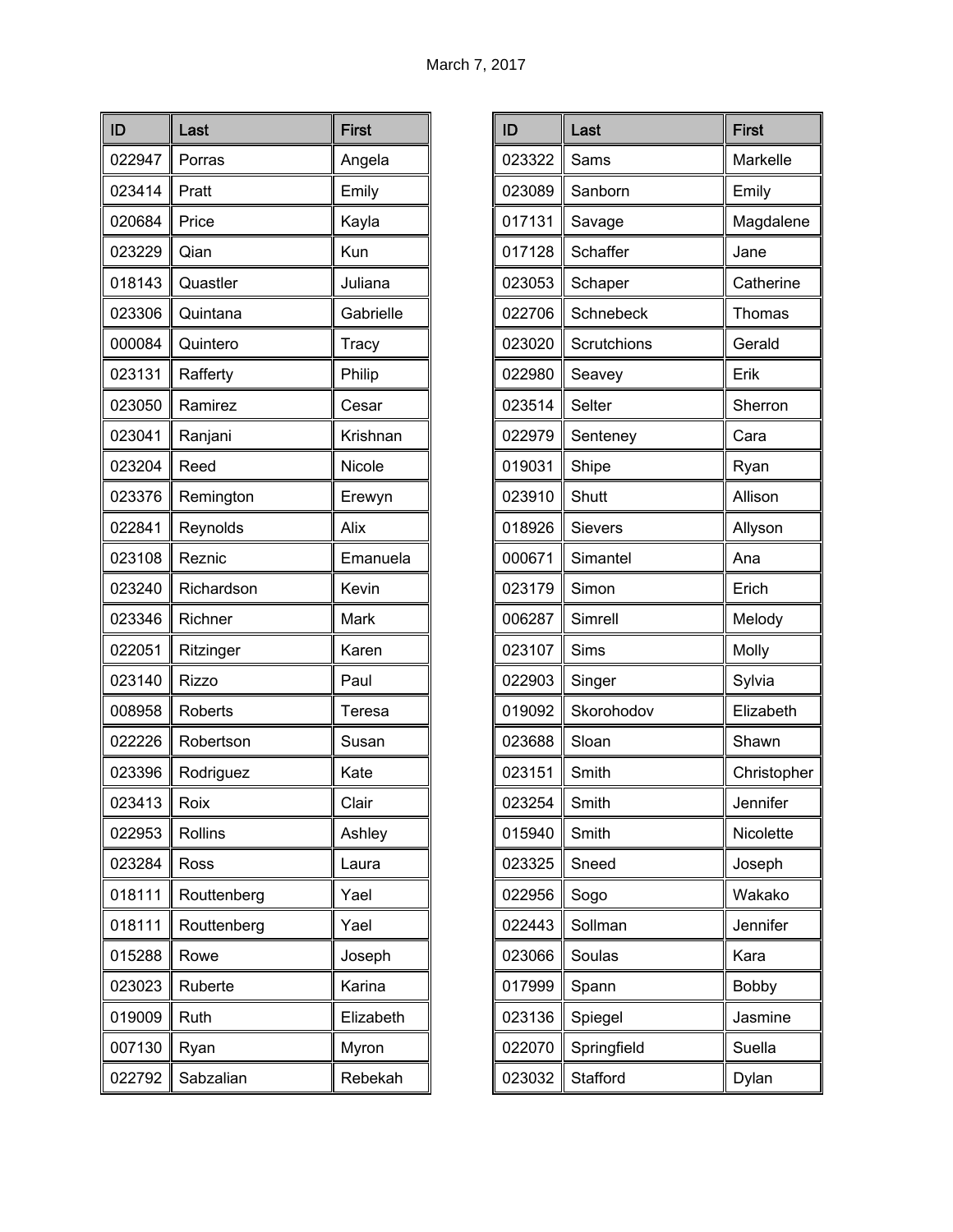| ID     | Last           | <b>First</b> |
|--------|----------------|--------------|
| 022947 | Porras         | Angela       |
| 023414 | Pratt          | Emily        |
| 020684 | Price          | Kayla        |
| 023229 | Qian           | Kun          |
| 018143 | Quastler       | Juliana      |
| 023306 | Quintana       | Gabrielle    |
| 000084 | Quintero       | Tracy        |
| 023131 | Rafferty       | Philip       |
| 023050 | Ramirez        | Cesar        |
| 023041 | Ranjani        | Krishnan     |
| 023204 | Reed           | Nicole       |
| 023376 | Remington      | Erewyn       |
| 022841 | Reynolds       | Alix         |
| 023108 | Reznic         | Emanuela     |
| 023240 | Richardson     | Kevin        |
| 023346 | Richner        | Mark         |
| 022051 | Ritzinger      | Karen        |
| 023140 | <b>Rizzo</b>   | Paul         |
| 008958 | Roberts        | Teresa       |
| 022226 | Robertson      | Susan        |
| 023396 | Rodriguez      | Kate         |
| 023413 | Roix           | Clair        |
| 022953 | <b>Rollins</b> | Ashley       |
| 023284 | Ross           | Laura        |
| 018111 | Routtenberg    | Yael         |
| 018111 | Routtenberg    | Yael         |
| 015288 | Rowe           | Joseph       |
| 023023 | Ruberte        | Karina       |
| 019009 | Ruth           | Elizabeth    |
| 007130 | Ryan           | Myron        |
| 022792 | Sabzalian      | Rebekah      |

| ID     | Last           | <b>First</b> |
|--------|----------------|--------------|
| 023322 | Sams           | Markelle     |
| 023089 | Sanborn        | Emily        |
| 017131 | Savage         | Magdalene    |
| 017128 | Schaffer       | Jane         |
| 023053 | Schaper        | Catherine    |
| 022706 | Schnebeck      | Thomas       |
| 023020 | Scrutchions    | Gerald       |
| 022980 | Seavey         | Erik         |
| 023514 | Selter         | Sherron      |
| 022979 | Senteney       | Cara         |
| 019031 | Shipe          | Ryan         |
| 023910 | Shutt          | Allison      |
| 018926 | <b>Sievers</b> | Allyson      |
| 000671 | Simantel       | Ana          |
| 023179 | Simon          | Erich        |
| 006287 | Simrell        | Melody       |
| 023107 | <b>Sims</b>    | Molly        |
| 022903 | Singer         | Sylvia       |
| 019092 | Skorohodov     | Elizabeth    |
| 023688 | Sloan          | Shawn        |
| 023151 | Smith          | Christopher  |
| 023254 | Smith          | Jennifer     |
| 015940 | Smith          | Nicolette    |
| 023325 | Sneed          | Joseph       |
| 022956 | Sogo           | Wakako       |
| 022443 | Sollman        | Jennifer     |
| 023066 | Soulas         | Kara         |
| 017999 | Spann          | Bobby        |
| 023136 | Spiegel        | Jasmine      |
| 022070 | Springfield    | Suella       |
| 023032 | Stafford       | Dylan        |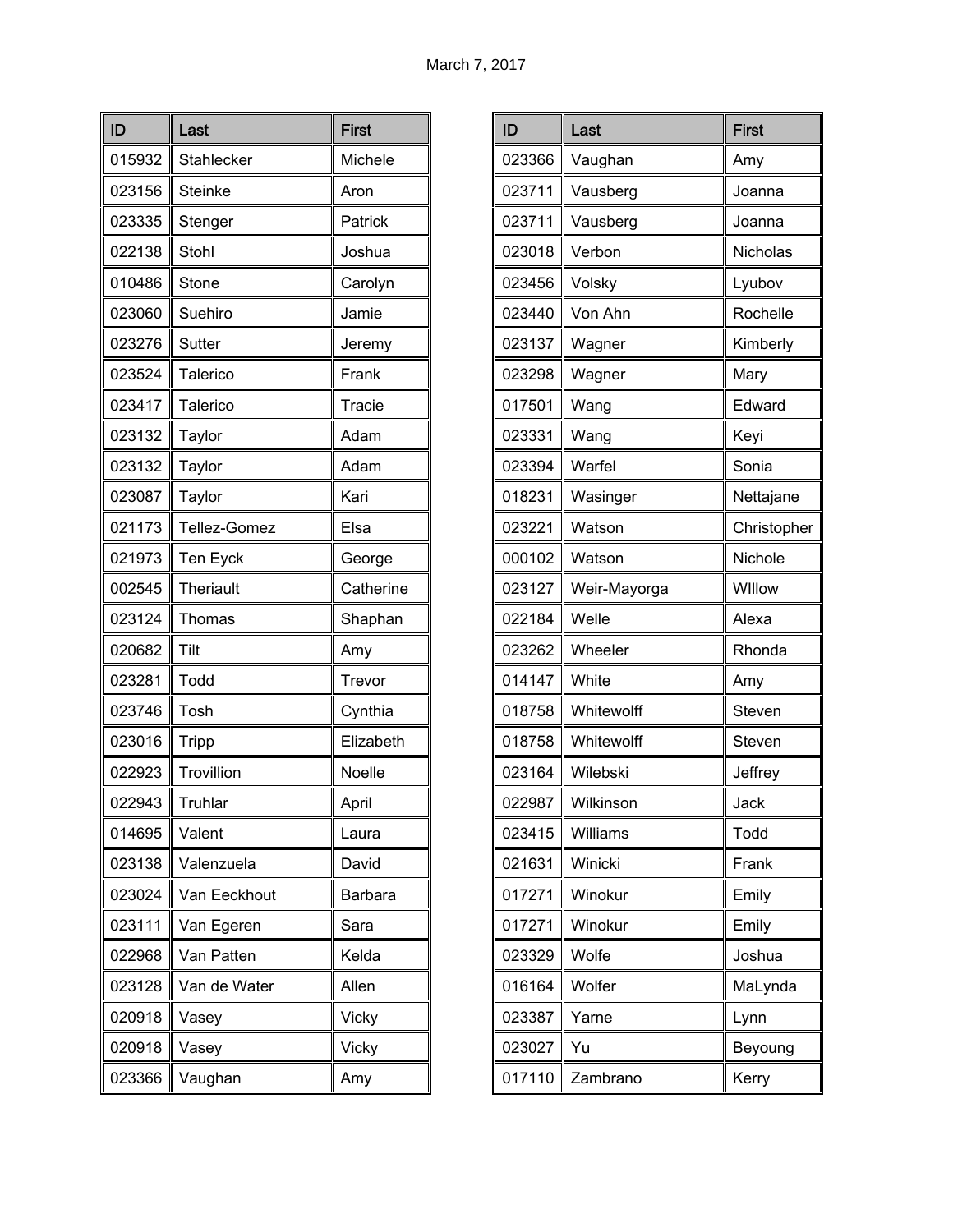| ID     | Last             | <b>First</b> |
|--------|------------------|--------------|
| 015932 | Stahlecker       | Michele      |
| 023156 | <b>Steinke</b>   | Aron         |
| 023335 | Stenger          | Patrick      |
| 022138 | Stohl            | Joshua       |
| 010486 | Stone            | Carolyn      |
| 023060 | Suehiro          | Jamie        |
| 023276 | Sutter           | Jeremy       |
| 023524 | Talerico         | Frank        |
| 023417 | Talerico         | Tracie       |
| 023132 | Taylor           | Adam         |
| 023132 | Taylor           | Adam         |
| 023087 | Taylor           | Kari         |
| 021173 | Tellez-Gomez     | Elsa         |
| 021973 | Ten Eyck         | George       |
| 002545 | <b>Theriault</b> | Catherine    |
| 023124 | Thomas           | Shaphan      |
| 020682 | Tilt             | Amy          |
| 023281 | Todd             | Trevor       |
| 023746 | Tosh             | Cynthia      |
| 023016 | Tripp            | Elizabeth    |
| 022923 | Trovillion       | Noelle       |
| 022943 | Truhlar          | April        |
| 014695 | Valent           | Laura        |
| 023138 | Valenzuela       | David        |
| 023024 | Van Eeckhout     | Barbara      |
| 023111 | Van Egeren       | Sara         |
| 022968 | Van Patten       | Kelda        |
| 023128 | Van de Water     | Allen        |
| 020918 | Vasey            | Vicky        |
| 020918 | Vasey            | Vicky        |
| 023366 | Vaughan          | Amy          |

| ID     | Last         | <b>First</b> |
|--------|--------------|--------------|
| 023366 | Vaughan      | Amy          |
| 023711 | Vausberg     | Joanna       |
| 023711 | Vausberg     | Joanna       |
| 023018 | Verbon       | Nicholas     |
| 023456 | Volsky       | Lyubov       |
| 023440 | Von Ahn      | Rochelle     |
| 023137 | Wagner       | Kimberly     |
| 023298 | Wagner       | Mary         |
| 017501 | Wang         | Edward       |
| 023331 | Wang         | Keyi         |
| 023394 | Warfel       | Sonia        |
| 018231 | Wasinger     | Nettajane    |
| 023221 | Watson       | Christopher  |
| 000102 | Watson       | Nichole      |
| 023127 | Weir-Mayorga | Willow       |
| 022184 | Welle        | Alexa        |
| 023262 | Wheeler      | Rhonda       |
| 014147 | White        | Amy          |
| 018758 | Whitewolff   | Steven       |
| 018758 | Whitewolff   | Steven       |
| 023164 | Wilebski     | Jeffrey      |
| 022987 | Wilkinson    | Jack         |
| 023415 | Williams     | Todd         |
| 021631 | Winicki      | Frank        |
| 017271 | Winokur      | Emily        |
| 017271 | Winokur      | Emily        |
| 023329 | Wolfe        | Joshua       |
| 016164 | Wolfer       | MaLynda      |
| 023387 | Yarne        | Lynn         |
| 023027 | Yu           | Beyoung      |
| 017110 | Zambrano     | Kerry        |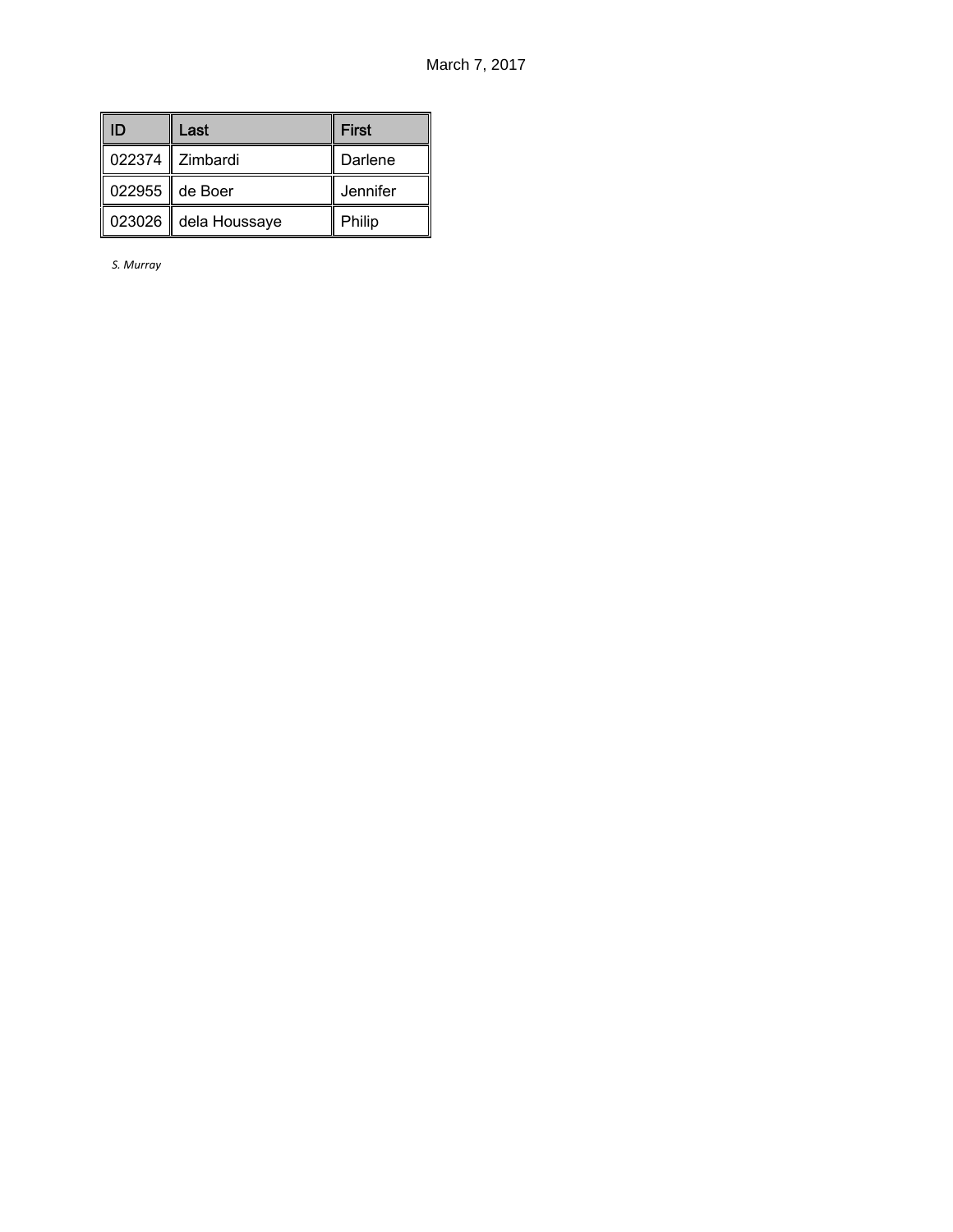| ID | Last                 | <b>First</b> |
|----|----------------------|--------------|
|    | 022374 Zimbardi      | Darlene      |
|    | 022955 de Boer       | Jennifer     |
|    | 023026 dela Houssaye | Philip       |

*S. Murray*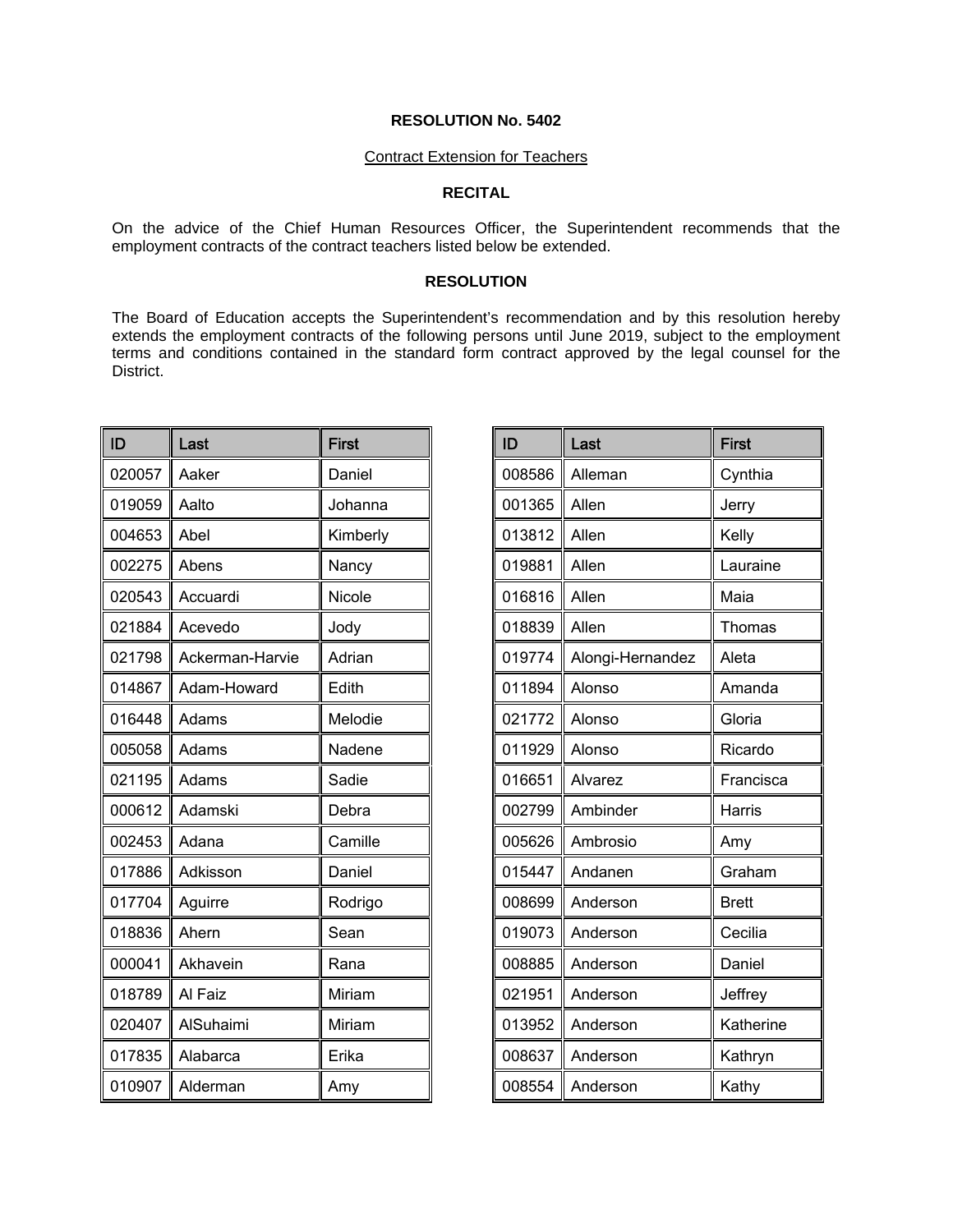#### Contract Extension for Teachers

### **RECITAL**

On the advice of the Chief Human Resources Officer, the Superintendent recommends that the employment contracts of the contract teachers listed below be extended.

### **RESOLUTION**

The Board of Education accepts the Superintendent's recommendation and by this resolution hereby extends the employment contracts of the following persons until June 2019, subject to the employment terms and conditions contained in the standard form contract approved by the legal counsel for the District.

| ID     | Last            | <b>First</b> |
|--------|-----------------|--------------|
| 020057 | Aaker           | Daniel       |
| 019059 | Aalto           | Johanna      |
| 004653 | Abel            | Kimberly     |
| 002275 | Abens           | Nancy        |
| 020543 | Accuardi        | Nicole       |
| 021884 | Acevedo         | Jody         |
| 021798 | Ackerman-Harvie | Adrian       |
| 014867 | Adam-Howard     | Edith        |
| 016448 | Adams           | Melodie      |
| 005058 | Adams           | Nadene       |
| 021195 | Adams           | Sadie        |
| 000612 | Adamski         | Debra        |
| 002453 | Adana           | Camille      |
| 017886 | Adkisson        | Daniel       |
| 017704 | Aguirre         | Rodrigo      |
| 018836 | Ahern           | Sean         |
| 000041 | Akhavein        | Rana         |
| 018789 | Al Faiz         | Miriam       |
| 020407 | AlSuhaimi       | Miriam       |
| 017835 | Alabarca        | Erika        |
| 010907 | Alderman        | Amy          |

| ID     | Last             | <b>First</b> |
|--------|------------------|--------------|
| 008586 | Alleman          | Cynthia      |
| 001365 | Allen            | Jerry        |
| 013812 | Allen            | Kelly        |
| 019881 | Allen            | Lauraine     |
| 016816 | Allen            | Maia         |
| 018839 | Allen            | Thomas       |
| 019774 | Alongi-Hernandez | Aleta        |
| 011894 | Alonso           | Amanda       |
| 021772 | Alonso           | Gloria       |
| 011929 | Alonso           | Ricardo      |
| 016651 | Alvarez          | Francisca    |
| 002799 | Ambinder         | Harris       |
| 005626 | Ambrosio         | Amy          |
| 015447 | Andanen          | Graham       |
| 008699 | Anderson         | <b>Brett</b> |
| 019073 | Anderson         | Cecilia      |
| 008885 | Anderson         | Daniel       |
| 021951 | Anderson         | Jeffrey      |
| 013952 | Anderson         | Katherine    |
| 008637 | Anderson         | Kathryn      |
| 008554 | Anderson         | Kathy        |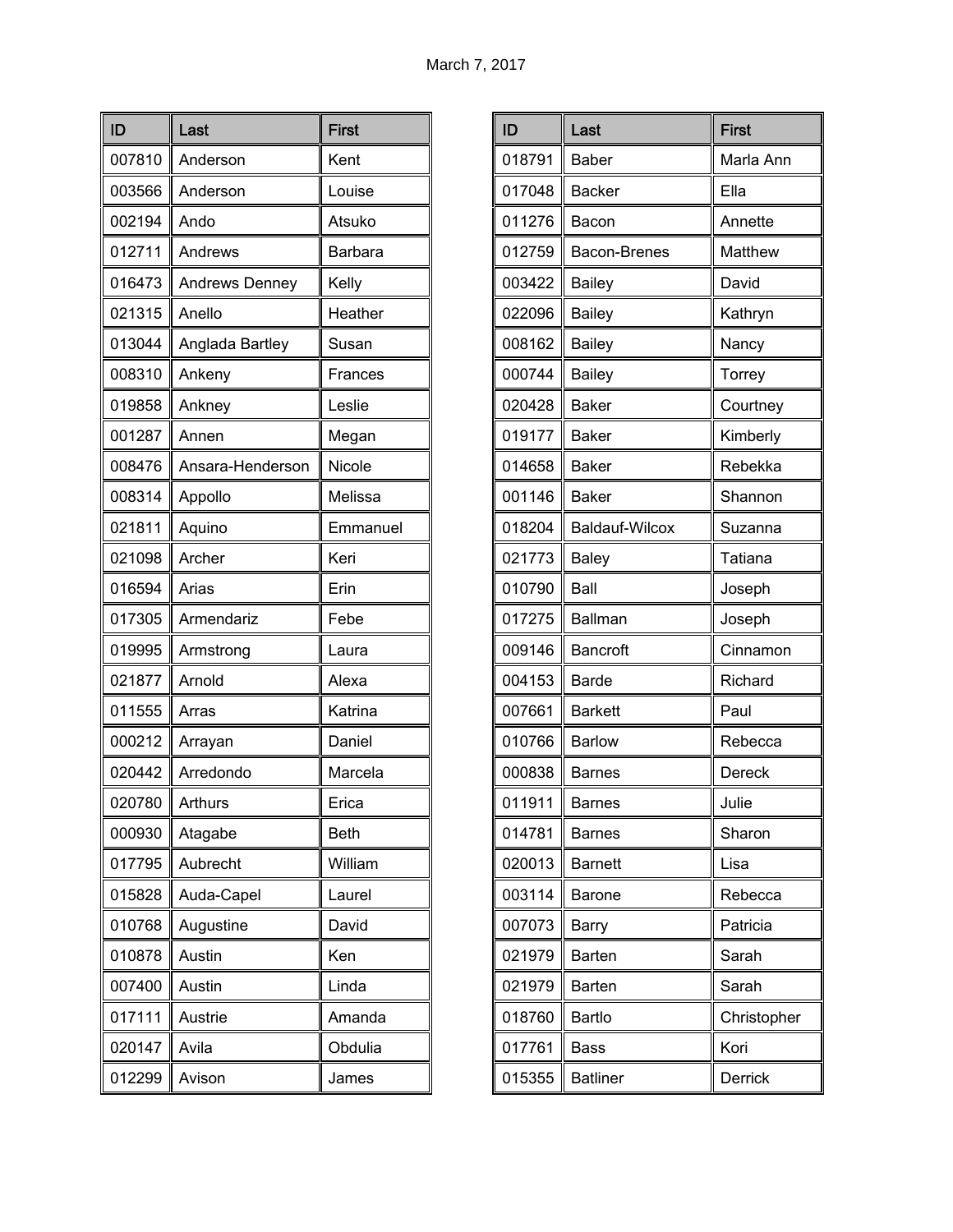| ID     | Last                  | <b>First</b> |
|--------|-----------------------|--------------|
| 007810 | Anderson              | Kent         |
| 003566 | Anderson              | Louise       |
| 002194 | Ando                  | Atsuko       |
| 012711 | Andrews               | Barbara      |
| 016473 | <b>Andrews Denney</b> | Kelly        |
| 021315 | Anello                | Heather      |
| 013044 | Anglada Bartley       | Susan        |
| 008310 | Ankeny                | Frances      |
| 019858 | Ankney                | Leslie       |
| 001287 | Annen                 | Megan        |
| 008476 | Ansara-Henderson      | Nicole       |
| 008314 | Appollo               | Melissa      |
| 021811 | Aquino                | Emmanuel     |
| 021098 | Archer                | Keri         |
| 016594 | Arias                 | Erin         |
| 017305 | Armendariz            | Febe         |
| 019995 | Armstrong             | Laura        |
| 021877 | Arnold                | Alexa        |
| 011555 | Arras                 | Katrina      |
| 000212 | Arrayan               | Daniel       |
| 020442 | Arredondo             | Marcela      |
| 020780 | Arthurs               | Erica        |
| 000930 | Atagabe               | <b>Beth</b>  |
| 017795 | Aubrecht              | William      |
| 015828 | Auda-Capel            | Laurel       |
| 010768 | Augustine             | David        |
| 010878 | Austin                | Ken          |
| 007400 | Austin                | Linda        |
| 017111 | Austrie               | Amanda       |
| 020147 | Avila                 | Obdulia      |
| 012299 | Avison                | James        |

| ID     | Last                  | <b>First</b>  |
|--------|-----------------------|---------------|
| 018791 | <b>Baber</b>          | Marla Ann     |
| 017048 | <b>Backer</b>         | Ella          |
| 011276 | Bacon                 | Annette       |
| 012759 | Bacon-Brenes          | Matthew       |
| 003422 | <b>Bailey</b>         | David         |
| 022096 | <b>Bailey</b>         | Kathryn       |
| 008162 | <b>Bailey</b>         | Nancy         |
| 000744 | <b>Bailey</b>         | <b>Torrey</b> |
| 020428 | <b>Baker</b>          | Courtney      |
| 019177 | <b>Baker</b>          | Kimberly      |
| 014658 | <b>Baker</b>          | Rebekka       |
| 001146 | <b>Baker</b>          | Shannon       |
| 018204 | <b>Baldauf-Wilcox</b> | Suzanna       |
| 021773 | <b>Baley</b>          | Tatiana       |
| 010790 | Ball                  | Joseph        |
| 017275 | <b>Ballman</b>        | Joseph        |
| 009146 | <b>Bancroft</b>       | Cinnamon      |
| 004153 | <b>Barde</b>          | Richard       |
| 007661 | <b>Barkett</b>        | Paul          |
| 010766 | <b>Barlow</b>         | Rebecca       |
| 000838 | <b>Barnes</b>         | Dereck        |
| 011911 | Barnes                | Julie         |
| 014781 | <b>Barnes</b>         | Sharon        |
| 020013 | <b>Barnett</b>        | Lisa          |
| 003114 | <b>Barone</b>         | Rebecca       |
| 007073 | Barry                 | Patricia      |
| 021979 | <b>Barten</b>         | Sarah         |
| 021979 | <b>Barten</b>         | Sarah         |
| 018760 | Bartlo                | Christopher   |
| 017761 | <b>Bass</b>           | Kori          |
| 015355 | <b>Batliner</b>       | Derrick       |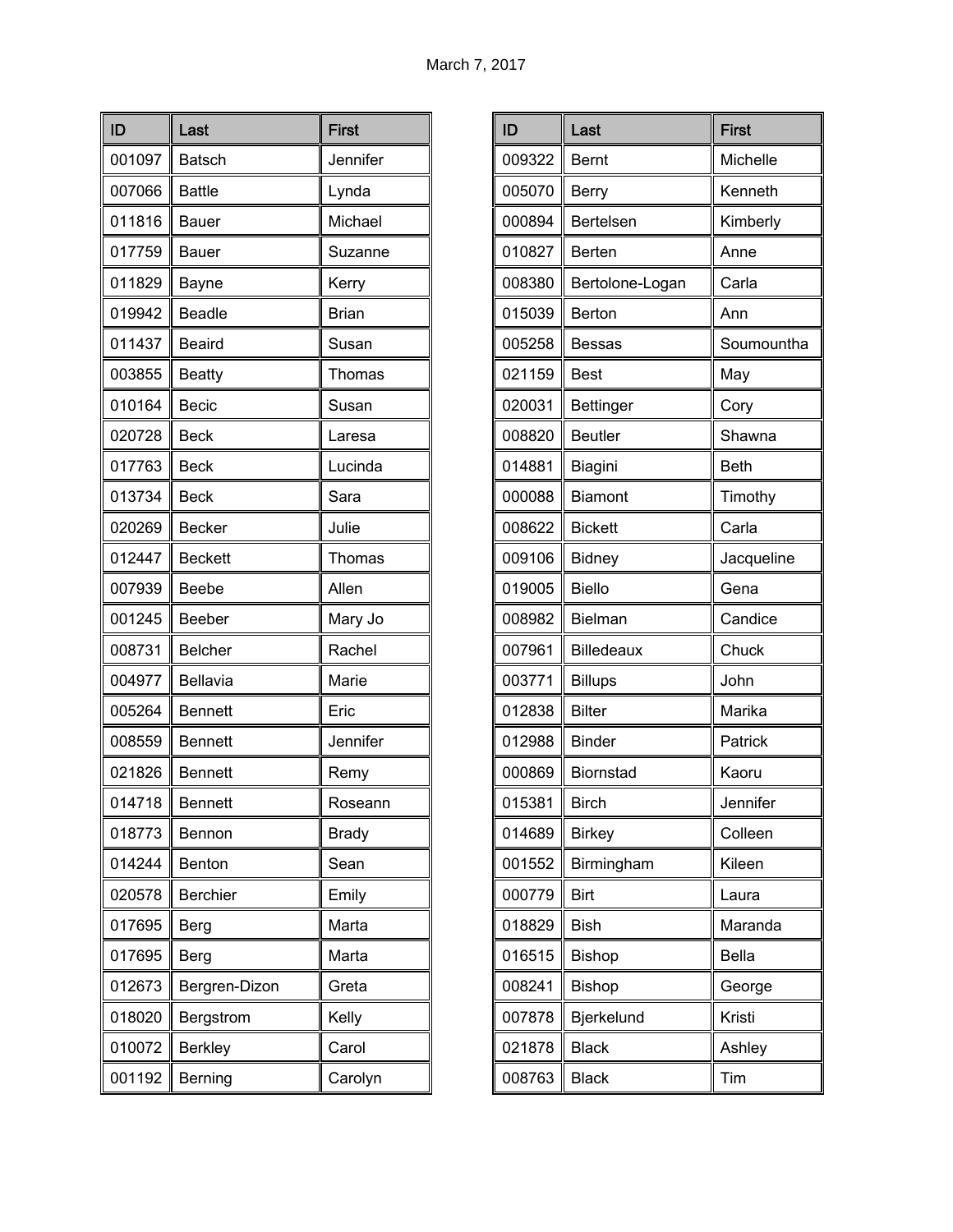| ID     | Last            | <b>First</b> |
|--------|-----------------|--------------|
| 001097 | <b>Batsch</b>   | Jennifer     |
| 007066 | <b>Battle</b>   | Lynda        |
| 011816 | <b>Bauer</b>    | Michael      |
| 017759 | Bauer           | Suzanne      |
| 011829 | Bayne           | Kerry        |
| 019942 | <b>Beadle</b>   | <b>Brian</b> |
| 011437 | <b>Beaird</b>   | Susan        |
| 003855 | <b>Beatty</b>   | Thomas       |
| 010164 | <b>Becic</b>    | Susan        |
| 020728 | <b>Beck</b>     | Laresa       |
| 017763 | <b>Beck</b>     | Lucinda      |
| 013734 | <b>Beck</b>     | Sara         |
| 020269 | <b>Becker</b>   | Julie        |
| 012447 | <b>Beckett</b>  | Thomas       |
| 007939 | Beebe           | Allen        |
| 001245 | Beeber          | Mary Jo      |
| 008731 | <b>Belcher</b>  | Rachel       |
| 004977 | Bellavia        | Marie        |
| 005264 | <b>Bennett</b>  | Eric         |
| 008559 | <b>Bennett</b>  | Jennifer     |
| 021826 | <b>Bennett</b>  | Remy         |
| 014718 | Bennett         | Roseann      |
| 018773 | Bennon          | <b>Brady</b> |
| 014244 | Benton          | Sean         |
| 020578 | <b>Berchier</b> | Emily        |
| 017695 | Berg            | Marta        |
| 017695 | Berg            | Marta        |
| 012673 | Bergren-Dizon   | Greta        |
| 018020 | Bergstrom       | Kelly        |
| 010072 | <b>Berkley</b>  | Carol        |
| 001192 | Berning         | Carolyn      |

| ID     | Last              | <b>First</b> |
|--------|-------------------|--------------|
| 009322 | <b>Bernt</b>      | Michelle     |
| 005070 | <b>Berry</b>      | Kenneth      |
| 000894 | Bertelsen         | Kimberly     |
| 010827 | Berten            | Anne         |
| 008380 | Bertolone-Logan   | Carla        |
| 015039 | Berton            | Ann          |
| 005258 | Bessas            | Soumountha   |
| 021159 | <b>Best</b>       | May          |
| 020031 | <b>Bettinger</b>  | Cory         |
| 008820 | <b>Beutler</b>    | Shawna       |
| 014881 | Biagini           | <b>Beth</b>  |
| 000088 | <b>Biamont</b>    | Timothy      |
| 008622 | <b>Bickett</b>    | Carla        |
| 009106 | <b>Bidney</b>     | Jacqueline   |
| 019005 | <b>Biello</b>     | Gena         |
| 008982 | Bielman           | Candice      |
| 007961 | <b>Billedeaux</b> | Chuck        |
| 003771 | <b>Billups</b>    | John         |
| 012838 | <b>Bilter</b>     | Marika       |
| 012988 | <b>Binder</b>     | Patrick      |
| 000869 | <b>Biornstad</b>  | Kaoru        |
| 015381 | Birch             | Jennifer     |
| 014689 | <b>Birkey</b>     | Colleen      |
| 001552 | Birmingham        | Kileen       |
| 000779 | <b>Birt</b>       | Laura        |
| 018829 | <b>Bish</b>       | Maranda      |
| 016515 | <b>Bishop</b>     | <b>Bella</b> |
| 008241 | <b>Bishop</b>     | George       |
| 007878 | Bjerkelund        | Kristi       |
| 021878 | <b>Black</b>      | Ashley       |
| 008763 | <b>Black</b>      | Tim          |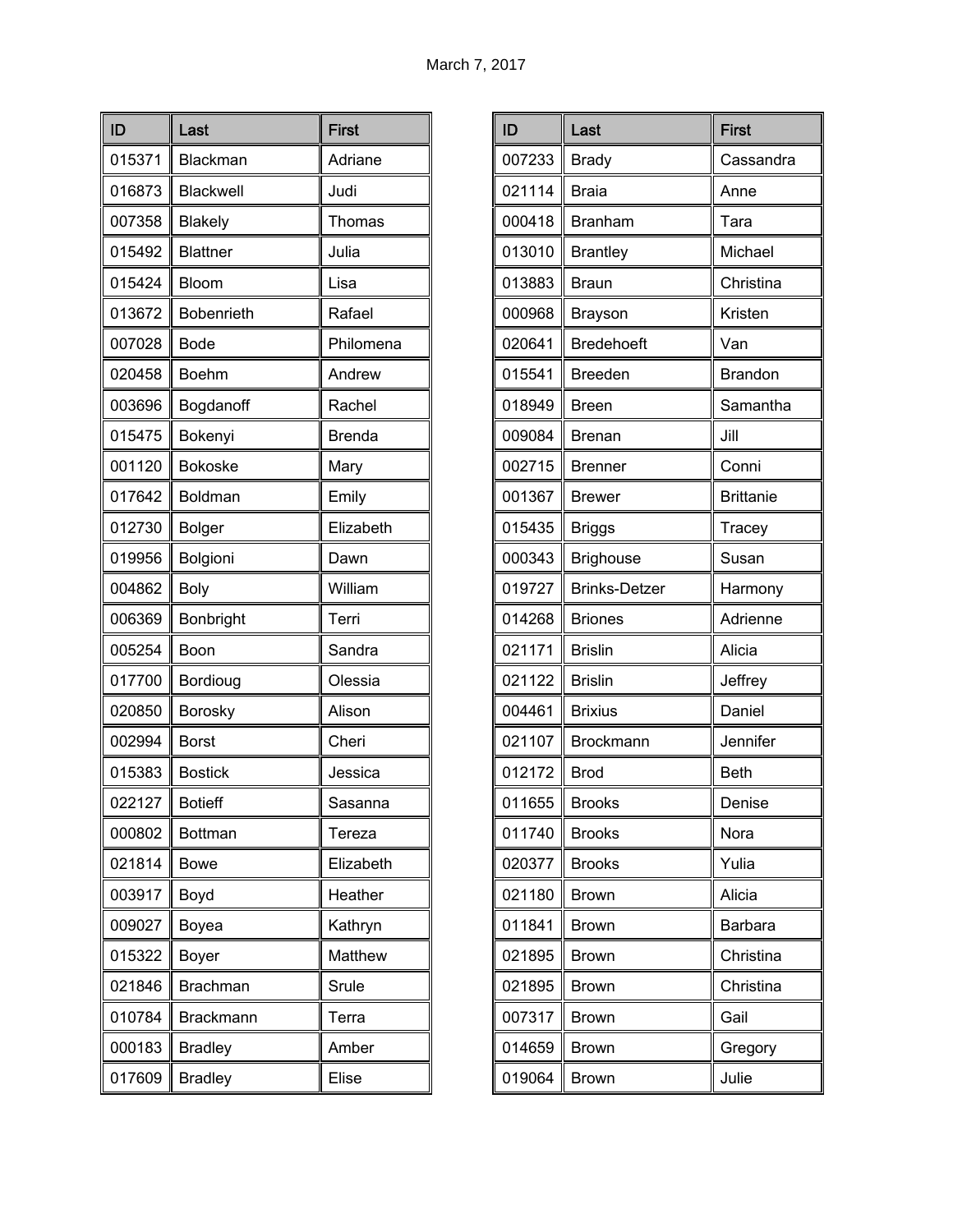| ID     | Last              | <b>First</b>  |
|--------|-------------------|---------------|
| 015371 | Blackman          | Adriane       |
| 016873 | Blackwell         | Judi          |
| 007358 | <b>Blakely</b>    | Thomas        |
| 015492 | <b>Blattner</b>   | Julia         |
| 015424 | Bloom             | Lisa          |
| 013672 | <b>Bobenrieth</b> | Rafael        |
| 007028 | Bode              | Philomena     |
| 020458 | <b>Boehm</b>      | Andrew        |
| 003696 | Bogdanoff         | Rachel        |
| 015475 | Bokenyi           | <b>Brenda</b> |
| 001120 | <b>Bokoske</b>    | Mary          |
| 017642 | Boldman           | Emily         |
| 012730 | <b>Bolger</b>     | Elizabeth     |
| 019956 | Bolgioni          | Dawn          |
| 004862 | <b>Boly</b>       | William       |
| 006369 | Bonbright         | Terri         |
| 005254 | Boon              | Sandra        |
| 017700 | Bordioug          | Olessia       |
| 020850 | Borosky           | Alison        |
| 002994 | <b>Borst</b>      | Cheri         |
| 015383 | <b>Bostick</b>    | Jessica       |
| 022127 | Botieff           | Sasanna       |
| 000802 | <b>Bottman</b>    | Tereza        |
| 021814 | <b>Bowe</b>       | Elizabeth     |
| 003917 | Boyd              | Heather       |
| 009027 | Boyea             | Kathryn       |
| 015322 | <b>Boyer</b>      | Matthew       |
| 021846 | <b>Brachman</b>   | Srule         |
| 010784 | <b>Brackmann</b>  | Terra         |
| 000183 | <b>Bradley</b>    | Amber         |
| 017609 | <b>Bradley</b>    | Elise         |

| ID     | Last                 | <b>First</b>     |
|--------|----------------------|------------------|
| 007233 | <b>Brady</b>         | Cassandra        |
| 021114 | <b>Braia</b>         | Anne             |
| 000418 | <b>Branham</b>       | Tara             |
| 013010 | <b>Brantley</b>      | Michael          |
| 013883 | <b>Braun</b>         | Christina        |
| 000968 | Brayson              | Kristen          |
| 020641 | <b>Bredehoeft</b>    | Van              |
| 015541 | <b>Breeden</b>       | <b>Brandon</b>   |
| 018949 | <b>Breen</b>         | Samantha         |
| 009084 | <b>Brenan</b>        | Jill             |
| 002715 | <b>Brenner</b>       | Conni            |
| 001367 | <b>Brewer</b>        | <b>Brittanie</b> |
| 015435 | <b>Briggs</b>        | Tracey           |
| 000343 | <b>Brighouse</b>     | Susan            |
| 019727 | <b>Brinks-Detzer</b> | Harmony          |
| 014268 | <b>Briones</b>       | Adrienne         |
| 021171 | <b>Brislin</b>       | Alicia           |
| 021122 | <b>Brislin</b>       | Jeffrey          |
| 004461 | <b>Brixius</b>       | Daniel           |
| 021107 | Brockmann            | Jennifer         |
| 012172 | <b>Brod</b>          | <b>Beth</b>      |
| 011655 | <b>Brooks</b>        | Denise           |
| 011740 | <b>Brooks</b>        | Nora             |
| 020377 | <b>Brooks</b>        | Yulia            |
| 021180 | <b>Brown</b>         | Alicia           |
| 011841 | <b>Brown</b>         | Barbara          |
| 021895 | <b>Brown</b>         | Christina        |
| 021895 | <b>Brown</b>         | Christina        |
| 007317 | <b>Brown</b>         | Gail             |
| 014659 | <b>Brown</b>         | Gregory          |
| 019064 | <b>Brown</b>         | Julie            |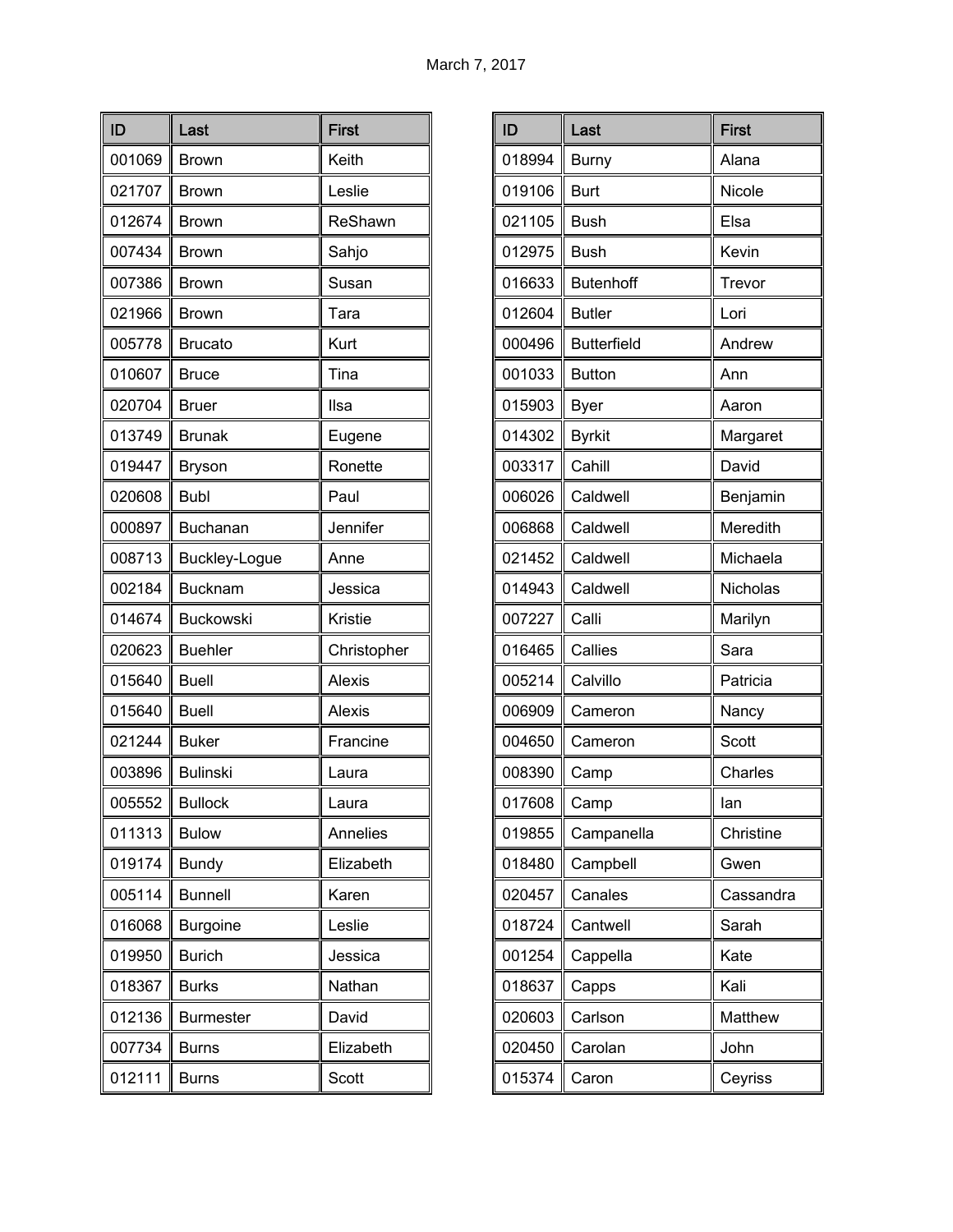| ID     | Last             | <b>First</b>  |
|--------|------------------|---------------|
| 001069 | <b>Brown</b>     | Keith         |
| 021707 | <b>Brown</b>     | Leslie        |
| 012674 | <b>Brown</b>     | ReShawn       |
| 007434 | <b>Brown</b>     | Sahjo         |
| 007386 | <b>Brown</b>     | Susan         |
| 021966 | <b>Brown</b>     | Tara          |
| 005778 | <b>Brucato</b>   | Kurt          |
| 010607 | <b>Bruce</b>     | Tina          |
| 020704 | <b>Bruer</b>     | Ilsa          |
| 013749 | <b>Brunak</b>    | Eugene        |
| 019447 | <b>Bryson</b>    | Ronette       |
| 020608 | <b>Bubl</b>      | Paul          |
| 000897 | Buchanan         | Jennifer      |
| 008713 | Buckley-Logue    | Anne          |
| 002184 | <b>Bucknam</b>   | Jessica       |
| 014674 | <b>Buckowski</b> | Kristie       |
| 020623 | <b>Buehler</b>   | Christopher   |
| 015640 | <b>Buell</b>     | Alexis        |
| 015640 | <b>Buell</b>     | <b>Alexis</b> |
| 021244 | <b>Buker</b>     | Francine      |
| 003896 | <b>Bulinski</b>  | Laura         |
| 005552 | Bullock          | Laura         |
| 011313 | <b>Bulow</b>     | Annelies      |
| 019174 | <b>Bundy</b>     | Elizabeth     |
| 005114 | <b>Bunnell</b>   | Karen         |
| 016068 | <b>Burgoine</b>  | Leslie        |
| 019950 | <b>Burich</b>    | Jessica       |
| 018367 | <b>Burks</b>     | Nathan        |
| 012136 | <b>Burmester</b> | David         |
| 007734 | <b>Burns</b>     | Elizabeth     |
| 012111 | <b>Burns</b>     | Scott         |

| ID     | Last               | <b>First</b> |
|--------|--------------------|--------------|
| 018994 | <b>Burny</b>       | Alana        |
| 019106 | <b>Burt</b>        | Nicole       |
| 021105 | <b>Bush</b>        | Elsa         |
| 012975 | <b>Bush</b>        | Kevin        |
| 016633 | <b>Butenhoff</b>   | Trevor       |
| 012604 | <b>Butler</b>      | Lori         |
| 000496 | <b>Butterfield</b> | Andrew       |
| 001033 | <b>Button</b>      | Ann          |
| 015903 | <b>Byer</b>        | Aaron        |
| 014302 | <b>Byrkit</b>      | Margaret     |
| 003317 | Cahill             | David        |
| 006026 | Caldwell           | Benjamin     |
| 006868 | Caldwell           | Meredith     |
| 021452 | Caldwell           | Michaela     |
| 014943 | Caldwell           | Nicholas     |
| 007227 | Calli              | Marilyn      |
| 016465 | Callies            | Sara         |
| 005214 | Calvillo           | Patricia     |
| 006909 | Cameron            | Nancy        |
| 004650 | Cameron            | <b>Scott</b> |
| 008390 | Camp               | Charles      |
| 017608 | Camp               | lan          |
| 019855 | Campanella         | Christine    |
| 018480 | Campbell           | Gwen         |
| 020457 | Canales            | Cassandra    |
| 018724 | Cantwell           | Sarah        |
| 001254 | Cappella           | Kate         |
| 018637 | Capps              | Kali         |
| 020603 | Carlson            | Matthew      |
| 020450 | Carolan            | John         |
| 015374 | Caron              | Ceyriss      |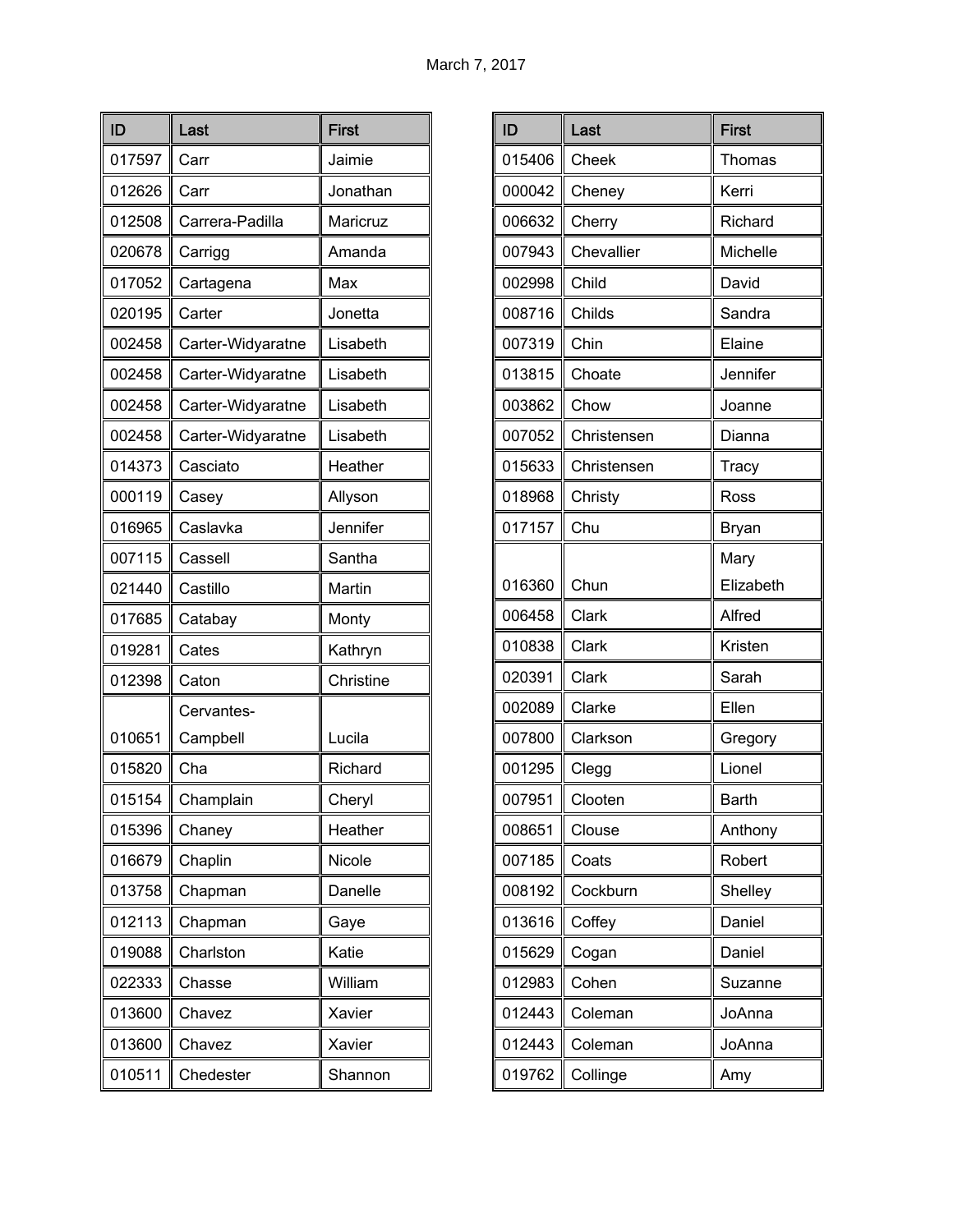| ID     | Last              | <b>First</b> |
|--------|-------------------|--------------|
| 017597 | Carr              | Jaimie       |
| 012626 | Carr              | Jonathan     |
| 012508 | Carrera-Padilla   | Maricruz     |
| 020678 | Carrigg           | Amanda       |
| 017052 | Cartagena         | Max          |
| 020195 | Carter            | Jonetta      |
| 002458 | Carter-Widyaratne | Lisabeth     |
| 002458 | Carter-Widyaratne | Lisabeth     |
| 002458 | Carter-Widyaratne | Lisabeth     |
| 002458 | Carter-Widyaratne | Lisabeth     |
| 014373 | Casciato          | Heather      |
| 000119 | Casey             | Allyson      |
| 016965 | Caslavka          | Jennifer     |
| 007115 | Cassell           | Santha       |
| 021440 | Castillo          | Martin       |
| 017685 | Catabay           | Monty        |
| 019281 | Cates             | Kathryn      |
| 012398 | Caton             | Christine    |
|        | Cervantes-        |              |
| 010651 | Campbell          | Lucila       |
| 015820 | Cha               | Richard      |
| 015154 | Champlain         | Cheryl       |
| 015396 | Chaney            | Heather      |
| 016679 | Chaplin           | Nicole       |
| 013758 | Chapman           | Danelle      |
| 012113 | Chapman           | Gaye         |
| 019088 | Charlston         | Katie        |
| 022333 | Chasse            | William      |
| 013600 | Chavez            | Xavier       |
| 013600 | Chavez            | Xavier       |
| 010511 | Chedester         | Shannon      |

| ID     | Last        | <b>First</b> |
|--------|-------------|--------------|
| 015406 | Cheek       | Thomas       |
| 000042 | Cheney      | Kerri        |
| 006632 | Cherry      | Richard      |
| 007943 | Chevallier  | Michelle     |
| 002998 | Child       | David        |
| 008716 | Childs      | Sandra       |
| 007319 | Chin        | Elaine       |
| 013815 | Choate      | Jennifer     |
| 003862 | Chow        | Joanne       |
| 007052 | Christensen | Dianna       |
| 015633 | Christensen | Tracy        |
| 018968 | Christy     | Ross         |
| 017157 | Chu         | <b>Bryan</b> |
|        |             | Mary         |
| 016360 | Chun        | Elizabeth    |
| 006458 | Clark       | Alfred       |
| 010838 | Clark       | Kristen      |
| 020391 | Clark       | Sarah        |
| 002089 | Clarke      | Ellen        |
| 007800 | Clarkson    | Gregory      |
| 001295 | Clegg       | Lionel       |
| 007951 | Clooten     | Barth        |
| 008651 | Clouse      | Anthony      |
| 007185 | Coats       | Robert       |
| 008192 | Cockburn    | Shelley      |
| 013616 | Coffey      | Daniel       |
| 015629 | Cogan       | Daniel       |
| 012983 | Cohen       | Suzanne      |
| 012443 | Coleman     | JoAnna       |
| 012443 | Coleman     | JoAnna       |
| 019762 | Collinge    | Amy          |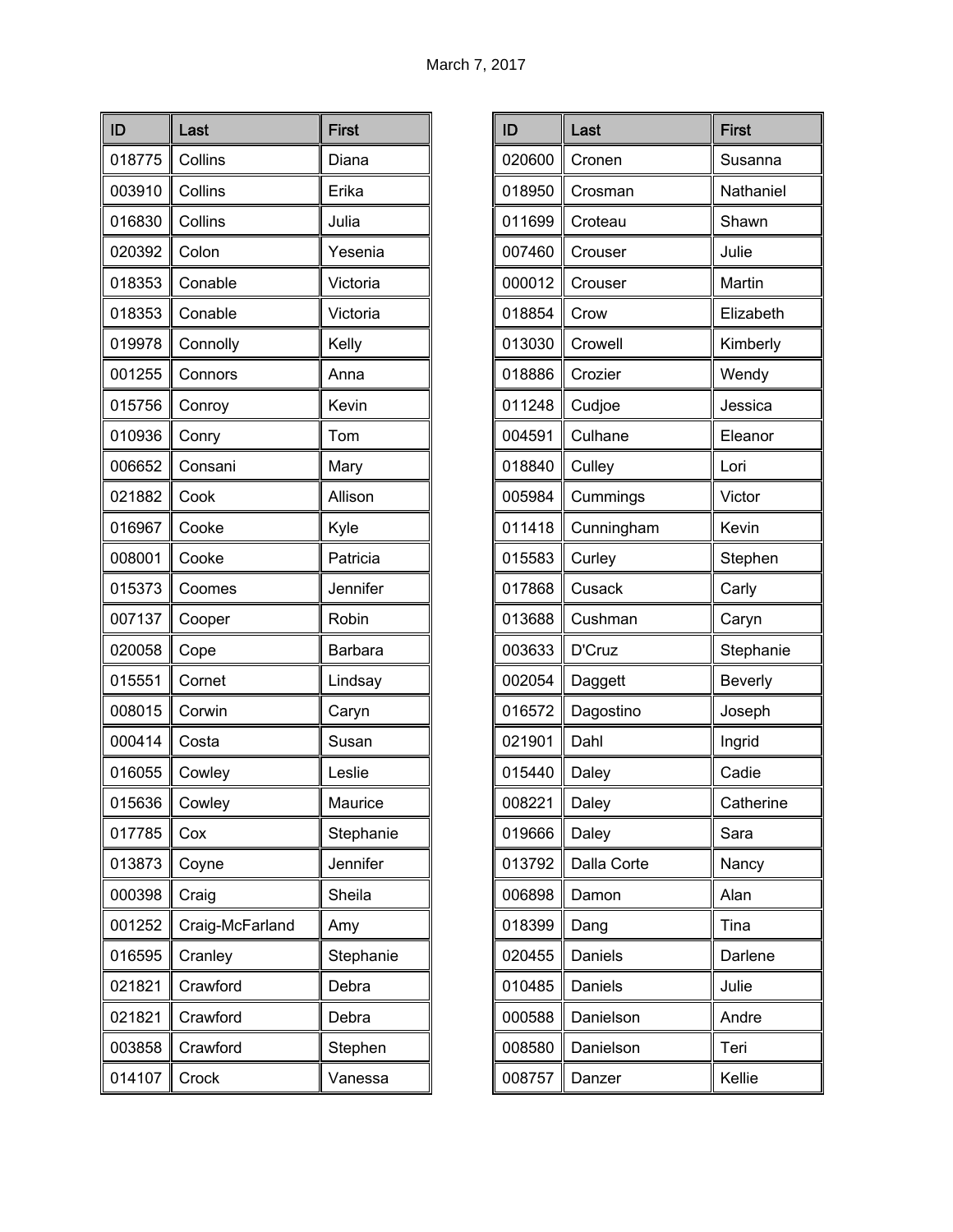| ID     | Last            | <b>First</b>   |
|--------|-----------------|----------------|
| 018775 | Collins         | Diana          |
| 003910 | Collins         | Erika          |
| 016830 | Collins         | Julia          |
| 020392 | Colon           | Yesenia        |
| 018353 | Conable         | Victoria       |
| 018353 | Conable         | Victoria       |
| 019978 | Connolly        | Kelly          |
| 001255 | Connors         | Anna           |
| 015756 | Conroy          | Kevin          |
| 010936 | Conry           | Tom            |
| 006652 | Consani         | Mary           |
| 021882 | Cook            | Allison        |
| 016967 | Cooke           | Kyle           |
| 008001 | Cooke           | Patricia       |
| 015373 | Coomes          | Jennifer       |
| 007137 | Cooper          | Robin          |
| 020058 | Cope            | <b>Barbara</b> |
| 015551 | Cornet          | Lindsay        |
| 008015 | Corwin          | Caryn          |
| 000414 | Costa           | Susan          |
| 016055 | Cowley          | Leslie         |
| 015636 | Cowley          | Maurice        |
| 017785 | Cox             | Stephanie      |
| 013873 | Coyne           | Jennifer       |
| 000398 | Craig           | Sheila         |
| 001252 | Craig-McFarland | Amy            |
| 016595 | Cranley         | Stephanie      |
| 021821 | Crawford        | Debra          |
| 021821 | Crawford        | Debra          |
| 003858 | Crawford        | Stephen        |
| 014107 | Crock           | Vanessa        |

| ID     | Last        | <b>First</b>   |
|--------|-------------|----------------|
| 020600 | Cronen      | Susanna        |
| 018950 | Crosman     | Nathaniel      |
| 011699 | Croteau     | Shawn          |
| 007460 | Crouser     | Julie          |
| 000012 | Crouser     | Martin         |
| 018854 | Crow        | Elizabeth      |
| 013030 | Crowell     | Kimberly       |
| 018886 | Crozier     | Wendy          |
| 011248 | Cudjoe      | Jessica        |
| 004591 | Culhane     | Eleanor        |
| 018840 | Culley      | Lori           |
| 005984 | Cummings    | Victor         |
| 011418 | Cunningham  | Kevin          |
| 015583 | Curley      | Stephen        |
| 017868 | Cusack      | Carly          |
| 013688 | Cushman     | Caryn          |
| 003633 | D'Cruz      | Stephanie      |
| 002054 | Daggett     | <b>Beverly</b> |
| 016572 | Dagostino   | Joseph         |
| 021901 | Dahl        | Ingrid         |
| 015440 | Daley       | Cadie          |
| 008221 | Daley       | Catherine      |
| 019666 | Daley       | Sara           |
| 013792 | Dalla Corte | Nancy          |
| 006898 | Damon       | Alan           |
| 018399 | Dang        | Tina           |
| 020455 | Daniels     | Darlene        |
| 010485 | Daniels     | Julie          |
| 000588 | Danielson   | Andre          |
| 008580 | Danielson   | Teri           |
| 008757 | Danzer      | Kellie         |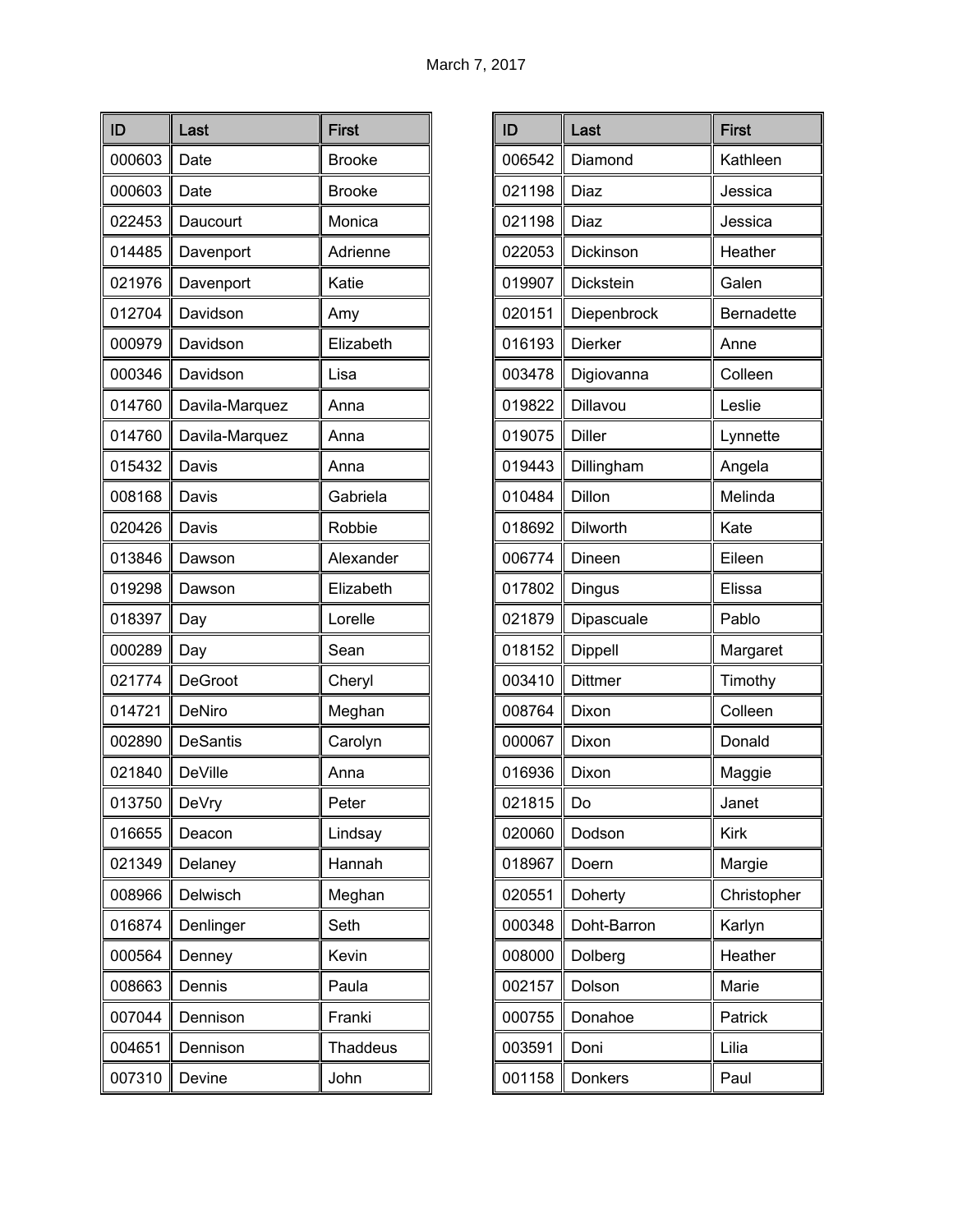| ID     | Last            | <b>First</b>    |
|--------|-----------------|-----------------|
| 000603 | Date            | <b>Brooke</b>   |
| 000603 | Date            | <b>Brooke</b>   |
| 022453 | Daucourt        | Monica          |
| 014485 | Davenport       | Adrienne        |
| 021976 | Davenport       | Katie           |
| 012704 | Davidson        | Amy             |
| 000979 | Davidson        | Elizabeth       |
| 000346 | Davidson        | Lisa            |
| 014760 | Davila-Marquez  | Anna            |
| 014760 | Davila-Marquez  | Anna            |
| 015432 | Davis           | Anna            |
| 008168 | Davis           | Gabriela        |
| 020426 | Davis           | Robbie          |
| 013846 | Dawson          | Alexander       |
| 019298 | Dawson          | Elizabeth       |
| 018397 | Day             | Lorelle         |
| 000289 | Day             | Sean            |
| 021774 | DeGroot         | Cheryl          |
| 014721 | DeNiro          | Meghan          |
| 002890 | <b>DeSantis</b> | Carolyn         |
| 021840 | DeVille         | Anna            |
| 013750 | DeVry           | Peter           |
| 016655 | Deacon          | Lindsay         |
| 021349 | Delaney         | Hannah          |
| 008966 | Delwisch        | Meghan          |
| 016874 | Denlinger       | Seth            |
| 000564 | Denney          | Kevin           |
| 008663 | Dennis          | Paula           |
| 007044 | Dennison        | Franki          |
| 004651 | Dennison        | <b>Thaddeus</b> |
| 007310 | Devine          | John            |

| ID     | Last          | <b>First</b>      |
|--------|---------------|-------------------|
| 006542 | Diamond       | Kathleen          |
| 021198 | Diaz          | Jessica           |
| 021198 | Diaz          | Jessica           |
| 022053 | Dickinson     | Heather           |
| 019907 | Dickstein     | Galen             |
| 020151 | Diepenbrock   | <b>Bernadette</b> |
| 016193 | Dierker       | Anne              |
| 003478 | Digiovanna    | Colleen           |
| 019822 | Dillavou      | Leslie            |
| 019075 | <b>Diller</b> | Lynnette          |
| 019443 | Dillingham    | Angela            |
| 010484 | Dillon        | Melinda           |
| 018692 | Dilworth      | Kate              |
| 006774 | Dineen        | Eileen            |
| 017802 | Dingus        | Elissa            |
| 021879 | Dipascuale    | Pablo             |
| 018152 | Dippell       | Margaret          |
| 003410 | Dittmer       | Timothy           |
| 008764 | Dixon         | Colleen           |
| 000067 | Dixon         | Donald            |
| 016936 | Dixon         | Maggie            |
| 021815 | Do            | Janet             |
| 020060 | Dodson        | <b>Kirk</b>       |
| 018967 | Doern         | Margie            |
| 020551 | Doherty       | Christopher       |
| 000348 | Doht-Barron   | Karlyn            |
| 008000 | Dolberg       | Heather           |
| 002157 | Dolson        | Marie             |
| 000755 | Donahoe       | Patrick           |
| 003591 | Doni          | Lilia             |
| 001158 | Donkers       | Paul              |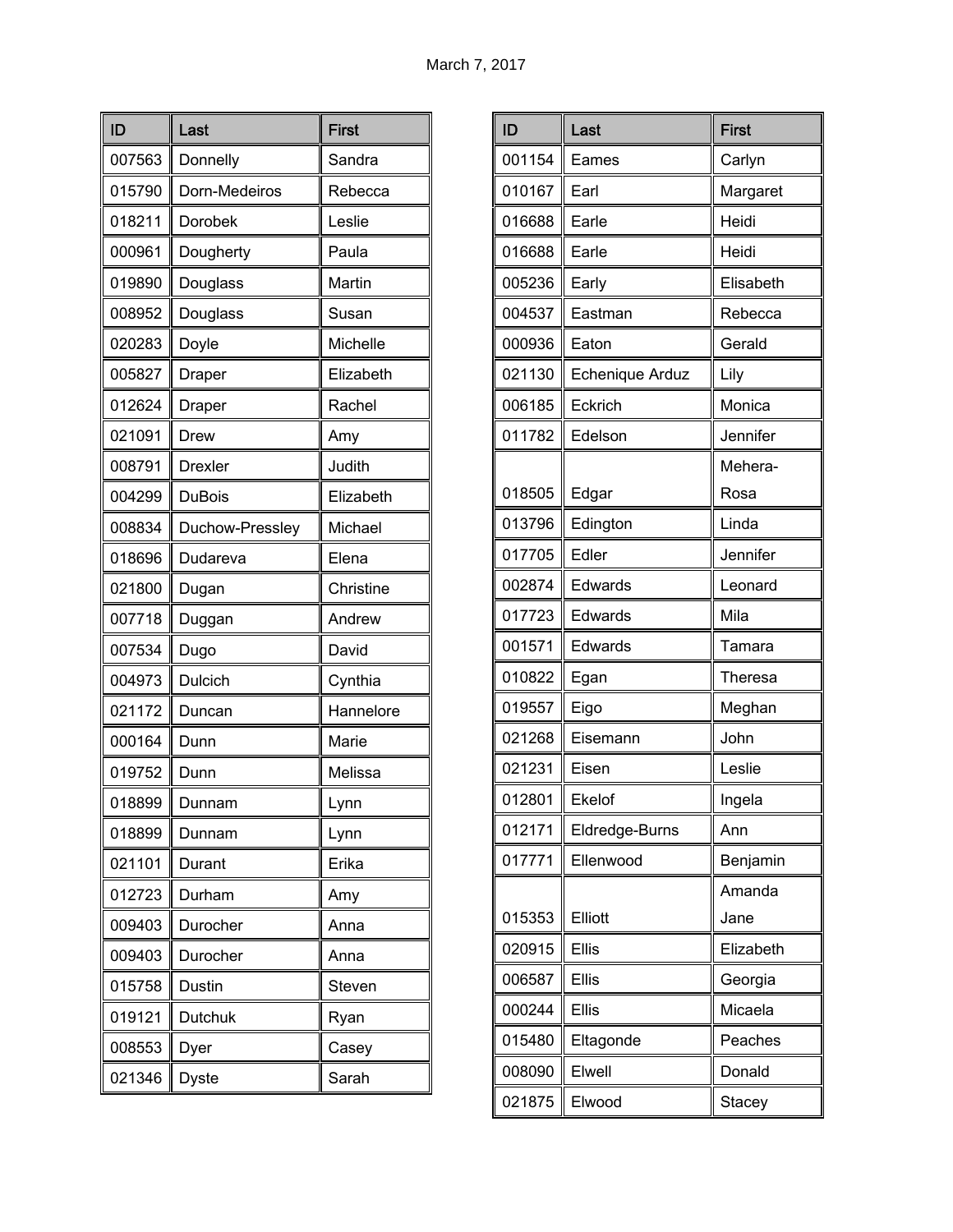| ID     | Last            | <b>First</b> |
|--------|-----------------|--------------|
| 007563 | Donnelly        | Sandra       |
| 015790 | Dorn-Medeiros   | Rebecca      |
| 018211 | <b>Dorobek</b>  | Leslie       |
| 000961 | Dougherty       | Paula        |
| 019890 | Douglass        | Martin       |
| 008952 | Douglass        | Susan        |
| 020283 | Doyle           | Michelle     |
| 005827 | Draper          | Elizabeth    |
| 012624 | Draper          | Rachel       |
| 021091 | Drew            | Amy          |
| 008791 | <b>Drexler</b>  | Judith       |
| 004299 | <b>DuBois</b>   | Elizabeth    |
| 008834 | Duchow-Pressley | Michael      |
| 018696 | Dudareva        | Elena        |
| 021800 | Dugan           | Christine    |
| 007718 | Duggan          | Andrew       |
| 007534 | Dugo            | David        |
| 004973 | Dulcich         | Cynthia      |
| 021172 | Duncan          | Hannelore    |
| 000164 | Dunn            | Marie        |
| 019752 | Dunn            | Melissa      |
| 018899 | Dunnam          | Lynn         |
| 018899 | Dunnam          | Lynn         |
| 021101 | Durant          | Erika        |
| 012723 | Durham          | Amy          |
| 009403 | Durocher        | Anna         |
| 009403 | Durocher        | Anna         |
| 015758 | Dustin          | Steven       |
| 019121 | Dutchuk         | Ryan         |
| 008553 | Dyer            | Casey        |
| 021346 | <b>Dyste</b>    | Sarah        |

| ID     | Last            | <b>First</b>  |
|--------|-----------------|---------------|
| 001154 | Eames           | Carlyn        |
| 010167 | Earl            | Margaret      |
| 016688 | Earle           | Heidi         |
| 016688 | Earle           | Heidi         |
| 005236 | Early           | Elisabeth     |
| 004537 | Eastman         | Rebecca       |
| 000936 | Eaton           | Gerald        |
| 021130 | Echenique Arduz | Lily          |
| 006185 | Eckrich         | Monica        |
| 011782 | Edelson         | Jennifer      |
|        |                 | Mehera-       |
| 018505 | Edgar           | Rosa          |
| 013796 | Edington        | Linda         |
| 017705 | Edler           | Jennifer      |
| 002874 | Edwards         | Leonard       |
| 017723 | Edwards         | Mila          |
| 001571 | Edwards         | Tamara        |
| 010822 | Egan            | Theresa       |
| 019557 | Eigo            | Meghan        |
| 021268 | Eisemann        | John          |
| 021231 | Eisen           | Leslie        |
| 012801 | Ekelof          | Ingela        |
| 012171 | Eldredge-Burns  | Ann           |
| 017771 | Ellenwood       | Benjamin      |
|        |                 | Amanda        |
| 015353 | Elliott         | Jane          |
| 020915 | <b>Ellis</b>    | Elizabeth     |
| 006587 | <b>Ellis</b>    | Georgia       |
| 000244 | Ellis           | Micaela       |
| 015480 | Eltagonde       | Peaches       |
| 008090 | Elwell          | Donald        |
| 021875 | Elwood          | <b>Stacey</b> |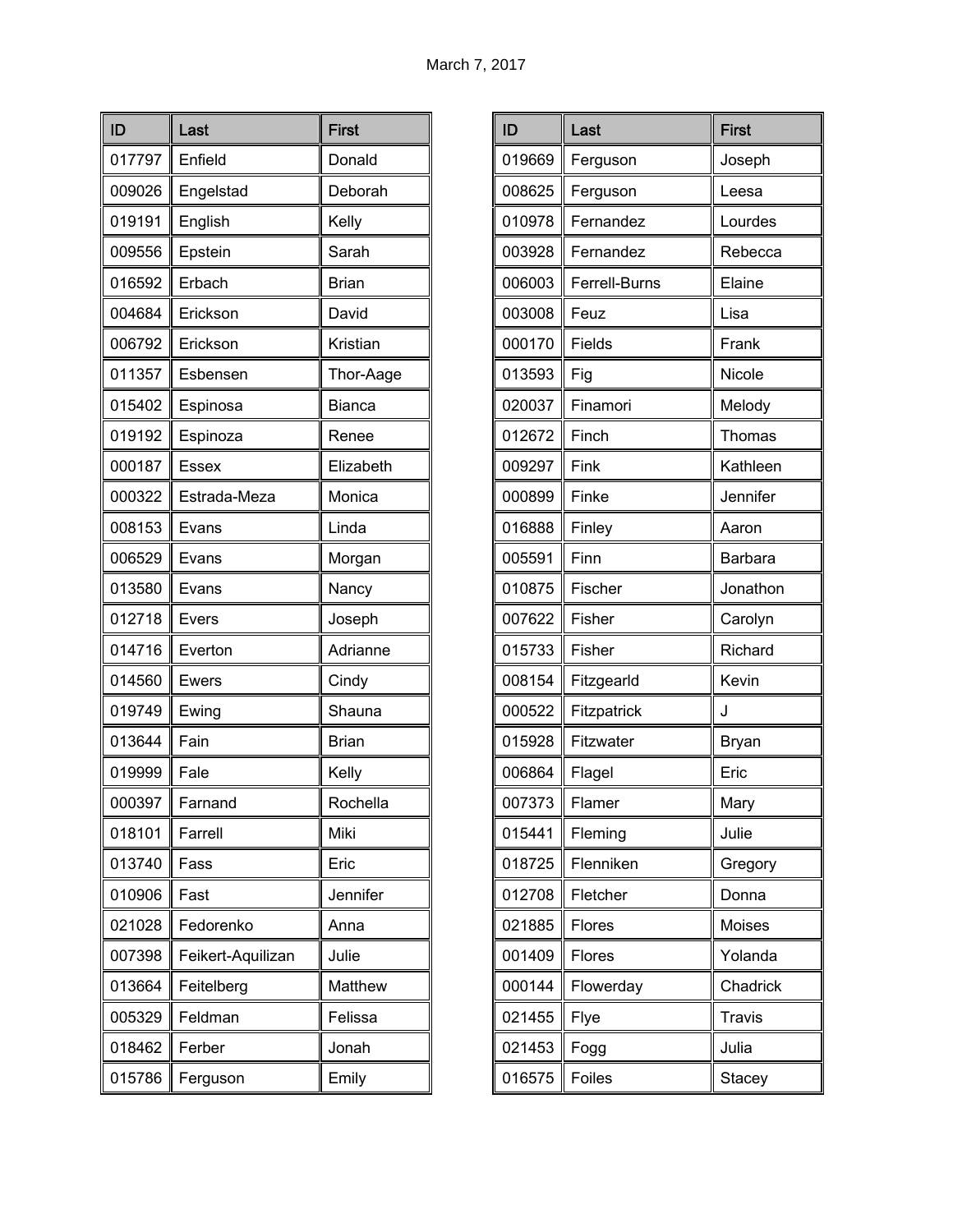| ID     | Last              | <b>First</b> |
|--------|-------------------|--------------|
| 017797 | Enfield           | Donald       |
| 009026 | Engelstad         | Deborah      |
| 019191 | English           | Kelly        |
| 009556 | Epstein           | Sarah        |
| 016592 | Erbach            | <b>Brian</b> |
| 004684 | Erickson          | David        |
| 006792 | Erickson          | Kristian     |
| 011357 | Esbensen          | Thor-Aage    |
| 015402 | Espinosa          | Bianca       |
| 019192 | Espinoza          | Renee        |
| 000187 | <b>Essex</b>      | Elizabeth    |
| 000322 | Estrada-Meza      | Monica       |
| 008153 | Evans             | Linda        |
| 006529 | Evans             | Morgan       |
| 013580 | Evans             | Nancy        |
| 012718 | Evers             | Joseph       |
| 014716 | Everton           | Adrianne     |
| 014560 | <b>Ewers</b>      | Cindy        |
| 019749 | Ewing             | Shauna       |
| 013644 | Fain              | <b>Brian</b> |
| 019999 | Fale              | Kelly        |
| 000397 | Farnand           | Rochella     |
| 018101 | Farrell           | Miki         |
| 013740 | Fass              | Eric         |
| 010906 | Fast              | Jennifer     |
| 021028 | Fedorenko         | Anna         |
| 007398 | Feikert-Aquilizan | Julie        |
| 013664 | Feitelberg        | Matthew      |
| 005329 | Feldman           | Felissa      |
| 018462 | Ferber            | Jonah        |
| 015786 | Ferguson          | Emily        |

| ID     | Last          | <b>First</b>  |
|--------|---------------|---------------|
| 019669 | Ferguson      | Joseph        |
| 008625 | Ferguson      | Leesa         |
| 010978 | Fernandez     | Lourdes       |
| 003928 | Fernandez     | Rebecca       |
| 006003 | Ferrell-Burns | Elaine        |
| 003008 | Feuz          | Lisa          |
| 000170 | Fields        | Frank         |
| 013593 | Fig           | Nicole        |
| 020037 | Finamori      | Melody        |
| 012672 | Finch         | Thomas        |
| 009297 | Fink          | Kathleen      |
| 000899 | Finke         | Jennifer      |
| 016888 | Finley        | Aaron         |
| 005591 | Finn          | Barbara       |
| 010875 | Fischer       | Jonathon      |
| 007622 | Fisher        | Carolyn       |
| 015733 | Fisher        | Richard       |
| 008154 | Fitzgearld    | Kevin         |
| 000522 | Fitzpatrick   | J             |
| 015928 | Fitzwater     | Bryan         |
| 006864 | Flagel        | Eric          |
| 007373 | Flamer        | Mary          |
| 015441 | Fleming       | Julie         |
| 018725 | Flenniken     | Gregory       |
| 012708 | Fletcher      | Donna         |
| 021885 | Flores        | Moises        |
| 001409 | Flores        | Yolanda       |
| 000144 | Flowerday     | Chadrick      |
| 021455 | Flye          | <b>Travis</b> |
| 021453 | Fogg          | Julia         |
| 016575 | Foiles        | Stacey        |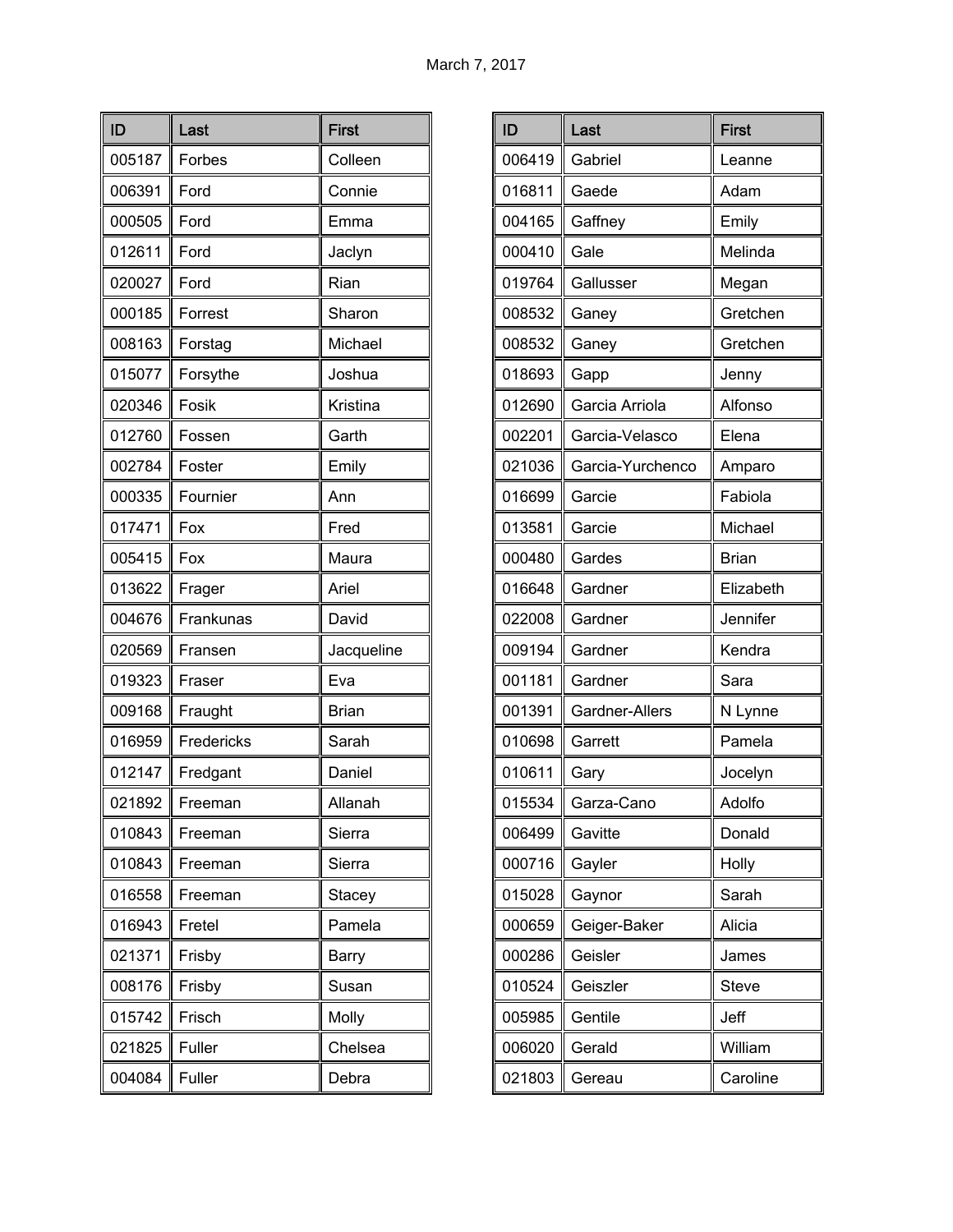| ID     | Last       | <b>First</b> |
|--------|------------|--------------|
| 005187 | Forbes     | Colleen      |
| 006391 | Ford       | Connie       |
| 000505 | Ford       | Emma         |
| 012611 | Ford       | Jaclyn       |
| 020027 | Ford       | Rian         |
| 000185 | Forrest    | Sharon       |
| 008163 | Forstag    | Michael      |
| 015077 | Forsythe   | Joshua       |
| 020346 | Fosik      | Kristina     |
| 012760 | Fossen     | Garth        |
| 002784 | Foster     | Emily        |
| 000335 | Fournier   | Ann          |
| 017471 | Fox        | Fred         |
| 005415 | Fox        | Maura        |
| 013622 | Frager     | Ariel        |
| 004676 | Frankunas  | David        |
| 020569 | Fransen    | Jacqueline   |
| 019323 | Fraser     | Eva          |
| 009168 | Fraught    | <b>Brian</b> |
| 016959 | Fredericks | Sarah        |
| 012147 | Fredgant   | Daniel       |
| 021892 | Freeman    | Allanah      |
| 010843 | Freeman    | Sierra       |
| 010843 | Freeman    | Sierra       |
| 016558 | Freeman    | Stacey       |
| 016943 | Fretel     | Pamela       |
| 021371 | Frisby     | Barry        |
| 008176 | Frisby     | Susan        |
| 015742 | Frisch     | Molly        |
| 021825 | Fuller     | Chelsea      |
| 004084 | Fuller     | Debra        |

| ID     | Last             | <b>First</b> |
|--------|------------------|--------------|
| 006419 | Gabriel          | Leanne       |
| 016811 | Gaede            | Adam         |
| 004165 | Gaffney          | Emily        |
| 000410 | Gale             | Melinda      |
| 019764 | Gallusser        | Megan        |
| 008532 | Ganey            | Gretchen     |
| 008532 | Ganey            | Gretchen     |
| 018693 | Gapp             | Jenny        |
| 012690 | Garcia Arriola   | Alfonso      |
| 002201 | Garcia-Velasco   | Elena        |
| 021036 | Garcia-Yurchenco | Amparo       |
| 016699 | Garcie           | Fabiola      |
| 013581 | Garcie           | Michael      |
| 000480 | Gardes           | <b>Brian</b> |
| 016648 | Gardner          | Elizabeth    |
| 022008 | Gardner          | Jennifer     |
| 009194 | Gardner          | Kendra       |
| 001181 | Gardner          | Sara         |
| 001391 | Gardner-Allers   | N Lynne      |
| 010698 | Garrett          | Pamela       |
| 010611 | Gary             | Jocelyn      |
| 015534 | Garza-Cano       | Adolfo       |
| 006499 | Gavitte          | Donald       |
| 000716 | Gayler           | Holly        |
| 015028 | Gaynor           | Sarah        |
| 000659 | Geiger-Baker     | Alicia       |
| 000286 | Geisler          | James        |
| 010524 | Geiszler         | <b>Steve</b> |
| 005985 | Gentile          | Jeff         |
| 006020 | Gerald           | William      |
| 021803 | Gereau           | Caroline     |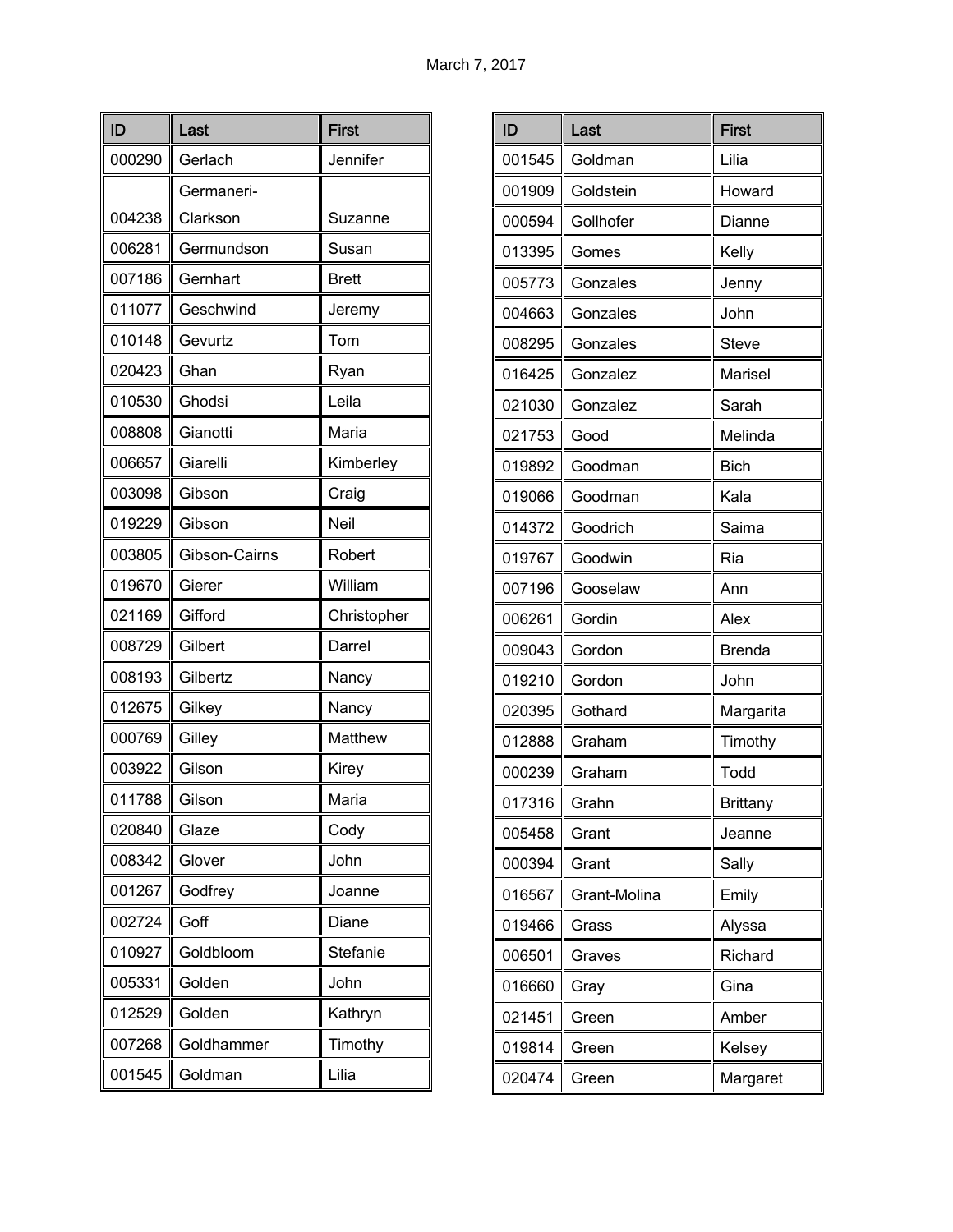| ID     | Last          | <b>First</b> |
|--------|---------------|--------------|
| 000290 | Gerlach       | Jennifer     |
|        | Germaneri-    |              |
| 004238 | Clarkson      | Suzanne      |
| 006281 | Germundson    | Susan        |
| 007186 | Gernhart      | <b>Brett</b> |
| 011077 | Geschwind     | Jeremy       |
| 010148 | Gevurtz       | Tom          |
| 020423 | Ghan          | Ryan         |
| 010530 | Ghodsi        | Leila        |
| 008808 | Gianotti      | Maria        |
| 006657 | Giarelli      | Kimberley    |
| 003098 | Gibson        | Craig        |
| 019229 | Gibson        | Neil         |
| 003805 | Gibson-Cairns | Robert       |
| 019670 | Gierer        | William      |
| 021169 | Gifford       | Christopher  |
| 008729 | Gilbert       | Darrel       |
| 008193 | Gilbertz      | Nancy        |
| 012675 | Gilkey        | Nancy        |
| 000769 | Gilley        | Matthew      |
| 003922 | Gilson        | Kirey        |
| 011788 | Gilson        | Maria        |
| 020840 | Glaze         | Cody         |
| 008342 | Glover        | John         |
| 001267 | Godfrey       | Joanne       |
| 002724 | Goff          | Diane        |
| 010927 | Goldbloom     | Stefanie     |
| 005331 | Golden        | John         |
| 012529 | Golden        | Kathryn      |
| 007268 | Goldhammer    | Timothy      |
| 001545 | Goldman       | Lilia        |

| ID     | Last         | <b>First</b>  |
|--------|--------------|---------------|
| 001545 | Goldman      | Lilia         |
| 001909 | Goldstein    | Howard        |
| 000594 | Gollhofer    | Dianne        |
| 013395 | Gomes        | Kelly         |
| 005773 | Gonzales     | Jenny         |
| 004663 | Gonzales     | John          |
| 008295 | Gonzales     | <b>Steve</b>  |
| 016425 | Gonzalez     | Marisel       |
| 021030 | Gonzalez     | Sarah         |
| 021753 | Good         | Melinda       |
| 019892 | Goodman      | <b>Bich</b>   |
| 019066 | Goodman      | Kala          |
| 014372 | Goodrich     | Saima         |
| 019767 | Goodwin      | Ria           |
| 007196 | Gooselaw     | Ann           |
| 006261 | Gordin       | Alex          |
| 009043 | Gordon       | <b>Brenda</b> |
| 019210 | Gordon       | John          |
| 020395 | Gothard      | Margarita     |
| 012888 | Graham       | Timothy       |
| 000239 | Graham       | Todd          |
| 017316 | Grahn        | Brittany      |
| 005458 | Grant        | Jeanne        |
| 000394 | Grant        | Sally         |
| 016567 | Grant-Molina | Emily         |
| 019466 | Grass        | Alyssa        |
| 006501 | Graves       | Richard       |
| 016660 | Gray         | Gina          |
| 021451 | Green        | Amber         |
| 019814 | Green        | Kelsey        |
| 020474 | Green        | Margaret      |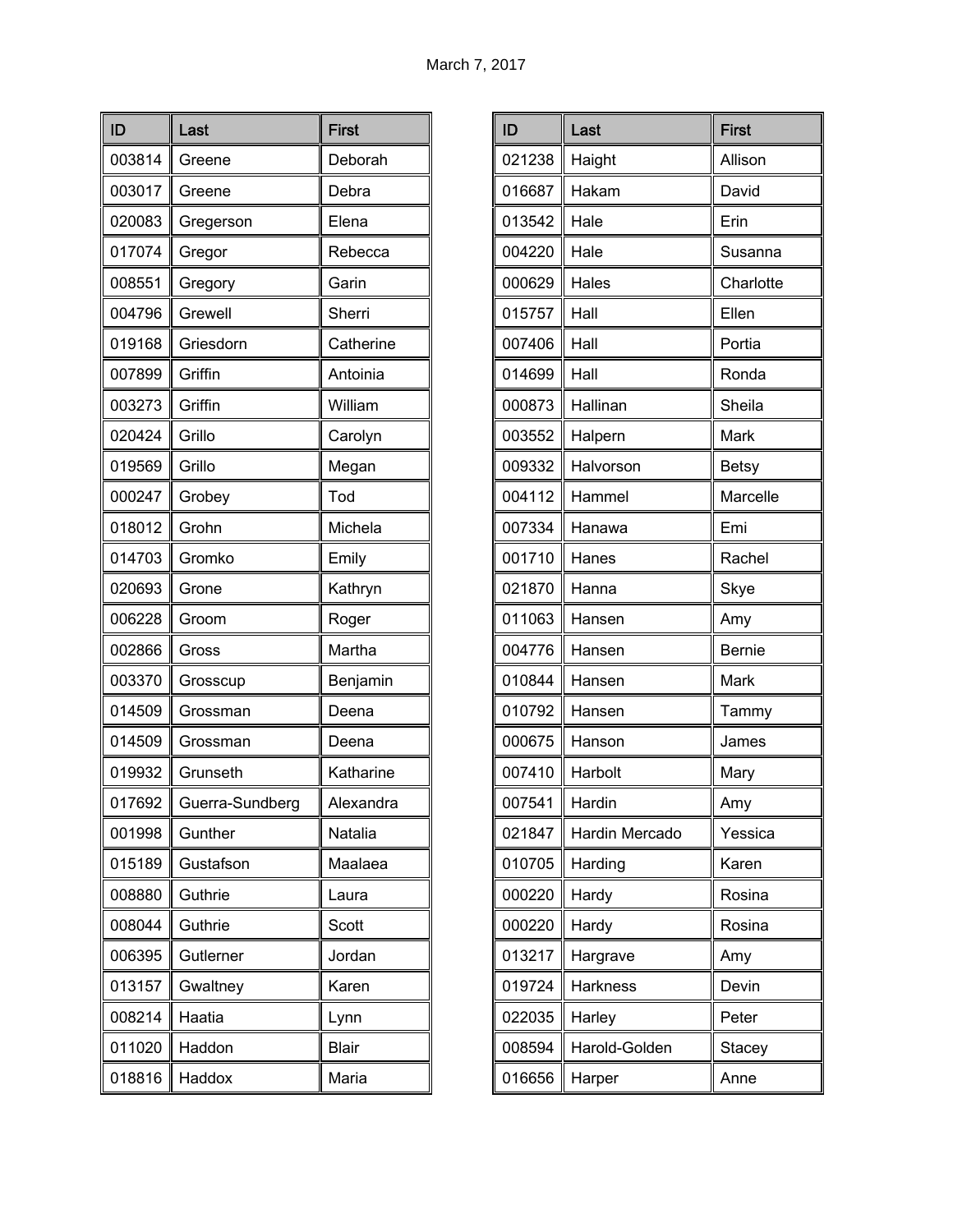| ID     | Last            | <b>First</b> |
|--------|-----------------|--------------|
| 003814 | Greene          | Deborah      |
| 003017 | Greene          | Debra        |
| 020083 | Gregerson       | Elena        |
| 017074 | Gregor          | Rebecca      |
| 008551 | Gregory         | Garin        |
| 004796 | Grewell         | Sherri       |
| 019168 | Griesdorn       | Catherine    |
| 007899 | Griffin         | Antoinia     |
| 003273 | Griffin         | William      |
| 020424 | Grillo          | Carolyn      |
| 019569 | Grillo          | Megan        |
| 000247 | Grobey          | Tod          |
| 018012 | Grohn           | Michela      |
| 014703 | Gromko          | Emily        |
| 020693 | Grone           | Kathryn      |
| 006228 | Groom           | Roger        |
| 002866 | Gross           | Martha       |
| 003370 | Grosscup        | Benjamin     |
| 014509 | Grossman        | Deena        |
| 014509 | Grossman        | Deena        |
| 019932 | Grunseth        | Katharine    |
| 017692 | Guerra-Sundberg | Alexandra    |
| 001998 | Gunther         | Natalia      |
| 015189 | Gustafson       | Maalaea      |
| 008880 | Guthrie         | Laura        |
| 008044 | Guthrie         | Scott        |
| 006395 | Gutlerner       | Jordan       |
| 013157 | Gwaltney        | Karen        |
| 008214 | Haatia          | Lynn         |
| 011020 | Haddon          | <b>Blair</b> |
| 018816 | Haddox          | Maria        |

| ID     | Last            | <b>First</b>  |
|--------|-----------------|---------------|
| 021238 | Haight          | Allison       |
| 016687 | Hakam           | David         |
| 013542 | Hale            | Erin          |
| 004220 | Hale            | Susanna       |
| 000629 | Hales           | Charlotte     |
| 015757 | Hall            | Ellen         |
| 007406 | Hall            | Portia        |
| 014699 | Hall            | Ronda         |
| 000873 | Hallinan        | Sheila        |
| 003552 | Halpern         | Mark          |
| 009332 | Halvorson       | <b>Betsy</b>  |
| 004112 | Hammel          | Marcelle      |
| 007334 | Hanawa          | Emi           |
| 001710 | Hanes           | Rachel        |
| 021870 | Hanna           | Skye          |
| 011063 | Hansen          | Amy           |
| 004776 | Hansen          | <b>Bernie</b> |
| 010844 | Hansen          | Mark          |
| 010792 | Hansen          | Tammy         |
| 000675 | Hanson          | James         |
| 007410 | Harbolt         | Mary          |
| 007541 | Hardin          | Amy           |
| 021847 | Hardin Mercado  | Yessica       |
| 010705 | Harding         | Karen         |
| 000220 | Hardy           | Rosina        |
| 000220 | Hardy           | Rosina        |
| 013217 | Hargrave        | Amy           |
| 019724 | <b>Harkness</b> | Devin         |
| 022035 | Harley          | Peter         |
| 008594 | Harold-Golden   | <b>Stacey</b> |
| 016656 | Harper          | Anne          |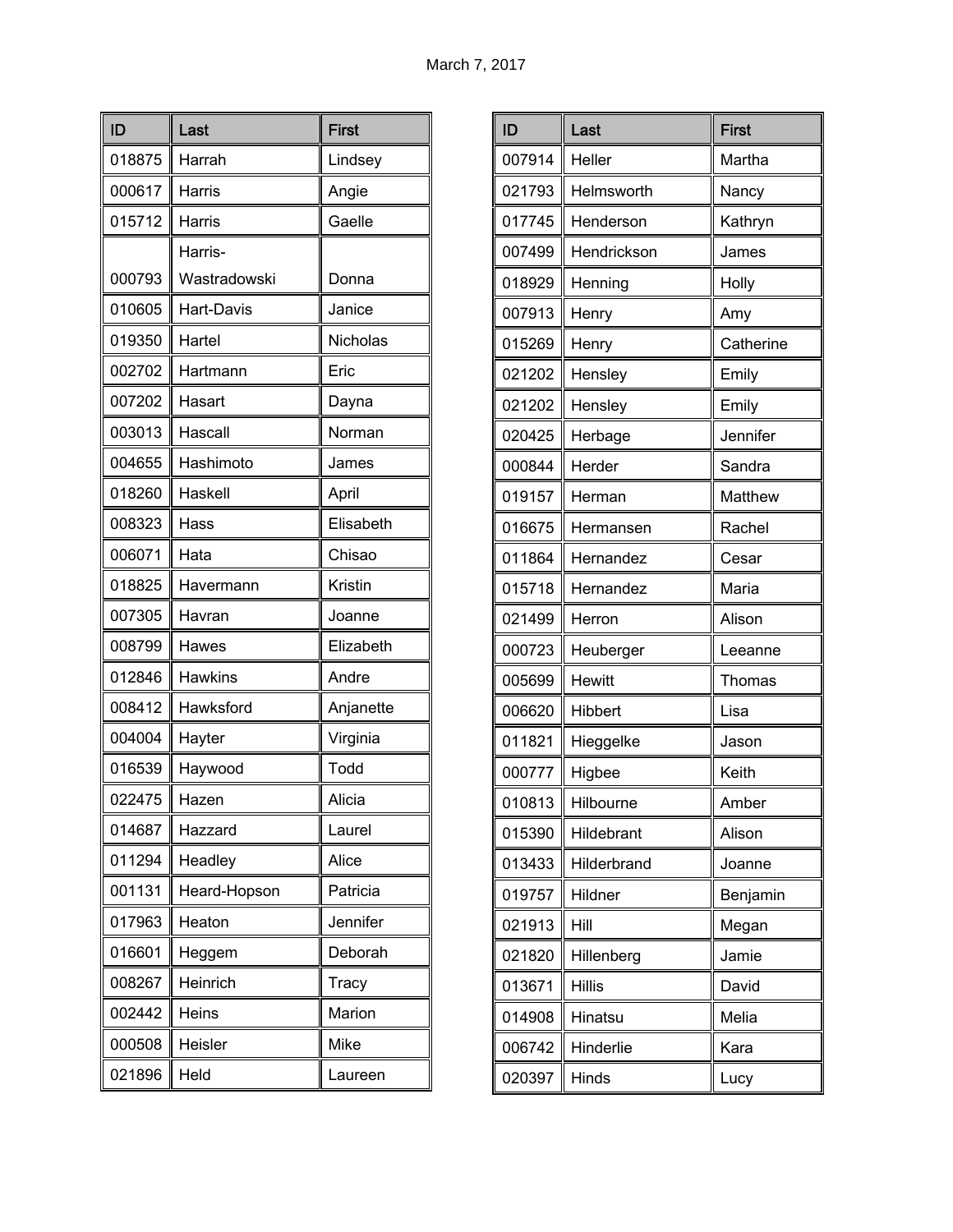| ID     | Last           | <b>First</b> |
|--------|----------------|--------------|
| 018875 | Harrah         | Lindsey      |
| 000617 | Harris         | Angie        |
| 015712 | Harris         | Gaelle       |
|        | Harris-        |              |
| 000793 | Wastradowski   | Donna        |
| 010605 | Hart-Davis     | Janice       |
| 019350 | Hartel         | Nicholas     |
| 002702 | Hartmann       | Eric         |
| 007202 | Hasart         | Dayna        |
| 003013 | Hascall        | Norman       |
| 004655 | Hashimoto      | James        |
| 018260 | Haskell        | April        |
| 008323 | Hass           | Elisabeth    |
| 006071 | Hata           | Chisao       |
| 018825 | Havermann      | Kristin      |
| 007305 | Havran         | Joanne       |
| 008799 | Hawes          | Elizabeth    |
| 012846 | <b>Hawkins</b> | Andre        |
| 008412 | Hawksford      | Anjanette    |
| 004004 | Hayter         | Virginia     |
| 016539 | Haywood        | Todd         |
| 022475 | Hazen          | Alicia       |
| 014687 | Hazzard        | Laurel       |
| 011294 | Headley        | Alice        |
| 001131 | Heard-Hopson   | Patricia     |
| 017963 | Heaton         | Jennifer     |
| 016601 | Heggem         | Deborah      |
| 008267 | Heinrich       | Tracy        |
| 002442 | Heins          | Marion       |
| 000508 | Heisler        | Mike         |
| 021896 | Held           | Laureen      |

| ID     | Last          | <b>First</b> |
|--------|---------------|--------------|
| 007914 | Heller        | Martha       |
| 021793 | Helmsworth    | Nancy        |
| 017745 | Henderson     | Kathryn      |
| 007499 | Hendrickson   | James        |
| 018929 | Henning       | Holly        |
| 007913 | Henry         | Amy          |
| 015269 | Henry         | Catherine    |
| 021202 | Hensley       | Emily        |
| 021202 | Hensley       | Emily        |
| 020425 | Herbage       | Jennifer     |
| 000844 | Herder        | Sandra       |
| 019157 | Herman        | Matthew      |
| 016675 | Hermansen     | Rachel       |
| 011864 | Hernandez     | Cesar        |
| 015718 | Hernandez     | Maria        |
| 021499 | Herron        | Alison       |
| 000723 | Heuberger     | Leeanne      |
| 005699 | Hewitt        | Thomas       |
| 006620 | Hibbert       | Lisa         |
| 011821 | Hieggelke     | Jason        |
| 000777 | Higbee        | Keith        |
| 010813 | Hilbourne     | Amber        |
| 015390 | Hildebrant    | Alison       |
| 013433 | Hilderbrand   | Joanne       |
| 019757 | Hildner       | Benjamin     |
| 021913 | Hill          | Megan        |
| 021820 | Hillenberg    | Jamie        |
| 013671 | <b>Hillis</b> | David        |
| 014908 | Hinatsu       | Melia        |
| 006742 | Hinderlie     | Kara         |
| 020397 | Hinds         | Lucy         |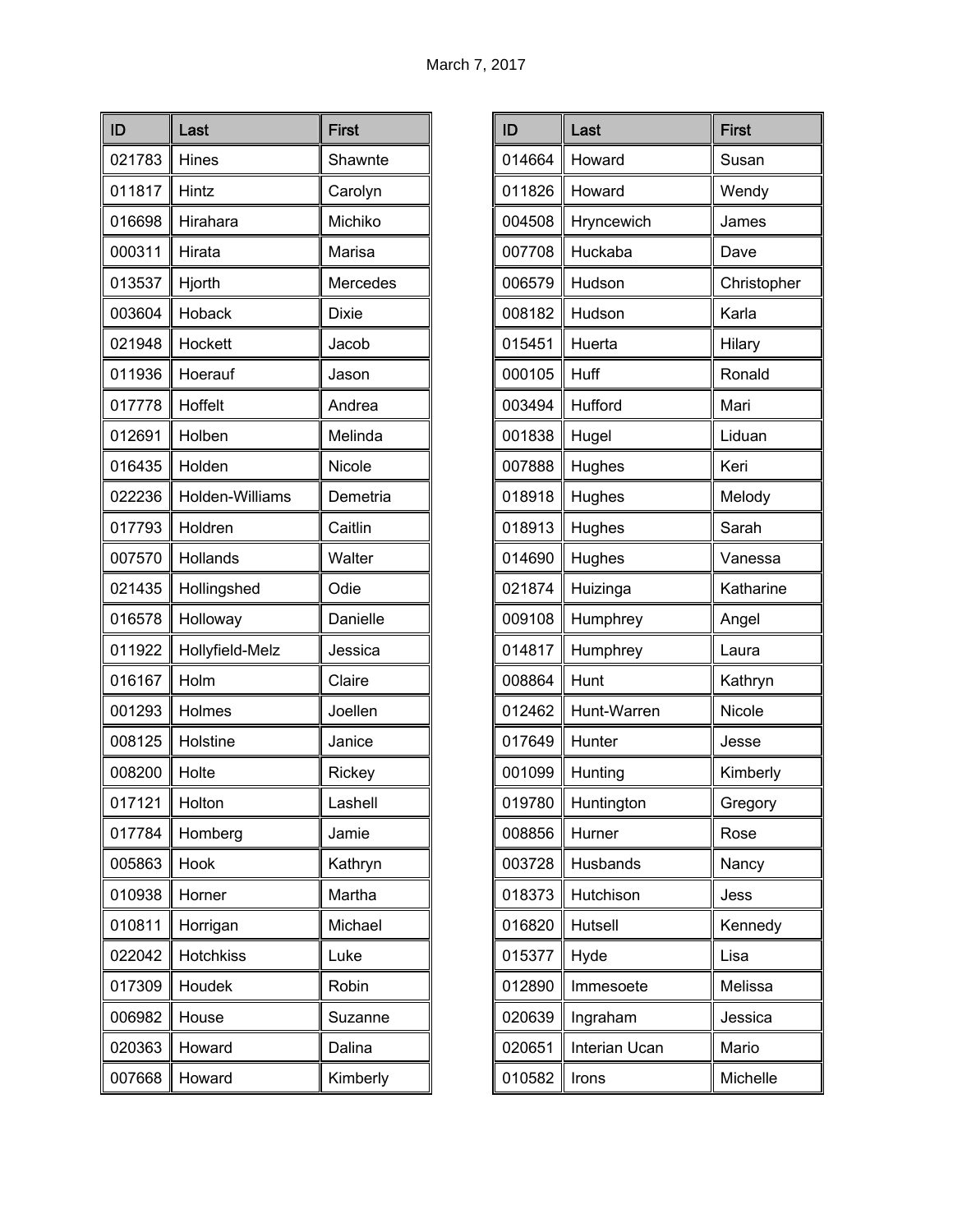| ID     | Last            | <b>First</b> |
|--------|-----------------|--------------|
| 021783 | Hines           | Shawnte      |
| 011817 | Hintz           | Carolyn      |
| 016698 | Hirahara        | Michiko      |
| 000311 | Hirata          | Marisa       |
| 013537 | Hjorth          | Mercedes     |
| 003604 | Hoback          | <b>Dixie</b> |
| 021948 | Hockett         | Jacob        |
| 011936 | Hoerauf         | Jason        |
| 017778 | Hoffelt         | Andrea       |
| 012691 | Holben          | Melinda      |
| 016435 | Holden          | Nicole       |
| 022236 | Holden-Williams | Demetria     |
| 017793 | Holdren         | Caitlin      |
| 007570 | Hollands        | Walter       |
| 021435 | Hollingshed     | Odie         |
| 016578 | Holloway        | Danielle     |
| 011922 | Hollyfield-Melz | Jessica      |
| 016167 | Holm            | Claire       |
| 001293 | Holmes          | Joellen      |
| 008125 | Holstine        | Janice       |
| 008200 | Holte           | Rickey       |
| 017121 | Holton          | Lashell      |
| 017784 | Homberg         | Jamie        |
| 005863 | Hook            | Kathryn      |
| 010938 | Horner          | Martha       |
| 010811 | Horrigan        | Michael      |
| 022042 | Hotchkiss       | Luke         |
| 017309 | Houdek          | Robin        |
| 006982 | House           | Suzanne      |
| 020363 | Howard          | Dalina       |
| 007668 | Howard          | Kimberly     |

| ID     | Last          | <b>First</b> |
|--------|---------------|--------------|
| 014664 | Howard        | Susan        |
| 011826 | Howard        | Wendy        |
| 004508 | Hryncewich    | James        |
| 007708 | Huckaba       | Dave         |
| 006579 | Hudson        | Christopher  |
| 008182 | Hudson        | Karla        |
| 015451 | Huerta        | Hilary       |
| 000105 | Huff          | Ronald       |
| 003494 | Hufford       | Mari         |
| 001838 | Hugel         | Liduan       |
| 007888 | Hughes        | Keri         |
| 018918 | Hughes        | Melody       |
| 018913 | Hughes        | Sarah        |
| 014690 | Hughes        | Vanessa      |
| 021874 | Huizinga      | Katharine    |
| 009108 | Humphrey      | Angel        |
| 014817 | Humphrey      | Laura        |
| 008864 | Hunt          | Kathryn      |
| 012462 | Hunt-Warren   | Nicole       |
| 017649 | Hunter        | Jesse        |
| 001099 | Hunting       | Kimberly     |
| 019780 | Huntington    | Gregory      |
| 008856 | Hurner        | Rose         |
| 003728 | Husbands      | Nancy        |
| 018373 | Hutchison     | Jess         |
| 016820 | Hutsell       | Kennedy      |
| 015377 | Hyde          | Lisa         |
| 012890 | Immesoete     | Melissa      |
| 020639 | Ingraham      | Jessica      |
| 020651 | Interian Ucan | Mario        |
| 010582 | Irons         | Michelle     |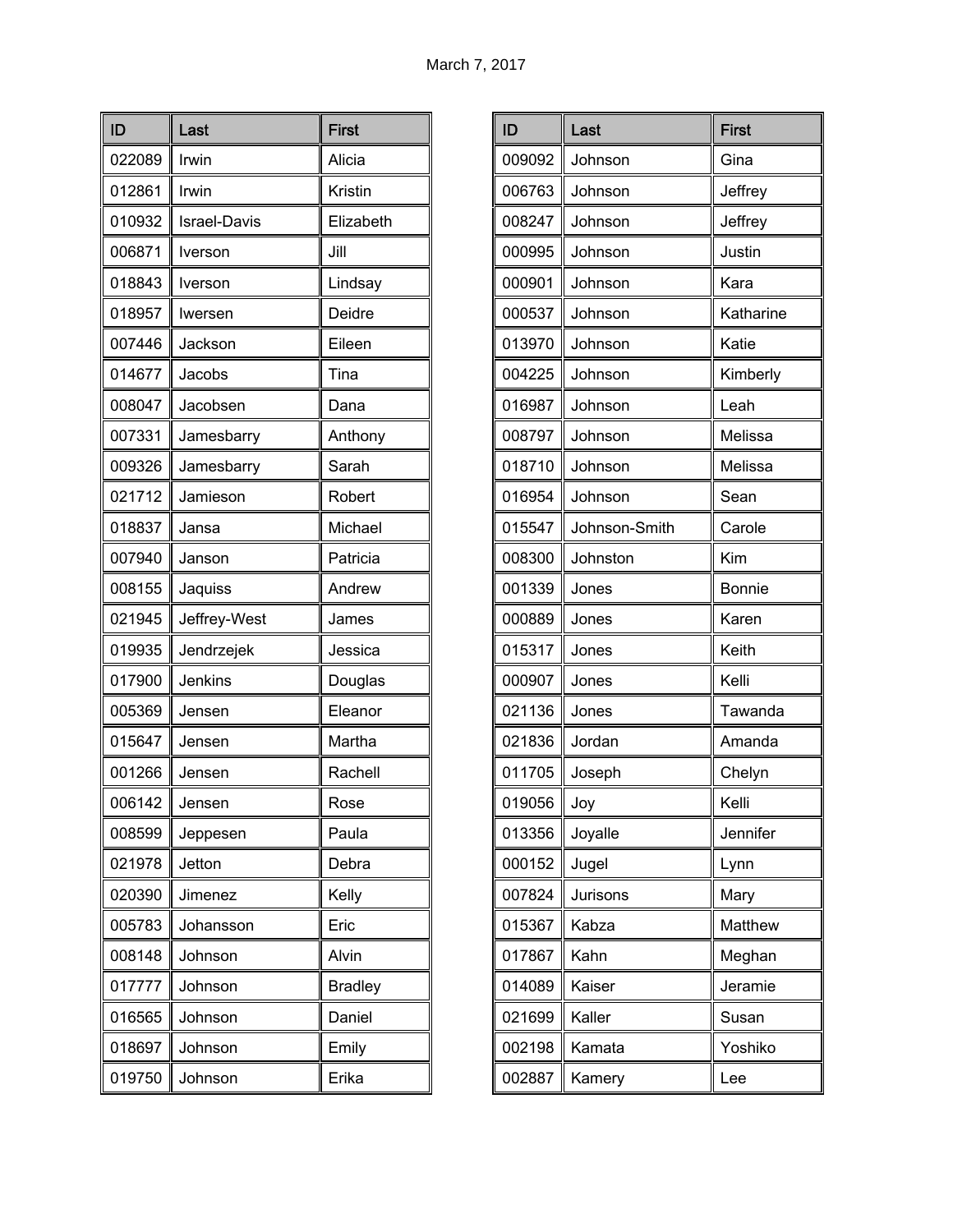| ID     | Last                | <b>First</b>   |
|--------|---------------------|----------------|
| 022089 | Irwin               | Alicia         |
| 012861 | Irwin               | Kristin        |
| 010932 | <b>Israel-Davis</b> | Elizabeth      |
| 006871 | Iverson             | Jill           |
| 018843 | Iverson             | Lindsay        |
| 018957 | Iwersen             | Deidre         |
| 007446 | Jackson             | Eileen         |
| 014677 | Jacobs              | Tina           |
| 008047 | Jacobsen            | Dana           |
| 007331 | Jamesbarry          | Anthony        |
| 009326 | Jamesbarry          | Sarah          |
| 021712 | Jamieson            | Robert         |
| 018837 | Jansa               | Michael        |
| 007940 | Janson              | Patricia       |
| 008155 | Jaquiss             | Andrew         |
| 021945 | Jeffrey-West        | James          |
| 019935 | Jendrzejek          | Jessica        |
| 017900 | Jenkins             | Douglas        |
| 005369 | Jensen              | Eleanor        |
| 015647 | Jensen              | Martha         |
| 001266 | Jensen              | Rachell        |
| 006142 | Jensen              | Rose           |
| 008599 | Jeppesen            | Paula          |
| 021978 | Jetton              | Debra          |
| 020390 | Jimenez             | Kelly          |
| 005783 | Johansson           | Eric           |
| 008148 | Johnson             | Alvin          |
| 017777 | Johnson             | <b>Bradley</b> |
| 016565 | Johnson             | Daniel         |
| 018697 | Johnson             | Emily          |
| 019750 | Johnson             | Erika          |

| ID     | Last          | <b>First</b>  |
|--------|---------------|---------------|
| 009092 | Johnson       | Gina          |
| 006763 | Johnson       | Jeffrey       |
| 008247 | Johnson       | Jeffrey       |
| 000995 | Johnson       | Justin        |
| 000901 | Johnson       | Kara          |
| 000537 | Johnson       | Katharine     |
| 013970 | Johnson       | Katie         |
| 004225 | Johnson       | Kimberly      |
| 016987 | Johnson       | Leah          |
| 008797 | Johnson       | Melissa       |
| 018710 | Johnson       | Melissa       |
| 016954 | Johnson       | Sean          |
| 015547 | Johnson-Smith | Carole        |
| 008300 | Johnston      | Kim           |
| 001339 | Jones         | <b>Bonnie</b> |
| 000889 | Jones         | Karen         |
| 015317 | Jones         | Keith         |
| 000907 | Jones         | Kelli         |
| 021136 | Jones         | Tawanda       |
| 021836 | Jordan        | Amanda        |
| 011705 | Joseph        | Chelyn        |
| 019056 | Joy           | Kelli         |
| 013356 | Joyalle       | Jennifer      |
| 000152 | Jugel         | Lynn          |
| 007824 | Jurisons      | Mary          |
| 015367 | Kabza         | Matthew       |
| 017867 | Kahn          | Meghan        |
| 014089 | Kaiser        | Jeramie       |
| 021699 | Kaller        | Susan         |
| 002198 | Kamata        | Yoshiko       |
| 002887 | Kamery        | Lee           |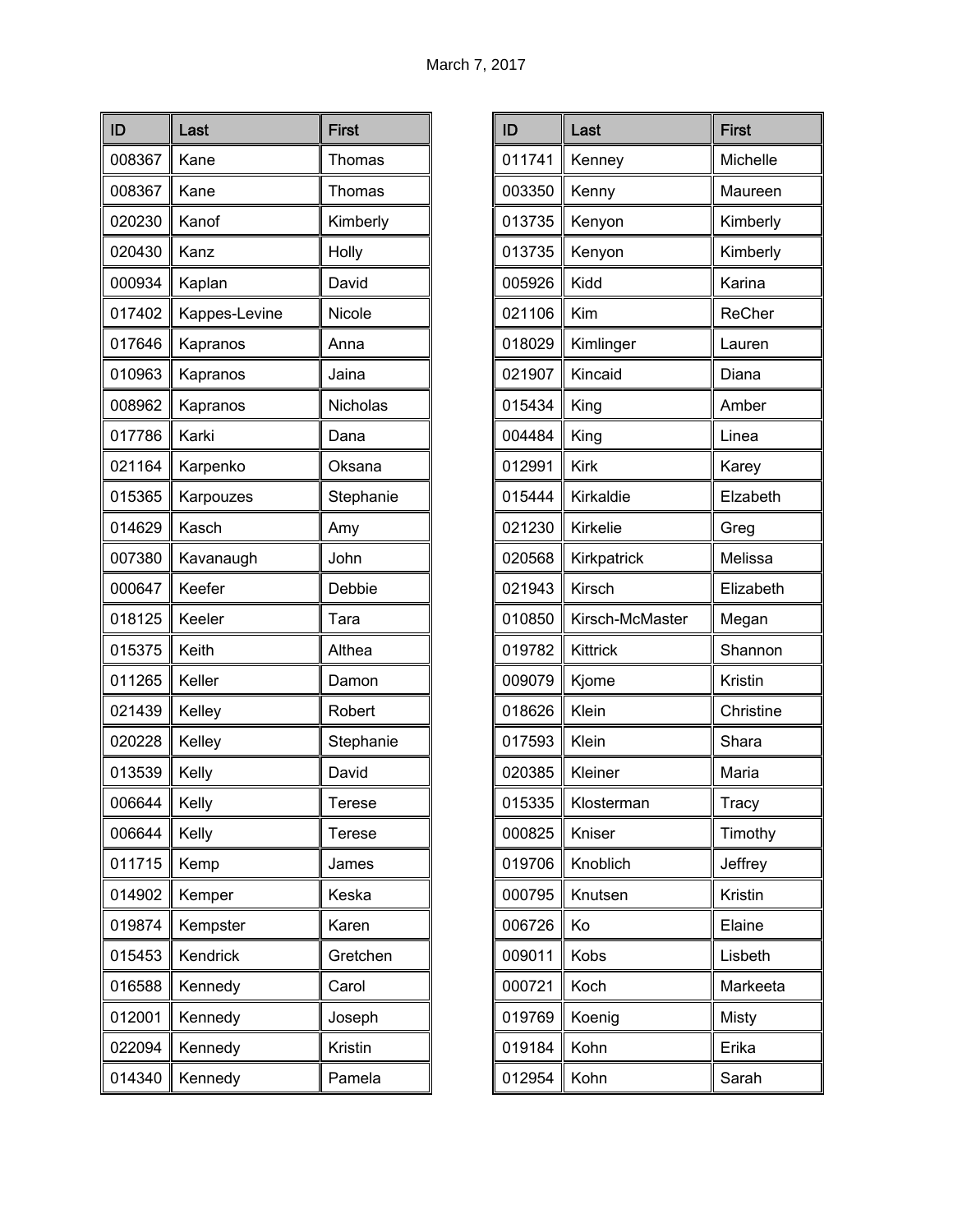| ID     | Last          | <b>First</b> |
|--------|---------------|--------------|
| 008367 | Kane          | Thomas       |
| 008367 | Kane          | Thomas       |
| 020230 | Kanof         | Kimberly     |
| 020430 | Kanz          | Holly        |
| 000934 | Kaplan        | David        |
| 017402 | Kappes-Levine | Nicole       |
| 017646 | Kapranos      | Anna         |
| 010963 | Kapranos      | Jaina        |
| 008962 | Kapranos      | Nicholas     |
| 017786 | Karki         | Dana         |
| 021164 | Karpenko      | Oksana       |
| 015365 | Karpouzes     | Stephanie    |
| 014629 | Kasch         | Amy          |
| 007380 | Kavanaugh     | John         |
| 000647 | Keefer        | Debbie       |
| 018125 | Keeler        | Tara         |
| 015375 | Keith         | Althea       |
| 011265 | Keller        | Damon        |
| 021439 | Kelley        | Robert       |
| 020228 | Kelley        | Stephanie    |
| 013539 | Kelly         | David        |
| 006644 | Kelly         | Terese       |
| 006644 | Kelly         | Terese       |
| 011715 | Kemp          | James        |
| 014902 | Kemper        | Keska        |
| 019874 | Kempster      | Karen        |
| 015453 | Kendrick      | Gretchen     |
| 016588 | Kennedy       | Carol        |
| 012001 | Kennedy       | Joseph       |
| 022094 | Kennedy       | Kristin      |
| 014340 | Kennedy       | Pamela       |

| ID     | Last            | <b>First</b> |
|--------|-----------------|--------------|
| 011741 | Kenney          | Michelle     |
| 003350 | Kenny           | Maureen      |
| 013735 | Kenyon          | Kimberly     |
| 013735 | Kenyon          | Kimberly     |
| 005926 | Kidd            | Karina       |
| 021106 | Kim             | ReCher       |
| 018029 | Kimlinger       | Lauren       |
| 021907 | Kincaid         | Diana        |
| 015434 | King            | Amber        |
| 004484 | King            | Linea        |
| 012991 | <b>Kirk</b>     | Karey        |
| 015444 | Kirkaldie       | Elzabeth     |
| 021230 | Kirkelie        | Greg         |
| 020568 | Kirkpatrick     | Melissa      |
| 021943 | Kirsch          | Elizabeth    |
| 010850 | Kirsch-McMaster | Megan        |
| 019782 | Kittrick        | Shannon      |
| 009079 | Kjome           | Kristin      |
| 018626 | Klein           | Christine    |
| 017593 | Klein           | Shara        |
| 020385 | Kleiner         | Maria        |
| 015335 | Klosterman      | Tracy        |
| 000825 | Kniser          | Timothy      |
| 019706 | Knoblich        | Jeffrey      |
| 000795 | Knutsen         | Kristin      |
| 006726 | Ko              | Elaine       |
| 009011 | Kobs            | Lisbeth      |
| 000721 | Koch            | Markeeta     |
| 019769 | Koenig          | Misty        |
| 019184 | Kohn            | Erika        |
| 012954 | Kohn            | Sarah        |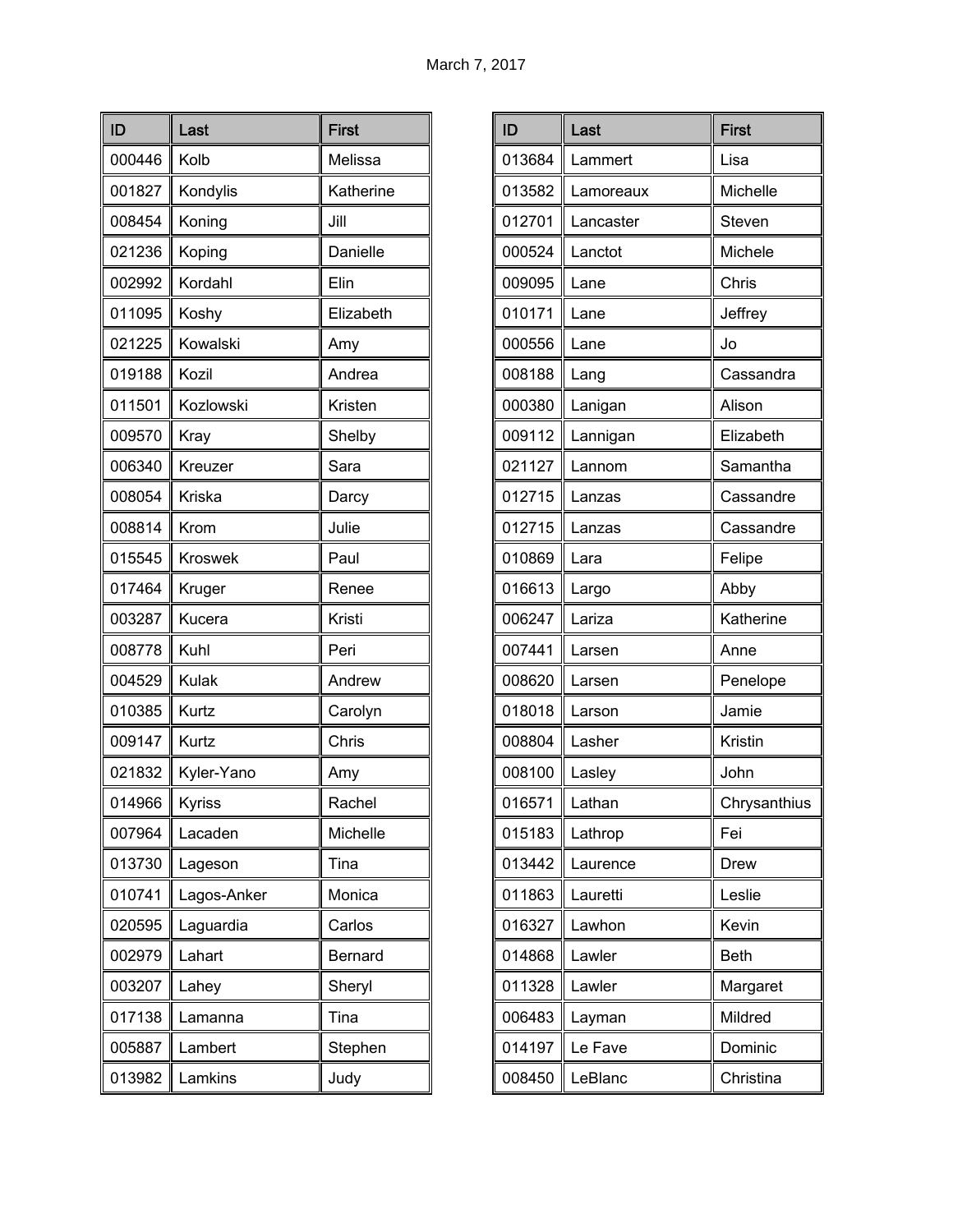| ID     | Last           | <b>First</b> |
|--------|----------------|--------------|
| 000446 | Kolb           | Melissa      |
| 001827 | Kondylis       | Katherine    |
| 008454 | Koning         | Jill         |
| 021236 | Koping         | Danielle     |
| 002992 | Kordahl        | Elin         |
| 011095 | Koshy          | Elizabeth    |
| 021225 | Kowalski       | Amy          |
| 019188 | Kozil          | Andrea       |
| 011501 | Kozlowski      | Kristen      |
| 009570 | Kray           | Shelby       |
| 006340 | Kreuzer        | Sara         |
| 008054 | Kriska         | Darcy        |
| 008814 | Krom           | Julie        |
| 015545 | <b>Kroswek</b> | Paul         |
| 017464 | Kruger         | Renee        |
| 003287 | Kucera         | Kristi       |
| 008778 | Kuhl           | Peri         |
| 004529 | Kulak          | Andrew       |
| 010385 | Kurtz          | Carolyn      |
| 009147 | Kurtz          | Chris        |
| 021832 | Kyler-Yano     | Amy          |
| 014966 | Kyriss         | Rachel       |
| 007964 | Lacaden        | Michelle     |
| 013730 | Lageson        | Tina         |
| 010741 | Lagos-Anker    | Monica       |
| 020595 | Laguardia      | Carlos       |
| 002979 | Lahart         | Bernard      |
| 003207 | Lahey          | Sheryl       |
| 017138 | Lamanna        | Tina         |
| 005887 | Lambert        | Stephen      |
| 013982 | Lamkins        | Judy         |

| ID     | Last      | <b>First</b> |
|--------|-----------|--------------|
| 013684 | Lammert   | Lisa         |
| 013582 | Lamoreaux | Michelle     |
| 012701 | Lancaster | Steven       |
| 000524 | Lanctot   | Michele      |
| 009095 | Lane      | Chris        |
| 010171 | Lane      | Jeffrey      |
| 000556 | Lane      | Jo           |
| 008188 | Lang      | Cassandra    |
| 000380 | Lanigan   | Alison       |
| 009112 | Lannigan  | Elizabeth    |
| 021127 | Lannom    | Samantha     |
| 012715 | Lanzas    | Cassandre    |
| 012715 | Lanzas    | Cassandre    |
| 010869 | Lara      | Felipe       |
| 016613 | Largo     | Abby         |
| 006247 | Lariza    | Katherine    |
| 007441 | Larsen    | Anne         |
| 008620 | Larsen    | Penelope     |
| 018018 | Larson    | Jamie        |
| 008804 | Lasher    | Kristin      |
| 008100 | Lasley    | John         |
| 016571 | Lathan    | Chrysanthius |
| 015183 | Lathrop   | Fei          |
| 013442 | Laurence  | Drew         |
| 011863 | Lauretti  | Leslie       |
| 016327 | Lawhon    | Kevin        |
| 014868 | Lawler    | <b>Beth</b>  |
| 011328 | Lawler    | Margaret     |
| 006483 | Layman    | Mildred      |
| 014197 | Le Fave   | Dominic      |
| 008450 | LeBlanc   | Christina    |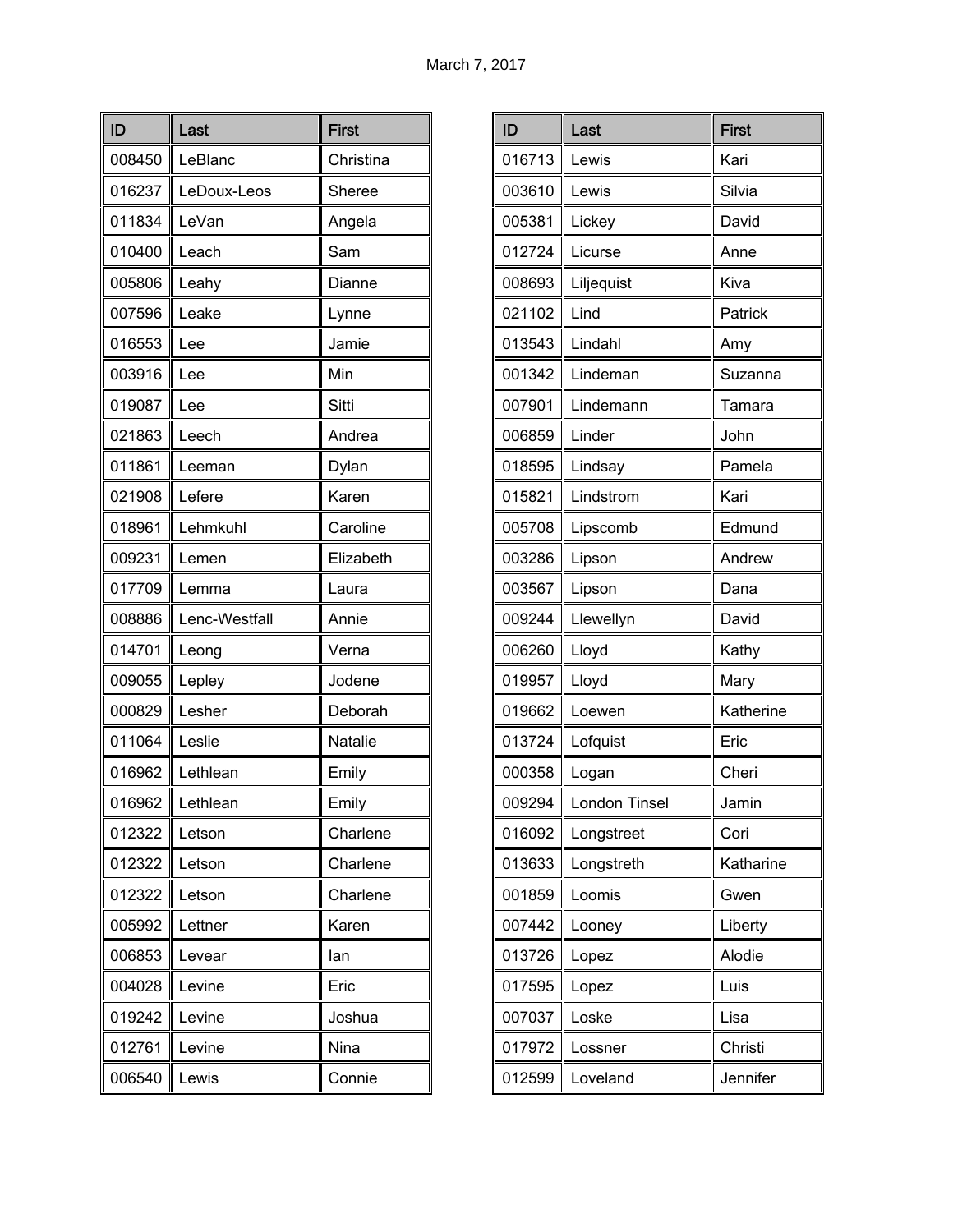| ID     | Last          | <b>First</b> |
|--------|---------------|--------------|
| 008450 | LeBlanc       | Christina    |
| 016237 | LeDoux-Leos   | Sheree       |
| 011834 | LeVan         | Angela       |
| 010400 | Leach         | Sam          |
| 005806 | Leahy         | Dianne       |
| 007596 | Leake         | Lynne        |
| 016553 | Lee           | Jamie        |
| 003916 | Lee           | Min          |
| 019087 | Lee           | Sitti        |
| 021863 | Leech         | Andrea       |
| 011861 | Leeman        | Dylan        |
| 021908 | Lefere        | Karen        |
| 018961 | Lehmkuhl      | Caroline     |
| 009231 | Lemen         | Elizabeth    |
| 017709 | Lemma         | Laura        |
| 008886 | Lenc-Westfall | Annie        |
| 014701 | Leong         | Verna        |
| 009055 | Lepley        | Jodene       |
| 000829 | Lesher        | Deborah      |
| 011064 | Leslie        | Natalie      |
| 016962 | Lethlean      | Emily        |
| 016962 | Lethlean      | Emily        |
| 012322 | Letson        | Charlene     |
| 012322 | Letson        | Charlene     |
| 012322 | Letson        | Charlene     |
| 005992 | Lettner       | Karen        |
| 006853 | Levear        | lan          |
| 004028 | Levine        | Eric         |
| 019242 | Levine        | Joshua       |
| 012761 | Levine        | Nina         |
| 006540 | Lewis         | Connie       |

| ID     | Last          | <b>First</b> |
|--------|---------------|--------------|
| 016713 | Lewis         | Kari         |
| 003610 | Lewis         | Silvia       |
| 005381 | Lickey        | David        |
| 012724 | Licurse       | Anne         |
| 008693 | Liljequist    | Kiva         |
| 021102 | Lind          | Patrick      |
| 013543 | Lindahl       | Amy          |
| 001342 | Lindeman      | Suzanna      |
| 007901 | Lindemann     | Tamara       |
| 006859 | Linder        | John         |
| 018595 | Lindsay       | Pamela       |
| 015821 | Lindstrom     | Kari         |
| 005708 | Lipscomb      | Edmund       |
| 003286 | Lipson        | Andrew       |
| 003567 | Lipson        | Dana         |
| 009244 | Llewellyn     | David        |
| 006260 | Lloyd         | Kathy        |
| 019957 | Lloyd         | Mary         |
| 019662 | Loewen        | Katherine    |
| 013724 | Lofquist      | Eric         |
| 000358 | Logan         | Cheri        |
| 009294 | London Tinsel | Jamin        |
| 016092 | Longstreet    | Cori         |
| 013633 | Longstreth    | Katharine    |
| 001859 | Loomis        | Gwen         |
| 007442 | Looney        | Liberty      |
| 013726 | Lopez         | Alodie       |
| 017595 | Lopez         | Luis         |
| 007037 | Loske         | Lisa         |
| 017972 | Lossner       | Christi      |
| 012599 | Loveland      | Jennifer     |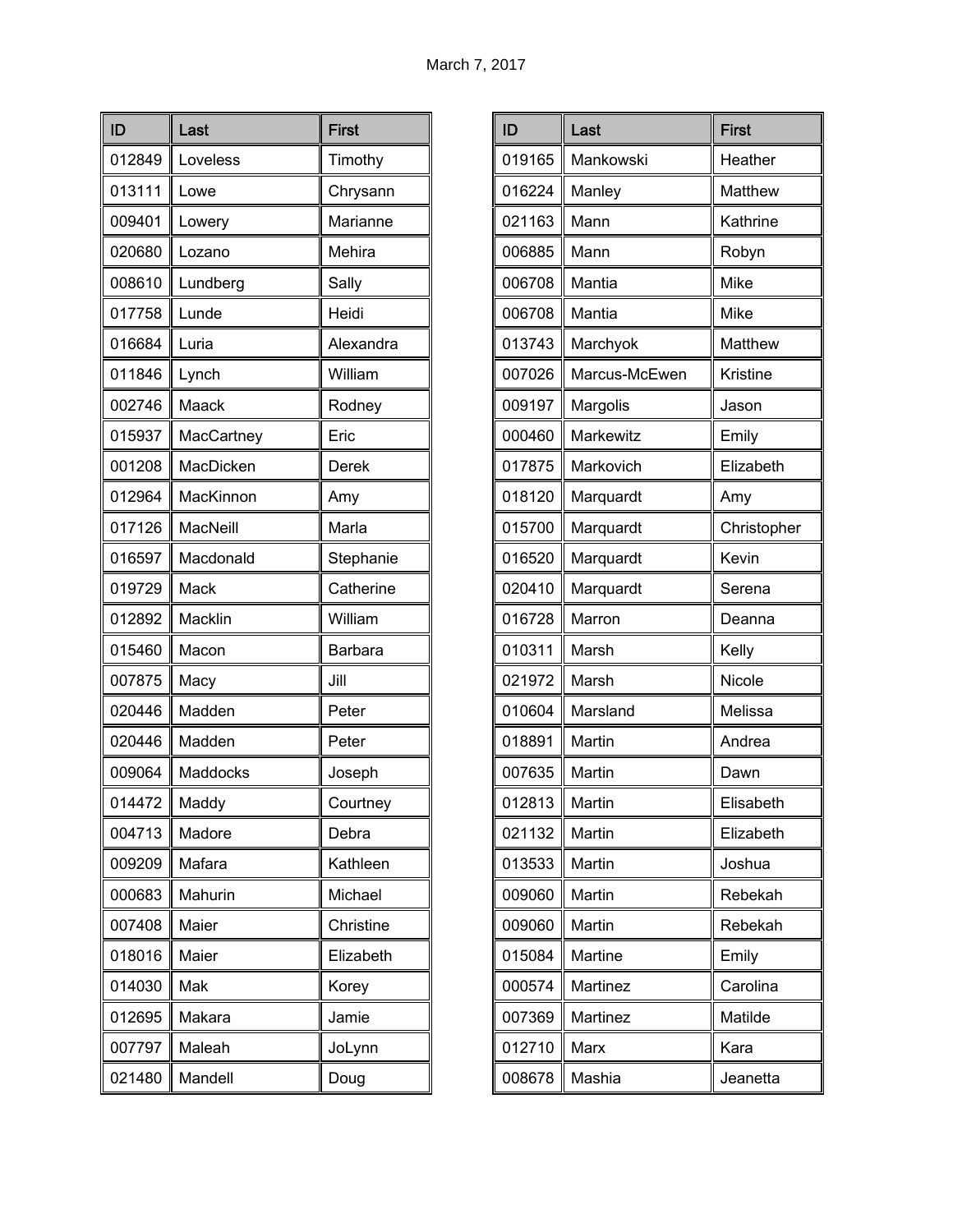| ID     | Last       | <b>First</b>   |
|--------|------------|----------------|
| 012849 | Loveless   | Timothy        |
| 013111 | Lowe       | Chrysann       |
| 009401 | Lowery     | Marianne       |
| 020680 | Lozano     | Mehira         |
| 008610 | Lundberg   | Sally          |
| 017758 | Lunde      | Heidi          |
| 016684 | Luria      | Alexandra      |
| 011846 | Lynch      | William        |
| 002746 | Maack      | Rodney         |
| 015937 | MacCartney | Eric           |
| 001208 | MacDicken  | Derek          |
| 012964 | MacKinnon  | Amy            |
| 017126 | MacNeill   | Marla          |
| 016597 | Macdonald  | Stephanie      |
| 019729 | Mack       | Catherine      |
| 012892 | Macklin    | William        |
| 015460 | Macon      | <b>Barbara</b> |
| 007875 | Macy       | Jill           |
| 020446 | Madden     | Peter          |
| 020446 | Madden     | Peter          |
| 009064 | Maddocks   | Joseph         |
| 014472 | Maddy      | Courtney       |
| 004713 | Madore     | Debra          |
| 009209 | Mafara     | Kathleen       |
| 000683 | Mahurin    | Michael        |
| 007408 | Maier      | Christine      |
| 018016 | Maier      | Elizabeth      |
| 014030 | Mak        | Korey          |
| 012695 | Makara     | Jamie          |
| 007797 | Maleah     | JoLynn         |
| 021480 | Mandell    | Doug           |

| ID     | Last          | <b>First</b> |
|--------|---------------|--------------|
| 019165 | Mankowski     | Heather      |
| 016224 | Manley        | Matthew      |
| 021163 | Mann          | Kathrine     |
| 006885 | Mann          | Robyn        |
| 006708 | Mantia        | Mike         |
| 006708 | Mantia        | Mike         |
| 013743 | Marchyok      | Matthew      |
| 007026 | Marcus-McEwen | Kristine     |
| 009197 | Margolis      | Jason        |
| 000460 | Markewitz     | Emily        |
| 017875 | Markovich     | Elizabeth    |
| 018120 | Marquardt     | Amy          |
| 015700 | Marquardt     | Christopher  |
| 016520 | Marquardt     | Kevin        |
| 020410 | Marquardt     | Serena       |
| 016728 | Marron        | Deanna       |
| 010311 | Marsh         | Kelly        |
| 021972 | Marsh         | Nicole       |
| 010604 | Marsland      | Melissa      |
| 018891 | Martin        | Andrea       |
| 007635 | Martin        | Dawn         |
| 012813 | Martin        | Elisabeth    |
| 021132 | Martin        | Elizabeth    |
| 013533 | Martin        | Joshua       |
| 009060 | Martin        | Rebekah      |
| 009060 | Martin        | Rebekah      |
| 015084 | Martine       | Emily        |
| 000574 | Martinez      | Carolina     |
| 007369 | Martinez      | Matilde      |
| 012710 | Marx          | Kara         |
| 008678 | Mashia        | Jeanetta     |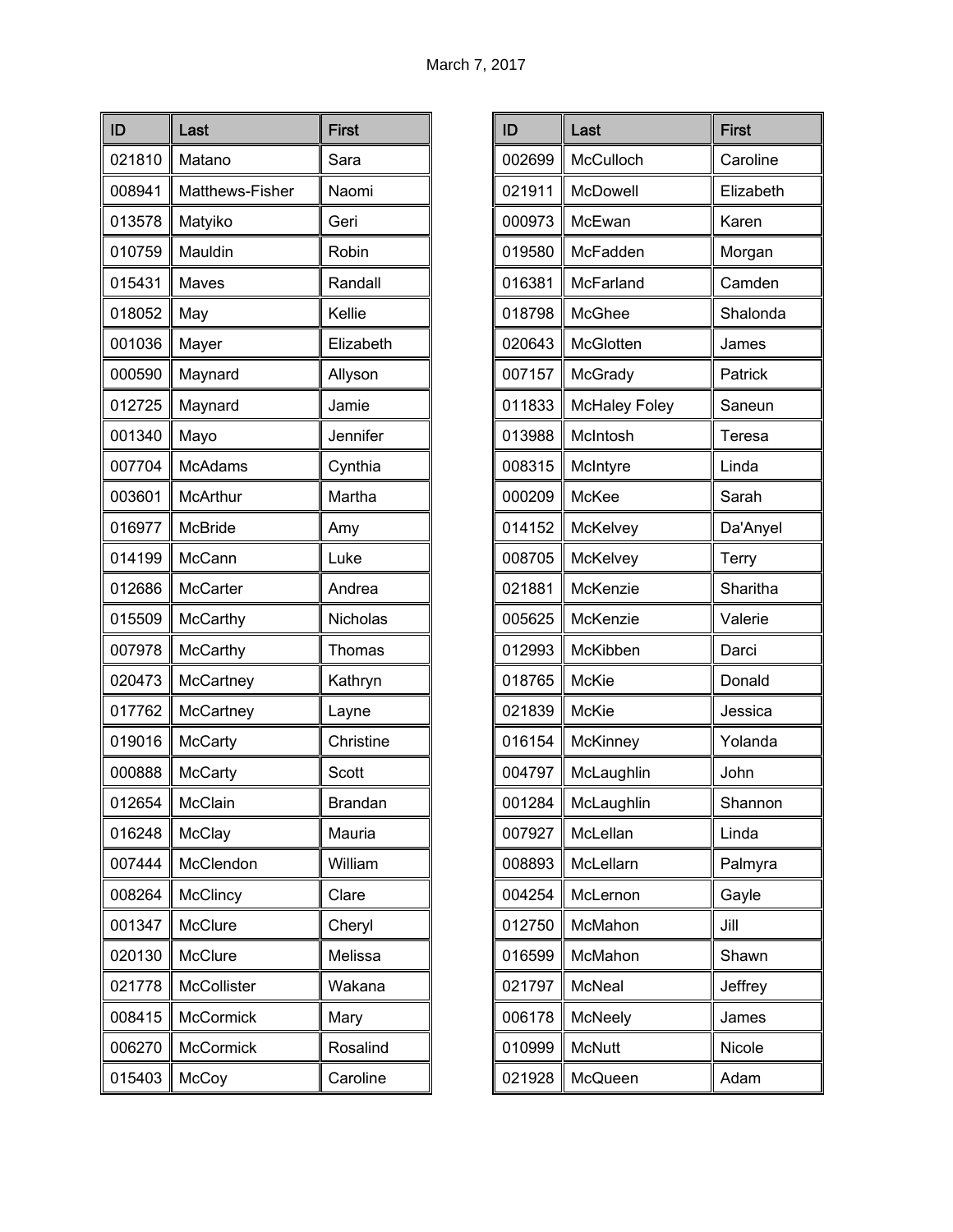| ID     | Last               | <b>First</b> |
|--------|--------------------|--------------|
| 021810 | Matano             | Sara         |
| 008941 | Matthews-Fisher    | Naomi        |
| 013578 | Matyiko            | Geri         |
| 010759 | Mauldin            | Robin        |
| 015431 | Maves              | Randall      |
| 018052 | May                | Kellie       |
| 001036 | Mayer              | Elizabeth    |
| 000590 | Maynard            | Allyson      |
| 012725 | Maynard            | Jamie        |
| 001340 | Mayo               | Jennifer     |
| 007704 | <b>McAdams</b>     | Cynthia      |
| 003601 | <b>McArthur</b>    | Martha       |
| 016977 | <b>McBride</b>     | Amy          |
| 014199 | McCann             | Luke         |
| 012686 | <b>McCarter</b>    | Andrea       |
| 015509 | McCarthy           | Nicholas     |
| 007978 | <b>McCarthy</b>    | Thomas       |
| 020473 | McCartney          | Kathryn      |
| 017762 | McCartney          | Layne        |
| 019016 | <b>McCarty</b>     | Christine    |
| 000888 | McCarty            | Scott        |
| 012654 | McClain            | Brandan      |
| 016248 | McClay             | Mauria       |
| 007444 | McClendon          | William      |
| 008264 | McClincy           | Clare        |
| 001347 | McClure            | Cheryl       |
| 020130 | McClure            | Melissa      |
| 021778 | <b>McCollister</b> | Wakana       |
| 008415 | McCormick          | Mary         |
| 006270 | <b>McCormick</b>   | Rosalind     |
| 015403 | McCoy              | Caroline     |

| ID     | Last                 | <b>First</b> |
|--------|----------------------|--------------|
| 002699 | McCulloch            | Caroline     |
| 021911 | McDowell             | Elizabeth    |
| 000973 | McEwan               | Karen        |
| 019580 | McFadden             | Morgan       |
| 016381 | McFarland            | Camden       |
| 018798 | McGhee               | Shalonda     |
| 020643 | McGlotten            | James        |
| 007157 | McGrady              | Patrick      |
| 011833 | <b>McHaley Foley</b> | Saneun       |
| 013988 | McIntosh             | Teresa       |
| 008315 | McIntyre             | Linda        |
| 000209 | <b>McKee</b>         | Sarah        |
| 014152 | McKelvey             | Da'Anyel     |
| 008705 | McKelvey             | Terry        |
| 021881 | McKenzie             | Sharitha     |
| 005625 | McKenzie             | Valerie      |
| 012993 | McKibben             | Darci        |
| 018765 | McKie                | Donald       |
| 021839 | McKie                | Jessica      |
| 016154 | <b>McKinney</b>      | Yolanda      |
| 004797 | McLaughlin           | John         |
| 001284 | McLaughlin           | Shannon      |
| 007927 | McLellan             | Linda        |
| 008893 | McLellarn            | Palmyra      |
| 004254 | McLernon             | Gayle        |
| 012750 | McMahon              | Jill         |
| 016599 | McMahon              | Shawn        |
| 021797 | McNeal               | Jeffrey      |
| 006178 | McNeely              | James        |
| 010999 | <b>McNutt</b>        | Nicole       |
| 021928 | McQueen              | Adam         |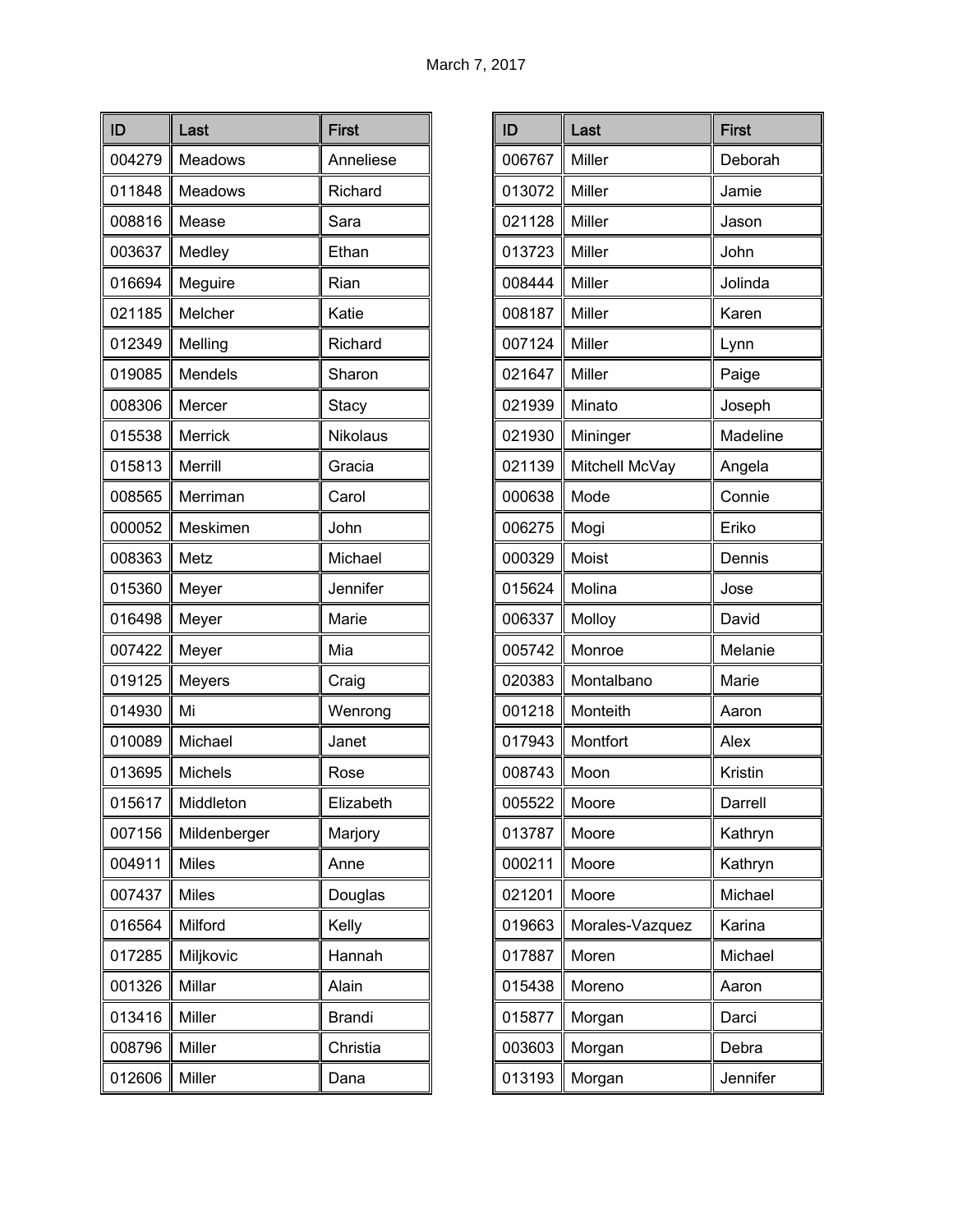| ID     | Last         | <b>First</b>  |
|--------|--------------|---------------|
| 004279 | Meadows      | Anneliese     |
| 011848 | Meadows      | Richard       |
| 008816 | Mease        | Sara          |
| 003637 | Medley       | Ethan         |
| 016694 | Meguire      | Rian          |
| 021185 | Melcher      | Katie         |
| 012349 | Melling      | Richard       |
| 019085 | Mendels      | Sharon        |
| 008306 | Mercer       | Stacy         |
| 015538 | Merrick      | Nikolaus      |
| 015813 | Merrill      | Gracia        |
| 008565 | Merriman     | Carol         |
| 000052 | Meskimen     | John          |
| 008363 | Metz         | Michael       |
| 015360 | Meyer        | Jennifer      |
| 016498 | Meyer        | Marie         |
| 007422 | Meyer        | Mia           |
| 019125 | Meyers       | Craig         |
| 014930 | Mi           | Wenrong       |
| 010089 | Michael      | Janet         |
| 013695 | Michels      | Rose          |
| 015617 | Middleton    | Elizabeth     |
| 007156 | Mildenberger | Marjory       |
| 004911 | <b>Miles</b> | Anne          |
| 007437 | <b>Miles</b> | Douglas       |
| 016564 | Milford      | Kelly         |
| 017285 | Miljkovic    | Hannah        |
| 001326 | Millar       | Alain         |
| 013416 | Miller       | <b>Brandi</b> |
| 008796 | Miller       | Christia      |
| 012606 | Miller       | Dana          |

| ID     | Last            | <b>First</b> |
|--------|-----------------|--------------|
| 006767 | Miller          | Deborah      |
| 013072 | Miller          | Jamie        |
| 021128 | Miller          | Jason        |
| 013723 | Miller          | John         |
| 008444 | Miller          | Jolinda      |
| 008187 | Miller          | Karen        |
| 007124 | Miller          | Lynn         |
| 021647 | Miller          | Paige        |
| 021939 | Minato          | Joseph       |
| 021930 | Mininger        | Madeline     |
| 021139 | Mitchell McVay  | Angela       |
| 000638 | Mode            | Connie       |
| 006275 | Mogi            | Eriko        |
| 000329 | Moist           | Dennis       |
| 015624 | Molina          | Jose         |
| 006337 | Molloy          | David        |
| 005742 | Monroe          | Melanie      |
| 020383 | Montalbano      | Marie        |
| 001218 | Monteith        | Aaron        |
| 017943 | Montfort        | Alex         |
| 008743 | Moon            | Kristin      |
| 005522 | Moore           | Darrell      |
| 013787 | Moore           | Kathryn      |
| 000211 | Moore           | Kathryn      |
| 021201 | Moore           | Michael      |
| 019663 | Morales-Vazquez | Karina       |
| 017887 | Moren           | Michael      |
| 015438 | Moreno          | Aaron        |
| 015877 | Morgan          | Darci        |
| 003603 | Morgan          | Debra        |
| 013193 | Morgan          | Jennifer     |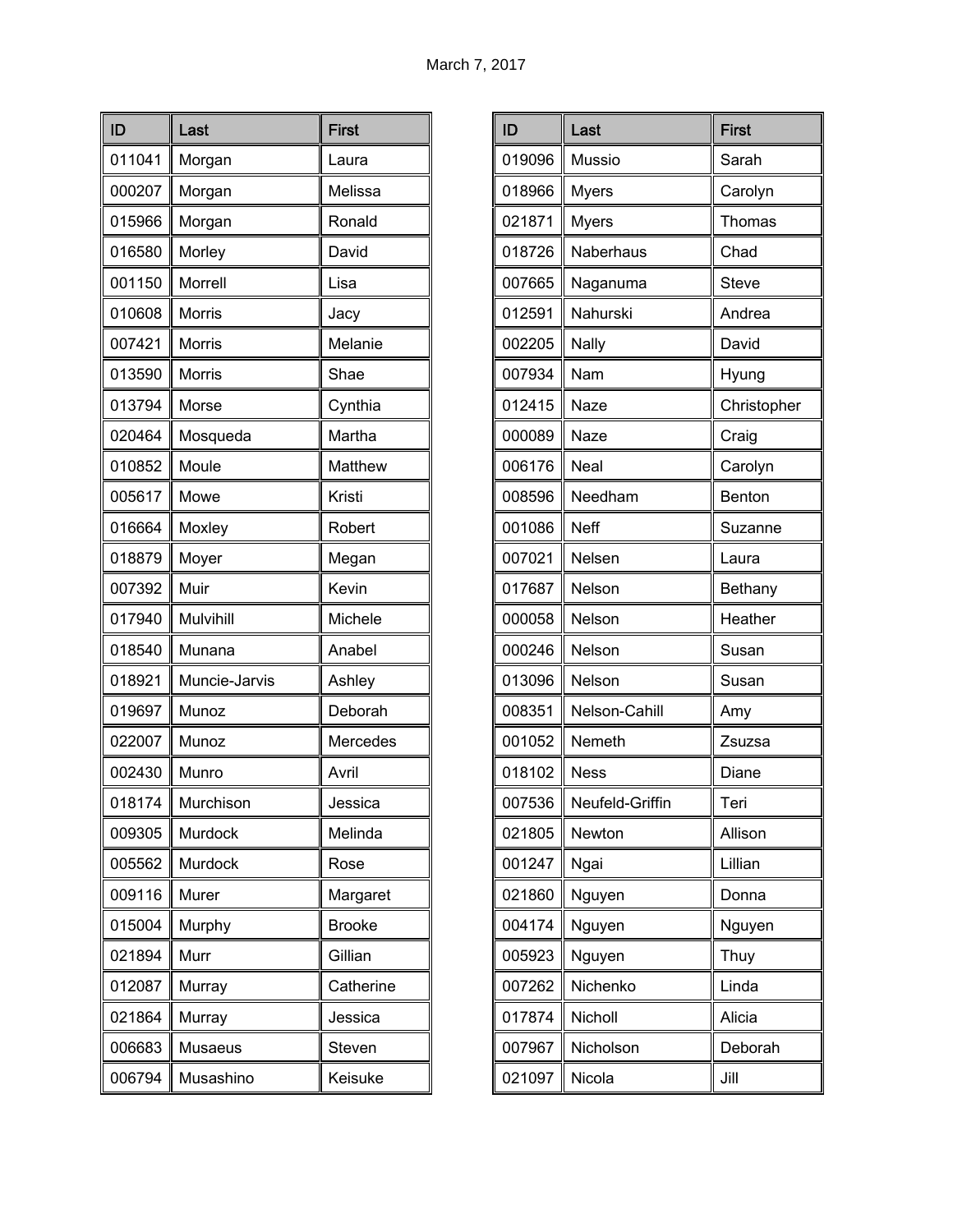| ID     | Last          | <b>First</b>  |
|--------|---------------|---------------|
| 011041 | Morgan        | Laura         |
| 000207 | Morgan        | Melissa       |
| 015966 | Morgan        | Ronald        |
| 016580 | Morley        | David         |
| 001150 | Morrell       | Lisa          |
| 010608 | Morris        | Jacy          |
| 007421 | Morris        | Melanie       |
| 013590 | <b>Morris</b> | Shae          |
| 013794 | Morse         | Cynthia       |
| 020464 | Mosqueda      | Martha        |
| 010852 | Moule         | Matthew       |
| 005617 | Mowe          | Kristi        |
| 016664 | Moxley        | Robert        |
| 018879 | Moyer         | Megan         |
| 007392 | Muir          | Kevin         |
| 017940 | Mulvihill     | Michele       |
| 018540 | Munana        | Anabel        |
| 018921 | Muncie-Jarvis | Ashley        |
| 019697 | Munoz         | Deborah       |
| 022007 | Munoz         | Mercedes      |
| 002430 | Munro         | Avril         |
| 018174 | Murchison     | Jessica       |
| 009305 | Murdock       | Melinda       |
| 005562 | Murdock       | Rose          |
| 009116 | Murer         | Margaret      |
| 015004 | Murphy        | <b>Brooke</b> |
| 021894 | Murr          | Gillian       |
| 012087 | Murray        | Catherine     |
| 021864 | Murray        | Jessica       |
| 006683 | Musaeus       | Steven        |
| 006794 | Musashino     | Keisuke       |

| ID     | Last            | <b>First</b> |
|--------|-----------------|--------------|
| 019096 | Mussio          | Sarah        |
| 018966 | <b>Myers</b>    | Carolyn      |
| 021871 | <b>Myers</b>    | Thomas       |
| 018726 | Naberhaus       | Chad         |
| 007665 | Naganuma        | Steve        |
| 012591 | Nahurski        | Andrea       |
| 002205 | Nally           | David        |
| 007934 | Nam             | Hyung        |
| 012415 | Naze            | Christopher  |
| 000089 | Naze            | Craig        |
| 006176 | Neal            | Carolyn      |
| 008596 | Needham         | Benton       |
| 001086 | Neff            | Suzanne      |
| 007021 | Nelsen          | Laura        |
| 017687 | Nelson          | Bethany      |
| 000058 | Nelson          | Heather      |
| 000246 | Nelson          | Susan        |
| 013096 | Nelson          | Susan        |
| 008351 | Nelson-Cahill   | Amy          |
| 001052 | Nemeth          | Zsuzsa       |
| 018102 | <b>Ness</b>     | Diane        |
| 007536 | Neufeld-Griffin | Teri         |
| 021805 | Newton          | Allison      |
| 001247 | Ngai            | Lillian      |
| 021860 | Nguyen          | Donna        |
| 004174 | Nguyen          | Nguyen       |
| 005923 | Nguyen          | Thuy         |
| 007262 | Nichenko        | Linda        |
| 017874 | Nicholl         | Alicia       |
| 007967 | Nicholson       | Deborah      |
| 021097 | Nicola          | Jill         |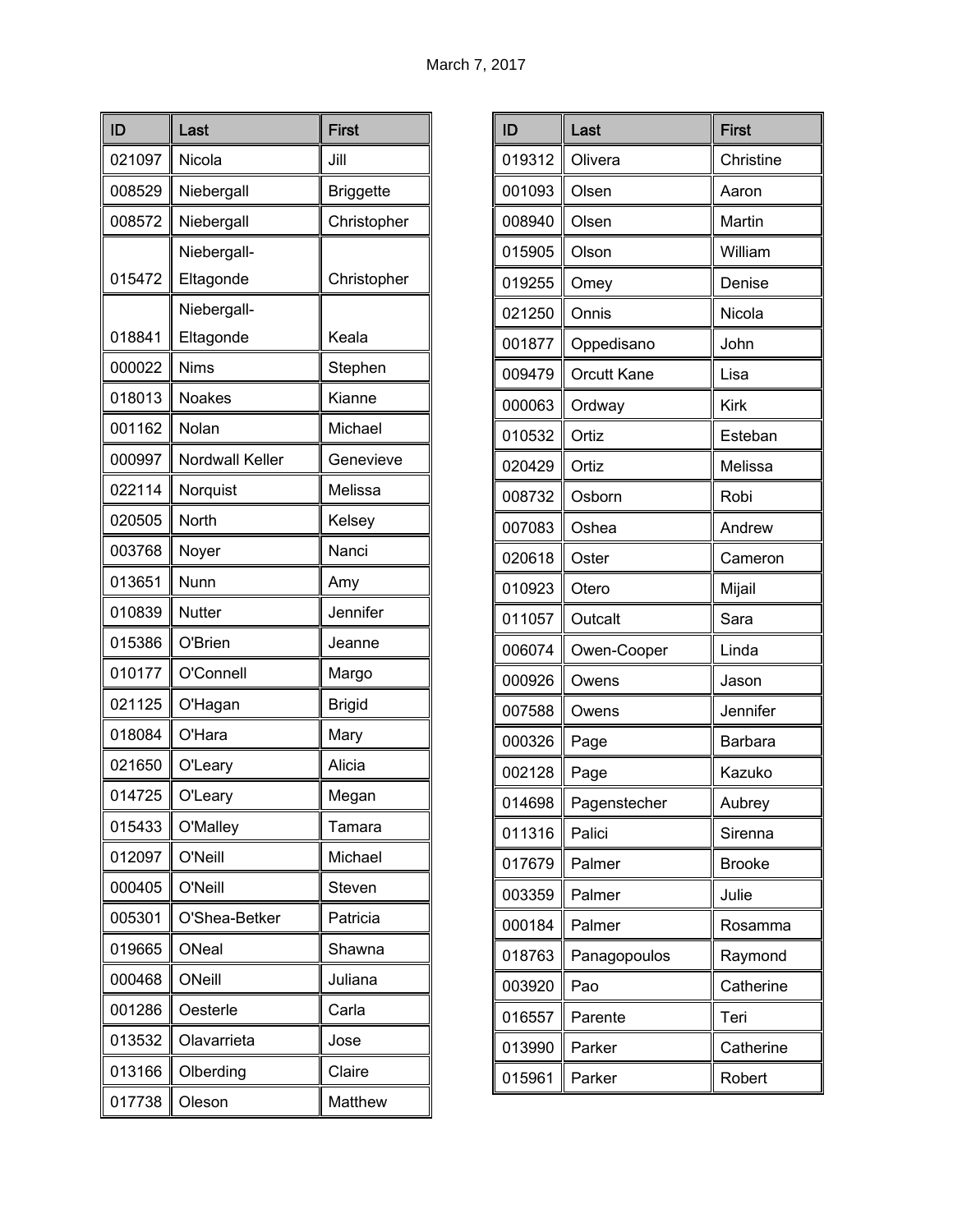| ID     | Last                   | <b>First</b>     |
|--------|------------------------|------------------|
| 021097 | Nicola                 | Jill             |
| 008529 | Niebergall             | <b>Briggette</b> |
| 008572 | Niebergall             | Christopher      |
|        | Niebergall-            |                  |
| 015472 | Eltagonde              | Christopher      |
|        | Niebergall-            |                  |
| 018841 | Eltagonde              | Keala            |
| 000022 | <b>Nims</b>            | Stephen          |
| 018013 | <b>Noakes</b>          | Kianne           |
| 001162 | Nolan                  | Michael          |
| 000997 | <b>Nordwall Keller</b> | Genevieve        |
| 022114 | Norquist               | Melissa          |
| 020505 | <b>North</b>           | Kelsey           |
| 003768 | Noyer                  | Nanci            |
| 013651 | Nunn                   | Amy              |
| 010839 | <b>Nutter</b>          | Jennifer         |
| 015386 | O'Brien                | Jeanne           |
| 010177 | O'Connell              | Margo            |
| 021125 | O'Hagan                | <b>Brigid</b>    |
| 018084 | O'Hara                 | Mary             |
| 021650 | O'Leary                | Alicia           |
| 014725 | O'Leary                | Megan            |
| 015433 | O'Malley               | Tamara           |
| 012097 | O'Neill                | Michael          |
| 000405 | O'Neill                | Steven           |
| 005301 | O'Shea-Betker          | Patricia         |
| 019665 | ONeal                  | Shawna           |
| 000468 | ONeill                 | Juliana          |
| 001286 | Oesterle               | Carla            |
| 013532 | Olavarrieta            | Jose             |
| 013166 | Olberding              | Claire           |
| 017738 | Oleson                 | Matthew          |

| ID     | Last               | <b>First</b>  |
|--------|--------------------|---------------|
| 019312 | Olivera            | Christine     |
| 001093 | Olsen              | Aaron         |
| 008940 | Olsen              | Martin        |
| 015905 | Olson              | William       |
| 019255 | Omey               | Denise        |
| 021250 | Onnis              | Nicola        |
| 001877 | Oppedisano         | John          |
| 009479 | <b>Orcutt Kane</b> | Lisa          |
| 000063 | Ordway             | <b>Kirk</b>   |
| 010532 | Ortiz              | Esteban       |
| 020429 | Ortiz              | Melissa       |
| 008732 | Osborn             | Robi          |
| 007083 | Oshea              | Andrew        |
| 020618 | Oster              | Cameron       |
| 010923 | Otero              | Mijail        |
| 011057 | Outcalt            | Sara          |
| 006074 | Owen-Cooper        | Linda         |
| 000926 | Owens              | Jason         |
| 007588 | Owens              | Jennifer      |
| 000326 | Page               | Barbara       |
| 002128 | Page               | Kazuko        |
| 014698 | Pagenstecher       | Aubrey        |
| 011316 | Palici             | Sirenna       |
| 017679 | Palmer             | <b>Brooke</b> |
| 003359 | Palmer             | Julie         |
| 000184 | Palmer             | Rosamma       |
| 018763 | Panagopoulos       | Raymond       |
| 003920 | Pao                | Catherine     |
| 016557 | Parente            | Teri          |
| 013990 | Parker             | Catherine     |
| 015961 | Parker             | Robert        |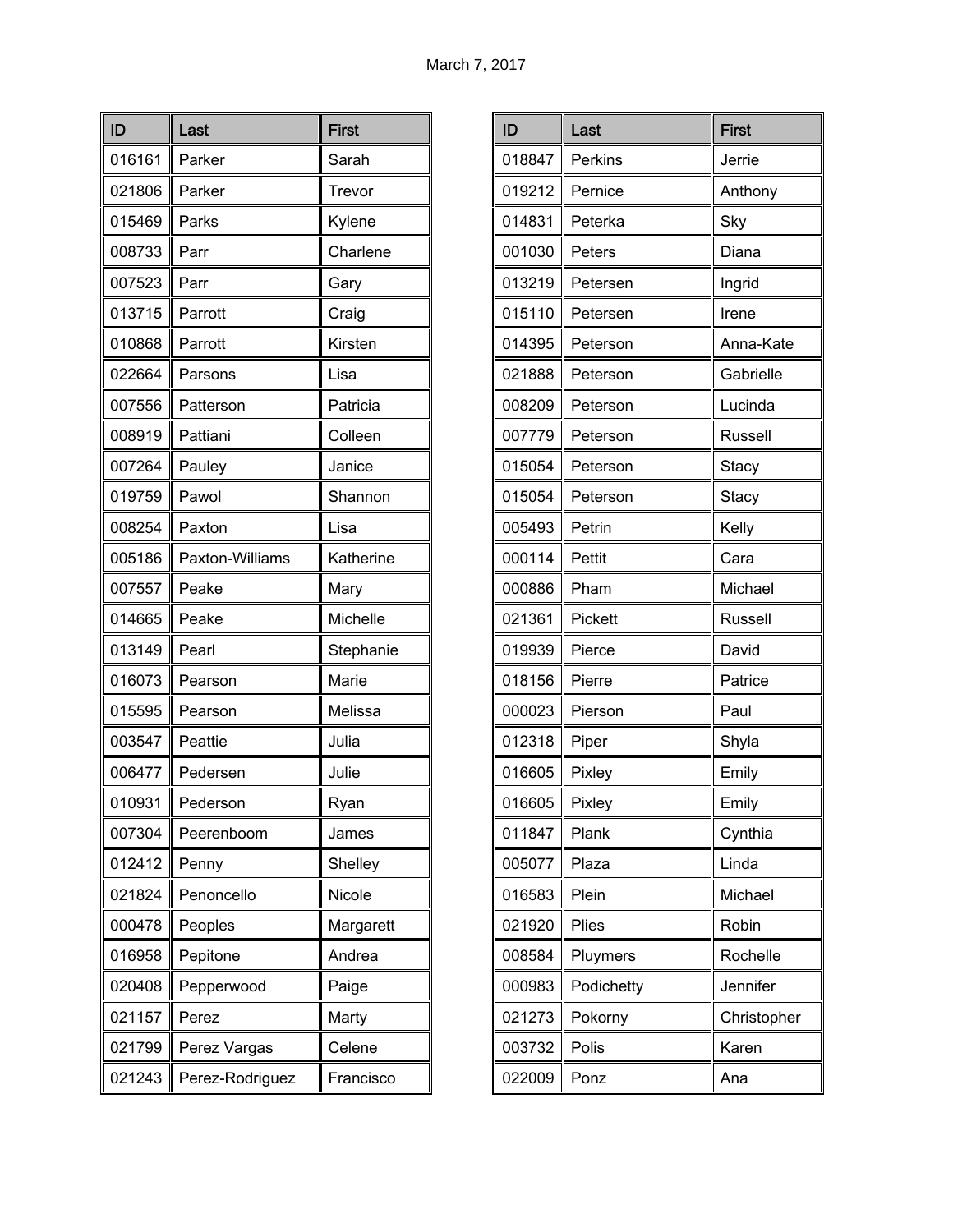| ID     | Last            | <b>First</b> |
|--------|-----------------|--------------|
| 016161 | Parker          | Sarah        |
| 021806 | Parker          | Trevor       |
| 015469 | Parks           | Kylene       |
| 008733 | Parr            | Charlene     |
| 007523 | Parr            | Gary         |
| 013715 | Parrott         | Craig        |
| 010868 | Parrott         | Kirsten      |
| 022664 | Parsons         | Lisa         |
| 007556 | Patterson       | Patricia     |
| 008919 | Pattiani        | Colleen      |
| 007264 | Pauley          | Janice       |
| 019759 | Pawol           | Shannon      |
| 008254 | Paxton          | Lisa         |
| 005186 | Paxton-Williams | Katherine    |
| 007557 | Peake           | Mary         |
| 014665 | Peake           | Michelle     |
| 013149 | Pearl           | Stephanie    |
| 016073 | Pearson         | Marie        |
| 015595 | Pearson         | Melissa      |
| 003547 | Peattie         | Julia        |
| 006477 | Pedersen        | Julie        |
| 010931 | Pederson        | Ryan         |
| 007304 | Peerenboom      | James        |
| 012412 | Penny           | Shelley      |
| 021824 | Penoncello      | Nicole       |
| 000478 | Peoples         | Margarett    |
| 016958 | Pepitone        | Andrea       |
| 020408 | Pepperwood      | Paige        |
| 021157 | Perez           | Marty        |
| 021799 | Perez Vargas    | Celene       |
| 021243 | Perez-Rodriguez | Francisco    |

| ID     | Last       | <b>First</b> |
|--------|------------|--------------|
| 018847 | Perkins    | Jerrie       |
| 019212 | Pernice    | Anthony      |
| 014831 | Peterka    | Sky          |
| 001030 | Peters     | Diana        |
| 013219 | Petersen   | Ingrid       |
| 015110 | Petersen   | Irene        |
| 014395 | Peterson   | Anna-Kate    |
| 021888 | Peterson   | Gabrielle    |
| 008209 | Peterson   | Lucinda      |
| 007779 | Peterson   | Russell      |
| 015054 | Peterson   | Stacy        |
| 015054 | Peterson   | Stacy        |
| 005493 | Petrin     | Kelly        |
| 000114 | Pettit     | Cara         |
| 000886 | Pham       | Michael      |
| 021361 | Pickett    | Russell      |
| 019939 | Pierce     | David        |
| 018156 | Pierre     | Patrice      |
| 000023 | Pierson    | Paul         |
| 012318 | Piper      | Shyla        |
| 016605 | Pixley     | Emily        |
| 016605 | Pixley     | Emily        |
| 011847 | Plank      | Cynthia      |
| 005077 | Plaza      | Linda        |
| 016583 | Plein      | Michael      |
| 021920 | Plies      | Robin        |
| 008584 | Pluymers   | Rochelle     |
| 000983 | Podichetty | Jennifer     |
| 021273 | Pokorny    | Christopher  |
| 003732 | Polis      | Karen        |
| 022009 | Ponz       | Ana          |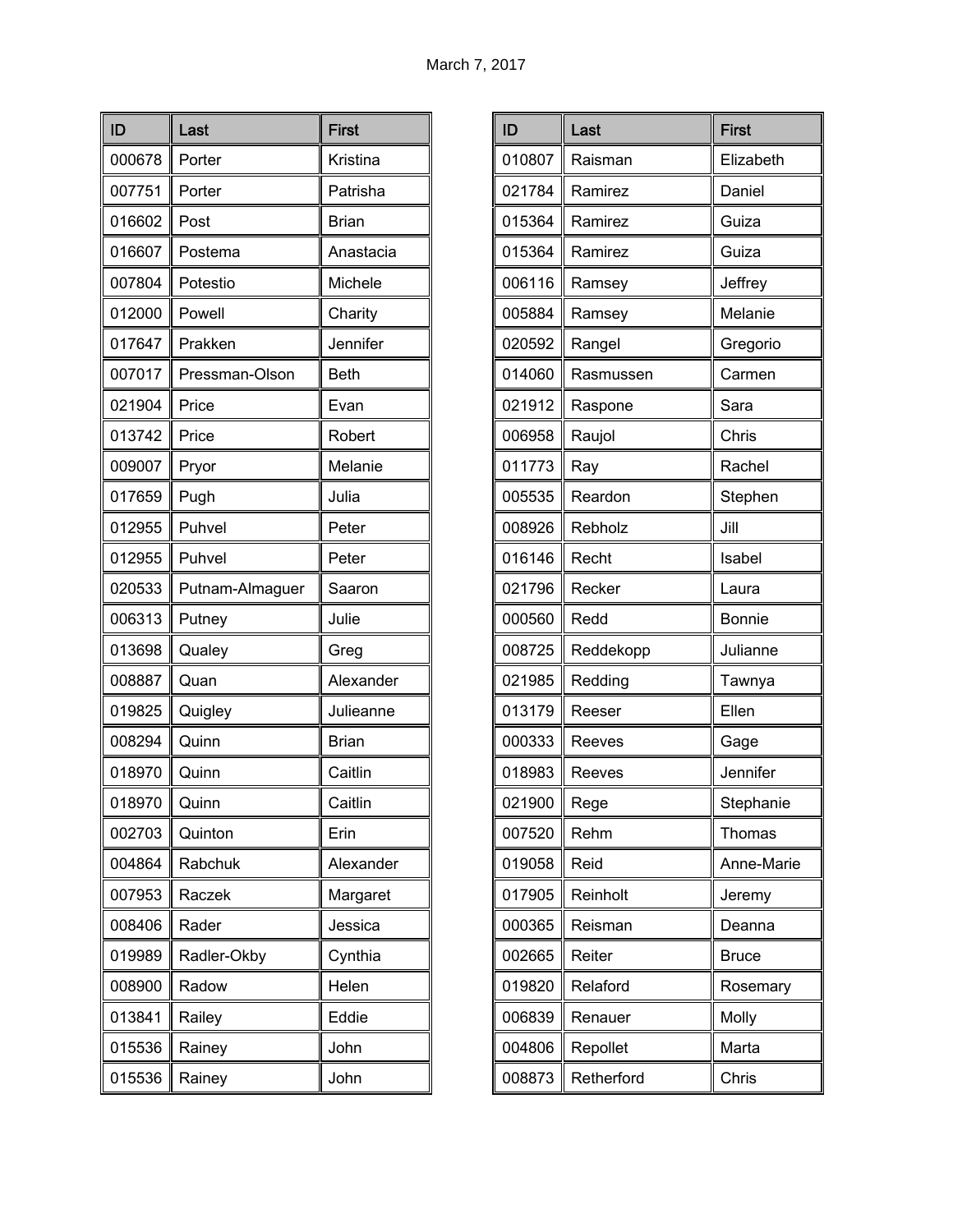| ID     | Last            | <b>First</b> |
|--------|-----------------|--------------|
| 000678 | Porter          | Kristina     |
| 007751 | Porter          | Patrisha     |
| 016602 | Post            | <b>Brian</b> |
| 016607 | Postema         | Anastacia    |
| 007804 | Potestio        | Michele      |
| 012000 | Powell          | Charity      |
| 017647 | Prakken         | Jennifer     |
| 007017 | Pressman-Olson  | <b>Beth</b>  |
| 021904 | Price           | Evan         |
| 013742 | Price           | Robert       |
| 009007 | Pryor           | Melanie      |
| 017659 | Pugh            | Julia        |
| 012955 | Puhvel          | Peter        |
| 012955 | Puhvel          | Peter        |
| 020533 | Putnam-Almaguer | Saaron       |
| 006313 | Putney          | Julie        |
| 013698 | Qualey          | Greg         |
| 008887 | Quan            | Alexander    |
| 019825 | Quigley         | Julieanne    |
| 008294 | Quinn           | <b>Brian</b> |
| 018970 | Quinn           | Caitlin      |
| 018970 | Quinn           | Caitlin      |
| 002703 | Quinton         | Erin         |
| 004864 | Rabchuk         | Alexander    |
| 007953 | Raczek          | Margaret     |
| 008406 | Rader           | Jessica      |
| 019989 | Radler-Okby     | Cynthia      |
| 008900 | Radow           | Helen        |
| 013841 | Railey          | Eddie        |
| 015536 | Rainey          | John         |
| 015536 | Rainey          | John         |

| ID     | Last       | <b>First</b>  |
|--------|------------|---------------|
| 010807 | Raisman    | Elizabeth     |
| 021784 | Ramirez    | Daniel        |
| 015364 | Ramirez    | Guiza         |
| 015364 | Ramirez    | Guiza         |
| 006116 | Ramsey     | Jeffrey       |
| 005884 | Ramsey     | Melanie       |
| 020592 | Rangel     | Gregorio      |
| 014060 | Rasmussen  | Carmen        |
| 021912 | Raspone    | Sara          |
| 006958 | Raujol     | Chris         |
| 011773 | Ray        | Rachel        |
| 005535 | Reardon    | Stephen       |
| 008926 | Rebholz    | Jill          |
| 016146 | Recht      | Isabel        |
| 021796 | Recker     | Laura         |
| 000560 | Redd       | <b>Bonnie</b> |
| 008725 | Reddekopp  | Julianne      |
| 021985 | Redding    | Tawnya        |
| 013179 | Reeser     | Ellen         |
| 000333 | Reeves     | Gage          |
| 018983 | Reeves     | Jennifer      |
| 021900 | Rege       | Stephanie     |
| 007520 | Rehm       | Thomas        |
| 019058 | Reid       | Anne-Marie    |
| 017905 | Reinholt   | Jeremy        |
| 000365 | Reisman    | Deanna        |
| 002665 | Reiter     | <b>Bruce</b>  |
| 019820 | Relaford   | Rosemary      |
| 006839 | Renauer    | Molly         |
| 004806 | Repollet   | Marta         |
| 008873 | Retherford | Chris         |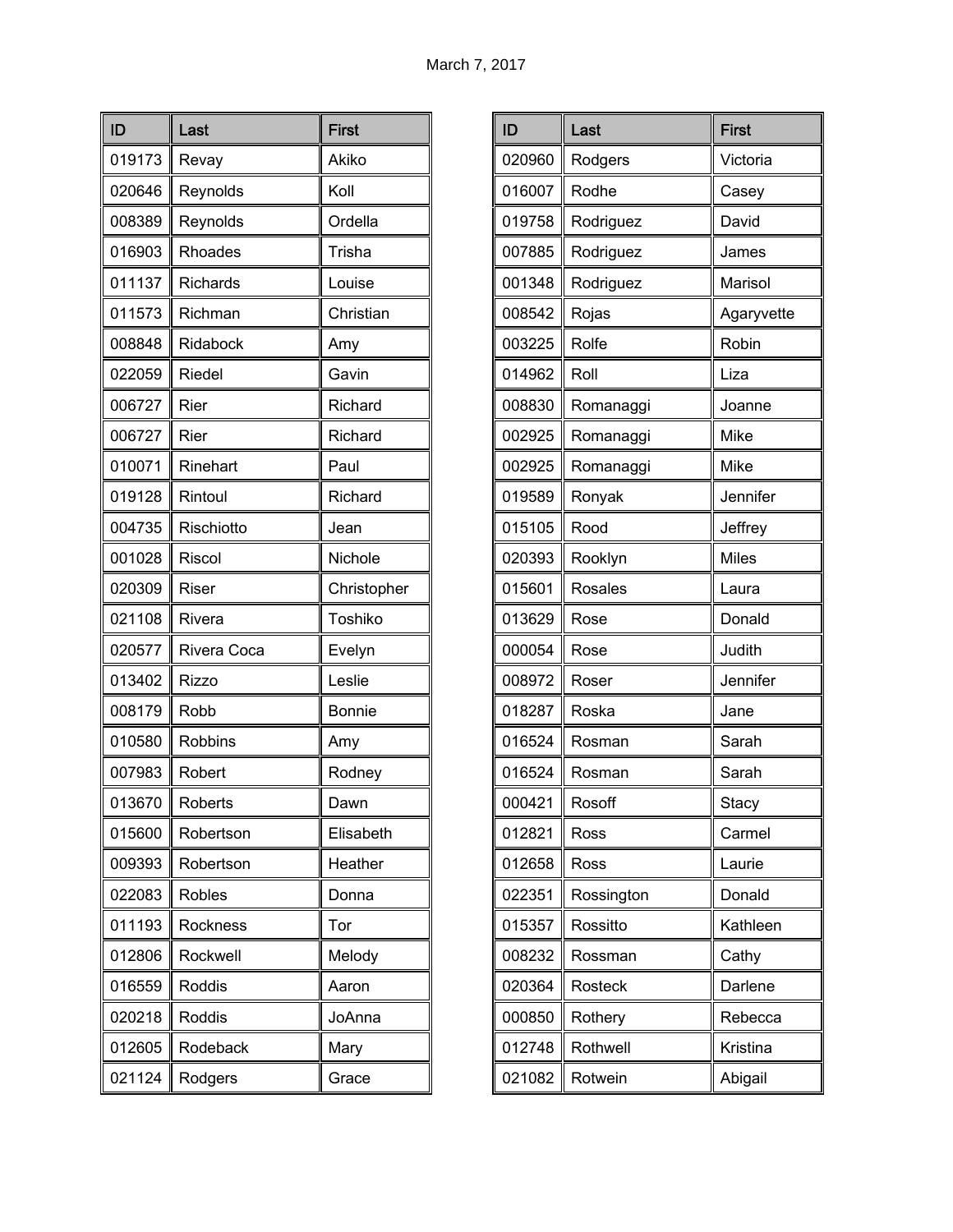| ID     | Last            | <b>First</b>  |
|--------|-----------------|---------------|
| 019173 | Revay           | Akiko         |
| 020646 | Reynolds        | Koll          |
| 008389 | Reynolds        | Ordella       |
| 016903 | Rhoades         | Trisha        |
| 011137 | <b>Richards</b> | Louise        |
| 011573 | Richman         | Christian     |
| 008848 | Ridabock        | Amy           |
| 022059 | Riedel          | Gavin         |
| 006727 | Rier            | Richard       |
| 006727 | Rier            | Richard       |
| 010071 | Rinehart        | Paul          |
| 019128 | Rintoul         | Richard       |
| 004735 | Rischiotto      | Jean          |
| 001028 | Riscol          | Nichole       |
| 020309 | Riser           | Christopher   |
| 021108 | Rivera          | Toshiko       |
| 020577 | Rivera Coca     | Evelyn        |
| 013402 | Rizzo           | Leslie        |
| 008179 | Robb            | <b>Bonnie</b> |
| 010580 | <b>Robbins</b>  | Amy           |
| 007983 | Robert          | Rodney        |
| 013670 | Roberts         | Dawn          |
| 015600 | Robertson       | Elisabeth     |
| 009393 | Robertson       | Heather       |
| 022083 | <b>Robles</b>   | Donna         |
| 011193 | Rockness        | Tor           |
| 012806 | Rockwell        | Melody        |
| 016559 | <b>Roddis</b>   | Aaron         |
| 020218 | Roddis          | JoAnna        |
| 012605 | Rodeback        | Mary          |
| 021124 | Rodgers         | Grace         |

| ID     | Last           | <b>First</b> |
|--------|----------------|--------------|
| 020960 | Rodgers        | Victoria     |
| 016007 | Rodhe          | Casey        |
| 019758 | Rodriguez      | David        |
| 007885 | Rodriguez      | James        |
| 001348 | Rodriguez      | Marisol      |
| 008542 | Rojas          | Agaryvette   |
| 003225 | Rolfe          | Robin        |
| 014962 | Roll           | Liza         |
| 008830 | Romanaggi      | Joanne       |
| 002925 | Romanaggi      | Mike         |
| 002925 | Romanaggi      | Mike         |
| 019589 | Ronyak         | Jennifer     |
| 015105 | Rood           | Jeffrey      |
| 020393 | Rooklyn        | <b>Miles</b> |
| 015601 | <b>Rosales</b> | Laura        |
| 013629 | Rose           | Donald       |
| 000054 | Rose           | Judith       |
| 008972 | Roser          | Jennifer     |
| 018287 | Roska          | Jane         |
| 016524 | Rosman         | Sarah        |
| 016524 | Rosman         | Sarah        |
| 000421 | Rosoff         | Stacy        |
| 012821 | Ross           | Carmel       |
| 012658 | Ross           | Laurie       |
| 022351 | Rossington     | Donald       |
| 015357 | Rossitto       | Kathleen     |
| 008232 | Rossman        | Cathy        |
| 020364 | Rosteck        | Darlene      |
| 000850 | Rothery        | Rebecca      |
| 012748 | Rothwell       | Kristina     |
| 021082 | Rotwein        | Abigail      |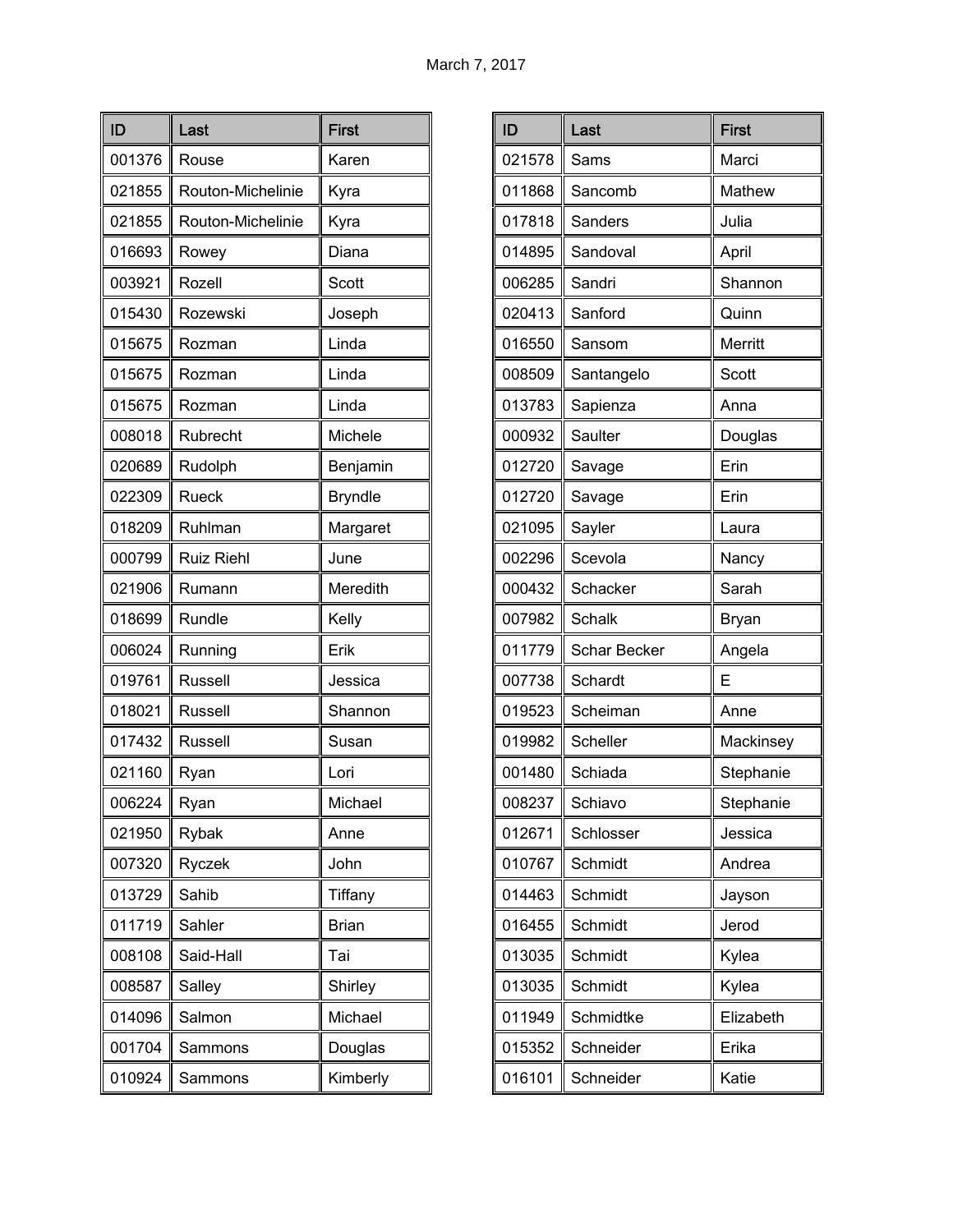| ID     | Last              | <b>First</b>   |
|--------|-------------------|----------------|
| 001376 | Rouse             | Karen          |
| 021855 | Routon-Michelinie | Kyra           |
| 021855 | Routon-Michelinie | Kyra           |
| 016693 | Rowey             | Diana          |
| 003921 | Rozell            | Scott          |
| 015430 | Rozewski          | Joseph         |
| 015675 | Rozman            | Linda          |
| 015675 | Rozman            | Linda          |
| 015675 | Rozman            | Linda          |
| 008018 | Rubrecht          | Michele        |
| 020689 | Rudolph           | Benjamin       |
| 022309 | Rueck             | <b>Bryndle</b> |
| 018209 | Ruhlman           | Margaret       |
| 000799 | <b>Ruiz Riehl</b> | June           |
| 021906 | Rumann            | Meredith       |
| 018699 | Rundle            | Kelly          |
| 006024 | Running           | Erik           |
| 019761 | Russell           | Jessica        |
| 018021 | Russell           | Shannon        |
| 017432 | Russell           | Susan          |
| 021160 | Ryan              | Lori           |
| 006224 | Rvan              | Michael        |
| 021950 | Rybak             | Anne           |
| 007320 | Ryczek            | John           |
| 013729 | Sahib             | Tiffany        |
| 011719 | Sahler            | <b>Brian</b>   |
| 008108 | Said-Hall         | Tai            |
| 008587 | Salley            | Shirley        |
| 014096 | Salmon            | Michael        |
| 001704 | Sammons           | Douglas        |
| 010924 | Sammons           | Kimberly       |

| ID     | Last                | <b>First</b> |
|--------|---------------------|--------------|
| 021578 | Sams                | Marci        |
| 011868 | Sancomb             | Mathew       |
| 017818 | Sanders             | Julia        |
| 014895 | Sandoval            | April        |
| 006285 | Sandri              | Shannon      |
| 020413 | Sanford             | Quinn        |
| 016550 | Sansom              | Merritt      |
| 008509 | Santangelo          | Scott        |
| 013783 | Sapienza            | Anna         |
| 000932 | Saulter             | Douglas      |
| 012720 | Savage              | Erin         |
| 012720 | Savage              | Erin         |
| 021095 | Sayler              | Laura        |
| 002296 | Scevola             | Nancy        |
| 000432 | Schacker            | Sarah        |
| 007982 | <b>Schalk</b>       | Bryan        |
| 011779 | <b>Schar Becker</b> | Angela       |
| 007738 | Schardt             | Е            |
| 019523 | Scheiman            | Anne         |
| 019982 | Scheller            | Mackinsey    |
| 001480 | Schiada             | Stephanie    |
| 008237 | Schiavo             | Stephanie    |
| 012671 | Schlosser           | Jessica      |
| 010767 | Schmidt             | Andrea       |
| 014463 | Schmidt             | Jayson       |
| 016455 | Schmidt             | Jerod        |
| 013035 | Schmidt             | Kylea        |
| 013035 | Schmidt             | Kylea        |
| 011949 | Schmidtke           | Elizabeth    |
| 015352 | Schneider           | Erika        |
| 016101 | Schneider           | Katie        |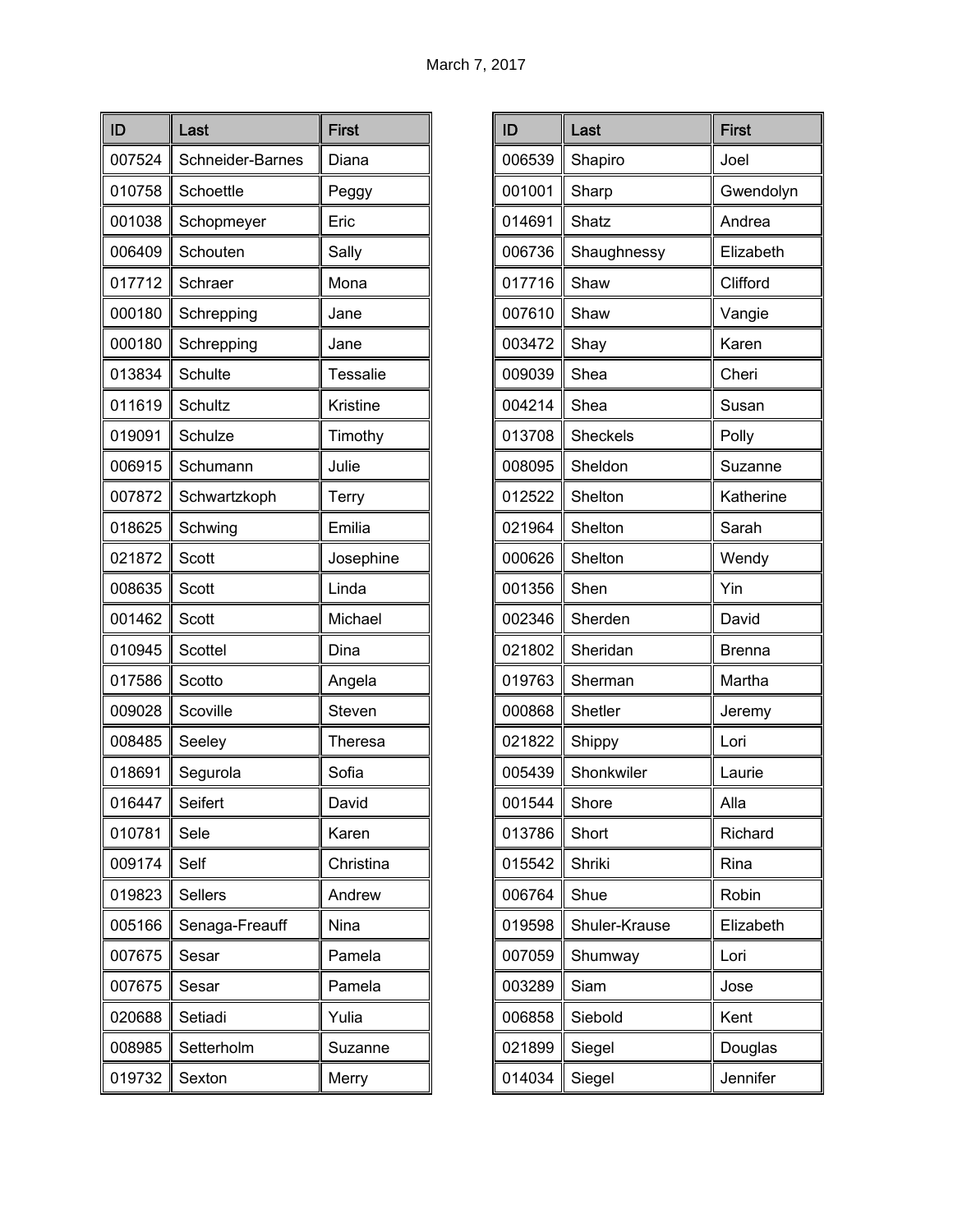| ID     | Last             | <b>First</b>    |
|--------|------------------|-----------------|
| 007524 | Schneider-Barnes | Diana           |
| 010758 | Schoettle        | Peggy           |
| 001038 | Schopmeyer       | Eric            |
| 006409 | Schouten         | Sally           |
| 017712 | Schraer          | Mona            |
| 000180 | Schrepping       | Jane            |
| 000180 | Schrepping       | Jane            |
| 013834 | Schulte          | <b>Tessalie</b> |
| 011619 | Schultz          | Kristine        |
| 019091 | Schulze          | Timothy         |
| 006915 | Schumann         | Julie           |
| 007872 | Schwartzkoph     | Terry           |
| 018625 | Schwing          | Emilia          |
| 021872 | Scott            | Josephine       |
| 008635 | Scott            | Linda           |
| 001462 | Scott            | Michael         |
| 010945 | Scottel          | Dina            |
| 017586 | Scotto           | Angela          |
| 009028 | Scoville         | Steven          |
| 008485 | Seeley           | Theresa         |
| 018691 | Segurola         | Sofia           |
| 016447 | Seifert          | David           |
| 010781 | Sele             | Karen           |
| 009174 | Self             | Christina       |
| 019823 | <b>Sellers</b>   | Andrew          |
| 005166 | Senaga-Freauff   | Nina            |
| 007675 | Sesar            | Pamela          |
| 007675 | Sesar            | Pamela          |
| 020688 | Setiadi          | Yulia           |
| 008985 | Setterholm       | Suzanne         |
| 019732 | Sexton           | Merry           |

| ID     | Last          | <b>First</b>  |
|--------|---------------|---------------|
| 006539 | Shapiro       | Joel          |
| 001001 | Sharp         | Gwendolyn     |
| 014691 | Shatz         | Andrea        |
| 006736 | Shaughnessy   | Elizabeth     |
| 017716 | Shaw          | Clifford      |
| 007610 | Shaw          | Vangie        |
| 003472 | Shay          | Karen         |
| 009039 | Shea          | Cheri         |
| 004214 | Shea          | Susan         |
| 013708 | Sheckels      | Polly         |
| 008095 | Sheldon       | Suzanne       |
| 012522 | Shelton       | Katherine     |
| 021964 | Shelton       | Sarah         |
| 000626 | Shelton       | Wendy         |
| 001356 | Shen          | Yin           |
| 002346 | Sherden       | David         |
| 021802 | Sheridan      | <b>Brenna</b> |
| 019763 | Sherman       | Martha        |
| 000868 | Shetler       | Jeremy        |
| 021822 | Shippy        | Lori          |
| 005439 | Shonkwiler    | Laurie        |
| 001544 | Shore         | Alla          |
| 013786 | Short         | Richard       |
| 015542 | Shriki        | Rina          |
| 006764 | Shue          | Robin         |
| 019598 | Shuler-Krause | Elizabeth     |
| 007059 | Shumway       | Lori          |
| 003289 | Siam          | Jose          |
| 006858 | Siebold       | Kent          |
| 021899 | Siegel        | Douglas       |
| 014034 | Siegel        | Jennifer      |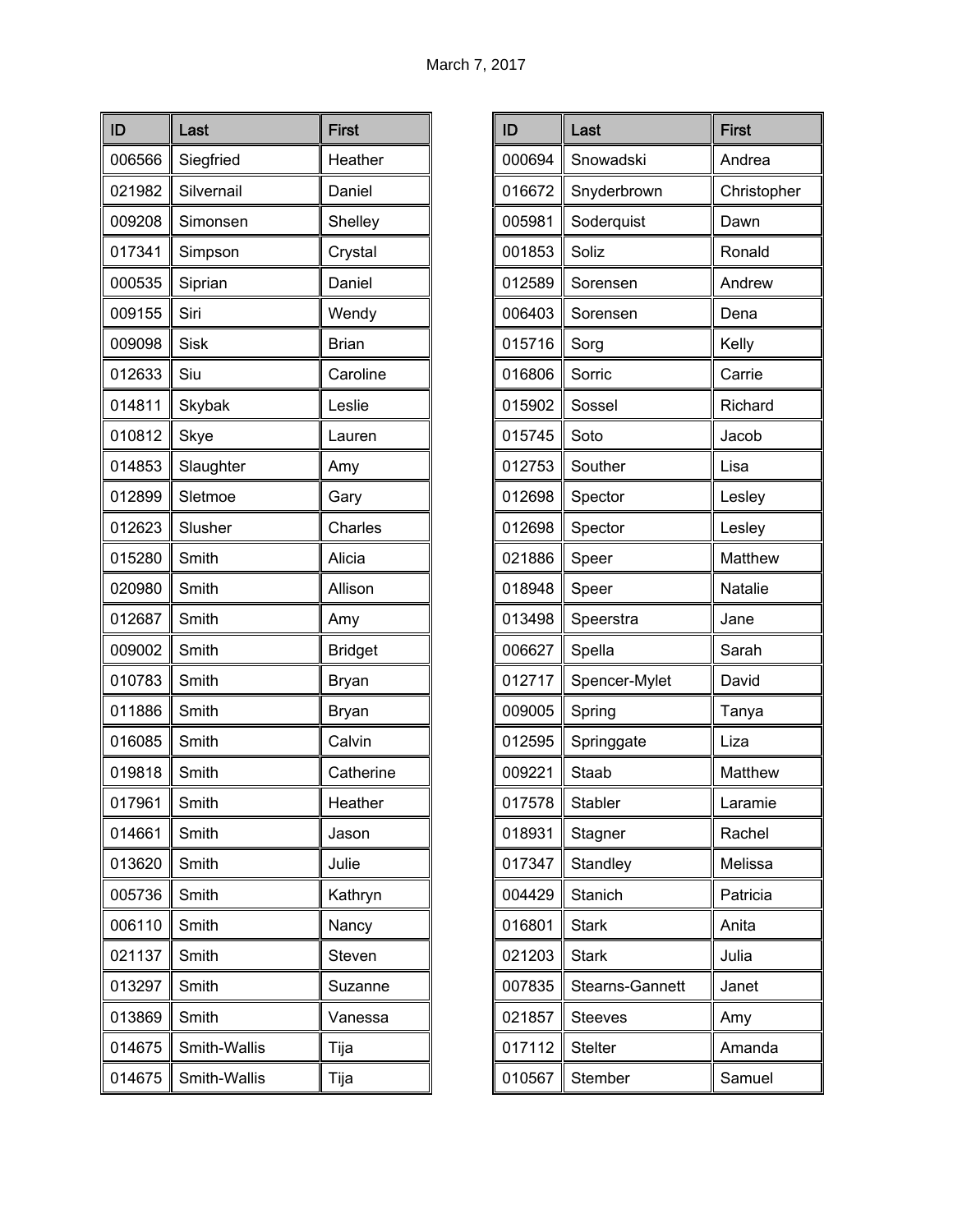| ID     | Last         | <b>First</b>   |
|--------|--------------|----------------|
| 006566 | Siegfried    | Heather        |
| 021982 | Silvernail   | Daniel         |
| 009208 | Simonsen     | Shelley        |
| 017341 | Simpson      | Crystal        |
| 000535 | Siprian      | Daniel         |
| 009155 | Siri         | Wendy          |
| 009098 | <b>Sisk</b>  | <b>Brian</b>   |
| 012633 | Siu          | Caroline       |
| 014811 | Skybak       | Leslie         |
| 010812 | Skye         | Lauren         |
| 014853 | Slaughter    | Amy            |
| 012899 | Sletmoe      | Gary           |
| 012623 | Slusher      | Charles        |
| 015280 | Smith        | Alicia         |
| 020980 | Smith        | Allison        |
| 012687 | Smith        | Amy            |
| 009002 | Smith        | <b>Bridget</b> |
| 010783 | Smith        | Bryan          |
| 011886 | Smith        | Bryan          |
| 016085 | Smith        | Calvin         |
| 019818 | Smith        | Catherine      |
| 017961 | Smith        | Heather        |
| 014661 | Smith        | Jason          |
| 013620 | Smith        | Julie          |
| 005736 | Smith        | Kathryn        |
| 006110 | Smith        | Nancy          |
| 021137 | Smith        | Steven         |
| 013297 | Smith        | Suzanne        |
| 013869 | Smith        | Vanessa        |
| 014675 | Smith-Wallis | Tija           |
| 014675 | Smith-Wallis | Tija           |

| ID     | Last            | <b>First</b> |
|--------|-----------------|--------------|
| 000694 | Snowadski       | Andrea       |
| 016672 | Snyderbrown     | Christopher  |
| 005981 | Soderquist      | Dawn         |
| 001853 | Soliz           | Ronald       |
| 012589 | Sorensen        | Andrew       |
| 006403 | Sorensen        | Dena         |
| 015716 | Sorg            | Kelly        |
| 016806 | Sorric          | Carrie       |
| 015902 | Sossel          | Richard      |
| 015745 | Soto            | Jacob        |
| 012753 | Souther         | Lisa         |
| 012698 | Spector         | Lesley       |
| 012698 | Spector         | Lesley       |
| 021886 | Speer           | Matthew      |
| 018948 | Speer           | Natalie      |
| 013498 | Speerstra       | Jane         |
| 006627 | Spella          | Sarah        |
| 012717 | Spencer-Mylet   | David        |
| 009005 | Spring          | Tanya        |
| 012595 | Springgate      | Liza         |
| 009221 | Staab           | Matthew      |
| 017578 | Stabler         | Laramie      |
| 018931 | Stagner         | Rachel       |
| 017347 | Standley        | Melissa      |
| 004429 | Stanich         | Patricia     |
| 016801 | <b>Stark</b>    | Anita        |
| 021203 | <b>Stark</b>    | Julia        |
| 007835 | Stearns-Gannett | Janet        |
| 021857 | <b>Steeves</b>  | Amy          |
| 017112 | <b>Stelter</b>  | Amanda       |
| 010567 | Stember         | Samuel       |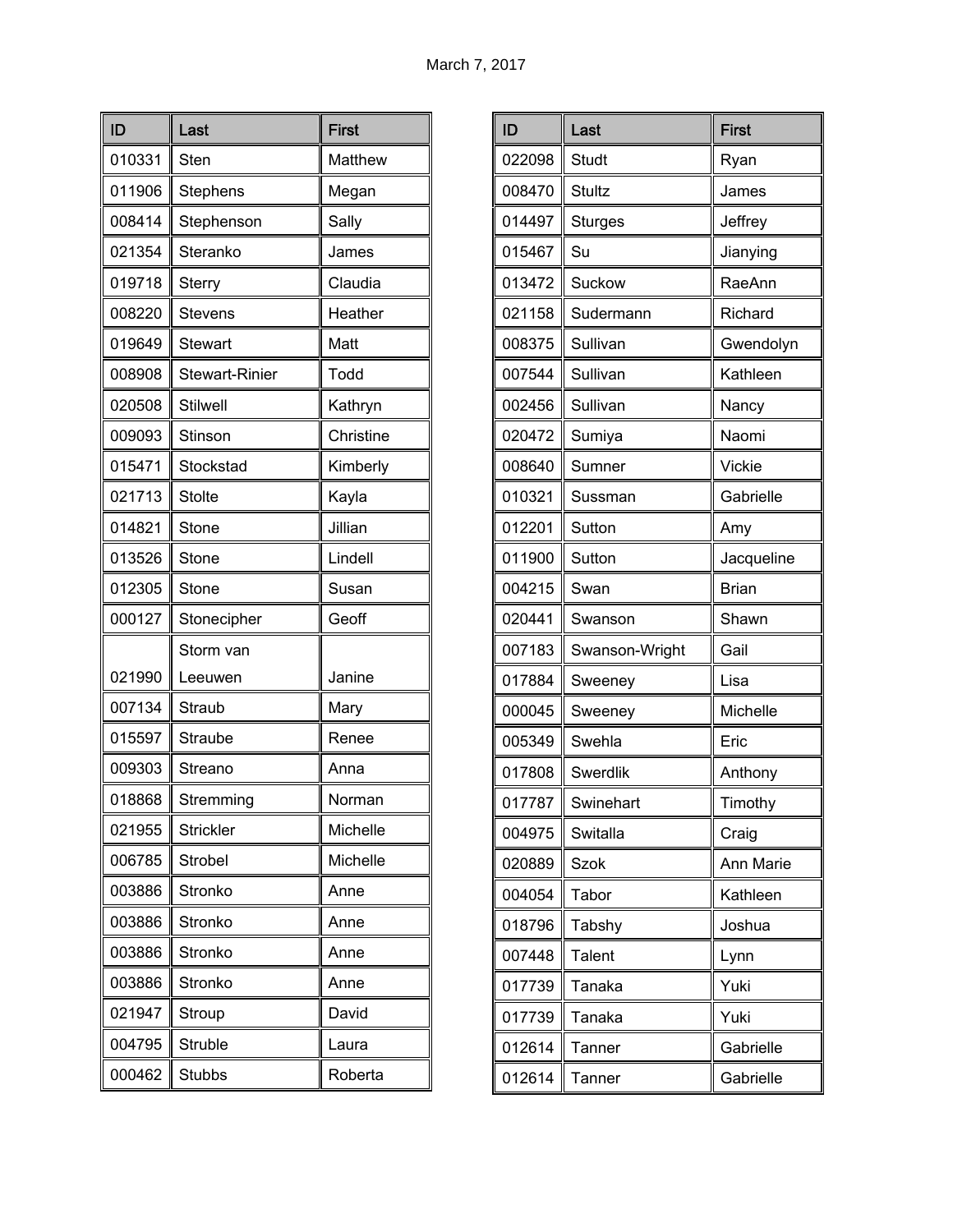| ID     | Last                  | <b>First</b> |
|--------|-----------------------|--------------|
| 010331 | Sten                  | Matthew      |
| 011906 | Stephens              | Megan        |
| 008414 | Stephenson            | Sally        |
| 021354 | Steranko              | James        |
| 019718 | Sterry                | Claudia      |
| 008220 | <b>Stevens</b>        | Heather      |
| 019649 | Stewart               | Matt         |
| 008908 | <b>Stewart-Rinier</b> | Todd         |
| 020508 | <b>Stilwell</b>       | Kathryn      |
| 009093 | Stinson               | Christine    |
| 015471 | Stockstad             | Kimberly     |
| 021713 | <b>Stolte</b>         | Kayla        |
| 014821 | Stone                 | Jillian      |
| 013526 | Stone                 | Lindell      |
| 012305 | Stone                 | Susan        |
| 000127 | Stonecipher           | Geoff        |
|        | Storm van             |              |
| 021990 | Leeuwen               | Janine       |
| 007134 | Straub                | Mary         |
| 015597 | Straube               | Renee        |
| 009303 | Streano               | Anna         |
| 018868 | Stremming             | Norman       |
| 021955 | <b>Strickler</b>      | Michelle     |
| 006785 | Strobel               | Michelle     |
| 003886 | Stronko               | Anne         |
| 003886 | Stronko               | Anne         |
| 003886 | Stronko               | Anne         |
| 003886 | Stronko               | Anne         |
| 021947 | Stroup                | David        |
| 004795 | Struble               | Laura        |
| 000462 | <b>Stubbs</b>         | Roberta      |

| ID     | Last           | <b>First</b>  |
|--------|----------------|---------------|
| 022098 | <b>Studt</b>   | Ryan          |
| 008470 | <b>Stultz</b>  | James         |
| 014497 | <b>Sturges</b> | Jeffrey       |
| 015467 | Su             | Jianying      |
| 013472 | Suckow         | RaeAnn        |
| 021158 | Sudermann      | Richard       |
| 008375 | Sullivan       | Gwendolyn     |
| 007544 | Sullivan       | Kathleen      |
| 002456 | Sullivan       | Nancy         |
| 020472 | Sumiya         | Naomi         |
| 008640 | Sumner         | <b>Vickie</b> |
| 010321 | Sussman        | Gabrielle     |
| 012201 | Sutton         | Amy           |
| 011900 | Sutton         | Jacqueline    |
| 004215 | Swan           | <b>Brian</b>  |
| 020441 | Swanson        | Shawn         |
| 007183 | Swanson-Wright | Gail          |
| 017884 | Sweeney        | Lisa          |
| 000045 | Sweeney        | Michelle      |
| 005349 | Swehla         | Eric          |
| 017808 | Swerdlik       | Anthony       |
| 017787 | Swinehart      | Timothy       |
| 004975 | Switalla       | Craig         |
| 020889 | <b>Szok</b>    | Ann Marie     |
| 004054 | Tabor          | Kathleen      |
| 018796 | Tabshy         | Joshua        |
| 007448 | <b>Talent</b>  | Lynn          |
| 017739 | Tanaka         | Yuki          |
| 017739 | Tanaka         | Yuki          |
| 012614 | Tanner         | Gabrielle     |
| 012614 | Tanner         | Gabrielle     |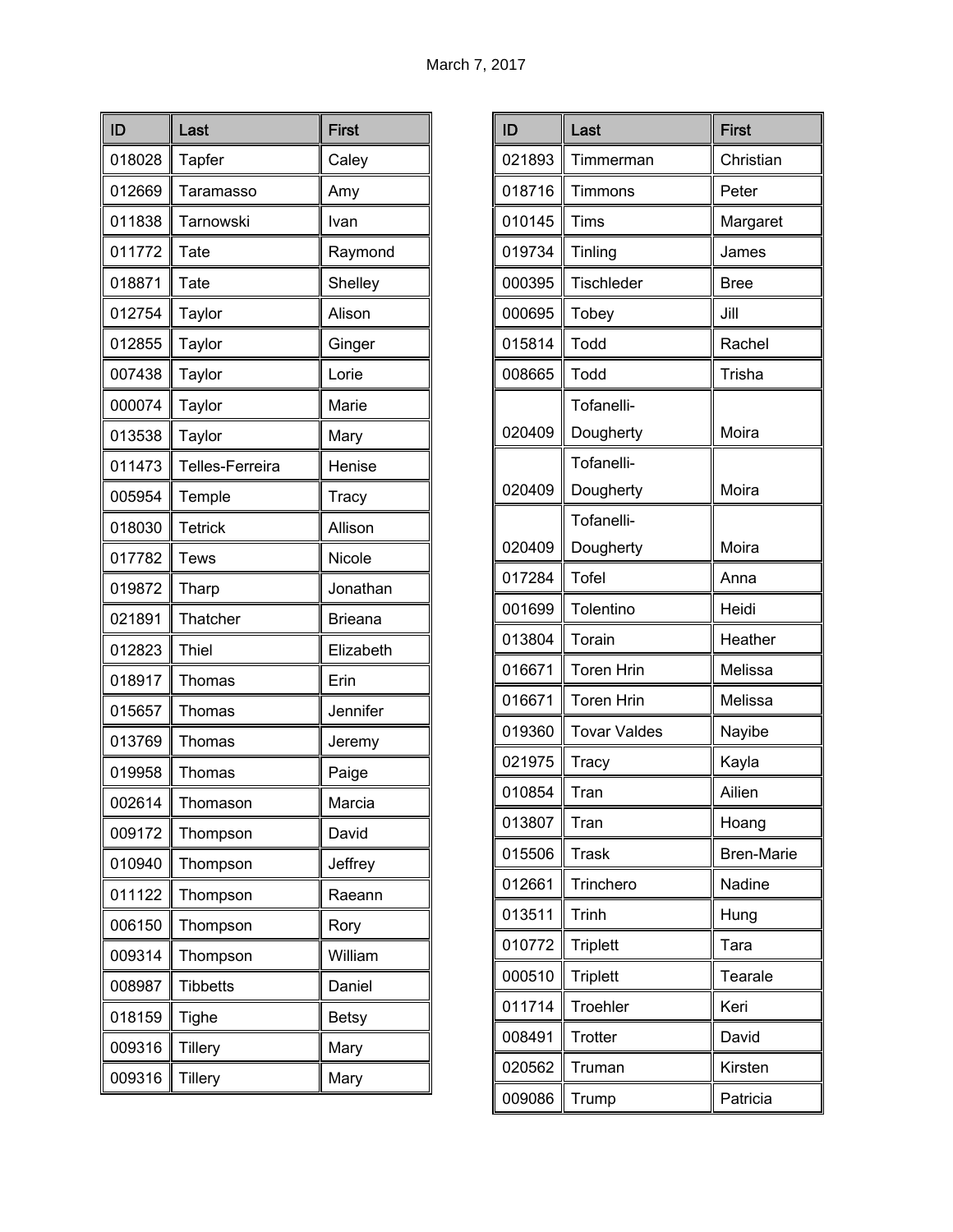| ID     | Last            | <b>First</b>   |
|--------|-----------------|----------------|
| 018028 | Tapfer          | Caley          |
| 012669 | Taramasso       | Amy            |
| 011838 | Tarnowski       | Ivan           |
| 011772 | Tate            | Raymond        |
| 018871 | Tate            | Shelley        |
| 012754 | Taylor          | Alison         |
| 012855 | Taylor          | Ginger         |
| 007438 | Taylor          | Lorie          |
| 000074 | Taylor          | Marie          |
| 013538 | Taylor          | Mary           |
| 011473 | Telles-Ferreira | Henise         |
| 005954 | Temple          | <b>Tracy</b>   |
| 018030 | <b>Tetrick</b>  | Allison        |
| 017782 | <b>Tews</b>     | Nicole         |
| 019872 | Tharp           | Jonathan       |
| 021891 | Thatcher        | <b>Brieana</b> |
| 012823 | <b>Thiel</b>    | Elizabeth      |
| 018917 | Thomas          | Erin           |
| 015657 | Thomas          | Jennifer       |
| 013769 | Thomas          | Jeremy         |
| 019958 | Thomas          | Paige          |
| 002614 | I homason       | Marcia         |
| 009172 | Thompson        | David          |
| 010940 | Thompson        | Jeffrey        |
| 011122 | Thompson        | Raeann         |
| 006150 | Thompson        | Rory           |
| 009314 | Thompson        | William        |
| 008987 | <b>Tibbetts</b> | Daniel         |
| 018159 | <b>Tighe</b>    | <b>Betsy</b>   |
| 009316 | <b>Tillery</b>  | Mary           |
| 009316 | <b>Tillery</b>  | Mary           |

| ID     | Last                    | <b>First</b>      |
|--------|-------------------------|-------------------|
| 021893 | Timmerman               | Christian         |
| 018716 | Timmons                 | Peter             |
| 010145 | Tims                    | Margaret          |
| 019734 | Tinling                 | James             |
| 000395 | <b>Tischleder</b>       | <b>Bree</b>       |
| 000695 | Tobey                   | Jill              |
| 015814 | Todd                    | Rachel            |
| 008665 | Todd                    | Trisha            |
| 020409 | Tofanelli-<br>Dougherty | Moira             |
| 020409 | Tofanelli-<br>Dougherty | Moira             |
| 020409 | Tofanelli-<br>Dougherty | Moira             |
| 017284 | Tofel                   | Anna              |
| 001699 | Tolentino               | Heidi             |
| 013804 | Torain                  | Heather           |
| 016671 | Toren Hrin              | Melissa           |
| 016671 | Toren Hrin              | Melissa           |
| 019360 | Tovar Valdes            | Nayibe            |
| 021975 | Tracy                   | Kayla             |
| 010854 | Tran                    | Ailien            |
| 013807 | Tran                    | Hoang             |
| 015506 | <b>Trask</b>            | <b>Bren-Marie</b> |
| 012661 | Trinchero               | Nadine            |
| 013511 | Trinh                   | Hung              |
| 010772 | <b>Triplett</b>         | Tara              |
| 000510 | <b>Triplett</b>         | Tearale           |
| 011714 | Troehler                | Keri              |
| 008491 | <b>Trotter</b>          | David             |
| 020562 | Truman                  | Kirsten           |
| 009086 | Trump                   | Patricia          |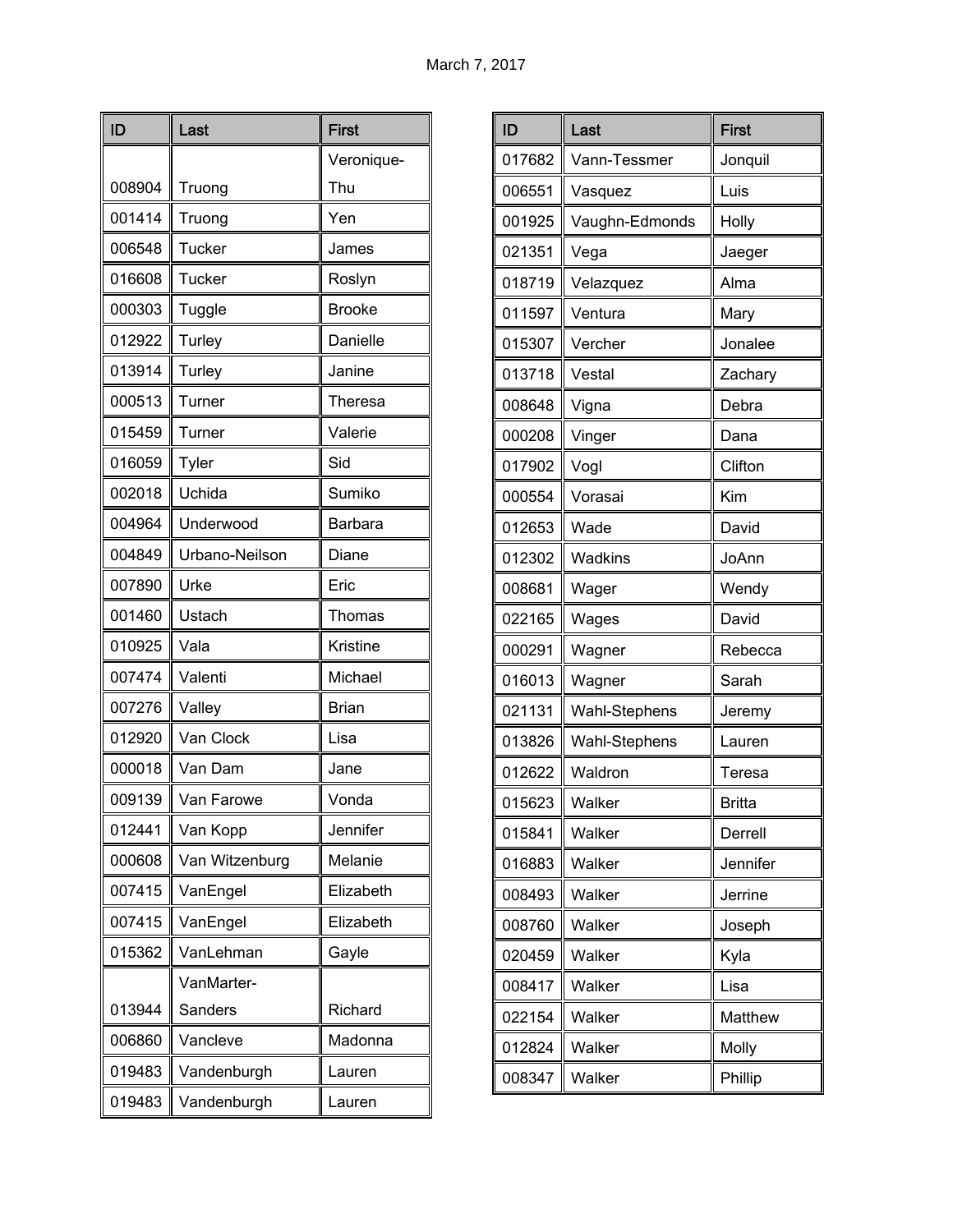| ID     | Last           | <b>First</b>  |
|--------|----------------|---------------|
|        |                | Veronique-    |
| 008904 | Truong         | Thu           |
| 001414 | Truong         | Yen           |
| 006548 | <b>Tucker</b>  | James         |
| 016608 | Tucker         | Roslyn        |
| 000303 | Tuggle         | <b>Brooke</b> |
| 012922 | Turley         | Danielle      |
| 013914 | Turley         | Janine        |
| 000513 | Turner         | Theresa       |
| 015459 | Turner         | Valerie       |
| 016059 | Tyler          | Sid           |
| 002018 | Uchida         | Sumiko        |
| 004964 | Underwood      | Barbara       |
| 004849 | Urbano-Neilson | Diane         |
| 007890 | Urke           | Eric          |
| 001460 | Ustach         | Thomas        |
| 010925 | Vala           | Kristine      |
| 007474 | Valenti        | Michael       |
| 007276 | Valley         | <b>Brian</b>  |
| 012920 | Van Clock      | Lisa          |
| 000018 | Van Dam        | Jane          |
| 009139 | Van Farowe     | Vonda         |
| 012441 | Van Kopp       | Jennifer      |
| 000608 | Van Witzenburg | Melanie       |
| 007415 | VanEngel       | Elizabeth     |
| 007415 | VanEngel       | Elizabeth     |
| 015362 | VanLehman      | Gayle         |
|        | VanMarter-     |               |
| 013944 | Sanders        | Richard       |
| 006860 | Vancleve       | Madonna       |
| 019483 | Vandenburgh    | Lauren        |
| 019483 | Vandenburgh    | Lauren        |

| ID     | Last           | <b>First</b> |
|--------|----------------|--------------|
| 017682 | Vann-Tessmer   | Jonquil      |
| 006551 | Vasquez        | Luis         |
| 001925 | Vaughn-Edmonds | Holly        |
| 021351 | Vega           | Jaeger       |
| 018719 | Velazquez      | Alma         |
| 011597 | Ventura        | Mary         |
| 015307 | Vercher        | Jonalee      |
| 013718 | Vestal         | Zachary      |
| 008648 | Vigna          | Debra        |
| 000208 | Vinger         | Dana         |
| 017902 | Vogl           | Clifton      |
| 000554 | Vorasai        | Kim          |
| 012653 | Wade           | David        |
| 012302 | Wadkins        | JoAnn        |
| 008681 | Wager          | Wendy        |
| 022165 | Wages          | David        |
| 000291 | Wagner         | Rebecca      |
| 016013 | Wagner         | Sarah        |
| 021131 | Wahl-Stephens  | Jeremy       |
| 013826 | Wahl-Stephens  | Lauren       |
| 012622 | Waldron        | Teresa       |
| 015623 | Walker         | Britta       |
| 015841 | Walker         | Derrell      |
| 016883 | Walker         | Jennifer     |
| 008493 | Walker         | Jerrine      |
| 008760 | Walker         | Joseph       |
| 020459 | Walker         | Kyla         |
| 008417 | Walker         | Lisa         |
| 022154 | Walker         | Matthew      |
| 012824 | Walker         | Molly        |
| 008347 | Walker         | Phillip      |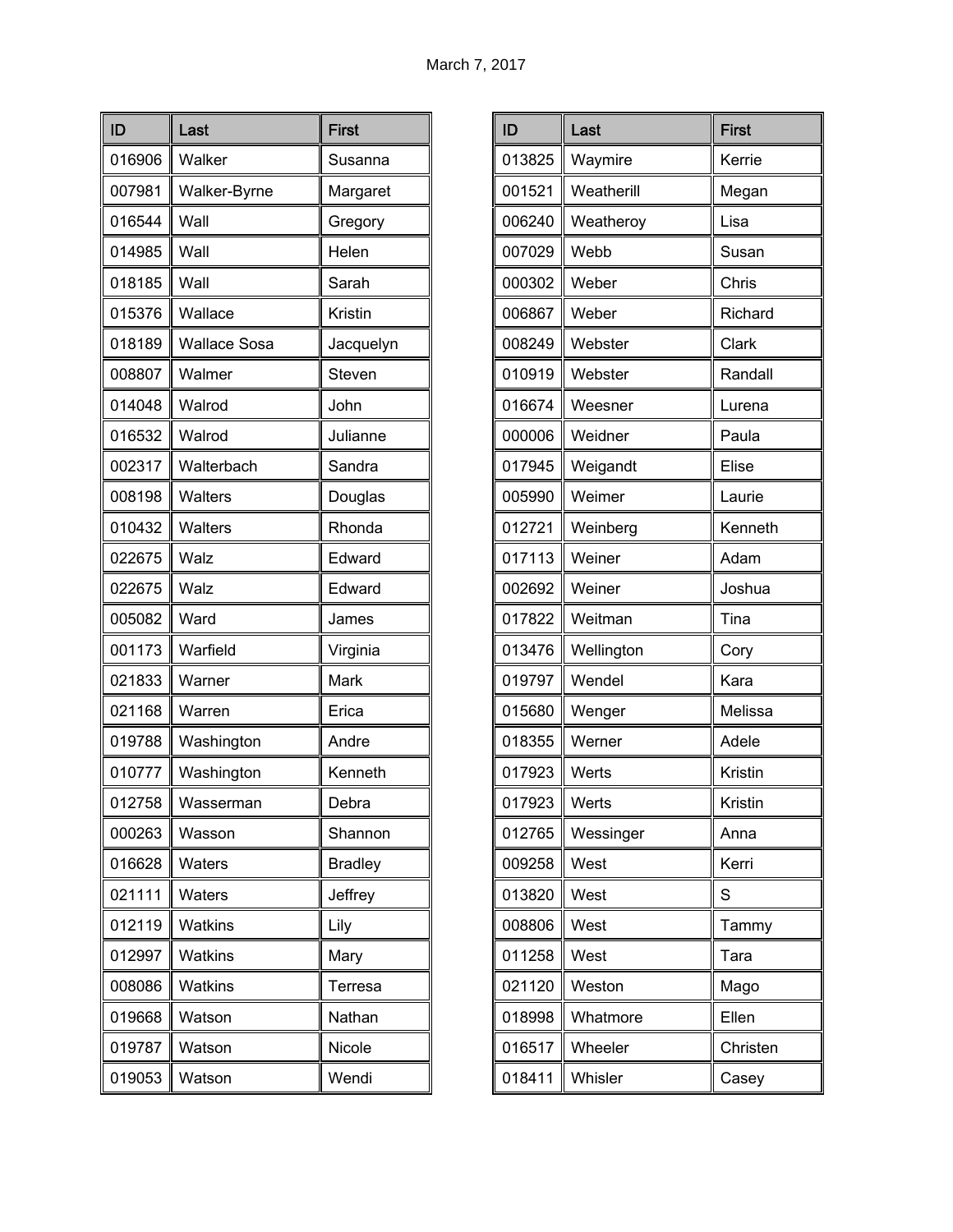| ID     | Last                | <b>First</b>   |
|--------|---------------------|----------------|
| 016906 | Walker              | Susanna        |
| 007981 | Walker-Byrne        | Margaret       |
| 016544 | Wall                | Gregory        |
| 014985 | Wall                | Helen          |
| 018185 | Wall                | Sarah          |
| 015376 | Wallace             | Kristin        |
| 018189 | <b>Wallace Sosa</b> | Jacquelyn      |
| 008807 | Walmer              | Steven         |
| 014048 | Walrod              | John           |
| 016532 | Walrod              | Julianne       |
| 002317 | Walterbach          | Sandra         |
| 008198 | Walters             | Douglas        |
| 010432 | Walters             | Rhonda         |
| 022675 | Walz                | Edward         |
| 022675 | Walz                | Edward         |
| 005082 | Ward                | James          |
| 001173 | Warfield            | Virginia       |
| 021833 | Warner              | Mark           |
| 021168 | Warren              | Erica          |
| 019788 | Washington          | Andre          |
| 010777 | Washington          | Kenneth        |
| 012758 | Wasserman           | Debra          |
| 000263 | Wasson              | Shannon        |
| 016628 | <b>Waters</b>       | <b>Bradley</b> |
| 021111 | Waters              | Jeffrey        |
| 012119 | <b>Watkins</b>      | Lily           |
| 012997 | Watkins             | Mary           |
| 008086 | Watkins             | Terresa        |
| 019668 | Watson              | Nathan         |
| 019787 | Watson              | Nicole         |
| 019053 | Watson              | Wendi          |

| ID     | Last       | <b>First</b> |
|--------|------------|--------------|
| 013825 | Waymire    | Kerrie       |
| 001521 | Weatherill | Megan        |
| 006240 | Weatheroy  | Lisa         |
| 007029 | Webb       | Susan        |
| 000302 | Weber      | Chris        |
| 006867 | Weber      | Richard      |
| 008249 | Webster    | Clark        |
| 010919 | Webster    | Randall      |
| 016674 | Weesner    | Lurena       |
| 000006 | Weidner    | Paula        |
| 017945 | Weigandt   | Elise        |
| 005990 | Weimer     | Laurie       |
| 012721 | Weinberg   | Kenneth      |
| 017113 | Weiner     | Adam         |
| 002692 | Weiner     | Joshua       |
| 017822 | Weitman    | Tina         |
| 013476 | Wellington | Cory         |
| 019797 | Wendel     | Kara         |
| 015680 | Wenger     | Melissa      |
| 018355 | Werner     | Adele        |
| 017923 | Werts      | Kristin      |
| 017923 | Werts      | Kristin      |
| 012765 | Wessinger  | Anna         |
| 009258 | West       | Kerri        |
| 013820 | West       | S            |
| 008806 | West       | Tammy        |
| 011258 | West       | Tara         |
| 021120 | Weston     | Mago         |
| 018998 | Whatmore   | Ellen        |
| 016517 | Wheeler    | Christen     |
| 018411 | Whisler    | Casey        |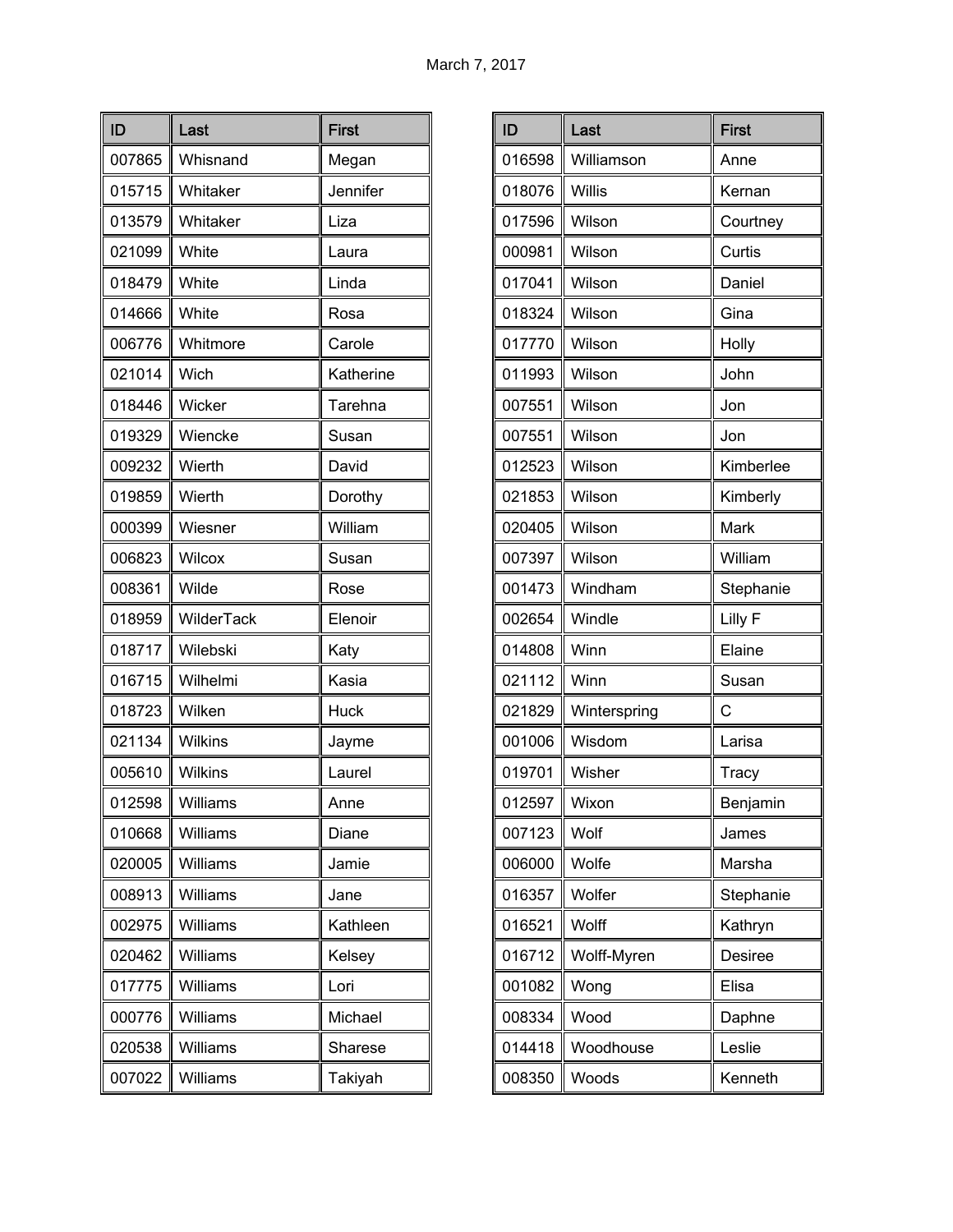| ID     | Last           | <b>First</b> |
|--------|----------------|--------------|
| 007865 | Whisnand       | Megan        |
| 015715 | Whitaker       | Jennifer     |
| 013579 | Whitaker       | Liza         |
| 021099 | White          | Laura        |
| 018479 | White          | Linda        |
| 014666 | White          | Rosa         |
| 006776 | Whitmore       | Carole       |
| 021014 | Wich           | Katherine    |
| 018446 | Wicker         | Tarehna      |
| 019329 | Wiencke        | Susan        |
| 009232 | Wierth         | David        |
| 019859 | Wierth         | Dorothy      |
| 000399 | Wiesner        | William      |
| 006823 | Wilcox         | Susan        |
| 008361 | Wilde          | Rose         |
| 018959 | WilderTack     | Elenoir      |
| 018717 | Wilebski       | Katy         |
| 016715 | Wilhelmi       | Kasia        |
| 018723 | Wilken         | <b>Huck</b>  |
| 021134 | <b>Wilkins</b> | Jayme        |
| 005610 | <b>Wilkins</b> | Laurel       |
| 012598 | Williams       | Anne         |
| 010668 | Williams       | Diane        |
| 020005 | Williams       | Jamie        |
| 008913 | Williams       | Jane         |
| 002975 | Williams       | Kathleen     |
| 020462 | Williams       | Kelsey       |
| 017775 | Williams       | Lori         |
| 000776 | Williams       | Michael      |
| 020538 | Williams       | Sharese      |
| 007022 | Williams       | Takiyah      |

| ID     | Last          | <b>First</b> |
|--------|---------------|--------------|
| 016598 | Williamson    | Anne         |
| 018076 | <b>Willis</b> | Kernan       |
| 017596 | Wilson        | Courtney     |
| 000981 | Wilson        | Curtis       |
| 017041 | Wilson        | Daniel       |
| 018324 | Wilson        | Gina         |
| 017770 | Wilson        | Holly        |
| 011993 | Wilson        | John         |
| 007551 | Wilson        | Jon          |
| 007551 | Wilson        | Jon          |
| 012523 | Wilson        | Kimberlee    |
| 021853 | Wilson        | Kimberly     |
| 020405 | Wilson        | Mark         |
| 007397 | Wilson        | William      |
| 001473 | Windham       | Stephanie    |
| 002654 | Windle        | Lilly F      |
| 014808 | Winn          | Elaine       |
| 021112 | Winn          | Susan        |
| 021829 | Winterspring  | С            |
| 001006 | Wisdom        | Larisa       |
| 019701 | Wisher        | Tracy        |
| 012597 | Wixon         | Benjamin     |
| 007123 | Wolf          | James        |
| 006000 | Wolfe         | Marsha       |
| 016357 | Wolfer        | Stephanie    |
| 016521 | Wolff         | Kathryn      |
| 016712 | Wolff-Myren   | Desiree      |
| 001082 | Wong          | Elisa        |
| 008334 | Wood          | Daphne       |
| 014418 | Woodhouse     | Leslie       |
| 008350 | Woods         | Kenneth      |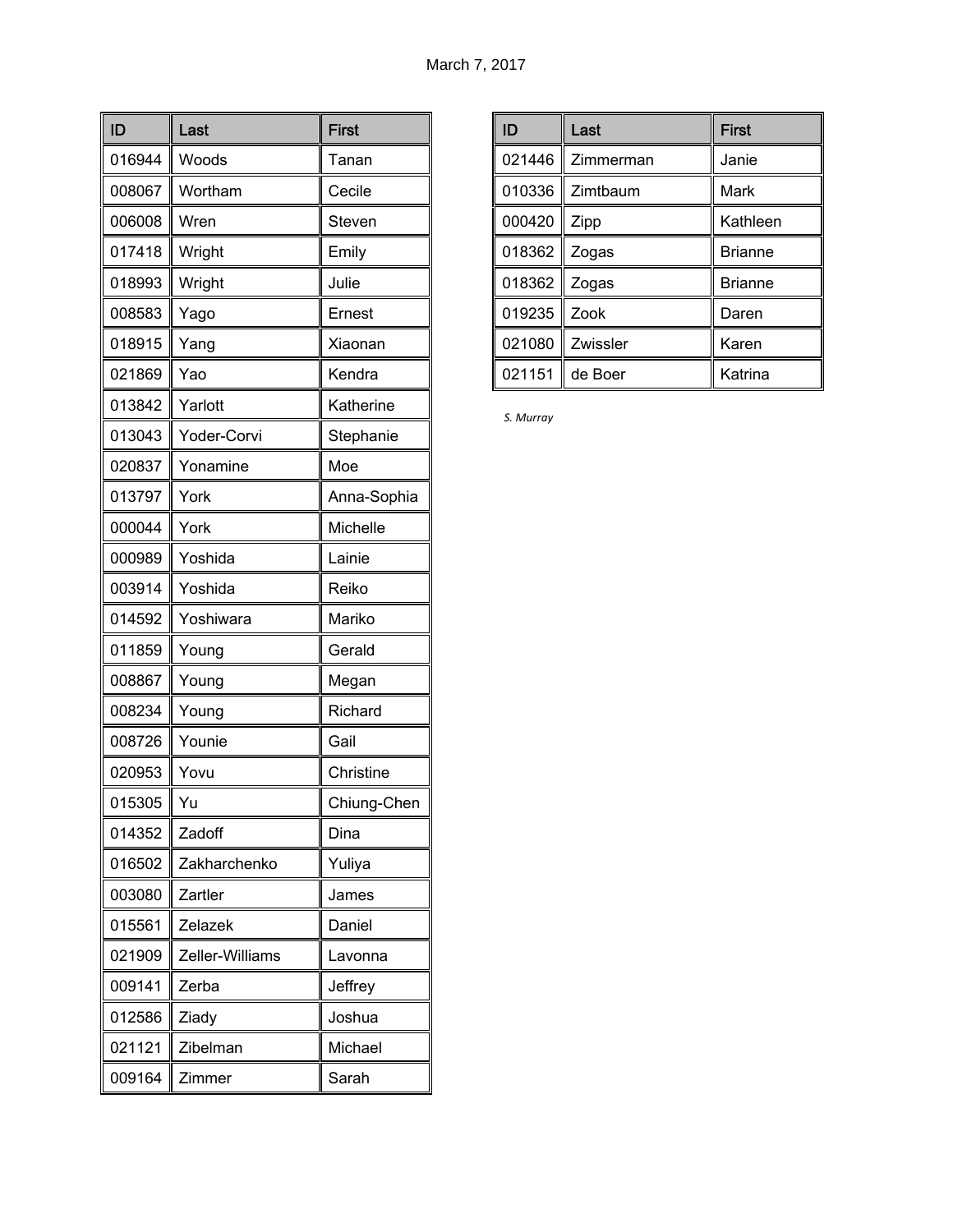| ID     | Last            | <b>First</b> |
|--------|-----------------|--------------|
| 016944 | Woods           | Tanan        |
| 008067 | Wortham         | Cecile       |
| 006008 | Wren            | Steven       |
| 017418 | Wright          | Emily        |
| 018993 | Wright          | Julie        |
| 008583 | Yago            | Ernest       |
| 018915 | Yang            | Xiaonan      |
| 021869 | Yao             | Kendra       |
| 013842 | Yarlott         | Katherine    |
| 013043 | Yoder-Corvi     | Stephanie    |
| 020837 | Yonamine        | Moe          |
| 013797 | York            | Anna-Sophia  |
| 000044 | York            | Michelle     |
| 000989 | Yoshida         | Lainie       |
| 003914 | Yoshida         | Reiko        |
| 014592 | Yoshiwara       | Mariko       |
| 011859 | Young           | Gerald       |
| 008867 | Young           | Megan        |
| 008234 | Young           | Richard      |
| 008726 | Younie          | Gail         |
| 020953 | Yovu            | Christine    |
| 015305 | Yu              | Chiung-Chen  |
| 014352 | Zadoff          | Dina         |
| 016502 | Zakharchenko    | Yuliya       |
| 003080 | Zartler         | James        |
| 015561 | Zelazek         | Daniel       |
| 021909 | Zeller-Williams | Lavonna      |
| 009141 | Zerba           | Jeffrey      |
| 012586 | Ziady           | Joshua       |
| 021121 | Zibelman        | Michael      |
| 009164 | Zimmer          | Sarah        |

| ID     | Last      | <b>First</b>   |
|--------|-----------|----------------|
| 021446 | Zimmerman | Janie          |
| 010336 | Zimtbaum  | Mark           |
| 000420 | Zipp      | Kathleen       |
| 018362 | Zogas     | <b>Brianne</b> |
| 018362 | Zogas     | <b>Brianne</b> |
| 019235 | Zook      | Daren          |
| 021080 | Zwissler  | Karen          |
| 021151 | de Boer   | Katrina        |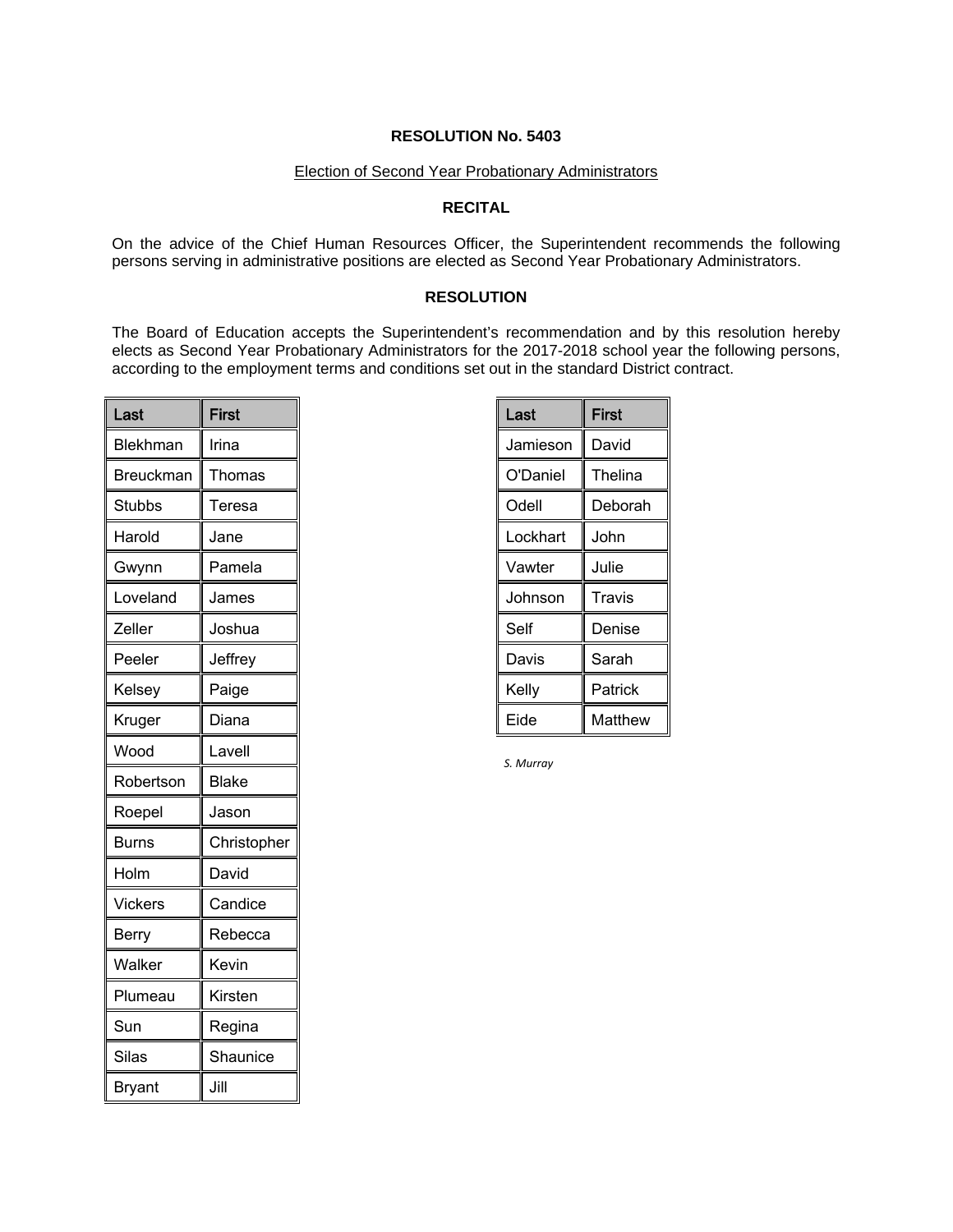# Election of Second Year Probationary Administrators

# **RECITAL**

On the advice of the Chief Human Resources Officer, the Superintendent recommends the following persons serving in administrative positions are elected as Second Year Probationary Administrators.

## **RESOLUTION**

The Board of Education accepts the Superintendent's recommendation and by this resolution hereby elects as Second Year Probationary Administrators for the 2017-2018 school year the following persons, according to the employment terms and conditions set out in the standard District contract.

| Last             | <b>First</b> |
|------------------|--------------|
| Blekhman         | Irina        |
| <b>Breuckman</b> | Thomas       |
| Stubbs           | Teresa       |
| Harold           | Jane         |
| Gwynn            | Pamela       |
| Loveland         | James        |
| Zeller           | Joshua       |
| Peeler           | Jeffrey      |
| Kelsey           | Paige        |
| Kruger           | Diana        |
| Wood             | Lavell       |
| Robertson        | <b>Blake</b> |
| Roepel           | Jason        |
| Burns            | Christopher  |
| Holm             | David        |
| Vickers          | Candice      |
| Berry            | Rebecca      |
| Walker           | Kevin        |
| Plumeau          | Kirsten      |
| Sun              | Regina       |
| <b>Silas</b>     | Shaunice     |
| Bryant           | Jill         |

| Last     | First   |
|----------|---------|
| Jamieson | David   |
| O'Daniel | Thelina |
| Odell    | Deborah |
| Lockhart | John    |
| Vawter   | Julie   |
| Johnson  | Travis  |
| Self     | Denise  |
| Davis    | Sarah   |
| Kelly    | Patrick |
| Eide     | Matthew |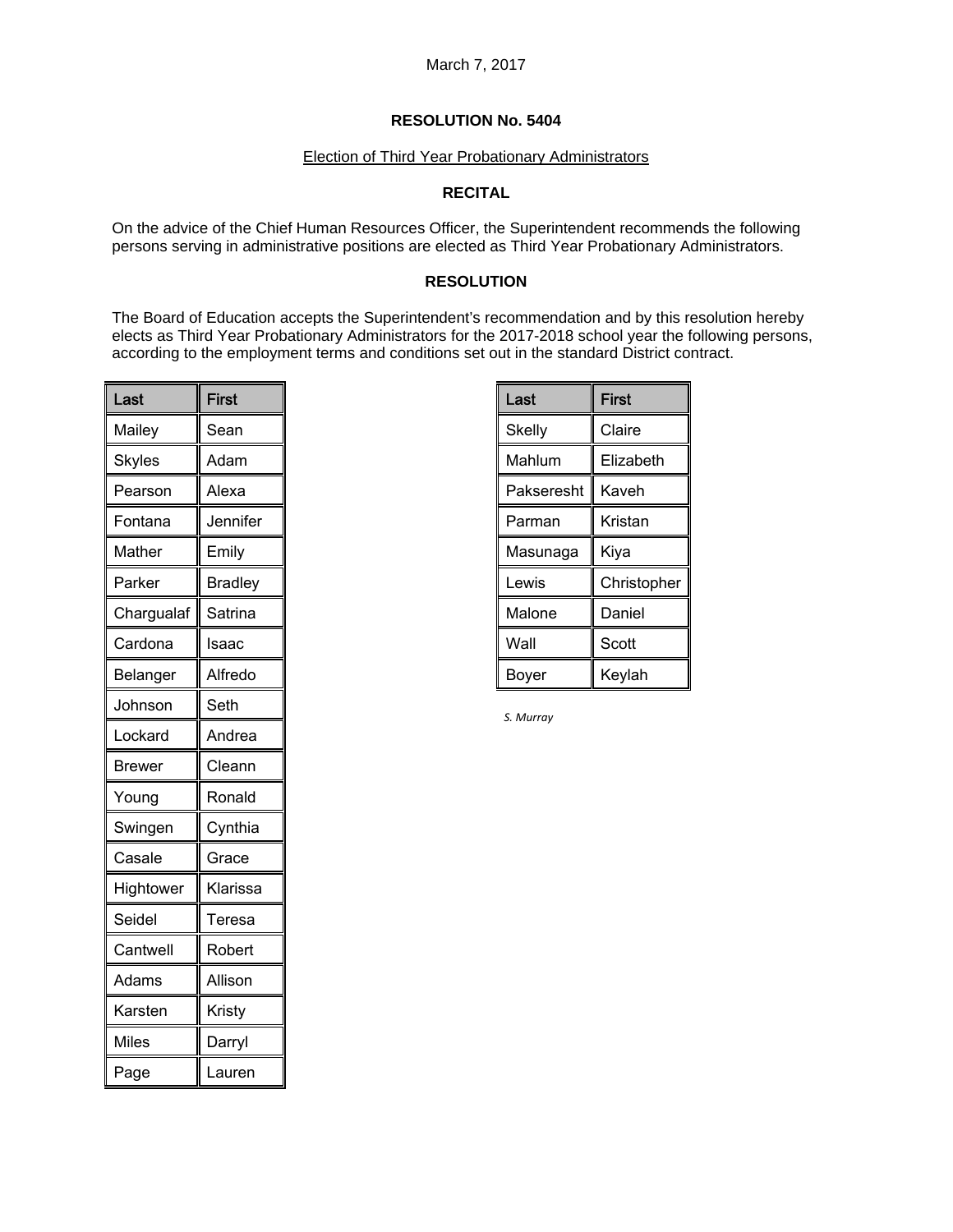#### Election of Third Year Probationary Administrators

# **RECITAL**

On the advice of the Chief Human Resources Officer, the Superintendent recommends the following persons serving in administrative positions are elected as Third Year Probationary Administrators.

# **RESOLUTION**

The Board of Education accepts the Superintendent's recommendation and by this resolution hereby elects as Third Year Probationary Administrators for the 2017-2018 school year the following persons, according to the employment terms and conditions set out in the standard District contract.

| Last       | First          |
|------------|----------------|
| Mailey     | Sean           |
| Skyles     | Adam           |
| Pearson    | Alexa          |
| Fontana    | Jennifer       |
| Mather     | Emily          |
| Parker     | <b>Bradley</b> |
| Chargualaf | Satrina        |
| Cardona    | Isaac          |
| Belanger   | Alfredo        |
| Johnson    | Seth           |
| Lockard    | Andrea         |
| Brewer     | Cleann         |
| Young      | Ronald         |
| Swingen    | Cynthia        |
| Casale     | Grace          |
| Hightower  | Klarissa       |
| Seidel     | Teresa         |
| Cantwell   | Robert         |
| Adams      | Allison        |
| Karsten    | Kristy         |
| Miles      | Darryl         |
| Page       | Lauren         |

| Last       | First       |
|------------|-------------|
| Skelly     | Claire      |
| Mahlum     | Elizabeth   |
| Pakseresht | Kaveh       |
| Parman     | Kristan     |
| Masunaga   | Kiya        |
| Lewis      | Christopher |
| Malone     | Daniel      |
| Wall       | Scott       |
| Boyer      | Keylah      |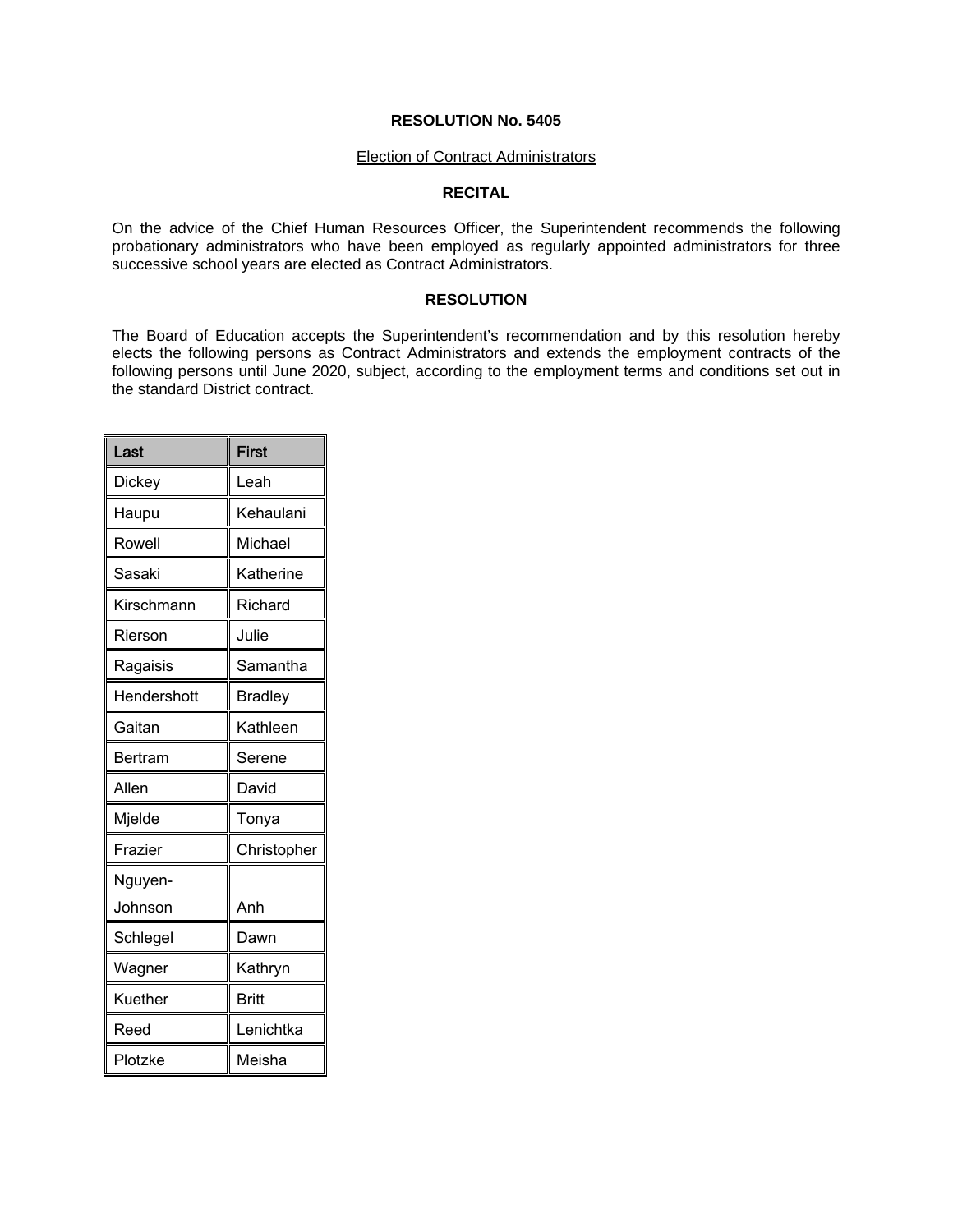#### Election of Contract Administrators

# **RECITAL**

On the advice of the Chief Human Resources Officer, the Superintendent recommends the following probationary administrators who have been employed as regularly appointed administrators for three successive school years are elected as Contract Administrators.

### **RESOLUTION**

The Board of Education accepts the Superintendent's recommendation and by this resolution hereby elects the following persons as Contract Administrators and extends the employment contracts of the following persons until June 2020, subject, according to the employment terms and conditions set out in the standard District contract.

| Last        | <b>First</b>   |
|-------------|----------------|
| Dickey      | Leah           |
| Haupu       | Kehaulani      |
| Rowell      | Michael        |
| Sasaki      | Katherine      |
| Kirschmann  | Richard        |
| Rierson     | Julie          |
| Ragaisis    | Samantha       |
| Hendershott | <b>Bradley</b> |
| Gaitan      | Kathleen       |
| Bertram     | Serene         |
| Allen       | David          |
| Mjelde      | Tonya          |
| Frazier     | Christopher    |
| Nguyen-     |                |
| Johnson     | Anh            |
| Schlegel    | Dawn           |
| Wagner      | Kathryn        |
| Kuether     | <b>Britt</b>   |
| Reed        | Lenichtka      |
| Plotzke     | Meisha         |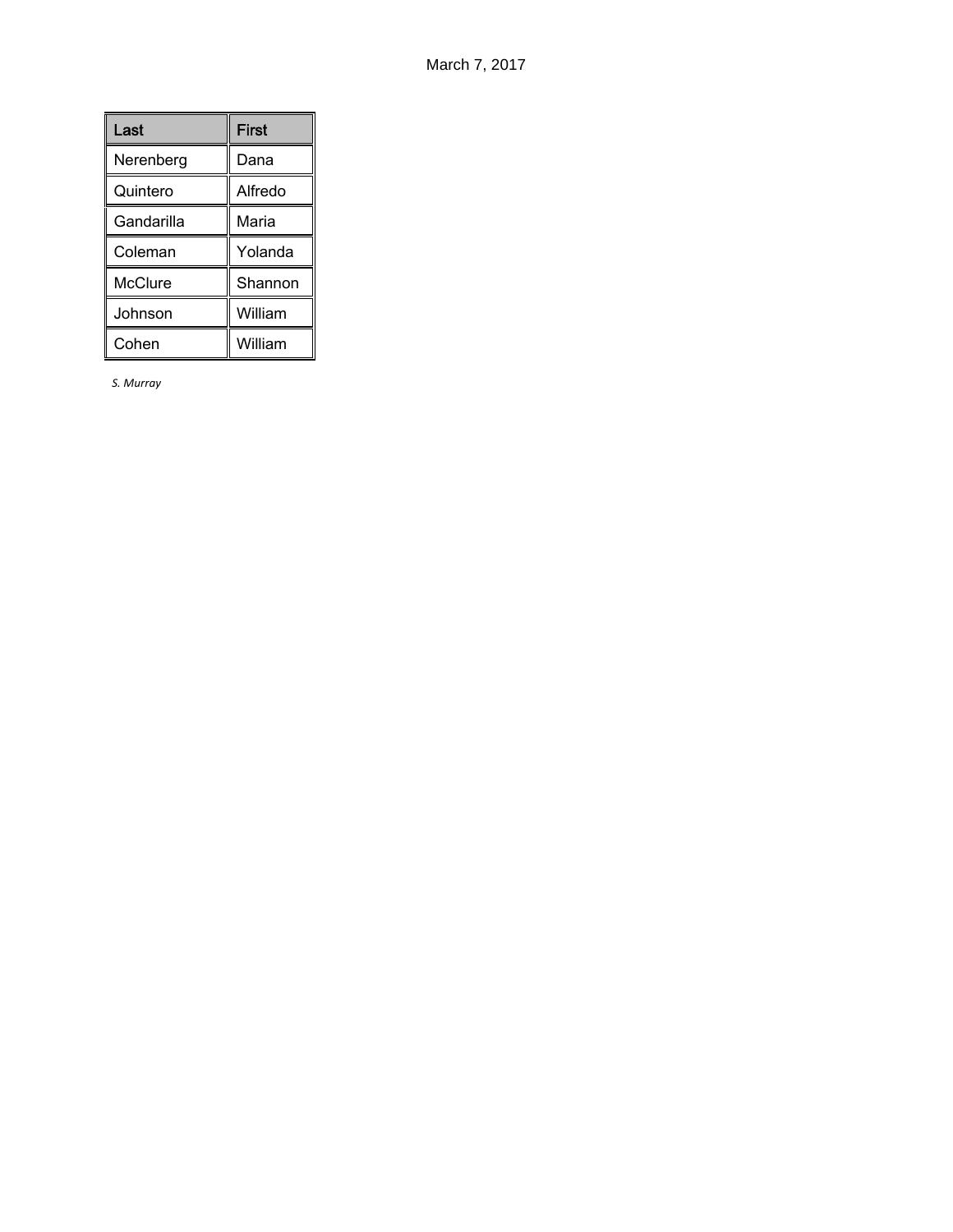| Last       | <b>First</b> |
|------------|--------------|
| Nerenberg  | Dana         |
| Quintero   | Alfredo      |
| Gandarilla | Maria        |
| Coleman    | Yolanda      |
| McClure    | Shannon      |
| Johnson    | William      |
| Cohen      | William      |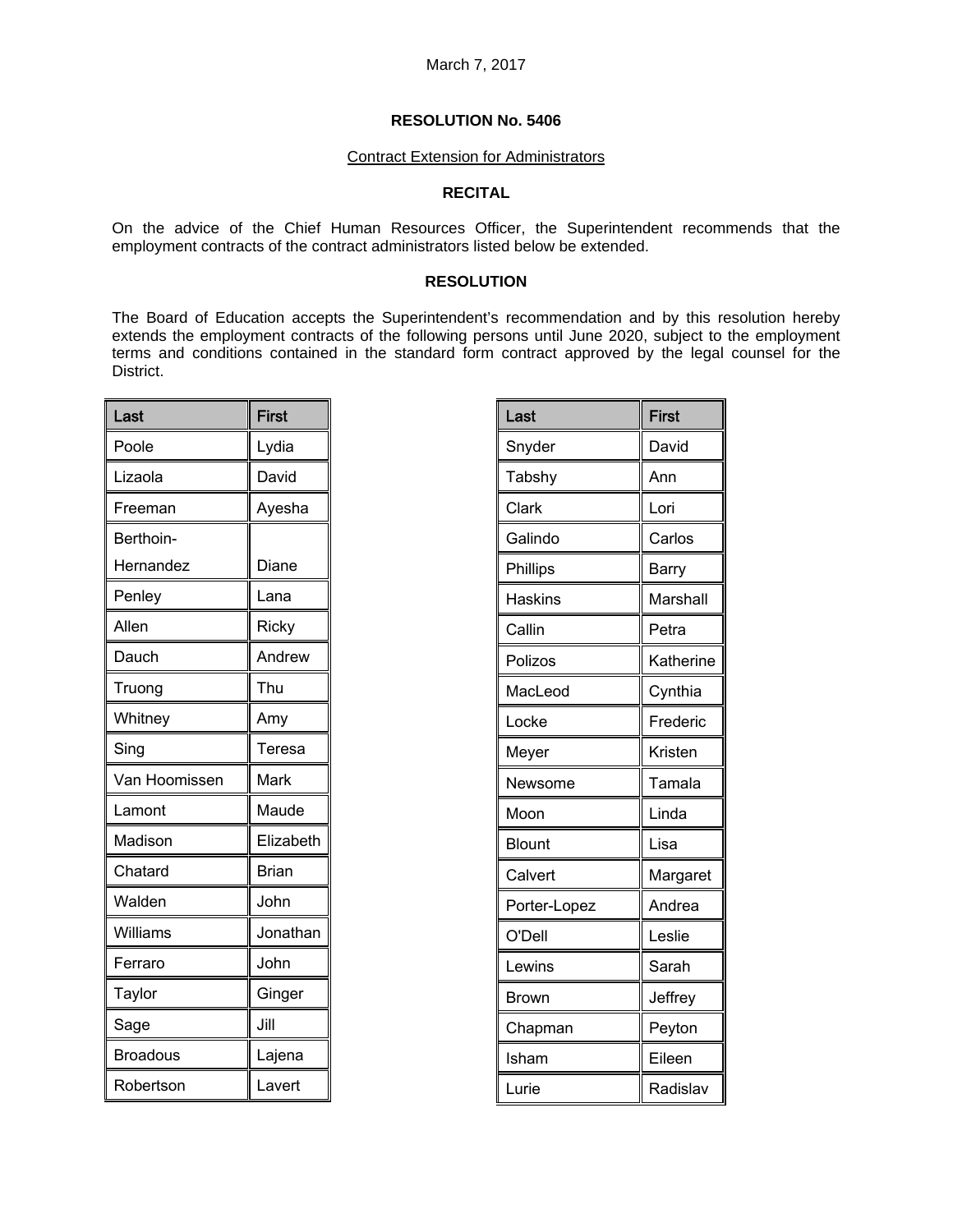#### Contract Extension for Administrators

# **RECITAL**

On the advice of the Chief Human Resources Officer, the Superintendent recommends that the employment contracts of the contract administrators listed below be extended.

## **RESOLUTION**

The Board of Education accepts the Superintendent's recommendation and by this resolution hereby extends the employment contracts of the following persons until June 2020, subject to the employment terms and conditions contained in the standard form contract approved by the legal counsel for the District.

| Last          | <b>First</b> |
|---------------|--------------|
| Poole         | Lydia        |
| Lizaola       | David        |
| Freeman       | Ayesha       |
| Berthoin-     |              |
| Hernandez     | Diane        |
| Penley        | Lana         |
| Allen         | Ricky        |
| Dauch         | Andrew       |
| Truong        | Thu          |
| Whitney       | Amy          |
| Sing          | Teresa       |
| Van Hoomissen | Mark         |
| Lamont        | Maude        |
| Madison       | Elizabeth    |
| Chatard       | <b>Brian</b> |
| Walden        | John         |
| Williams      | Jonathan     |
| Ferraro       | John         |
| Taylor        | Ginger       |
| Sage          | Jill         |
| Broadous      | Lajena       |
| Robertson     | Lavert       |

| Last           | <b>First</b> |
|----------------|--------------|
| Snyder         | David        |
| Tabshy         | Ann          |
| Clark          | Lori         |
| Galindo        | Carlos       |
| Phillips       | Barry        |
| <b>Haskins</b> | Marshall     |
| Callin         | Petra        |
| Polizos        | Katherine    |
| MacLeod        | Cynthia      |
| Locke          | Frederic     |
| Meyer          | Kristen      |
| Newsome        | Tamala       |
| Moon           | Linda        |
| <b>Blount</b>  | Lisa         |
| Calvert        | Margaret     |
| Porter-Lopez   | Andrea       |
| O'Dell         | Leslie       |
| Lewins         | Sarah        |
| Brown          | Jeffrey      |
| Chapman        | Peyton       |
| Isham          | Eileen       |
| Lurie          | Radislav     |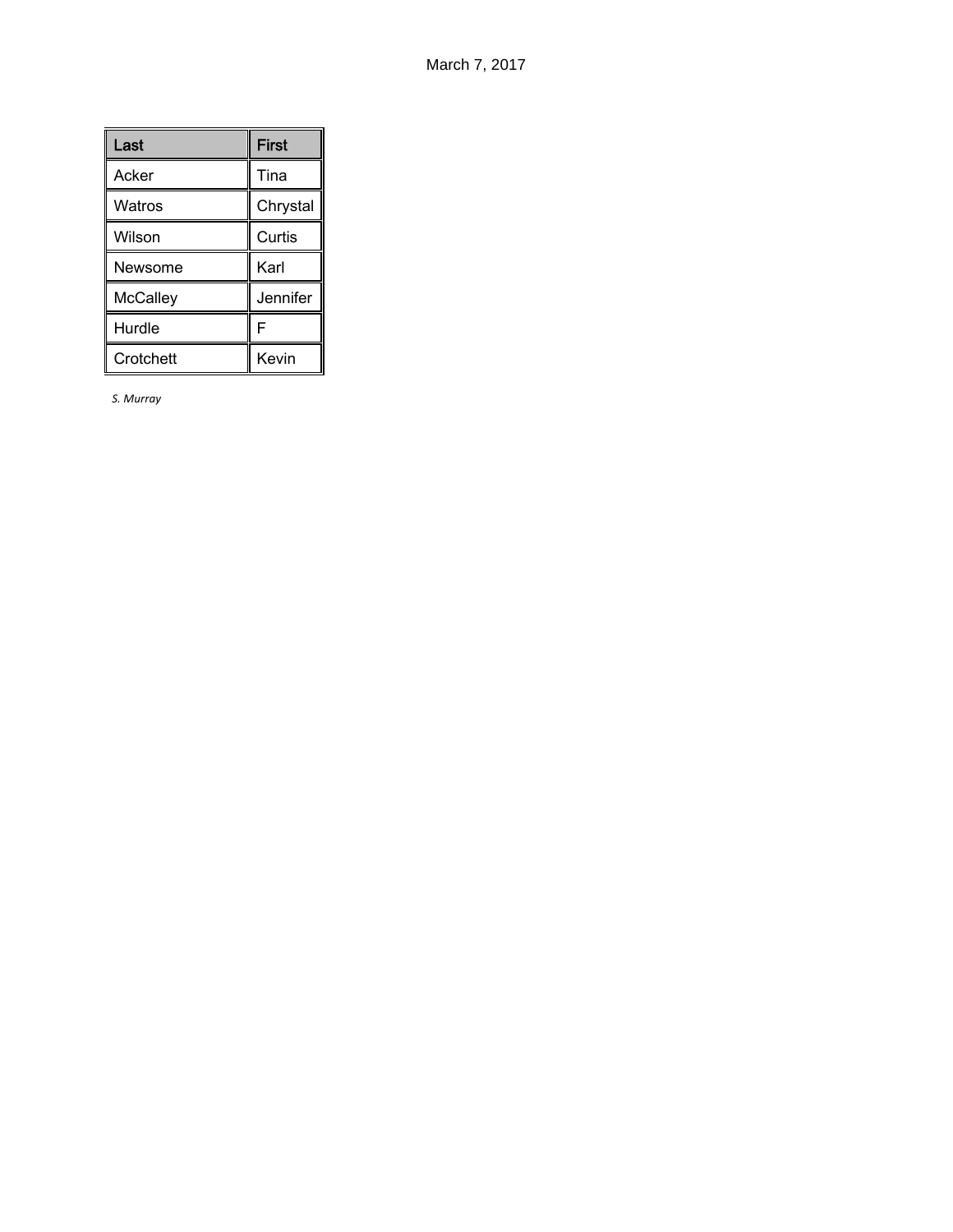| Last      | <b>First</b> |
|-----------|--------------|
| Acker     | Tina         |
| Watros    | Chrystal     |
| Wilson    | Curtis       |
| Newsome   | Karl         |
| McCalley  | Jennifer     |
| Hurdle    | F            |
| Crotchett | Kevin        |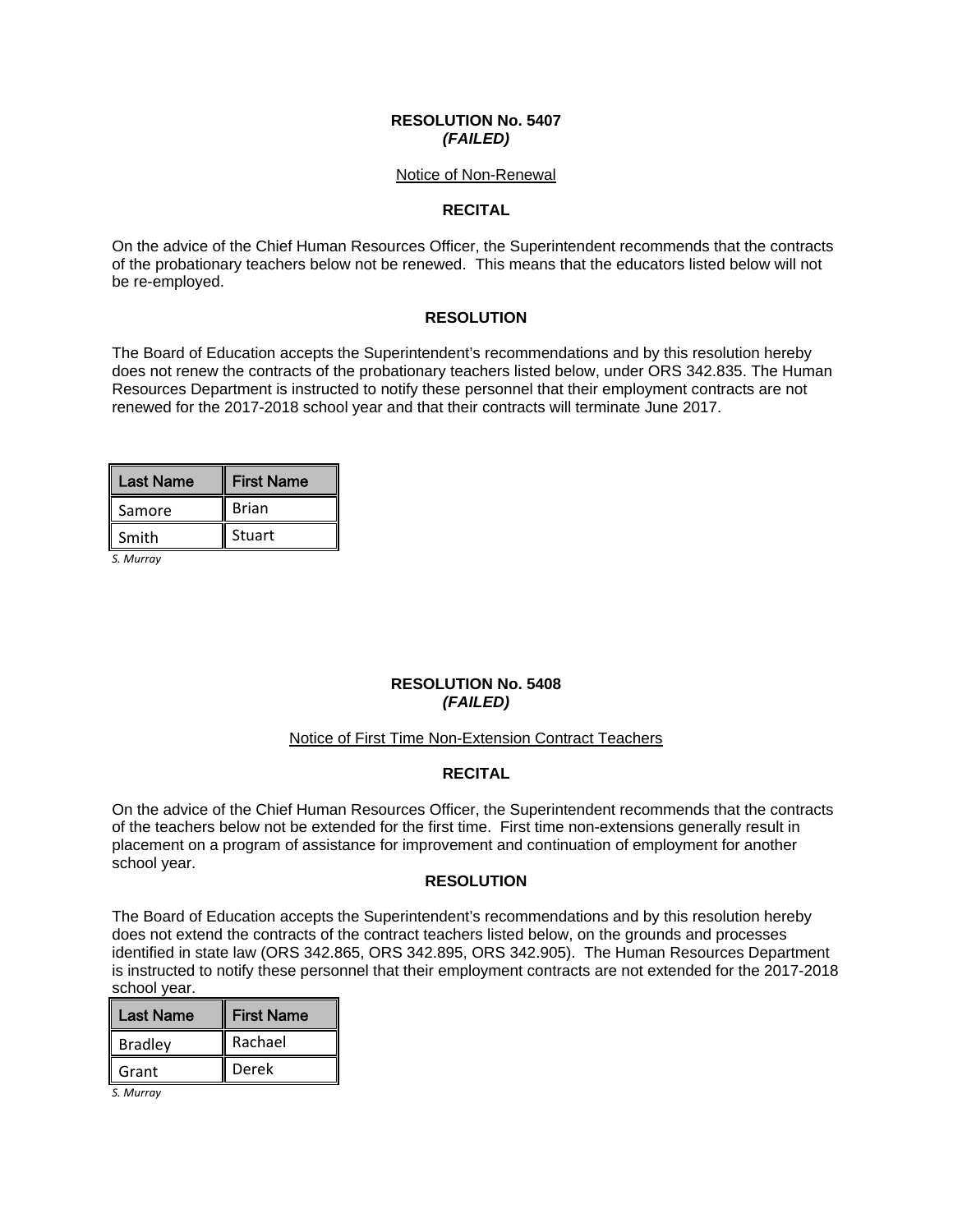### **RESOLUTION No. 5407**  *(FAILED)*

#### Notice of Non-Renewal

# **RECITAL**

On the advice of the Chief Human Resources Officer, the Superintendent recommends that the contracts of the probationary teachers below not be renewed. This means that the educators listed below will not be re-employed.

# **RESOLUTION**

The Board of Education accepts the Superintendent's recommendations and by this resolution hereby does not renew the contracts of the probationary teachers listed below, under ORS 342.835. The Human Resources Department is instructed to notify these personnel that their employment contracts are not renewed for the 2017-2018 school year and that their contracts will terminate June 2017.

| Last Name | <b>First Name</b> |
|-----------|-------------------|
| Samore    | <b>Brian</b>      |
| Smith     | Stuart            |

*S. Murray*

# **RESOLUTION No. 5408**  *(FAILED)*

#### Notice of First Time Non-Extension Contract Teachers

# **RECITAL**

On the advice of the Chief Human Resources Officer, the Superintendent recommends that the contracts of the teachers below not be extended for the first time. First time non-extensions generally result in placement on a program of assistance for improvement and continuation of employment for another school year.

### **RESOLUTION**

The Board of Education accepts the Superintendent's recommendations and by this resolution hereby does not extend the contracts of the contract teachers listed below, on the grounds and processes identified in state law (ORS 342.865, ORS 342.895, ORS 342.905). The Human Resources Department is instructed to notify these personnel that their employment contracts are not extended for the 2017-2018 school year.

| Last Name      | <b>First Name</b> |
|----------------|-------------------|
| <b>Bradley</b> | Rachael           |
| Grant          | Derek             |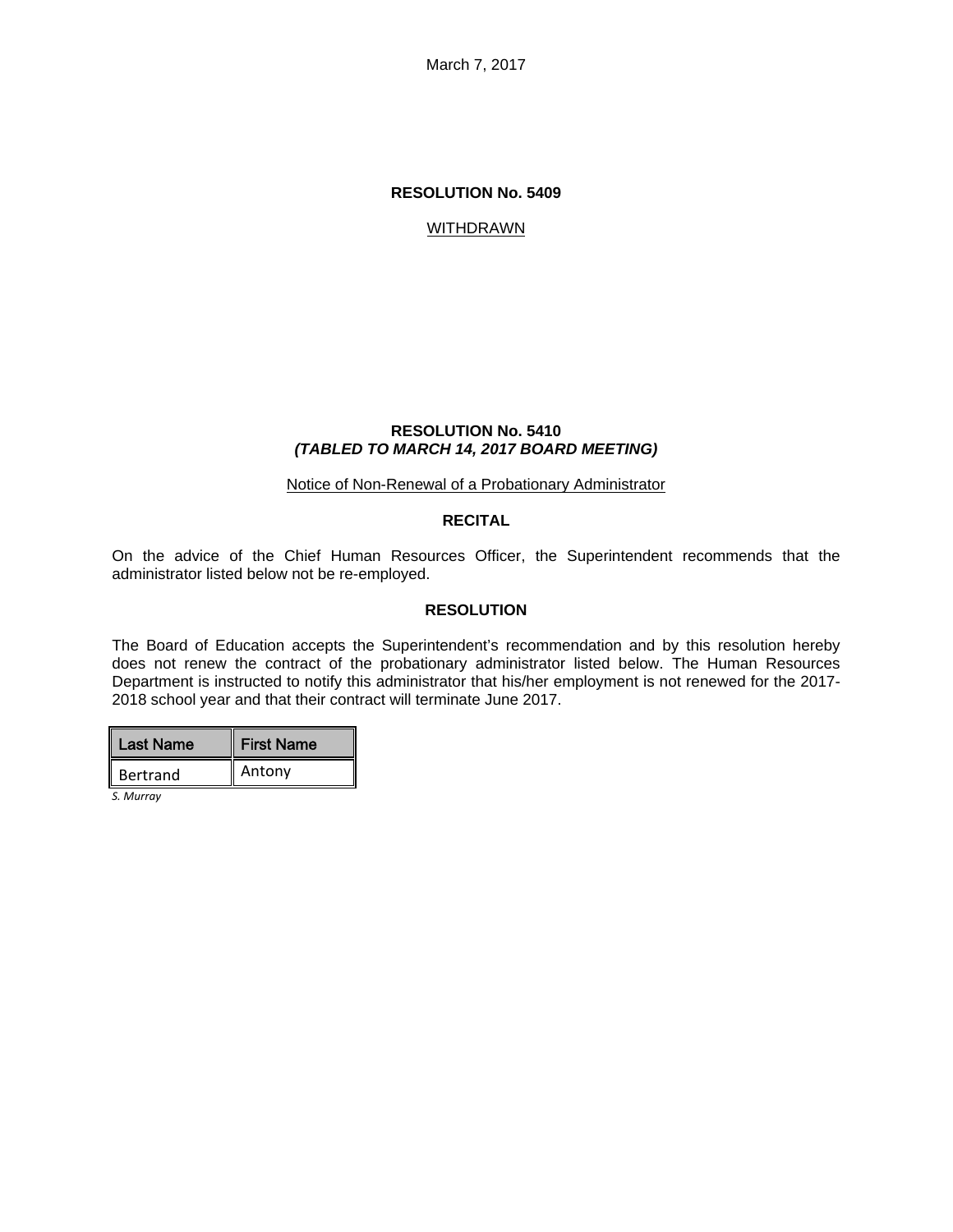March 7, 2017

#### **RESOLUTION No. 5409**

#### **WITHDRAWN**

#### **RESOLUTION No. 5410**  *(TABLED TO MARCH 14, 2017 BOARD MEETING)*

#### Notice of Non-Renewal of a Probationary Administrator

#### **RECITAL**

On the advice of the Chief Human Resources Officer, the Superintendent recommends that the administrator listed below not be re-employed.

#### **RESOLUTION**

The Board of Education accepts the Superintendent's recommendation and by this resolution hereby does not renew the contract of the probationary administrator listed below. The Human Resources Department is instructed to notify this administrator that his/her employment is not renewed for the 2017- 2018 school year and that their contract will terminate June 2017.

| Last Name       | <b>First Name</b> |
|-----------------|-------------------|
| <b>Bertrand</b> | Antony            |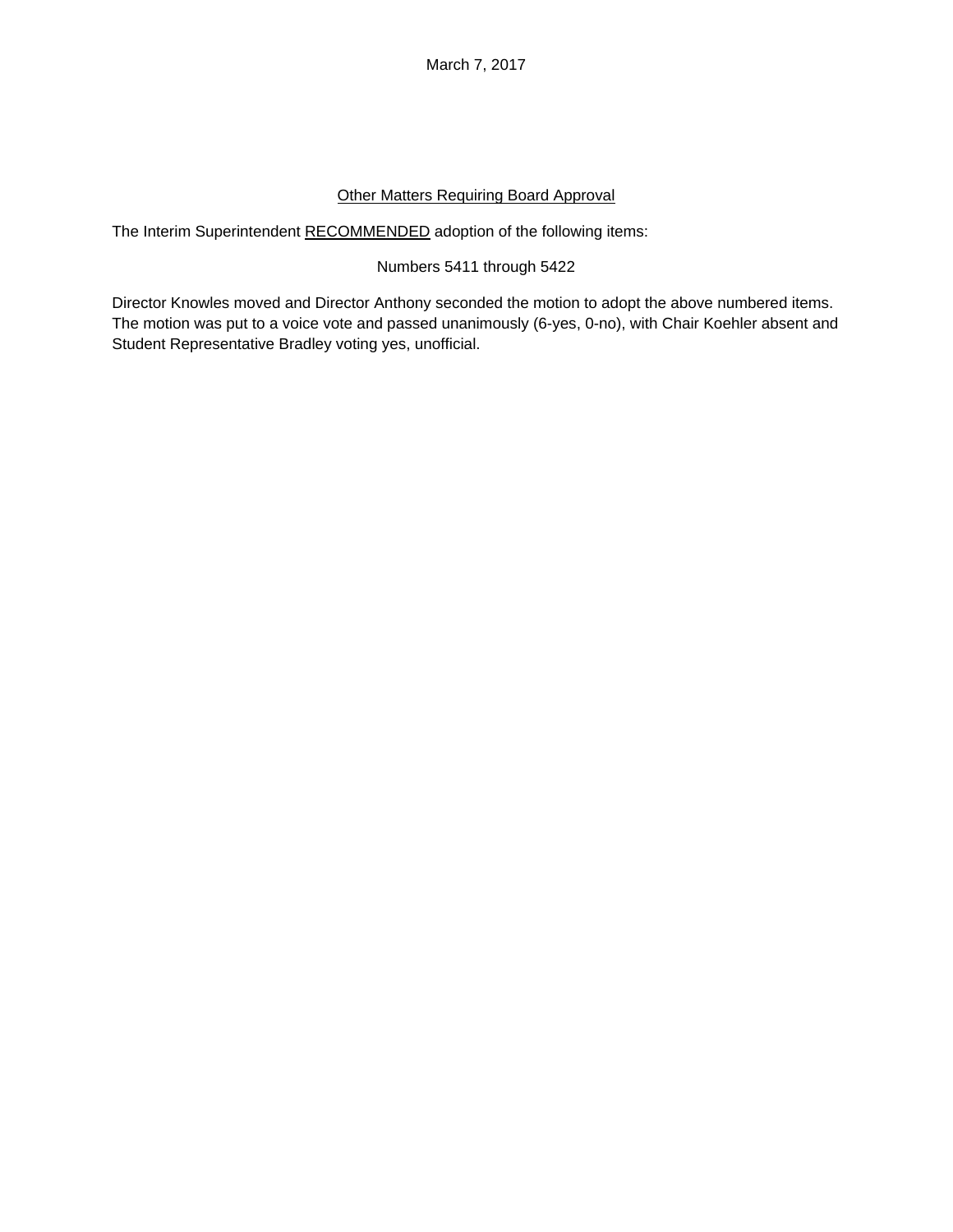March 7, 2017

# Other Matters Requiring Board Approval

The Interim Superintendent RECOMMENDED adoption of the following items:

# Numbers 5411 through 5422

Director Knowles moved and Director Anthony seconded the motion to adopt the above numbered items. The motion was put to a voice vote and passed unanimously (6-yes, 0-no), with Chair Koehler absent and Student Representative Bradley voting yes, unofficial.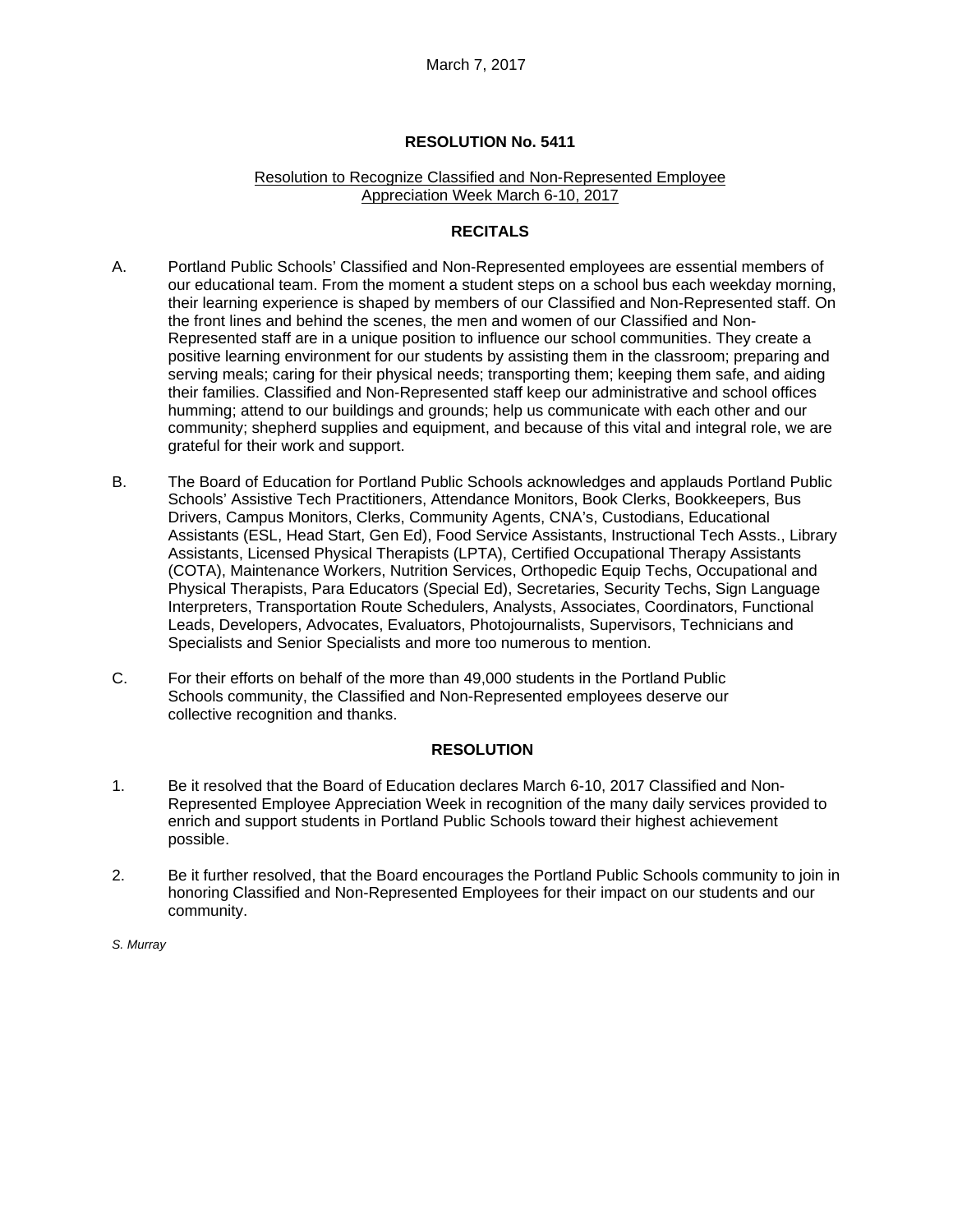### Resolution to Recognize Classified and Non-Represented Employee Appreciation Week March 6-10, 2017

# **RECITALS**

- A. Portland Public Schools' Classified and Non-Represented employees are essential members of our educational team. From the moment a student steps on a school bus each weekday morning, their learning experience is shaped by members of our Classified and Non-Represented staff. On the front lines and behind the scenes, the men and women of our Classified and Non-Represented staff are in a unique position to influence our school communities. They create a positive learning environment for our students by assisting them in the classroom; preparing and serving meals; caring for their physical needs; transporting them; keeping them safe, and aiding their families. Classified and Non-Represented staff keep our administrative and school offices humming; attend to our buildings and grounds; help us communicate with each other and our community; shepherd supplies and equipment, and because of this vital and integral role, we are grateful for their work and support.
- B. The Board of Education for Portland Public Schools acknowledges and applauds Portland Public Schools' Assistive Tech Practitioners, Attendance Monitors, Book Clerks, Bookkeepers, Bus Drivers, Campus Monitors, Clerks, Community Agents, CNA's, Custodians, Educational Assistants (ESL, Head Start, Gen Ed), Food Service Assistants, Instructional Tech Assts., Library Assistants, Licensed Physical Therapists (LPTA), Certified Occupational Therapy Assistants (COTA), Maintenance Workers, Nutrition Services, Orthopedic Equip Techs, Occupational and Physical Therapists, Para Educators (Special Ed), Secretaries, Security Techs, Sign Language Interpreters, Transportation Route Schedulers, Analysts, Associates, Coordinators, Functional Leads, Developers, Advocates, Evaluators, Photojournalists, Supervisors, Technicians and Specialists and Senior Specialists and more too numerous to mention.
- C. For their efforts on behalf of the more than 49,000 students in the Portland Public Schools community, the Classified and Non-Represented employees deserve our collective recognition and thanks.

#### **RESOLUTION**

- 1. Be it resolved that the Board of Education declares March 6-10, 2017 Classified and Non-Represented Employee Appreciation Week in recognition of the many daily services provided to enrich and support students in Portland Public Schools toward their highest achievement possible.
- 2. Be it further resolved, that the Board encourages the Portland Public Schools community to join in honoring Classified and Non-Represented Employees for their impact on our students and our community.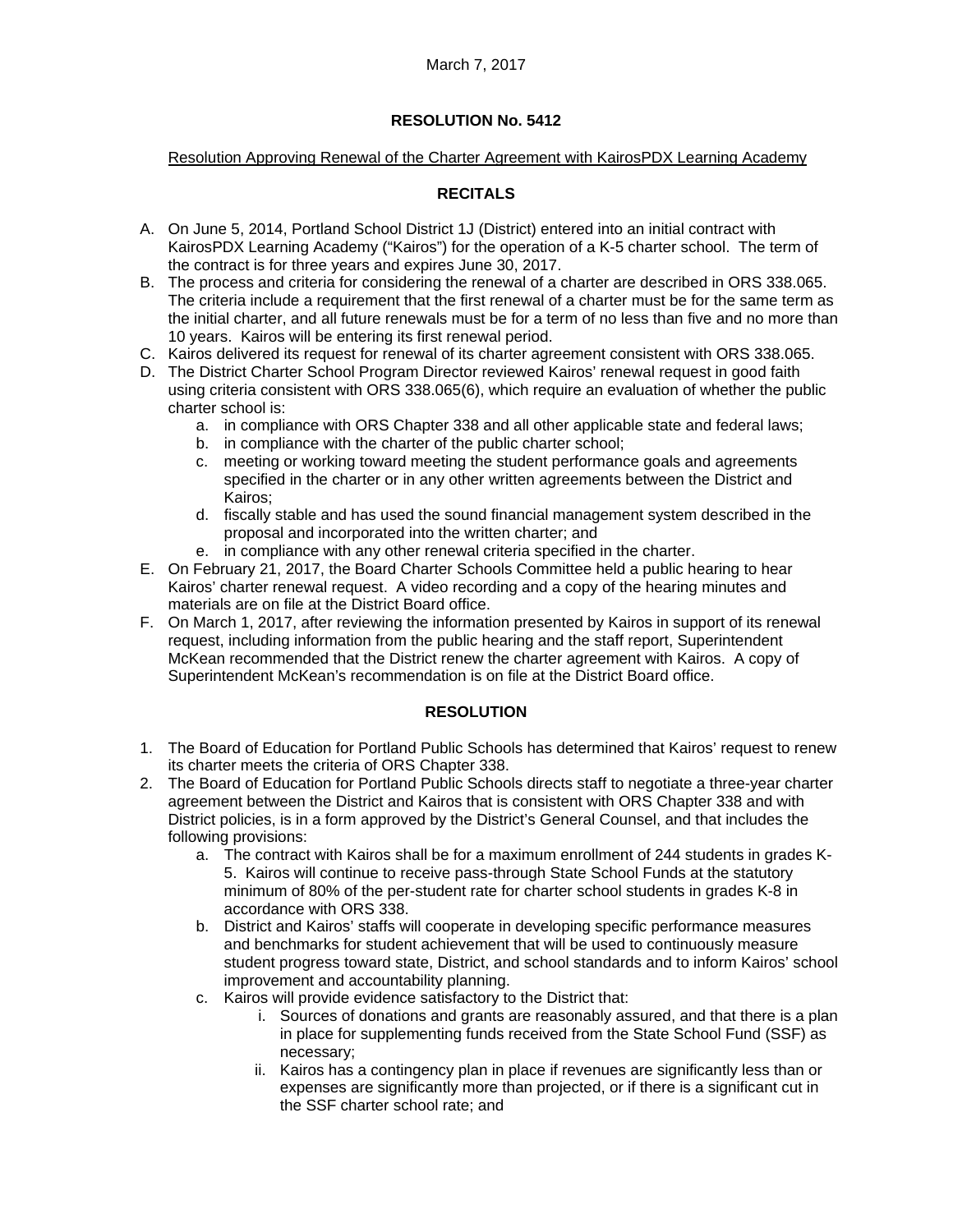# Resolution Approving Renewal of the Charter Agreement with KairosPDX Learning Academy

# **RECITALS**

- A. On June 5, 2014, Portland School District 1J (District) entered into an initial contract with KairosPDX Learning Academy ("Kairos") for the operation of a K-5 charter school. The term of the contract is for three years and expires June 30, 2017.
- B. The process and criteria for considering the renewal of a charter are described in ORS 338.065. The criteria include a requirement that the first renewal of a charter must be for the same term as the initial charter, and all future renewals must be for a term of no less than five and no more than 10 years. Kairos will be entering its first renewal period.
- C. Kairos delivered its request for renewal of its charter agreement consistent with ORS 338.065.
- D. The District Charter School Program Director reviewed Kairos' renewal request in good faith using criteria consistent with ORS 338.065(6), which require an evaluation of whether the public charter school is:
	- a. in compliance with ORS Chapter 338 and all other applicable state and federal laws;
	- b. in compliance with the charter of the public charter school;
	- c. meeting or working toward meeting the student performance goals and agreements specified in the charter or in any other written agreements between the District and Kairos;
	- d. fiscally stable and has used the sound financial management system described in the proposal and incorporated into the written charter; and
	- e. in compliance with any other renewal criteria specified in the charter.
- E. On February 21, 2017, the Board Charter Schools Committee held a public hearing to hear Kairos' charter renewal request. A video recording and a copy of the hearing minutes and materials are on file at the District Board office.
- F. On March 1, 2017, after reviewing the information presented by Kairos in support of its renewal request, including information from the public hearing and the staff report, Superintendent McKean recommended that the District renew the charter agreement with Kairos. A copy of Superintendent McKean's recommendation is on file at the District Board office.

# **RESOLUTION**

- 1. The Board of Education for Portland Public Schools has determined that Kairos' request to renew its charter meets the criteria of ORS Chapter 338.
- 2. The Board of Education for Portland Public Schools directs staff to negotiate a three-year charter agreement between the District and Kairos that is consistent with ORS Chapter 338 and with District policies, is in a form approved by the District's General Counsel, and that includes the following provisions:
	- a. The contract with Kairos shall be for a maximum enrollment of 244 students in grades K-5. Kairos will continue to receive pass-through State School Funds at the statutory minimum of 80% of the per-student rate for charter school students in grades K-8 in accordance with ORS 338.
	- b. District and Kairos' staffs will cooperate in developing specific performance measures and benchmarks for student achievement that will be used to continuously measure student progress toward state, District, and school standards and to inform Kairos' school improvement and accountability planning.
	- c. Kairos will provide evidence satisfactory to the District that:
		- i. Sources of donations and grants are reasonably assured, and that there is a plan in place for supplementing funds received from the State School Fund (SSF) as necessary;
		- ii. Kairos has a contingency plan in place if revenues are significantly less than or expenses are significantly more than projected, or if there is a significant cut in the SSF charter school rate; and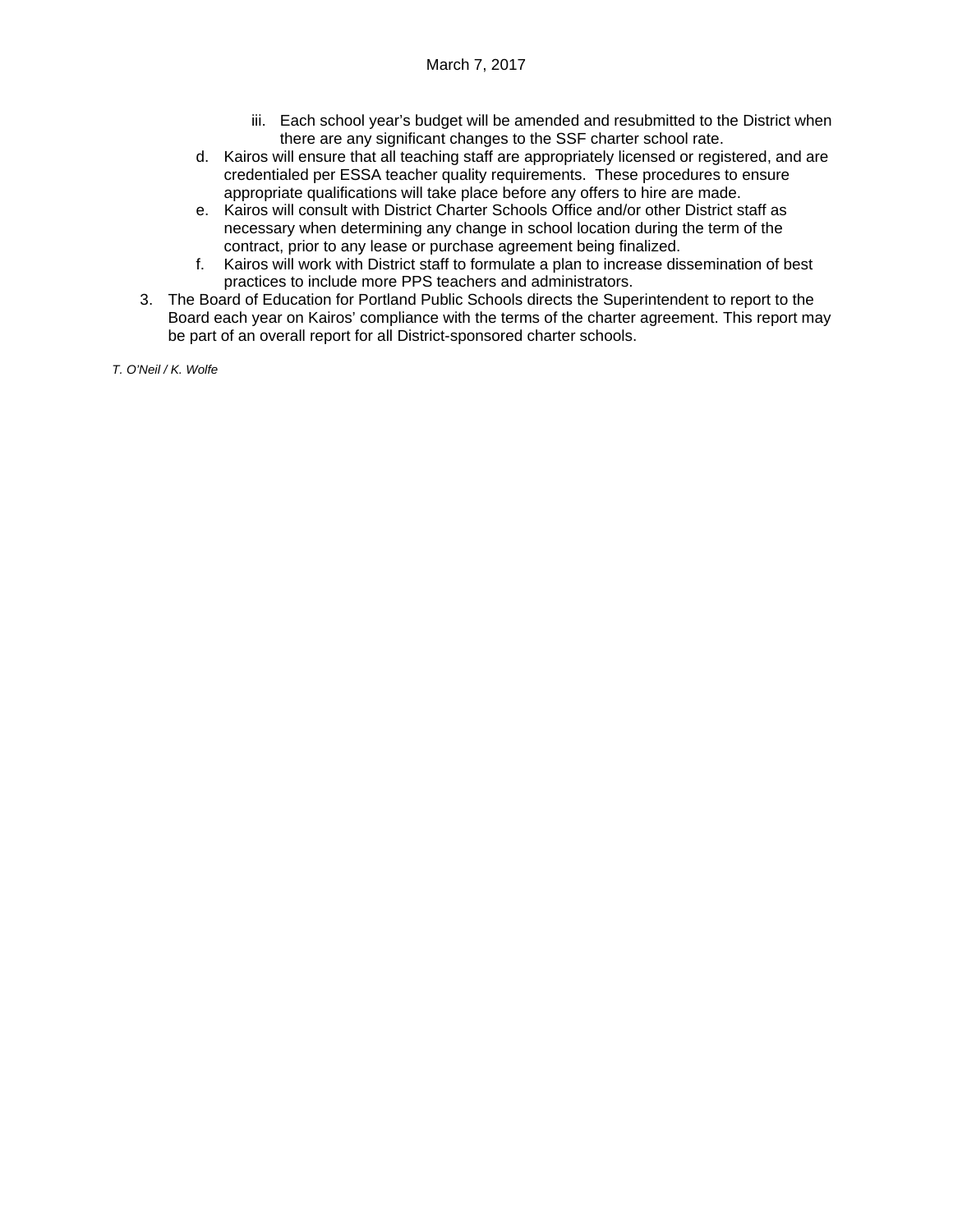- iii. Each school year's budget will be amended and resubmitted to the District when there are any significant changes to the SSF charter school rate.
- d. Kairos will ensure that all teaching staff are appropriately licensed or registered, and are credentialed per ESSA teacher quality requirements. These procedures to ensure appropriate qualifications will take place before any offers to hire are made.
- e. Kairos will consult with District Charter Schools Office and/or other District staff as necessary when determining any change in school location during the term of the contract, prior to any lease or purchase agreement being finalized.
- f. Kairos will work with District staff to formulate a plan to increase dissemination of best practices to include more PPS teachers and administrators.
- 3. The Board of Education for Portland Public Schools directs the Superintendent to report to the Board each year on Kairos' compliance with the terms of the charter agreement. This report may be part of an overall report for all District-sponsored charter schools.

*T. O'Neil / K. Wolfe*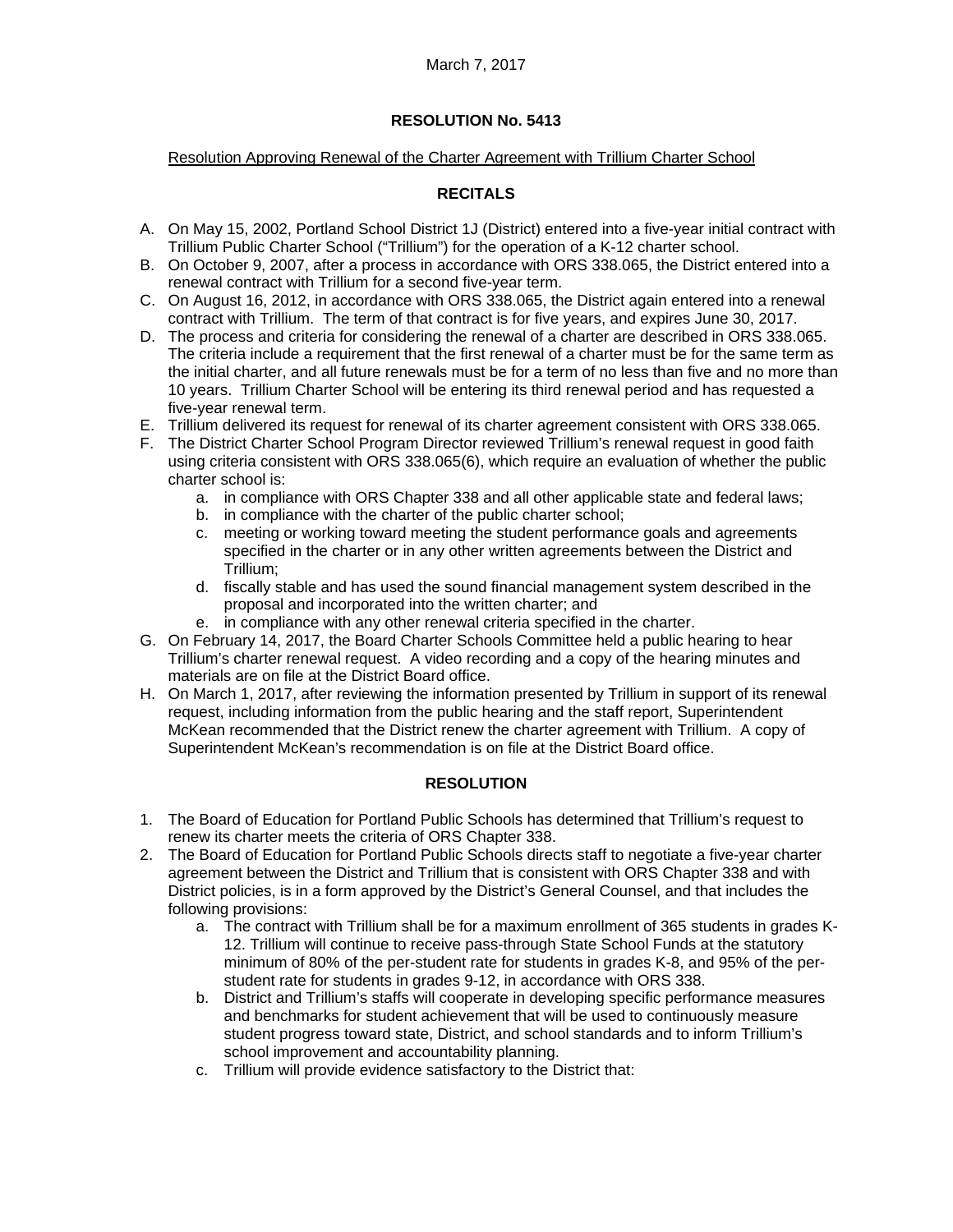#### Resolution Approving Renewal of the Charter Agreement with Trillium Charter School

# **RECITALS**

- A. On May 15, 2002, Portland School District 1J (District) entered into a five-year initial contract with Trillium Public Charter School ("Trillium") for the operation of a K-12 charter school.
- B. On October 9, 2007, after a process in accordance with ORS 338.065, the District entered into a renewal contract with Trillium for a second five-year term.
- C. On August 16, 2012, in accordance with ORS 338.065, the District again entered into a renewal contract with Trillium. The term of that contract is for five years, and expires June 30, 2017.
- D. The process and criteria for considering the renewal of a charter are described in ORS 338.065. The criteria include a requirement that the first renewal of a charter must be for the same term as the initial charter, and all future renewals must be for a term of no less than five and no more than 10 years. Trillium Charter School will be entering its third renewal period and has requested a five-year renewal term.
- E. Trillium delivered its request for renewal of its charter agreement consistent with ORS 338.065.
- F. The District Charter School Program Director reviewed Trillium's renewal request in good faith using criteria consistent with ORS 338.065(6), which require an evaluation of whether the public charter school is:
	- a. in compliance with ORS Chapter 338 and all other applicable state and federal laws;
	- b. in compliance with the charter of the public charter school;
	- c. meeting or working toward meeting the student performance goals and agreements specified in the charter or in any other written agreements between the District and Trillium;
	- d. fiscally stable and has used the sound financial management system described in the proposal and incorporated into the written charter; and
	- e. in compliance with any other renewal criteria specified in the charter.
- G. On February 14, 2017, the Board Charter Schools Committee held a public hearing to hear Trillium's charter renewal request. A video recording and a copy of the hearing minutes and materials are on file at the District Board office.
- H. On March 1, 2017, after reviewing the information presented by Trillium in support of its renewal request, including information from the public hearing and the staff report, Superintendent McKean recommended that the District renew the charter agreement with Trillium. A copy of Superintendent McKean's recommendation is on file at the District Board office.

## **RESOLUTION**

- 1. The Board of Education for Portland Public Schools has determined that Trillium's request to renew its charter meets the criteria of ORS Chapter 338.
- 2. The Board of Education for Portland Public Schools directs staff to negotiate a five-year charter agreement between the District and Trillium that is consistent with ORS Chapter 338 and with District policies, is in a form approved by the District's General Counsel, and that includes the following provisions:
	- a. The contract with Trillium shall be for a maximum enrollment of 365 students in grades K-12. Trillium will continue to receive pass-through State School Funds at the statutory minimum of 80% of the per-student rate for students in grades K-8, and 95% of the perstudent rate for students in grades 9-12, in accordance with ORS 338.
	- b. District and Trillium's staffs will cooperate in developing specific performance measures and benchmarks for student achievement that will be used to continuously measure student progress toward state, District, and school standards and to inform Trillium's school improvement and accountability planning.
	- c. Trillium will provide evidence satisfactory to the District that: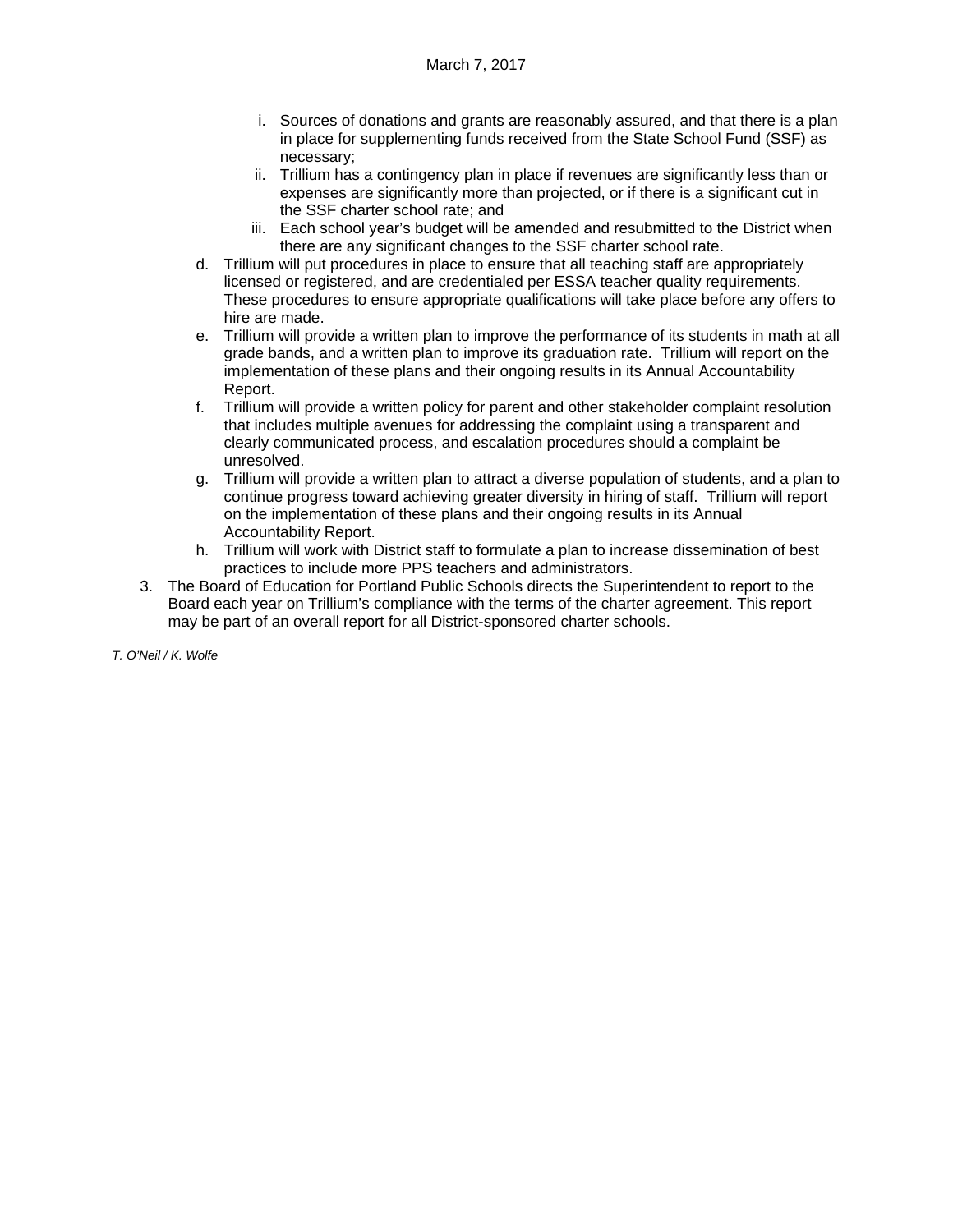- i. Sources of donations and grants are reasonably assured, and that there is a plan in place for supplementing funds received from the State School Fund (SSF) as necessary;
- ii. Trillium has a contingency plan in place if revenues are significantly less than or expenses are significantly more than projected, or if there is a significant cut in the SSF charter school rate; and
- iii. Each school year's budget will be amended and resubmitted to the District when there are any significant changes to the SSF charter school rate.
- d. Trillium will put procedures in place to ensure that all teaching staff are appropriately licensed or registered, and are credentialed per ESSA teacher quality requirements. These procedures to ensure appropriate qualifications will take place before any offers to hire are made.
- e. Trillium will provide a written plan to improve the performance of its students in math at all grade bands, and a written plan to improve its graduation rate. Trillium will report on the implementation of these plans and their ongoing results in its Annual Accountability Report.
- f. Trillium will provide a written policy for parent and other stakeholder complaint resolution that includes multiple avenues for addressing the complaint using a transparent and clearly communicated process, and escalation procedures should a complaint be unresolved.
- g. Trillium will provide a written plan to attract a diverse population of students, and a plan to continue progress toward achieving greater diversity in hiring of staff. Trillium will report on the implementation of these plans and their ongoing results in its Annual Accountability Report.
- h. Trillium will work with District staff to formulate a plan to increase dissemination of best practices to include more PPS teachers and administrators.
- 3. The Board of Education for Portland Public Schools directs the Superintendent to report to the Board each year on Trillium's compliance with the terms of the charter agreement. This report may be part of an overall report for all District-sponsored charter schools.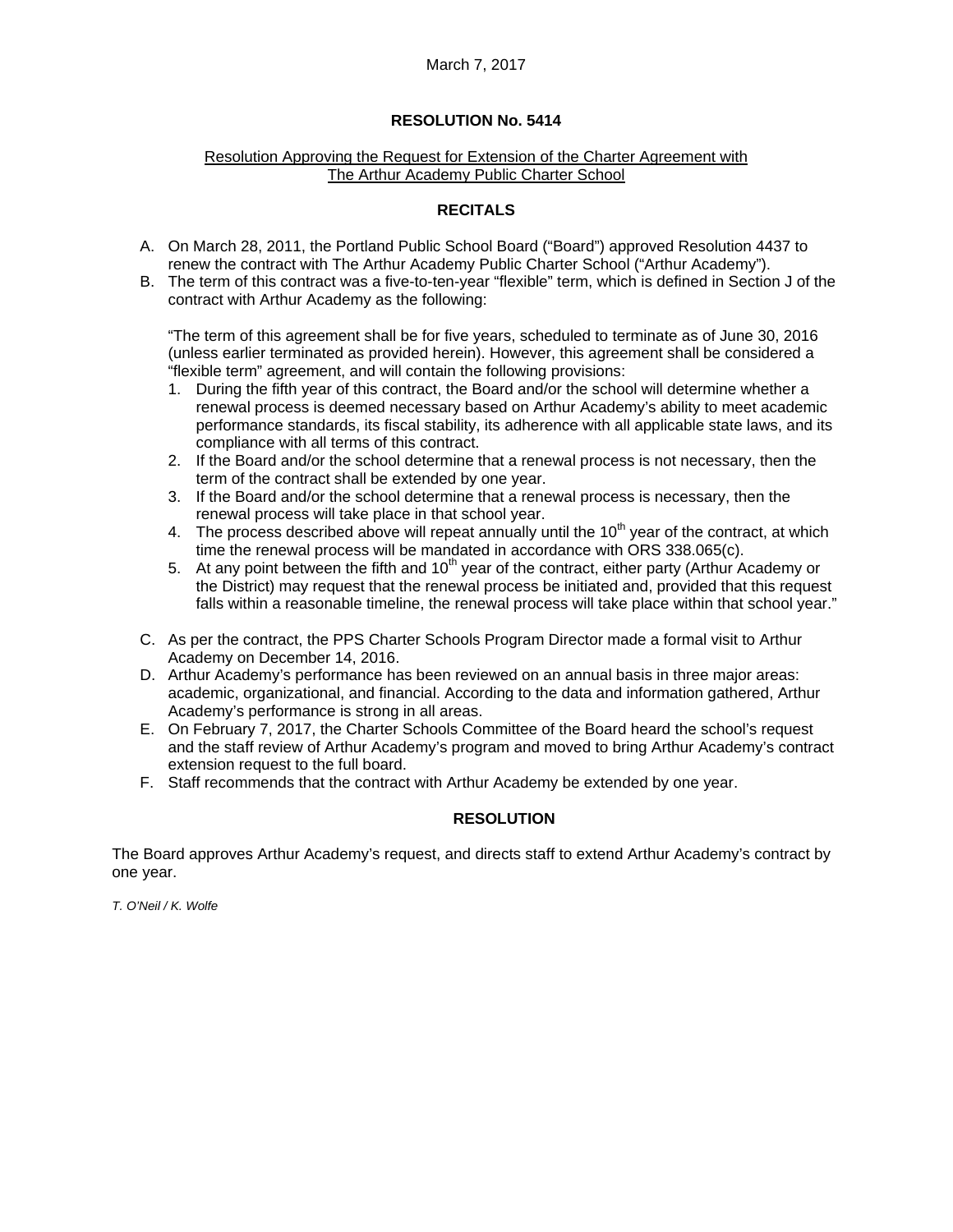## March 7, 2017

#### **RESOLUTION No. 5414**

#### Resolution Approving the Request for Extension of the Charter Agreement with The Arthur Academy Public Charter School

#### **RECITALS**

- A. On March 28, 2011, the Portland Public School Board ("Board") approved Resolution 4437 to renew the contract with The Arthur Academy Public Charter School ("Arthur Academy").
- B. The term of this contract was a five-to-ten-year "flexible" term, which is defined in Section J of the contract with Arthur Academy as the following:

"The term of this agreement shall be for five years, scheduled to terminate as of June 30, 2016 (unless earlier terminated as provided herein). However, this agreement shall be considered a "flexible term" agreement, and will contain the following provisions:

- 1. During the fifth year of this contract, the Board and/or the school will determine whether a renewal process is deemed necessary based on Arthur Academy's ability to meet academic performance standards, its fiscal stability, its adherence with all applicable state laws, and its compliance with all terms of this contract.
- 2. If the Board and/or the school determine that a renewal process is not necessary, then the term of the contract shall be extended by one year.
- 3. If the Board and/or the school determine that a renewal process is necessary, then the renewal process will take place in that school year.
- 4. The process described above will repeat annually until the  $10<sup>th</sup>$  year of the contract, at which time the renewal process will be mandated in accordance with ORS 338.065(c).
- 5. At any point between the fifth and  $10<sup>th</sup>$  year of the contract, either party (Arthur Academy or the District) may request that the renewal process be initiated and, provided that this request falls within a reasonable timeline, the renewal process will take place within that school year."
- C. As per the contract, the PPS Charter Schools Program Director made a formal visit to Arthur Academy on December 14, 2016.
- D. Arthur Academy's performance has been reviewed on an annual basis in three major areas: academic, organizational, and financial. According to the data and information gathered, Arthur Academy's performance is strong in all areas.
- E. On February 7, 2017, the Charter Schools Committee of the Board heard the school's request and the staff review of Arthur Academy's program and moved to bring Arthur Academy's contract extension request to the full board.
- F. Staff recommends that the contract with Arthur Academy be extended by one year.

## **RESOLUTION**

The Board approves Arthur Academy's request, and directs staff to extend Arthur Academy's contract by one year.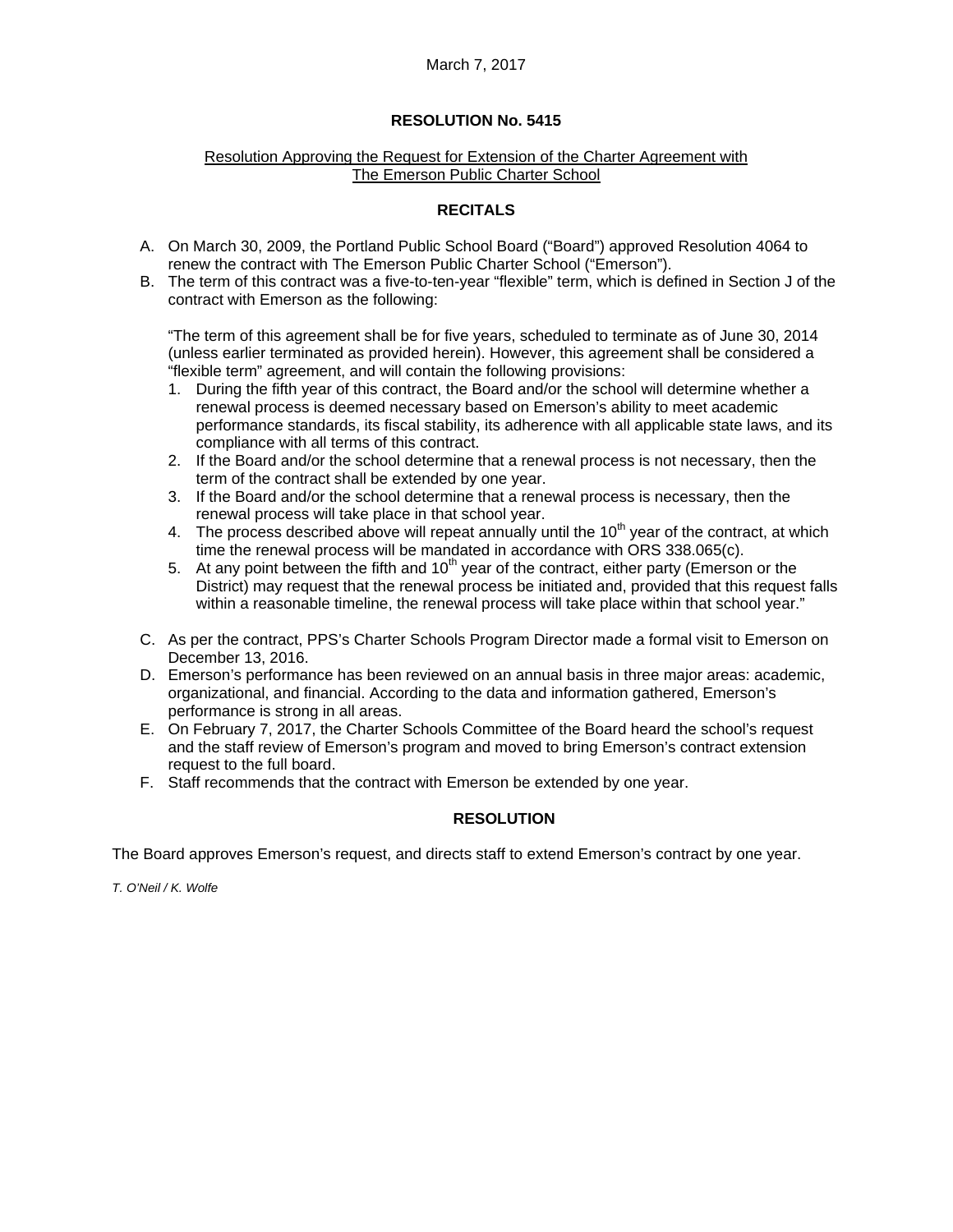## March 7, 2017

#### **RESOLUTION No. 5415**

#### Resolution Approving the Request for Extension of the Charter Agreement with The Emerson Public Charter School

#### **RECITALS**

- A. On March 30, 2009, the Portland Public School Board ("Board") approved Resolution 4064 to renew the contract with The Emerson Public Charter School ("Emerson").
- B. The term of this contract was a five-to-ten-year "flexible" term, which is defined in Section J of the contract with Emerson as the following:

"The term of this agreement shall be for five years, scheduled to terminate as of June 30, 2014 (unless earlier terminated as provided herein). However, this agreement shall be considered a "flexible term" agreement, and will contain the following provisions:

- 1. During the fifth year of this contract, the Board and/or the school will determine whether a renewal process is deemed necessary based on Emerson's ability to meet academic performance standards, its fiscal stability, its adherence with all applicable state laws, and its compliance with all terms of this contract.
- 2. If the Board and/or the school determine that a renewal process is not necessary, then the term of the contract shall be extended by one year.
- 3. If the Board and/or the school determine that a renewal process is necessary, then the renewal process will take place in that school year.
- 4. The process described above will repeat annually until the  $10<sup>th</sup>$  year of the contract, at which time the renewal process will be mandated in accordance with ORS 338.065(c).
- $5.$  At any point between the fifth and  $10<sup>th</sup>$  year of the contract, either party (Emerson or the District) may request that the renewal process be initiated and, provided that this request falls within a reasonable timeline, the renewal process will take place within that school year."
- C. As per the contract, PPS's Charter Schools Program Director made a formal visit to Emerson on December 13, 2016.
- D. Emerson's performance has been reviewed on an annual basis in three major areas: academic, organizational, and financial. According to the data and information gathered, Emerson's performance is strong in all areas.
- E. On February 7, 2017, the Charter Schools Committee of the Board heard the school's request and the staff review of Emerson's program and moved to bring Emerson's contract extension request to the full board.
- F. Staff recommends that the contract with Emerson be extended by one year.

## **RESOLUTION**

The Board approves Emerson's request, and directs staff to extend Emerson's contract by one year.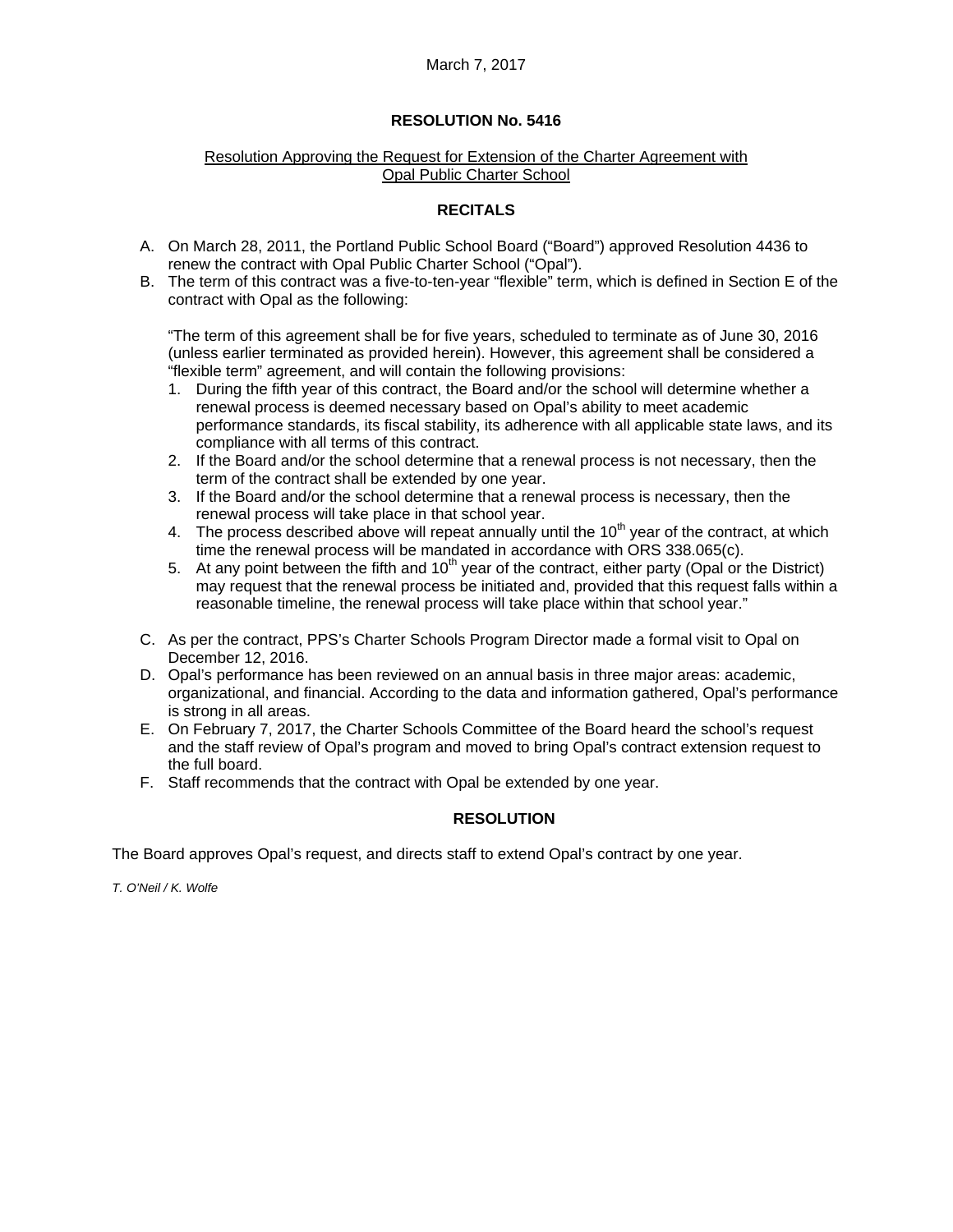## March 7, 2017

## **RESOLUTION No. 5416**

#### Resolution Approving the Request for Extension of the Charter Agreement with Opal Public Charter School

## **RECITALS**

- A. On March 28, 2011, the Portland Public School Board ("Board") approved Resolution 4436 to renew the contract with Opal Public Charter School ("Opal").
- B. The term of this contract was a five-to-ten-year "flexible" term, which is defined in Section E of the contract with Opal as the following:

"The term of this agreement shall be for five years, scheduled to terminate as of June 30, 2016 (unless earlier terminated as provided herein). However, this agreement shall be considered a "flexible term" agreement, and will contain the following provisions:

- 1. During the fifth year of this contract, the Board and/or the school will determine whether a renewal process is deemed necessary based on Opal's ability to meet academic performance standards, its fiscal stability, its adherence with all applicable state laws, and its compliance with all terms of this contract.
- 2. If the Board and/or the school determine that a renewal process is not necessary, then the term of the contract shall be extended by one year.
- 3. If the Board and/or the school determine that a renewal process is necessary, then the renewal process will take place in that school year.
- 4. The process described above will repeat annually until the  $10<sup>th</sup>$  year of the contract, at which time the renewal process will be mandated in accordance with ORS 338.065(c).
- $\frac{1}{2}$ . At any point between the fifth and 10<sup>th</sup> year of the contract, either party (Opal or the District) may request that the renewal process be initiated and, provided that this request falls within a reasonable timeline, the renewal process will take place within that school year."
- C. As per the contract, PPS's Charter Schools Program Director made a formal visit to Opal on December 12, 2016.
- D. Opal's performance has been reviewed on an annual basis in three major areas: academic, organizational, and financial. According to the data and information gathered, Opal's performance is strong in all areas.
- E. On February 7, 2017, the Charter Schools Committee of the Board heard the school's request and the staff review of Opal's program and moved to bring Opal's contract extension request to the full board.
- F. Staff recommends that the contract with Opal be extended by one year.

## **RESOLUTION**

The Board approves Opal's request, and directs staff to extend Opal's contract by one year.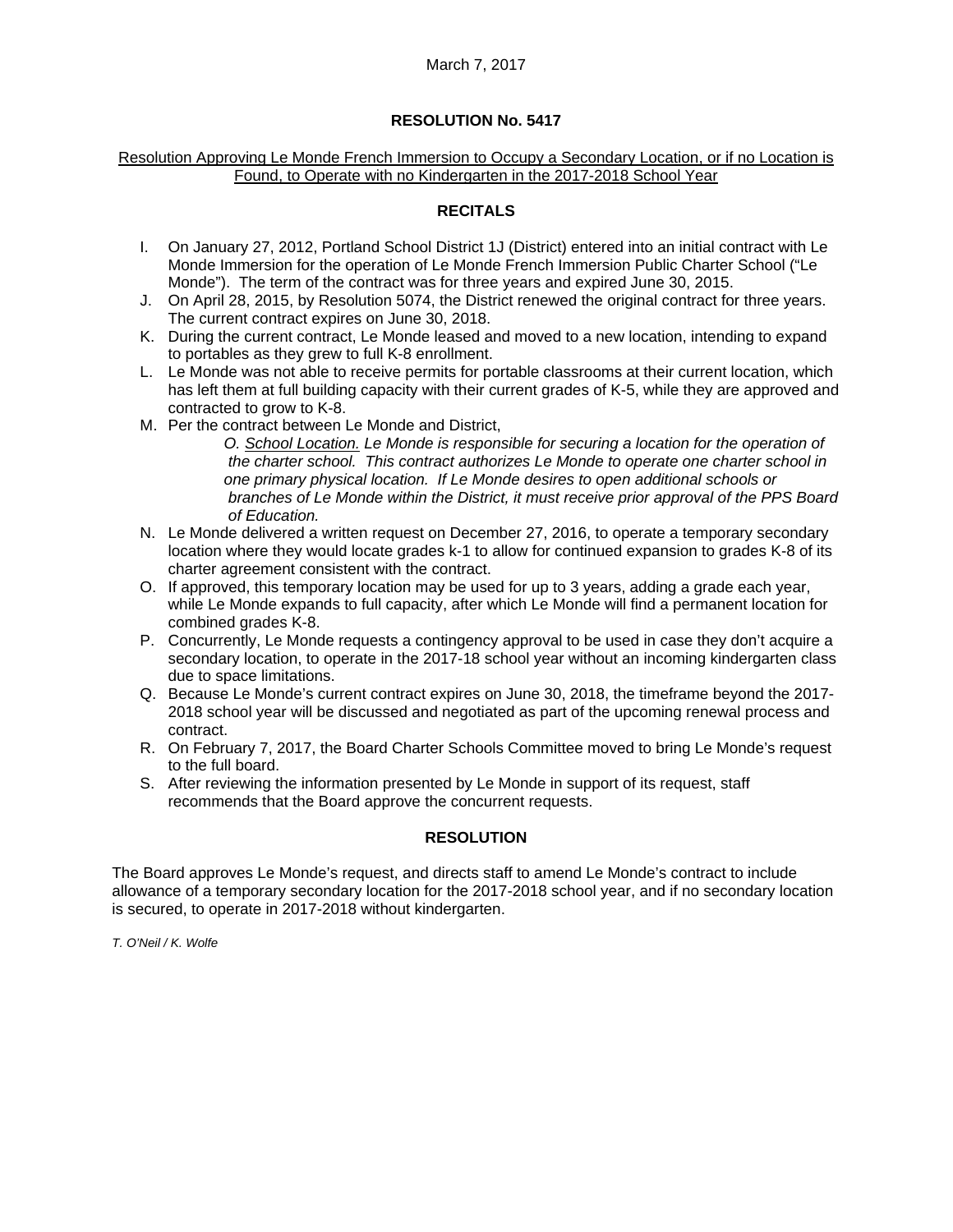#### Resolution Approving Le Monde French Immersion to Occupy a Secondary Location, or if no Location is Found, to Operate with no Kindergarten in the 2017-2018 School Year

## **RECITALS**

- I. On January 27, 2012, Portland School District 1J (District) entered into an initial contract with Le Monde Immersion for the operation of Le Monde French Immersion Public Charter School ("Le Monde"). The term of the contract was for three years and expired June 30, 2015.
- J. On April 28, 2015, by Resolution 5074, the District renewed the original contract for three years. The current contract expires on June 30, 2018.
- K. During the current contract, Le Monde leased and moved to a new location, intending to expand to portables as they grew to full K-8 enrollment.
- L. Le Monde was not able to receive permits for portable classrooms at their current location, which has left them at full building capacity with their current grades of K-5, while they are approved and contracted to grow to K-8.
- M. Per the contract between Le Monde and District,

 *O. School Location. Le Monde is responsible for securing a location for the operation of the charter school. This contract authorizes Le Monde to operate one charter school in one primary physical location. If Le Monde desires to open additional schools or branches of Le Monde within the District, it must receive prior approval of the PPS Board of Education.* 

- N. Le Monde delivered a written request on December 27, 2016, to operate a temporary secondary location where they would locate grades k-1 to allow for continued expansion to grades K-8 of its charter agreement consistent with the contract.
- O. If approved, this temporary location may be used for up to 3 years, adding a grade each year, while Le Monde expands to full capacity, after which Le Monde will find a permanent location for combined grades K-8.
- P. Concurrently, Le Monde requests a contingency approval to be used in case they don't acquire a secondary location, to operate in the 2017-18 school year without an incoming kindergarten class due to space limitations.
- Q. Because Le Monde's current contract expires on June 30, 2018, the timeframe beyond the 2017- 2018 school year will be discussed and negotiated as part of the upcoming renewal process and contract.
- R. On February 7, 2017, the Board Charter Schools Committee moved to bring Le Monde's request to the full board.
- S. After reviewing the information presented by Le Monde in support of its request, staff recommends that the Board approve the concurrent requests.

## **RESOLUTION**

The Board approves Le Monde's request, and directs staff to amend Le Monde's contract to include allowance of a temporary secondary location for the 2017-2018 school year, and if no secondary location is secured, to operate in 2017-2018 without kindergarten.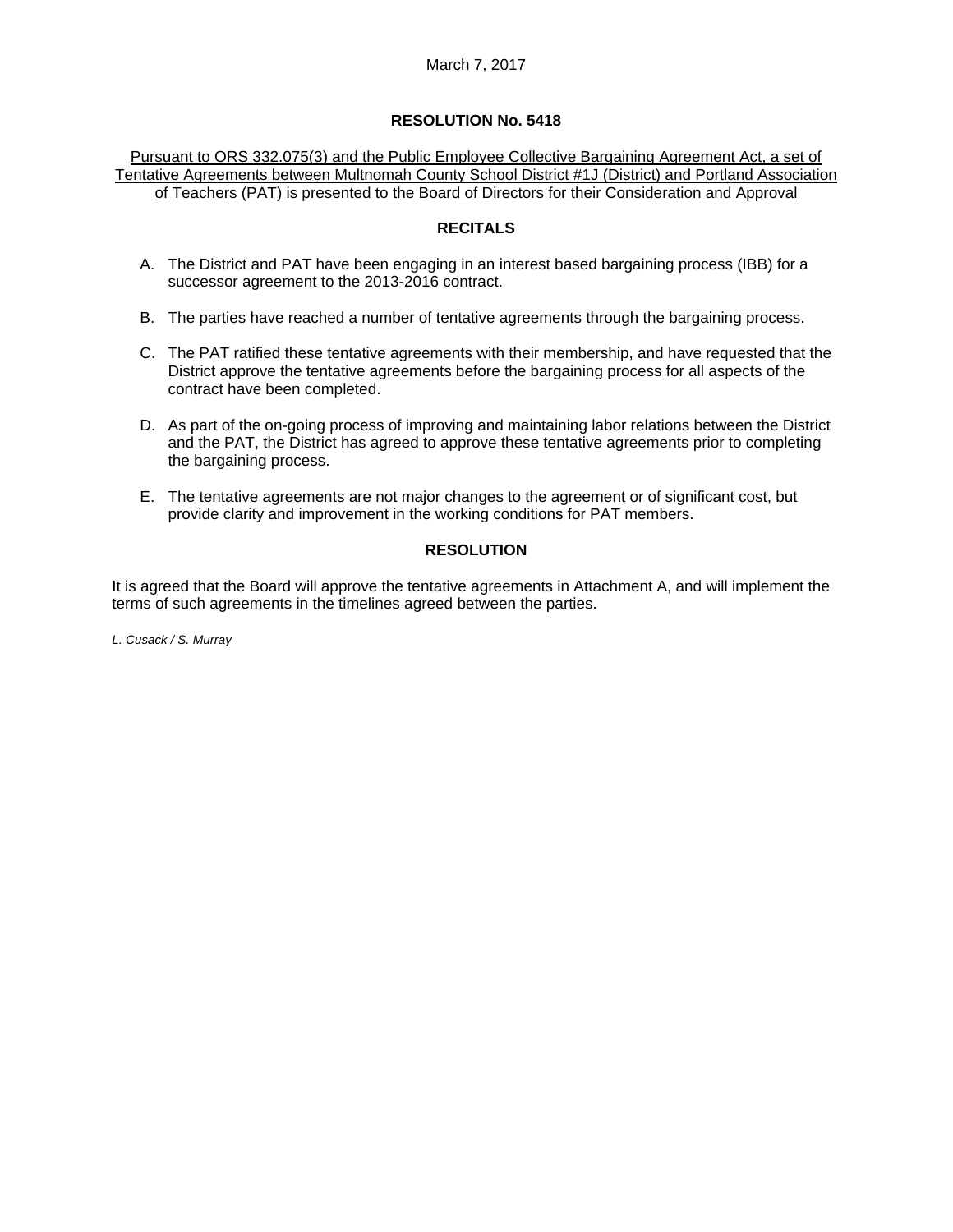Pursuant to ORS 332.075(3) and the Public Employee Collective Bargaining Agreement Act, a set of Tentative Agreements between Multnomah County School District #1J (District) and Portland Association of Teachers (PAT) is presented to the Board of Directors for their Consideration and Approval

#### **RECITALS**

- A. The District and PAT have been engaging in an interest based bargaining process (IBB) for a successor agreement to the 2013-2016 contract.
- B. The parties have reached a number of tentative agreements through the bargaining process.
- C. The PAT ratified these tentative agreements with their membership, and have requested that the District approve the tentative agreements before the bargaining process for all aspects of the contract have been completed.
- D. As part of the on-going process of improving and maintaining labor relations between the District and the PAT, the District has agreed to approve these tentative agreements prior to completing the bargaining process.
- E. The tentative agreements are not major changes to the agreement or of significant cost, but provide clarity and improvement in the working conditions for PAT members.

## **RESOLUTION**

It is agreed that the Board will approve the tentative agreements in Attachment A, and will implement the terms of such agreements in the timelines agreed between the parties.

*L. Cusack / S. Murray*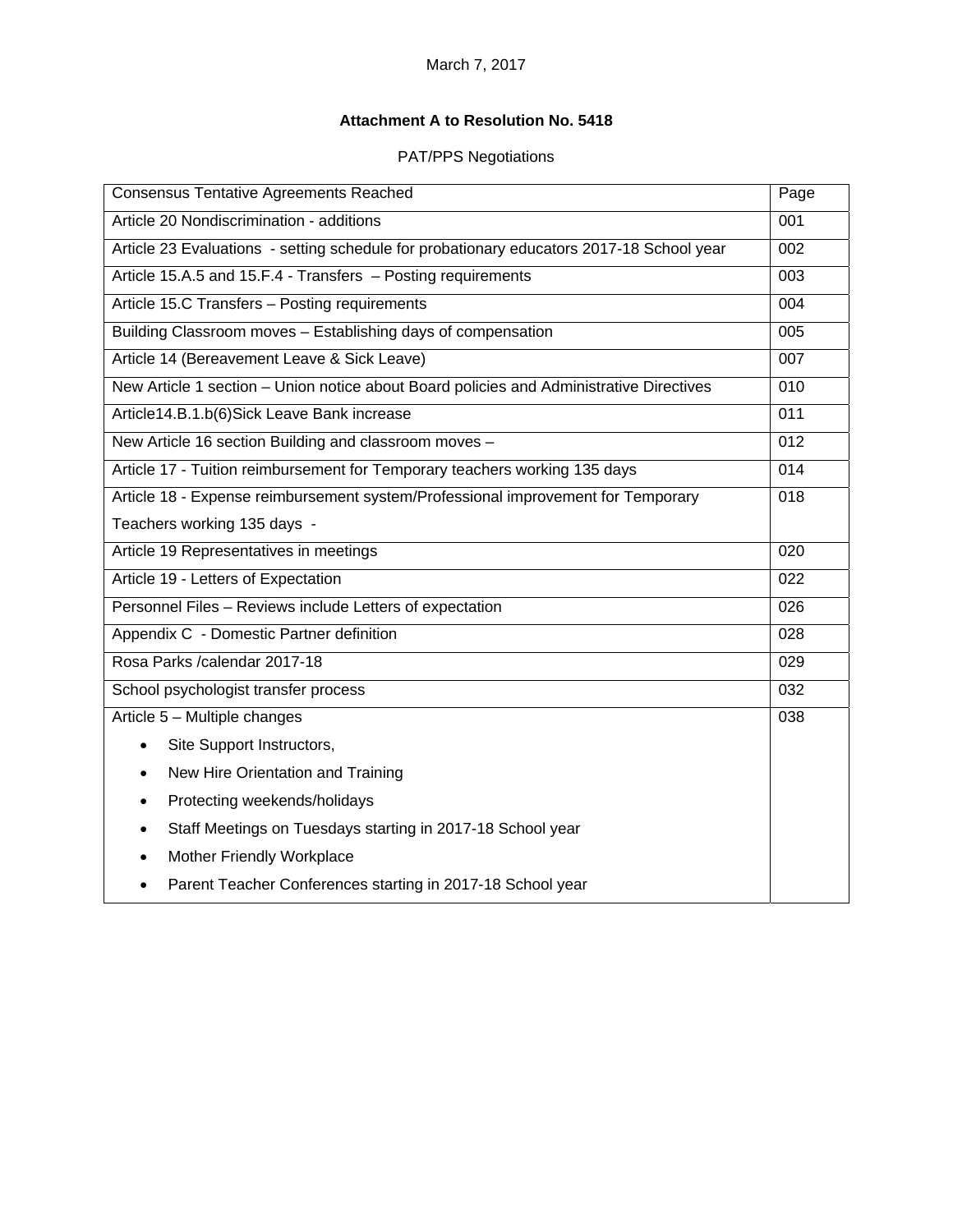# **Attachment A to Resolution No. 5418**

# PAT/PPS Negotiations

| <b>Consensus Tentative Agreements Reached</b>                                            | Page |
|------------------------------------------------------------------------------------------|------|
| Article 20 Nondiscrimination - additions                                                 | 001  |
| Article 23 Evaluations - setting schedule for probationary educators 2017-18 School year | 002  |
| Article 15.A.5 and 15.F.4 - Transfers - Posting requirements                             | 003  |
| Article 15.C Transfers - Posting requirements                                            | 004  |
| Building Classroom moves - Establishing days of compensation                             | 005  |
| Article 14 (Bereavement Leave & Sick Leave)                                              | 007  |
| New Article 1 section - Union notice about Board policies and Administrative Directives  | 010  |
| Article14.B.1.b(6)Sick Leave Bank increase                                               | 011  |
| New Article 16 section Building and classroom moves -                                    | 012  |
| Article 17 - Tuition reimbursement for Temporary teachers working 135 days               | 014  |
| Article 18 - Expense reimbursement system/Professional improvement for Temporary         | 018  |
| Teachers working 135 days -                                                              |      |
| Article 19 Representatives in meetings                                                   | 020  |
| Article 19 - Letters of Expectation                                                      | 022  |
| Personnel Files - Reviews include Letters of expectation                                 | 026  |
| Appendix C - Domestic Partner definition                                                 | 028  |
| Rosa Parks / calendar 2017-18                                                            | 029  |
| School psychologist transfer process                                                     | 032  |
| Article 5 - Multiple changes                                                             | 038  |
| Site Support Instructors,<br>$\bullet$                                                   |      |
| New Hire Orientation and Training                                                        |      |
| Protecting weekends/holidays<br>$\bullet$                                                |      |
| Staff Meetings on Tuesdays starting in 2017-18 School year                               |      |
| Mother Friendly Workplace                                                                |      |
| Parent Teacher Conferences starting in 2017-18 School year                               |      |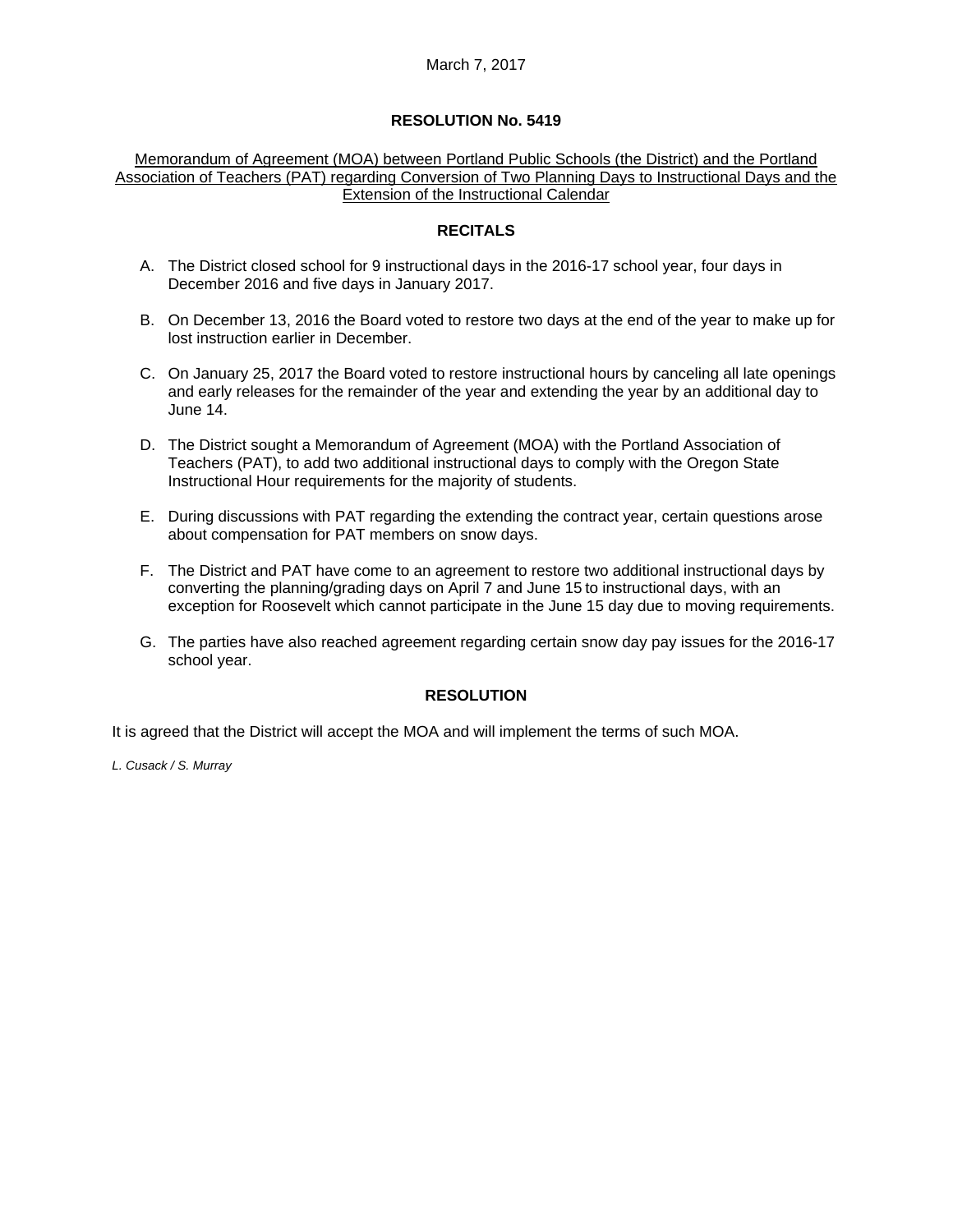#### Memorandum of Agreement (MOA) between Portland Public Schools (the District) and the Portland Association of Teachers (PAT) regarding Conversion of Two Planning Days to Instructional Days and the Extension of the Instructional Calendar

#### **RECITALS**

- A. The District closed school for 9 instructional days in the 2016-17 school year, four days in December 2016 and five days in January 2017.
- B. On December 13, 2016 the Board voted to restore two days at the end of the year to make up for lost instruction earlier in December.
- C. On January 25, 2017 the Board voted to restore instructional hours by canceling all late openings and early releases for the remainder of the year and extending the year by an additional day to June 14.
- D. The District sought a Memorandum of Agreement (MOA) with the Portland Association of Teachers (PAT), to add two additional instructional days to comply with the Oregon State Instructional Hour requirements for the majority of students.
- E. During discussions with PAT regarding the extending the contract year, certain questions arose about compensation for PAT members on snow days.
- F. The District and PAT have come to an agreement to restore two additional instructional days by converting the planning/grading days on April 7 and June 15 to instructional days, with an exception for Roosevelt which cannot participate in the June 15 day due to moving requirements.
- G. The parties have also reached agreement regarding certain snow day pay issues for the 2016-17 school year.

## **RESOLUTION**

It is agreed that the District will accept the MOA and will implement the terms of such MOA.

*L. Cusack / S. Murray*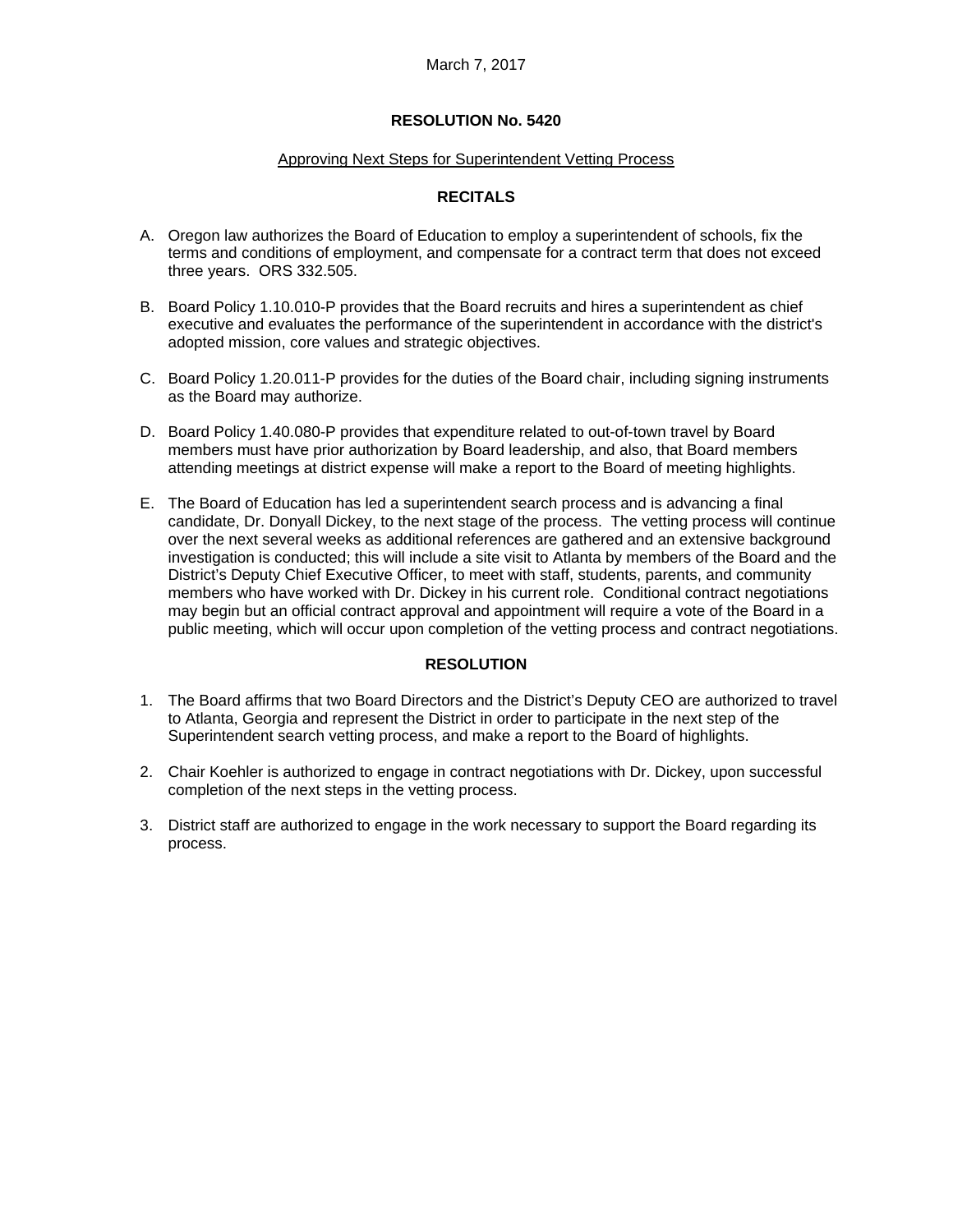#### Approving Next Steps for Superintendent Vetting Process

#### **RECITALS**

- A. Oregon law authorizes the Board of Education to employ a superintendent of schools, fix the terms and conditions of employment, and compensate for a contract term that does not exceed three years. ORS 332.505.
- B. Board Policy 1.10.010-P provides that the Board recruits and hires a superintendent as chief executive and evaluates the performance of the superintendent in accordance with the district's adopted mission, core values and strategic objectives.
- C. Board Policy 1.20.011-P provides for the duties of the Board chair, including signing instruments as the Board may authorize.
- D. Board Policy 1.40.080-P provides that expenditure related to out-of-town travel by Board members must have prior authorization by Board leadership, and also, that Board members attending meetings at district expense will make a report to the Board of meeting highlights.
- E. The Board of Education has led a superintendent search process and is advancing a final candidate, Dr. Donyall Dickey, to the next stage of the process. The vetting process will continue over the next several weeks as additional references are gathered and an extensive background investigation is conducted; this will include a site visit to Atlanta by members of the Board and the District's Deputy Chief Executive Officer, to meet with staff, students, parents, and community members who have worked with Dr. Dickey in his current role. Conditional contract negotiations may begin but an official contract approval and appointment will require a vote of the Board in a public meeting, which will occur upon completion of the vetting process and contract negotiations.

#### **RESOLUTION**

- 1. The Board affirms that two Board Directors and the District's Deputy CEO are authorized to travel to Atlanta, Georgia and represent the District in order to participate in the next step of the Superintendent search vetting process, and make a report to the Board of highlights.
- 2. Chair Koehler is authorized to engage in contract negotiations with Dr. Dickey, upon successful completion of the next steps in the vetting process.
- 3. District staff are authorized to engage in the work necessary to support the Board regarding its process.